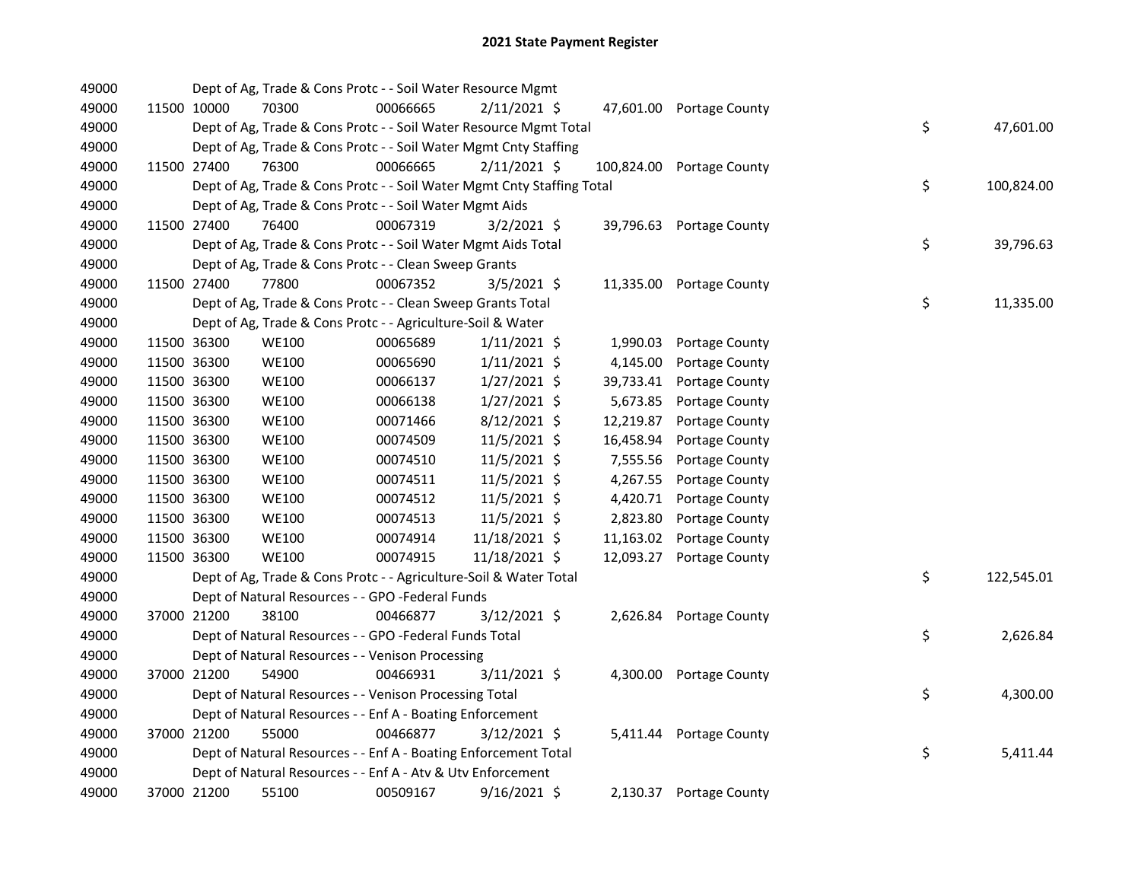| 49000 |             | Dept of Ag, Trade & Cons Protc - - Soil Water Resource Mgmt            |          |                |           |                           |    |            |
|-------|-------------|------------------------------------------------------------------------|----------|----------------|-----------|---------------------------|----|------------|
| 49000 | 11500 10000 | 70300                                                                  | 00066665 | $2/11/2021$ \$ |           | 47,601.00 Portage County  |    |            |
| 49000 |             | Dept of Ag, Trade & Cons Protc - - Soil Water Resource Mgmt Total      |          |                |           |                           | \$ | 47,601.00  |
| 49000 |             | Dept of Ag, Trade & Cons Protc - - Soil Water Mgmt Cnty Staffing       |          |                |           |                           |    |            |
| 49000 | 11500 27400 | 76300                                                                  | 00066665 | $2/11/2021$ \$ |           | 100,824.00 Portage County |    |            |
| 49000 |             | Dept of Ag, Trade & Cons Protc - - Soil Water Mgmt Cnty Staffing Total |          |                |           |                           | \$ | 100,824.00 |
| 49000 |             | Dept of Ag, Trade & Cons Protc - - Soil Water Mgmt Aids                |          |                |           |                           |    |            |
| 49000 | 11500 27400 | 76400                                                                  | 00067319 | $3/2/2021$ \$  |           | 39,796.63 Portage County  |    |            |
| 49000 |             | Dept of Ag, Trade & Cons Protc - - Soil Water Mgmt Aids Total          |          |                |           |                           | \$ | 39,796.63  |
| 49000 |             | Dept of Ag, Trade & Cons Protc - - Clean Sweep Grants                  |          |                |           |                           |    |            |
| 49000 | 11500 27400 | 77800                                                                  | 00067352 | $3/5/2021$ \$  |           | 11,335.00 Portage County  |    |            |
| 49000 |             | Dept of Ag, Trade & Cons Protc - - Clean Sweep Grants Total            |          |                |           |                           | \$ | 11,335.00  |
| 49000 |             | Dept of Ag, Trade & Cons Protc - - Agriculture-Soil & Water            |          |                |           |                           |    |            |
| 49000 | 11500 36300 | <b>WE100</b>                                                           | 00065689 | $1/11/2021$ \$ | 1,990.03  | Portage County            |    |            |
| 49000 | 11500 36300 | <b>WE100</b>                                                           | 00065690 | $1/11/2021$ \$ | 4,145.00  | Portage County            |    |            |
| 49000 | 11500 36300 | <b>WE100</b>                                                           | 00066137 | $1/27/2021$ \$ | 39,733.41 | Portage County            |    |            |
| 49000 | 11500 36300 | <b>WE100</b>                                                           | 00066138 | $1/27/2021$ \$ | 5,673.85  | Portage County            |    |            |
| 49000 | 11500 36300 | <b>WE100</b>                                                           | 00071466 | 8/12/2021 \$   | 12,219.87 | Portage County            |    |            |
| 49000 | 11500 36300 | WE100                                                                  | 00074509 | 11/5/2021 \$   | 16,458.94 | Portage County            |    |            |
| 49000 | 11500 36300 | <b>WE100</b>                                                           | 00074510 | 11/5/2021 \$   | 7,555.56  | Portage County            |    |            |
| 49000 | 11500 36300 | <b>WE100</b>                                                           | 00074511 | 11/5/2021 \$   | 4,267.55  | Portage County            |    |            |
| 49000 | 11500 36300 | <b>WE100</b>                                                           | 00074512 | 11/5/2021 \$   | 4,420.71  | Portage County            |    |            |
| 49000 | 11500 36300 | <b>WE100</b>                                                           | 00074513 | 11/5/2021 \$   | 2,823.80  | Portage County            |    |            |
| 49000 | 11500 36300 | <b>WE100</b>                                                           | 00074914 | 11/18/2021 \$  | 11,163.02 | Portage County            |    |            |
| 49000 | 11500 36300 | <b>WE100</b>                                                           | 00074915 | 11/18/2021 \$  |           | 12,093.27 Portage County  |    |            |
| 49000 |             | Dept of Ag, Trade & Cons Protc - - Agriculture-Soil & Water Total      |          |                |           |                           | \$ | 122,545.01 |
| 49000 |             | Dept of Natural Resources - - GPO -Federal Funds                       |          |                |           |                           |    |            |
| 49000 | 37000 21200 | 38100                                                                  | 00466877 | 3/12/2021 \$   |           | 2,626.84 Portage County   |    |            |
| 49000 |             | Dept of Natural Resources - - GPO -Federal Funds Total                 |          |                |           |                           | \$ | 2,626.84   |
| 49000 |             | Dept of Natural Resources - - Venison Processing                       |          |                |           |                           |    |            |
| 49000 | 37000 21200 | 54900                                                                  | 00466931 | 3/11/2021 \$   |           | 4,300.00 Portage County   |    |            |
| 49000 |             | Dept of Natural Resources - - Venison Processing Total                 |          |                |           |                           | \$ | 4,300.00   |
| 49000 |             | Dept of Natural Resources - - Enf A - Boating Enforcement              |          |                |           |                           |    |            |
| 49000 | 37000 21200 | 55000                                                                  | 00466877 | $3/12/2021$ \$ |           | 5,411.44 Portage County   |    |            |
| 49000 |             | Dept of Natural Resources - - Enf A - Boating Enforcement Total        |          |                |           |                           | \$ | 5,411.44   |
| 49000 |             | Dept of Natural Resources - - Enf A - Atv & Utv Enforcement            |          |                |           |                           |    |            |
| 49000 | 37000 21200 | 55100                                                                  | 00509167 | 9/16/2021 \$   |           | 2,130.37 Portage County   |    |            |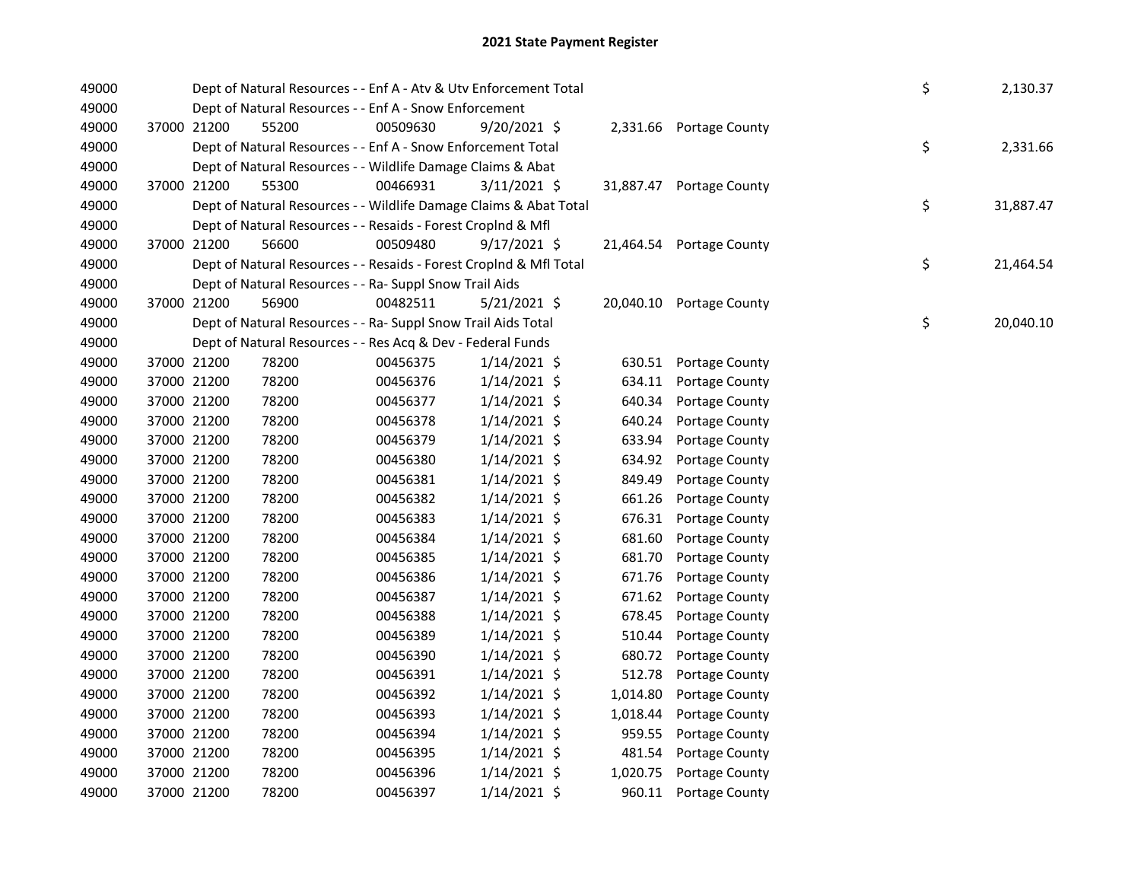| 49000 |             |             | Dept of Natural Resources - - Enf A - Atv & Utv Enforcement Total  |          |                |           |                          | \$ | 2,130.37  |
|-------|-------------|-------------|--------------------------------------------------------------------|----------|----------------|-----------|--------------------------|----|-----------|
| 49000 |             |             | Dept of Natural Resources - - Enf A - Snow Enforcement             |          |                |           |                          |    |           |
| 49000 | 37000 21200 |             | 55200                                                              | 00509630 | 9/20/2021 \$   |           | 2,331.66 Portage County  |    |           |
| 49000 |             |             | Dept of Natural Resources - - Enf A - Snow Enforcement Total       |          |                |           |                          | \$ | 2,331.66  |
| 49000 |             |             | Dept of Natural Resources - - Wildlife Damage Claims & Abat        |          |                |           |                          |    |           |
| 49000 | 37000 21200 |             | 55300                                                              | 00466931 | $3/11/2021$ \$ |           | 31,887.47 Portage County |    |           |
| 49000 |             |             | Dept of Natural Resources - - Wildlife Damage Claims & Abat Total  |          |                |           |                          | \$ | 31,887.47 |
| 49000 |             |             | Dept of Natural Resources - - Resaids - Forest Croplnd & Mfl       |          |                |           |                          |    |           |
| 49000 | 37000 21200 |             | 56600                                                              | 00509480 | $9/17/2021$ \$ | 21,464.54 | Portage County           |    |           |
| 49000 |             |             | Dept of Natural Resources - - Resaids - Forest CropInd & Mfl Total |          |                |           |                          | \$ | 21,464.54 |
| 49000 |             |             | Dept of Natural Resources - - Ra- Suppl Snow Trail Aids            |          |                |           |                          |    |           |
| 49000 | 37000 21200 |             | 56900                                                              | 00482511 | $5/21/2021$ \$ |           | 20,040.10 Portage County |    |           |
| 49000 |             |             | Dept of Natural Resources - - Ra- Suppl Snow Trail Aids Total      |          |                |           |                          | \$ | 20,040.10 |
| 49000 |             |             | Dept of Natural Resources - - Res Acq & Dev - Federal Funds        |          |                |           |                          |    |           |
| 49000 |             | 37000 21200 | 78200                                                              | 00456375 | $1/14/2021$ \$ |           | 630.51 Portage County    |    |           |
| 49000 |             | 37000 21200 | 78200                                                              | 00456376 | $1/14/2021$ \$ | 634.11    | Portage County           |    |           |
| 49000 | 37000 21200 |             | 78200                                                              | 00456377 | $1/14/2021$ \$ | 640.34    | Portage County           |    |           |
| 49000 | 37000 21200 |             | 78200                                                              | 00456378 | $1/14/2021$ \$ | 640.24    | Portage County           |    |           |
| 49000 | 37000 21200 |             | 78200                                                              | 00456379 | $1/14/2021$ \$ | 633.94    | Portage County           |    |           |
| 49000 | 37000 21200 |             | 78200                                                              | 00456380 | $1/14/2021$ \$ | 634.92    | Portage County           |    |           |
| 49000 | 37000 21200 |             | 78200                                                              | 00456381 | $1/14/2021$ \$ | 849.49    | Portage County           |    |           |
| 49000 | 37000 21200 |             | 78200                                                              | 00456382 | $1/14/2021$ \$ | 661.26    | Portage County           |    |           |
| 49000 | 37000 21200 |             | 78200                                                              | 00456383 | $1/14/2021$ \$ | 676.31    | Portage County           |    |           |
| 49000 | 37000 21200 |             | 78200                                                              | 00456384 | $1/14/2021$ \$ | 681.60    | Portage County           |    |           |
| 49000 | 37000 21200 |             | 78200                                                              | 00456385 | $1/14/2021$ \$ | 681.70    | Portage County           |    |           |
| 49000 | 37000 21200 |             | 78200                                                              | 00456386 | $1/14/2021$ \$ | 671.76    | Portage County           |    |           |
| 49000 | 37000 21200 |             | 78200                                                              | 00456387 | $1/14/2021$ \$ | 671.62    | Portage County           |    |           |
| 49000 | 37000 21200 |             | 78200                                                              | 00456388 | $1/14/2021$ \$ | 678.45    | Portage County           |    |           |
| 49000 | 37000 21200 |             | 78200                                                              | 00456389 | $1/14/2021$ \$ | 510.44    | Portage County           |    |           |
| 49000 | 37000 21200 |             | 78200                                                              | 00456390 | $1/14/2021$ \$ | 680.72    | Portage County           |    |           |
| 49000 | 37000 21200 |             | 78200                                                              | 00456391 | $1/14/2021$ \$ | 512.78    | Portage County           |    |           |
| 49000 | 37000 21200 |             | 78200                                                              | 00456392 | $1/14/2021$ \$ | 1,014.80  | Portage County           |    |           |
| 49000 | 37000 21200 |             | 78200                                                              | 00456393 | $1/14/2021$ \$ | 1,018.44  | Portage County           |    |           |
| 49000 | 37000 21200 |             | 78200                                                              | 00456394 | $1/14/2021$ \$ | 959.55    | Portage County           |    |           |
| 49000 | 37000 21200 |             | 78200                                                              | 00456395 | $1/14/2021$ \$ | 481.54    | Portage County           |    |           |
| 49000 | 37000 21200 |             | 78200                                                              | 00456396 | $1/14/2021$ \$ | 1,020.75  | Portage County           |    |           |
| 49000 | 37000 21200 |             | 78200                                                              | 00456397 | $1/14/2021$ \$ | 960.11    | Portage County           |    |           |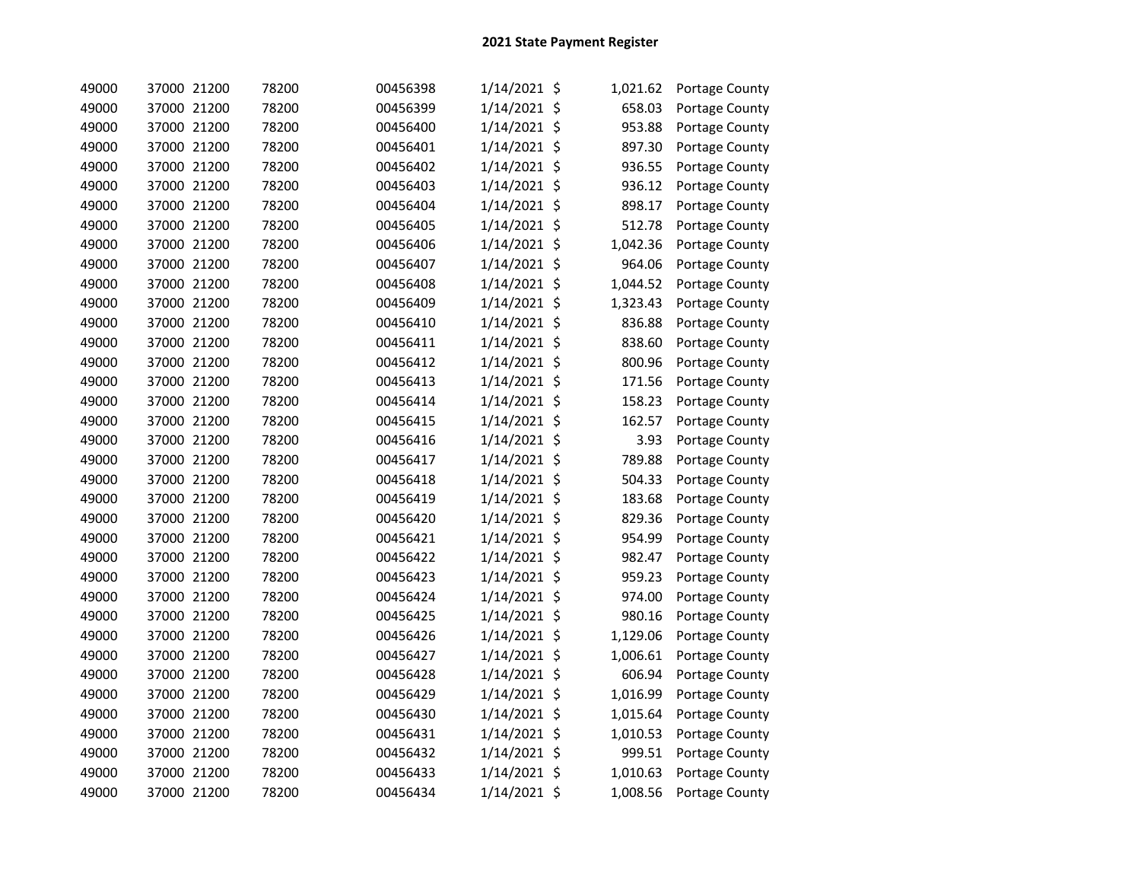| 49000 | 37000 21200 | 78200 | 00456398 | 1/14/2021 \$ | 1,021.62 | Portage County |
|-------|-------------|-------|----------|--------------|----------|----------------|
| 49000 | 37000 21200 | 78200 | 00456399 | 1/14/2021 \$ | 658.03   | Portage County |
| 49000 | 37000 21200 | 78200 | 00456400 | 1/14/2021 \$ | 953.88   | Portage County |
| 49000 | 37000 21200 | 78200 | 00456401 | 1/14/2021 \$ | 897.30   | Portage County |
| 49000 | 37000 21200 | 78200 | 00456402 | 1/14/2021 \$ | 936.55   | Portage County |
| 49000 | 37000 21200 | 78200 | 00456403 | 1/14/2021 \$ | 936.12   | Portage County |
| 49000 | 37000 21200 | 78200 | 00456404 | 1/14/2021 \$ | 898.17   | Portage County |
| 49000 | 37000 21200 | 78200 | 00456405 | 1/14/2021 \$ | 512.78   | Portage County |
| 49000 | 37000 21200 | 78200 | 00456406 | 1/14/2021 \$ | 1,042.36 | Portage County |
| 49000 | 37000 21200 | 78200 | 00456407 | 1/14/2021 \$ | 964.06   | Portage County |
| 49000 | 37000 21200 | 78200 | 00456408 | 1/14/2021 \$ | 1,044.52 | Portage County |
| 49000 | 37000 21200 | 78200 | 00456409 | 1/14/2021 \$ | 1,323.43 | Portage County |
| 49000 | 37000 21200 | 78200 | 00456410 | 1/14/2021 \$ | 836.88   | Portage County |
| 49000 | 37000 21200 | 78200 | 00456411 | 1/14/2021 \$ | 838.60   | Portage County |
| 49000 | 37000 21200 | 78200 | 00456412 | 1/14/2021 \$ | 800.96   | Portage County |
| 49000 | 37000 21200 | 78200 | 00456413 | 1/14/2021 \$ | 171.56   | Portage County |
| 49000 | 37000 21200 | 78200 | 00456414 | 1/14/2021 \$ | 158.23   | Portage County |
| 49000 | 37000 21200 | 78200 | 00456415 | 1/14/2021 \$ | 162.57   | Portage County |
| 49000 | 37000 21200 | 78200 | 00456416 | 1/14/2021 \$ | 3.93     | Portage County |
| 49000 | 37000 21200 | 78200 | 00456417 | 1/14/2021 \$ | 789.88   | Portage County |
| 49000 | 37000 21200 | 78200 | 00456418 | 1/14/2021 \$ | 504.33   | Portage County |
| 49000 | 37000 21200 | 78200 | 00456419 | 1/14/2021 \$ | 183.68   | Portage County |
| 49000 | 37000 21200 | 78200 | 00456420 | 1/14/2021 \$ | 829.36   | Portage County |
| 49000 | 37000 21200 | 78200 | 00456421 | 1/14/2021 \$ | 954.99   | Portage County |
| 49000 | 37000 21200 | 78200 | 00456422 | 1/14/2021 \$ | 982.47   | Portage County |
| 49000 | 37000 21200 | 78200 | 00456423 | 1/14/2021 \$ | 959.23   | Portage County |
| 49000 | 37000 21200 | 78200 | 00456424 | 1/14/2021 \$ | 974.00   | Portage County |
| 49000 | 37000 21200 | 78200 | 00456425 | 1/14/2021 \$ | 980.16   | Portage County |
| 49000 | 37000 21200 | 78200 | 00456426 | 1/14/2021 \$ | 1,129.06 | Portage County |
| 49000 | 37000 21200 | 78200 | 00456427 | 1/14/2021 \$ | 1,006.61 | Portage County |
| 49000 | 37000 21200 | 78200 | 00456428 | 1/14/2021 \$ | 606.94   | Portage County |
| 49000 | 37000 21200 | 78200 | 00456429 | 1/14/2021 \$ | 1,016.99 | Portage County |
| 49000 | 37000 21200 | 78200 | 00456430 | 1/14/2021 \$ | 1,015.64 | Portage County |
| 49000 | 37000 21200 | 78200 | 00456431 | 1/14/2021 \$ | 1,010.53 | Portage County |
| 49000 | 37000 21200 | 78200 | 00456432 | 1/14/2021 \$ | 999.51   | Portage County |
| 49000 | 37000 21200 | 78200 | 00456433 | 1/14/2021 \$ | 1,010.63 | Portage County |
| 49000 | 37000 21200 | 78200 | 00456434 | 1/14/2021 \$ | 1,008.56 | Portage County |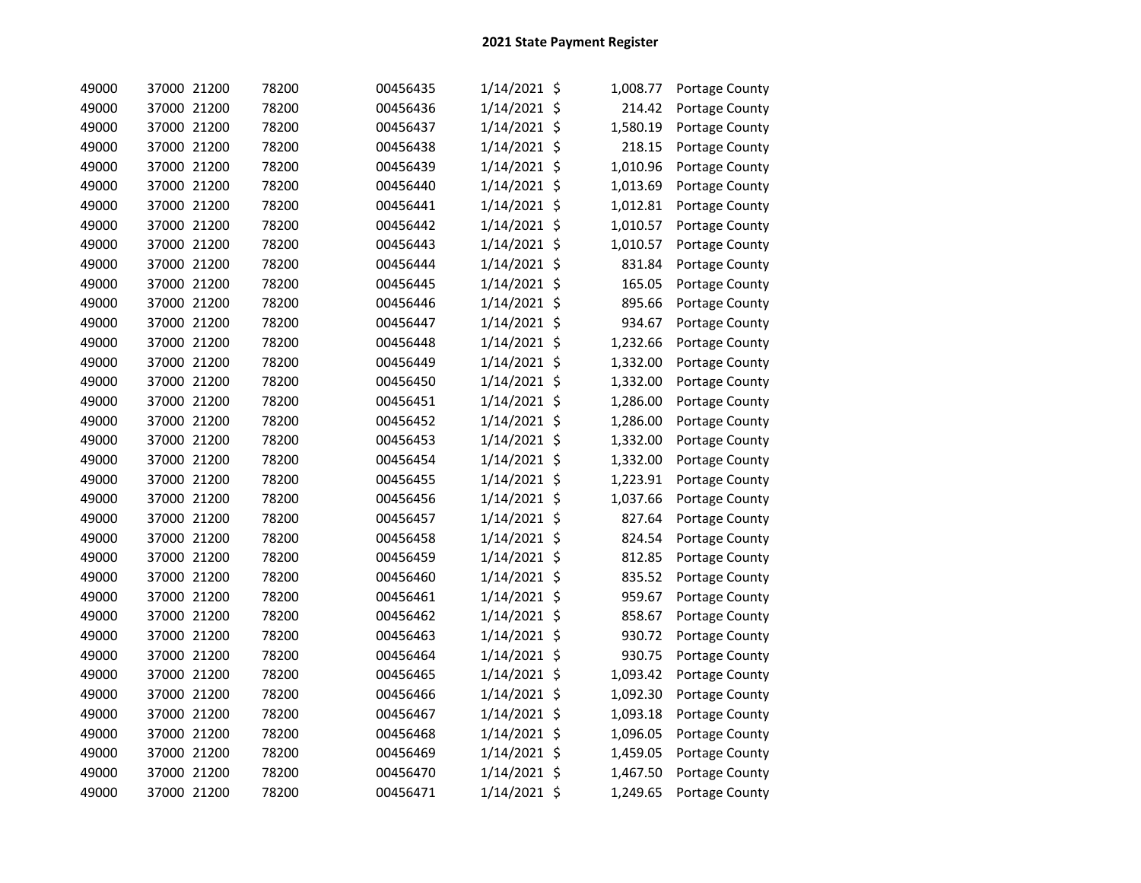| 49000 | 37000 21200 | 78200 | 00456435 | 1/14/2021 \$    | 1,008.77 | Portage County |
|-------|-------------|-------|----------|-----------------|----------|----------------|
| 49000 | 37000 21200 | 78200 | 00456436 | 1/14/2021 \$    | 214.42   | Portage County |
| 49000 | 37000 21200 | 78200 | 00456437 | 1/14/2021<br>\$ | 1,580.19 | Portage County |
| 49000 | 37000 21200 | 78200 | 00456438 | \$<br>1/14/2021 | 218.15   | Portage County |
| 49000 | 37000 21200 | 78200 | 00456439 | 1/14/2021<br>\$ | 1,010.96 | Portage County |
| 49000 | 37000 21200 | 78200 | 00456440 | 1/14/2021<br>\$ | 1,013.69 | Portage County |
| 49000 | 37000 21200 | 78200 | 00456441 | \$<br>1/14/2021 | 1,012.81 | Portage County |
| 49000 | 37000 21200 | 78200 | 00456442 | 1/14/2021 \$    | 1,010.57 | Portage County |
| 49000 | 37000 21200 | 78200 | 00456443 | 1/14/2021 \$    | 1,010.57 | Portage County |
| 49000 | 37000 21200 | 78200 | 00456444 | 1/14/2021 \$    | 831.84   | Portage County |
| 49000 | 37000 21200 | 78200 | 00456445 | 1/14/2021 \$    | 165.05   | Portage County |
| 49000 | 37000 21200 | 78200 | 00456446 | 1/14/2021 \$    | 895.66   | Portage County |
| 49000 | 37000 21200 | 78200 | 00456447 | 1/14/2021 \$    | 934.67   | Portage County |
| 49000 | 37000 21200 | 78200 | 00456448 | 1/14/2021 \$    | 1,232.66 | Portage County |
| 49000 | 37000 21200 | 78200 | 00456449 | 1/14/2021 \$    | 1,332.00 | Portage County |
| 49000 | 37000 21200 | 78200 | 00456450 | 1/14/2021 \$    | 1,332.00 | Portage County |
| 49000 | 37000 21200 | 78200 | 00456451 | 1/14/2021 \$    | 1,286.00 | Portage County |
| 49000 | 37000 21200 | 78200 | 00456452 | 1/14/2021 \$    | 1,286.00 | Portage County |
| 49000 | 37000 21200 | 78200 | 00456453 | 1/14/2021 \$    | 1,332.00 | Portage County |
| 49000 | 37000 21200 | 78200 | 00456454 | 1/14/2021 \$    | 1,332.00 | Portage County |
| 49000 | 37000 21200 | 78200 | 00456455 | 1/14/2021 \$    | 1,223.91 | Portage County |
| 49000 | 37000 21200 | 78200 | 00456456 | 1/14/2021 \$    | 1,037.66 | Portage County |
| 49000 | 37000 21200 | 78200 | 00456457 | 1/14/2021 \$    | 827.64   | Portage County |
| 49000 | 37000 21200 | 78200 | 00456458 | 1/14/2021 \$    | 824.54   | Portage County |
| 49000 | 37000 21200 | 78200 | 00456459 | 1/14/2021 \$    | 812.85   | Portage County |
| 49000 | 37000 21200 | 78200 | 00456460 | 1/14/2021<br>\$ | 835.52   | Portage County |
| 49000 | 37000 21200 | 78200 | 00456461 | 1/14/2021 \$    | 959.67   | Portage County |
| 49000 | 37000 21200 | 78200 | 00456462 | 1/14/2021 \$    | 858.67   | Portage County |
| 49000 | 37000 21200 | 78200 | 00456463 | 1/14/2021 \$    | 930.72   | Portage County |
| 49000 | 37000 21200 | 78200 | 00456464 | 1/14/2021 \$    | 930.75   | Portage County |
| 49000 | 37000 21200 | 78200 | 00456465 | 1/14/2021 \$    | 1,093.42 | Portage County |
| 49000 | 37000 21200 | 78200 | 00456466 | 1/14/2021 \$    | 1,092.30 | Portage County |
| 49000 | 37000 21200 | 78200 | 00456467 | 1/14/2021 \$    | 1,093.18 | Portage County |
| 49000 | 37000 21200 | 78200 | 00456468 | 1/14/2021 \$    | 1,096.05 | Portage County |
| 49000 | 37000 21200 | 78200 | 00456469 | 1/14/2021 \$    | 1,459.05 | Portage County |
| 49000 | 37000 21200 | 78200 | 00456470 | 1/14/2021<br>\$ | 1,467.50 | Portage County |
| 49000 | 37000 21200 | 78200 | 00456471 | 1/14/2021 \$    | 1,249.65 | Portage County |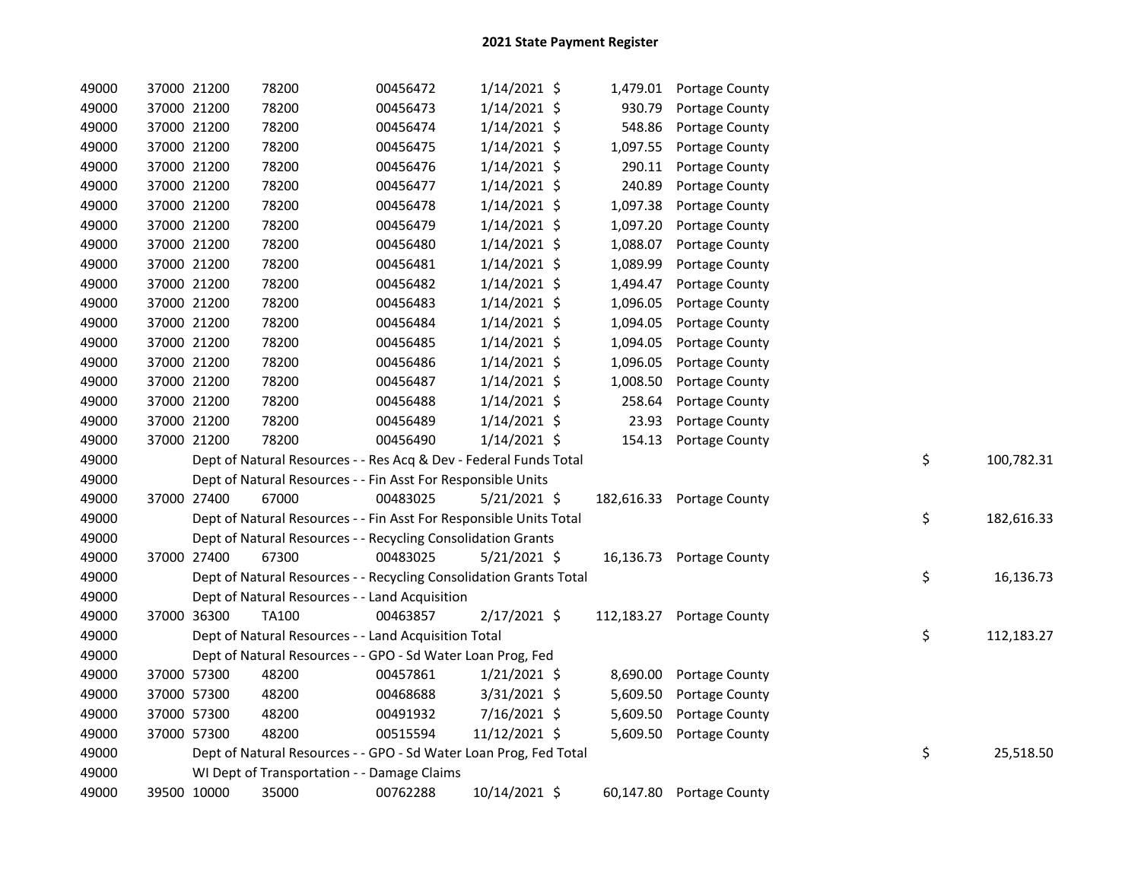| 49000 | 37000 21200 | 78200                                                              | 00456472 | $1/14/2021$ \$ | 1,479.01  | Portage County            |    |            |
|-------|-------------|--------------------------------------------------------------------|----------|----------------|-----------|---------------------------|----|------------|
| 49000 | 37000 21200 | 78200                                                              | 00456473 | $1/14/2021$ \$ | 930.79    | Portage County            |    |            |
| 49000 | 37000 21200 | 78200                                                              | 00456474 | $1/14/2021$ \$ | 548.86    | Portage County            |    |            |
| 49000 | 37000 21200 | 78200                                                              | 00456475 | $1/14/2021$ \$ | 1,097.55  | Portage County            |    |            |
| 49000 | 37000 21200 | 78200                                                              | 00456476 | $1/14/2021$ \$ | 290.11    | Portage County            |    |            |
| 49000 | 37000 21200 | 78200                                                              | 00456477 | $1/14/2021$ \$ | 240.89    | Portage County            |    |            |
| 49000 | 37000 21200 | 78200                                                              | 00456478 | $1/14/2021$ \$ | 1,097.38  | Portage County            |    |            |
| 49000 | 37000 21200 | 78200                                                              | 00456479 | $1/14/2021$ \$ | 1,097.20  | Portage County            |    |            |
| 49000 | 37000 21200 | 78200                                                              | 00456480 | $1/14/2021$ \$ | 1,088.07  | Portage County            |    |            |
| 49000 | 37000 21200 | 78200                                                              | 00456481 | $1/14/2021$ \$ | 1,089.99  | Portage County            |    |            |
| 49000 | 37000 21200 | 78200                                                              | 00456482 | $1/14/2021$ \$ | 1,494.47  | Portage County            |    |            |
| 49000 | 37000 21200 | 78200                                                              | 00456483 | $1/14/2021$ \$ | 1,096.05  | Portage County            |    |            |
| 49000 | 37000 21200 | 78200                                                              | 00456484 | $1/14/2021$ \$ | 1,094.05  | Portage County            |    |            |
| 49000 | 37000 21200 | 78200                                                              | 00456485 | $1/14/2021$ \$ | 1,094.05  | Portage County            |    |            |
| 49000 | 37000 21200 | 78200                                                              | 00456486 | $1/14/2021$ \$ | 1,096.05  | Portage County            |    |            |
| 49000 | 37000 21200 | 78200                                                              | 00456487 | $1/14/2021$ \$ | 1,008.50  | Portage County            |    |            |
| 49000 | 37000 21200 | 78200                                                              | 00456488 | $1/14/2021$ \$ | 258.64    | Portage County            |    |            |
| 49000 | 37000 21200 | 78200                                                              | 00456489 | $1/14/2021$ \$ | 23.93     | Portage County            |    |            |
| 49000 | 37000 21200 | 78200                                                              | 00456490 | $1/14/2021$ \$ | 154.13    | Portage County            |    |            |
| 49000 |             | Dept of Natural Resources - - Res Acq & Dev - Federal Funds Total  |          |                |           |                           | \$ | 100,782.31 |
| 49000 |             | Dept of Natural Resources - - Fin Asst For Responsible Units       |          |                |           |                           |    |            |
| 49000 | 37000 27400 | 67000                                                              | 00483025 | $5/21/2021$ \$ |           | 182,616.33 Portage County |    |            |
| 49000 |             | Dept of Natural Resources - - Fin Asst For Responsible Units Total |          |                |           |                           | \$ | 182,616.33 |
| 49000 |             | Dept of Natural Resources - - Recycling Consolidation Grants       |          |                |           |                           |    |            |
| 49000 | 37000 27400 | 67300                                                              | 00483025 | $5/21/2021$ \$ |           | 16,136.73 Portage County  |    |            |
| 49000 |             | Dept of Natural Resources - - Recycling Consolidation Grants Total |          |                |           |                           | \$ | 16,136.73  |
| 49000 |             | Dept of Natural Resources - - Land Acquisition                     |          |                |           |                           |    |            |
| 49000 | 37000 36300 | TA100                                                              | 00463857 | 2/17/2021 \$   |           | 112,183.27 Portage County |    |            |
| 49000 |             | Dept of Natural Resources - - Land Acquisition Total               |          |                |           |                           | \$ | 112,183.27 |
| 49000 |             | Dept of Natural Resources - - GPO - Sd Water Loan Prog, Fed        |          |                |           |                           |    |            |
| 49000 | 37000 57300 | 48200                                                              | 00457861 | $1/21/2021$ \$ | 8,690.00  | Portage County            |    |            |
| 49000 | 37000 57300 | 48200                                                              | 00468688 | $3/31/2021$ \$ | 5,609.50  | Portage County            |    |            |
| 49000 | 37000 57300 | 48200                                                              | 00491932 | 7/16/2021 \$   | 5,609.50  | Portage County            |    |            |
| 49000 | 37000 57300 | 48200                                                              | 00515594 | 11/12/2021 \$  | 5,609.50  | Portage County            |    |            |
| 49000 |             | Dept of Natural Resources - - GPO - Sd Water Loan Prog, Fed Total  |          |                |           |                           | \$ | 25,518.50  |
| 49000 |             | WI Dept of Transportation - - Damage Claims                        |          |                |           |                           |    |            |
| 49000 | 39500 10000 | 35000                                                              | 00762288 | 10/14/2021 \$  | 60,147.80 | Portage County            |    |            |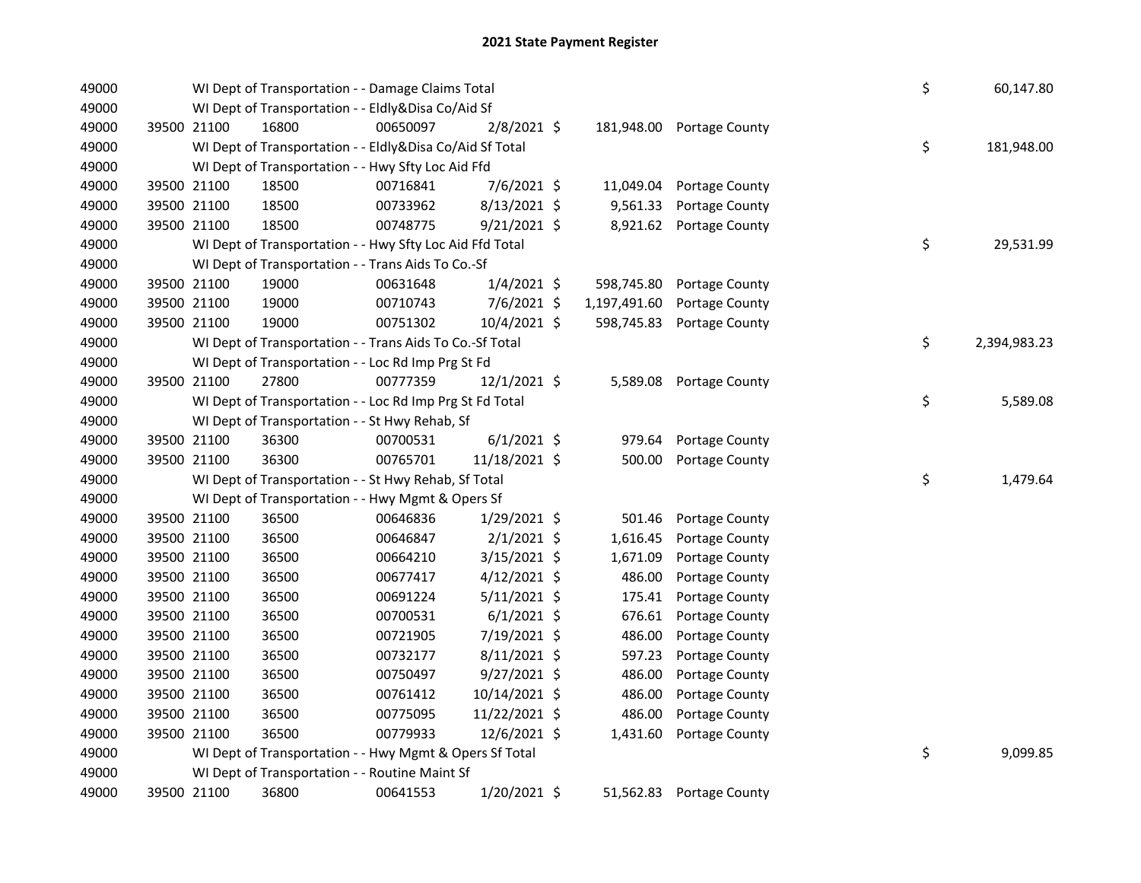| 49000 |             |             | WI Dept of Transportation - - Damage Claims Total        |          |                |              |                          | \$ | 60,147.80    |
|-------|-------------|-------------|----------------------------------------------------------|----------|----------------|--------------|--------------------------|----|--------------|
| 49000 |             |             | WI Dept of Transportation - - Eldly&Disa Co/Aid Sf       |          |                |              |                          |    |              |
| 49000 | 39500 21100 |             | 16800                                                    | 00650097 | 2/8/2021 \$    | 181,948.00   | Portage County           |    |              |
| 49000 |             |             | WI Dept of Transportation - - Eldly&Disa Co/Aid Sf Total |          |                |              |                          | \$ | 181,948.00   |
| 49000 |             |             | WI Dept of Transportation - - Hwy Sfty Loc Aid Ffd       |          |                |              |                          |    |              |
| 49000 |             | 39500 21100 | 18500                                                    | 00716841 | 7/6/2021 \$    | 11,049.04    | Portage County           |    |              |
| 49000 |             | 39500 21100 | 18500                                                    | 00733962 | 8/13/2021 \$   | 9,561.33     | Portage County           |    |              |
| 49000 |             | 39500 21100 | 18500                                                    | 00748775 | $9/21/2021$ \$ | 8,921.62     | Portage County           |    |              |
| 49000 |             |             | WI Dept of Transportation - - Hwy Sfty Loc Aid Ffd Total |          |                |              |                          | \$ | 29,531.99    |
| 49000 |             |             | WI Dept of Transportation - - Trans Aids To Co.-Sf       |          |                |              |                          |    |              |
| 49000 |             | 39500 21100 | 19000                                                    | 00631648 | $1/4/2021$ \$  | 598,745.80   | Portage County           |    |              |
| 49000 |             | 39500 21100 | 19000                                                    | 00710743 | 7/6/2021 \$    | 1,197,491.60 | Portage County           |    |              |
| 49000 | 39500 21100 |             | 19000                                                    | 00751302 | 10/4/2021 \$   | 598,745.83   | Portage County           |    |              |
| 49000 |             |             | WI Dept of Transportation - - Trans Aids To Co.-Sf Total |          |                |              |                          | \$ | 2,394,983.23 |
| 49000 |             |             | WI Dept of Transportation - - Loc Rd Imp Prg St Fd       |          |                |              |                          |    |              |
| 49000 | 39500 21100 |             | 27800                                                    | 00777359 | 12/1/2021 \$   | 5,589.08     | Portage County           |    |              |
| 49000 |             |             | WI Dept of Transportation - - Loc Rd Imp Prg St Fd Total |          |                |              |                          | \$ | 5,589.08     |
| 49000 |             |             | WI Dept of Transportation - - St Hwy Rehab, Sf           |          |                |              |                          |    |              |
| 49000 |             | 39500 21100 | 36300                                                    | 00700531 | $6/1/2021$ \$  | 979.64       | Portage County           |    |              |
| 49000 |             | 39500 21100 | 36300                                                    | 00765701 | 11/18/2021 \$  | 500.00       | Portage County           |    |              |
| 49000 |             |             | WI Dept of Transportation - - St Hwy Rehab, Sf Total     |          |                |              |                          | \$ | 1,479.64     |
| 49000 |             |             | WI Dept of Transportation - - Hwy Mgmt & Opers Sf        |          |                |              |                          |    |              |
| 49000 |             | 39500 21100 | 36500                                                    | 00646836 | 1/29/2021 \$   | 501.46       | Portage County           |    |              |
| 49000 |             | 39500 21100 | 36500                                                    | 00646847 | $2/1/2021$ \$  | 1,616.45     | Portage County           |    |              |
| 49000 |             | 39500 21100 | 36500                                                    | 00664210 | 3/15/2021 \$   | 1,671.09     | Portage County           |    |              |
| 49000 |             | 39500 21100 | 36500                                                    | 00677417 | $4/12/2021$ \$ | 486.00       | Portage County           |    |              |
| 49000 |             | 39500 21100 | 36500                                                    | 00691224 | $5/11/2021$ \$ | 175.41       | Portage County           |    |              |
| 49000 |             | 39500 21100 | 36500                                                    | 00700531 | $6/1/2021$ \$  | 676.61       | Portage County           |    |              |
| 49000 |             | 39500 21100 | 36500                                                    | 00721905 | 7/19/2021 \$   | 486.00       | Portage County           |    |              |
| 49000 |             | 39500 21100 | 36500                                                    | 00732177 | 8/11/2021 \$   | 597.23       | Portage County           |    |              |
| 49000 |             | 39500 21100 | 36500                                                    | 00750497 | 9/27/2021 \$   | 486.00       | Portage County           |    |              |
| 49000 |             | 39500 21100 | 36500                                                    | 00761412 | 10/14/2021 \$  | 486.00       | Portage County           |    |              |
| 49000 | 39500 21100 |             | 36500                                                    | 00775095 | 11/22/2021 \$  | 486.00       | Portage County           |    |              |
| 49000 | 39500 21100 |             | 36500                                                    | 00779933 | 12/6/2021 \$   | 1,431.60     | Portage County           |    |              |
| 49000 |             |             | WI Dept of Transportation - - Hwy Mgmt & Opers Sf Total  |          |                |              |                          | \$ | 9,099.85     |
| 49000 |             |             | WI Dept of Transportation - - Routine Maint Sf           |          |                |              |                          |    |              |
| 49000 |             | 39500 21100 | 36800                                                    | 00641553 | 1/20/2021 \$   |              | 51,562.83 Portage County |    |              |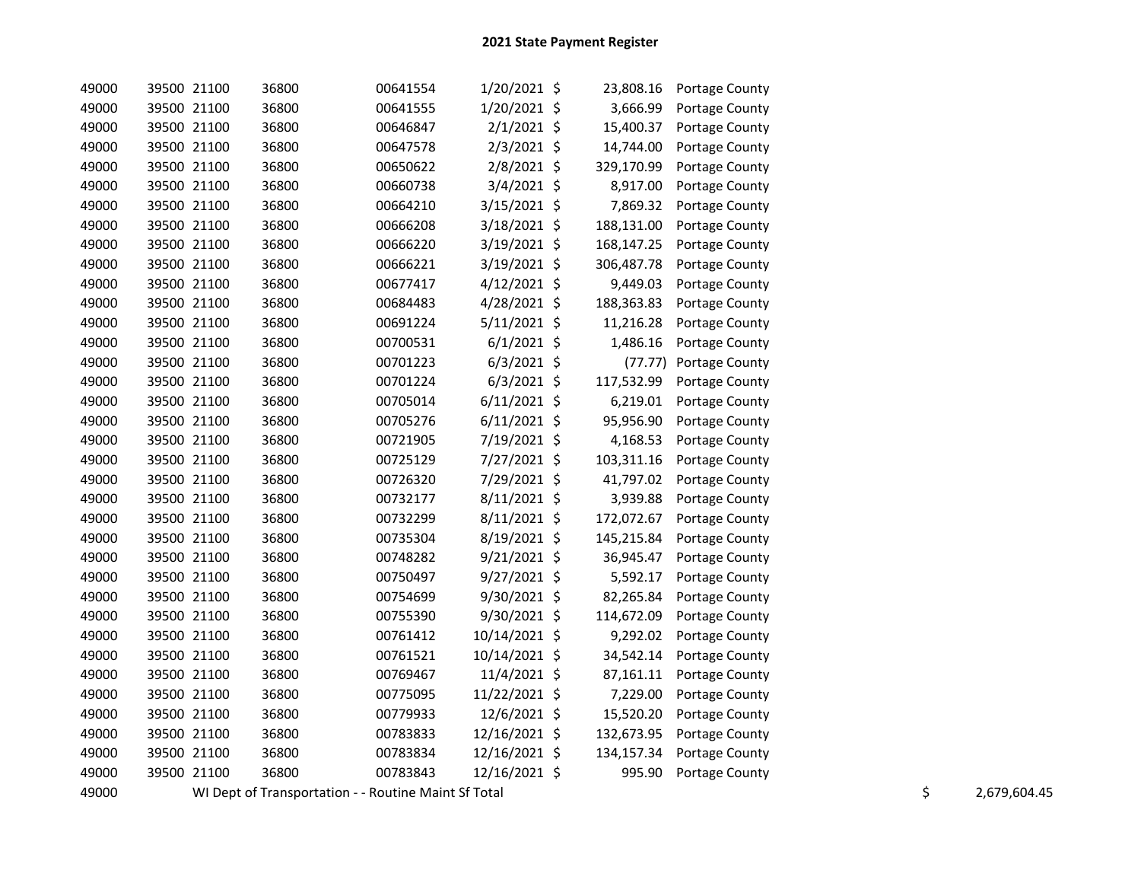| 49000 | 39500 21100 | 36800                                                | 00641554 | 1/20/2021 \$   | 23,808.16  | Portage County |    |              |
|-------|-------------|------------------------------------------------------|----------|----------------|------------|----------------|----|--------------|
| 49000 | 39500 21100 | 36800                                                | 00641555 | $1/20/2021$ \$ | 3,666.99   | Portage County |    |              |
| 49000 | 39500 21100 | 36800                                                | 00646847 | $2/1/2021$ \$  | 15,400.37  | Portage County |    |              |
| 49000 | 39500 21100 | 36800                                                | 00647578 | 2/3/2021 \$    | 14,744.00  | Portage County |    |              |
| 49000 | 39500 21100 | 36800                                                | 00650622 | $2/8/2021$ \$  | 329,170.99 | Portage County |    |              |
| 49000 | 39500 21100 | 36800                                                | 00660738 | 3/4/2021 \$    | 8,917.00   | Portage County |    |              |
| 49000 | 39500 21100 | 36800                                                | 00664210 | $3/15/2021$ \$ | 7,869.32   | Portage County |    |              |
| 49000 | 39500 21100 | 36800                                                | 00666208 | 3/18/2021 \$   | 188,131.00 | Portage County |    |              |
| 49000 | 39500 21100 | 36800                                                | 00666220 | 3/19/2021 \$   | 168,147.25 | Portage County |    |              |
| 49000 | 39500 21100 | 36800                                                | 00666221 | $3/19/2021$ \$ | 306,487.78 | Portage County |    |              |
| 49000 | 39500 21100 | 36800                                                | 00677417 | $4/12/2021$ \$ | 9,449.03   | Portage County |    |              |
| 49000 | 39500 21100 | 36800                                                | 00684483 | 4/28/2021 \$   | 188,363.83 | Portage County |    |              |
| 49000 | 39500 21100 | 36800                                                | 00691224 | $5/11/2021$ \$ | 11,216.28  | Portage County |    |              |
| 49000 | 39500 21100 | 36800                                                | 00700531 | $6/1/2021$ \$  | 1,486.16   | Portage County |    |              |
| 49000 | 39500 21100 | 36800                                                | 00701223 | $6/3/2021$ \$  | (77.77)    | Portage County |    |              |
| 49000 | 39500 21100 | 36800                                                | 00701224 | $6/3/2021$ \$  | 117,532.99 | Portage County |    |              |
| 49000 | 39500 21100 | 36800                                                | 00705014 | $6/11/2021$ \$ | 6,219.01   | Portage County |    |              |
| 49000 | 39500 21100 | 36800                                                | 00705276 | $6/11/2021$ \$ | 95,956.90  | Portage County |    |              |
| 49000 | 39500 21100 | 36800                                                | 00721905 | 7/19/2021 \$   | 4,168.53   | Portage County |    |              |
| 49000 | 39500 21100 | 36800                                                | 00725129 | 7/27/2021 \$   | 103,311.16 | Portage County |    |              |
| 49000 | 39500 21100 | 36800                                                | 00726320 | 7/29/2021 \$   | 41,797.02  | Portage County |    |              |
| 49000 | 39500 21100 | 36800                                                | 00732177 | 8/11/2021 \$   | 3,939.88   | Portage County |    |              |
| 49000 | 39500 21100 | 36800                                                | 00732299 | 8/11/2021 \$   | 172,072.67 | Portage County |    |              |
| 49000 | 39500 21100 | 36800                                                | 00735304 | 8/19/2021 \$   | 145,215.84 | Portage County |    |              |
| 49000 | 39500 21100 | 36800                                                | 00748282 | 9/21/2021 \$   | 36,945.47  | Portage County |    |              |
| 49000 | 39500 21100 | 36800                                                | 00750497 | 9/27/2021 \$   | 5,592.17   | Portage County |    |              |
| 49000 | 39500 21100 | 36800                                                | 00754699 | 9/30/2021 \$   | 82,265.84  | Portage County |    |              |
| 49000 | 39500 21100 | 36800                                                | 00755390 | 9/30/2021 \$   | 114,672.09 | Portage County |    |              |
| 49000 | 39500 21100 | 36800                                                | 00761412 | 10/14/2021 \$  | 9,292.02   | Portage County |    |              |
| 49000 | 39500 21100 | 36800                                                | 00761521 | 10/14/2021 \$  | 34,542.14  | Portage County |    |              |
| 49000 | 39500 21100 | 36800                                                | 00769467 | 11/4/2021 \$   | 87,161.11  | Portage County |    |              |
| 49000 | 39500 21100 | 36800                                                | 00775095 | 11/22/2021 \$  | 7,229.00   | Portage County |    |              |
| 49000 | 39500 21100 | 36800                                                | 00779933 | 12/6/2021 \$   | 15,520.20  | Portage County |    |              |
| 49000 | 39500 21100 | 36800                                                | 00783833 | 12/16/2021 \$  | 132,673.95 | Portage County |    |              |
| 49000 | 39500 21100 | 36800                                                | 00783834 | 12/16/2021 \$  | 134,157.34 | Portage County |    |              |
| 49000 | 39500 21100 | 36800                                                | 00783843 | 12/16/2021 \$  | 995.90     | Portage County |    |              |
| 49000 |             | WI Dept of Transportation - - Routine Maint Sf Total |          |                |            |                | \$ | 2,679,604.45 |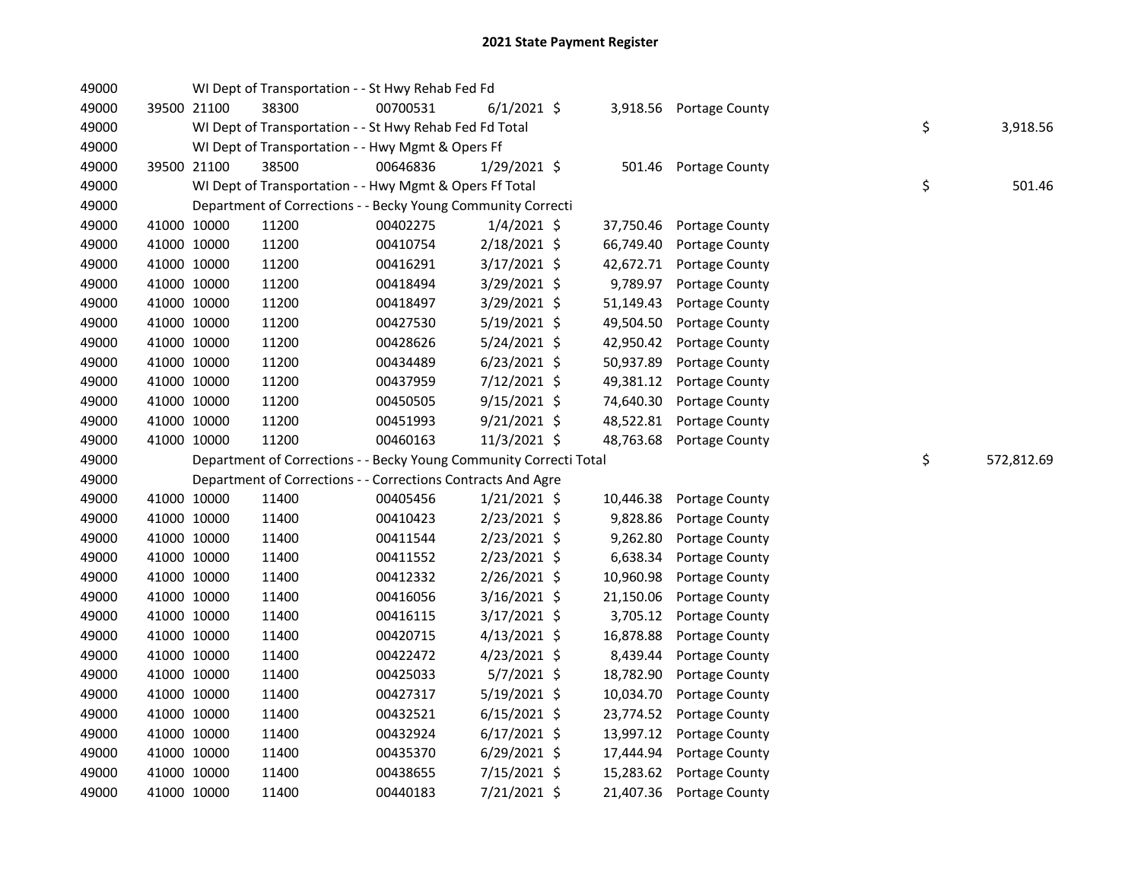| 49000 |             | WI Dept of Transportation - - St Hwy Rehab Fed Fd                  |          |                |           |                         |    |            |
|-------|-------------|--------------------------------------------------------------------|----------|----------------|-----------|-------------------------|----|------------|
| 49000 | 39500 21100 | 38300                                                              | 00700531 | $6/1/2021$ \$  |           | 3,918.56 Portage County |    |            |
| 49000 |             | WI Dept of Transportation - - St Hwy Rehab Fed Fd Total            |          |                |           |                         | \$ | 3,918.56   |
| 49000 |             | WI Dept of Transportation - - Hwy Mgmt & Opers Ff                  |          |                |           |                         |    |            |
| 49000 | 39500 21100 | 38500                                                              | 00646836 | 1/29/2021 \$   | 501.46    | Portage County          |    |            |
| 49000 |             | WI Dept of Transportation - - Hwy Mgmt & Opers Ff Total            |          |                |           |                         | \$ | 501.46     |
| 49000 |             | Department of Corrections - - Becky Young Community Correcti       |          |                |           |                         |    |            |
| 49000 | 41000 10000 | 11200                                                              | 00402275 | $1/4/2021$ \$  | 37,750.46 | Portage County          |    |            |
| 49000 | 41000 10000 | 11200                                                              | 00410754 | 2/18/2021 \$   | 66,749.40 | Portage County          |    |            |
| 49000 | 41000 10000 | 11200                                                              | 00416291 | 3/17/2021 \$   | 42,672.71 | Portage County          |    |            |
| 49000 | 41000 10000 | 11200                                                              | 00418494 | 3/29/2021 \$   | 9,789.97  | Portage County          |    |            |
| 49000 | 41000 10000 | 11200                                                              | 00418497 | 3/29/2021 \$   | 51,149.43 | Portage County          |    |            |
| 49000 | 41000 10000 | 11200                                                              | 00427530 | 5/19/2021 \$   | 49,504.50 | Portage County          |    |            |
| 49000 | 41000 10000 | 11200                                                              | 00428626 | 5/24/2021 \$   | 42,950.42 | Portage County          |    |            |
| 49000 | 41000 10000 | 11200                                                              | 00434489 | $6/23/2021$ \$ | 50,937.89 | Portage County          |    |            |
| 49000 | 41000 10000 | 11200                                                              | 00437959 | 7/12/2021 \$   | 49,381.12 | Portage County          |    |            |
| 49000 | 41000 10000 | 11200                                                              | 00450505 | $9/15/2021$ \$ | 74,640.30 | Portage County          |    |            |
| 49000 | 41000 10000 | 11200                                                              | 00451993 | $9/21/2021$ \$ | 48,522.81 | Portage County          |    |            |
| 49000 | 41000 10000 | 11200                                                              | 00460163 | 11/3/2021 \$   | 48,763.68 | Portage County          |    |            |
| 49000 |             | Department of Corrections - - Becky Young Community Correcti Total |          |                |           |                         | \$ | 572,812.69 |
| 49000 |             | Department of Corrections - - Corrections Contracts And Agre       |          |                |           |                         |    |            |
| 49000 | 41000 10000 | 11400                                                              | 00405456 | $1/21/2021$ \$ | 10,446.38 | Portage County          |    |            |
| 49000 | 41000 10000 | 11400                                                              | 00410423 | 2/23/2021 \$   | 9,828.86  | Portage County          |    |            |
| 49000 | 41000 10000 | 11400                                                              | 00411544 | $2/23/2021$ \$ | 9,262.80  | Portage County          |    |            |
| 49000 | 41000 10000 | 11400                                                              | 00411552 | $2/23/2021$ \$ | 6,638.34  | Portage County          |    |            |
| 49000 | 41000 10000 | 11400                                                              | 00412332 | $2/26/2021$ \$ | 10,960.98 | Portage County          |    |            |
| 49000 | 41000 10000 | 11400                                                              | 00416056 | $3/16/2021$ \$ | 21,150.06 | Portage County          |    |            |
| 49000 | 41000 10000 | 11400                                                              | 00416115 | 3/17/2021 \$   | 3,705.12  | Portage County          |    |            |
| 49000 | 41000 10000 | 11400                                                              | 00420715 | $4/13/2021$ \$ | 16,878.88 | Portage County          |    |            |
| 49000 | 41000 10000 | 11400                                                              | 00422472 | $4/23/2021$ \$ | 8,439.44  | Portage County          |    |            |
| 49000 | 41000 10000 | 11400                                                              | 00425033 | 5/7/2021 \$    | 18,782.90 | Portage County          |    |            |
| 49000 | 41000 10000 | 11400                                                              | 00427317 | 5/19/2021 \$   | 10,034.70 | Portage County          |    |            |
| 49000 | 41000 10000 | 11400                                                              | 00432521 | $6/15/2021$ \$ | 23,774.52 | Portage County          |    |            |
| 49000 | 41000 10000 | 11400                                                              | 00432924 | $6/17/2021$ \$ | 13,997.12 | Portage County          |    |            |
| 49000 | 41000 10000 | 11400                                                              | 00435370 | $6/29/2021$ \$ | 17,444.94 | Portage County          |    |            |
| 49000 | 41000 10000 | 11400                                                              | 00438655 | 7/15/2021 \$   | 15,283.62 | Portage County          |    |            |
| 49000 | 41000 10000 | 11400                                                              | 00440183 | 7/21/2021 \$   | 21,407.36 | Portage County          |    |            |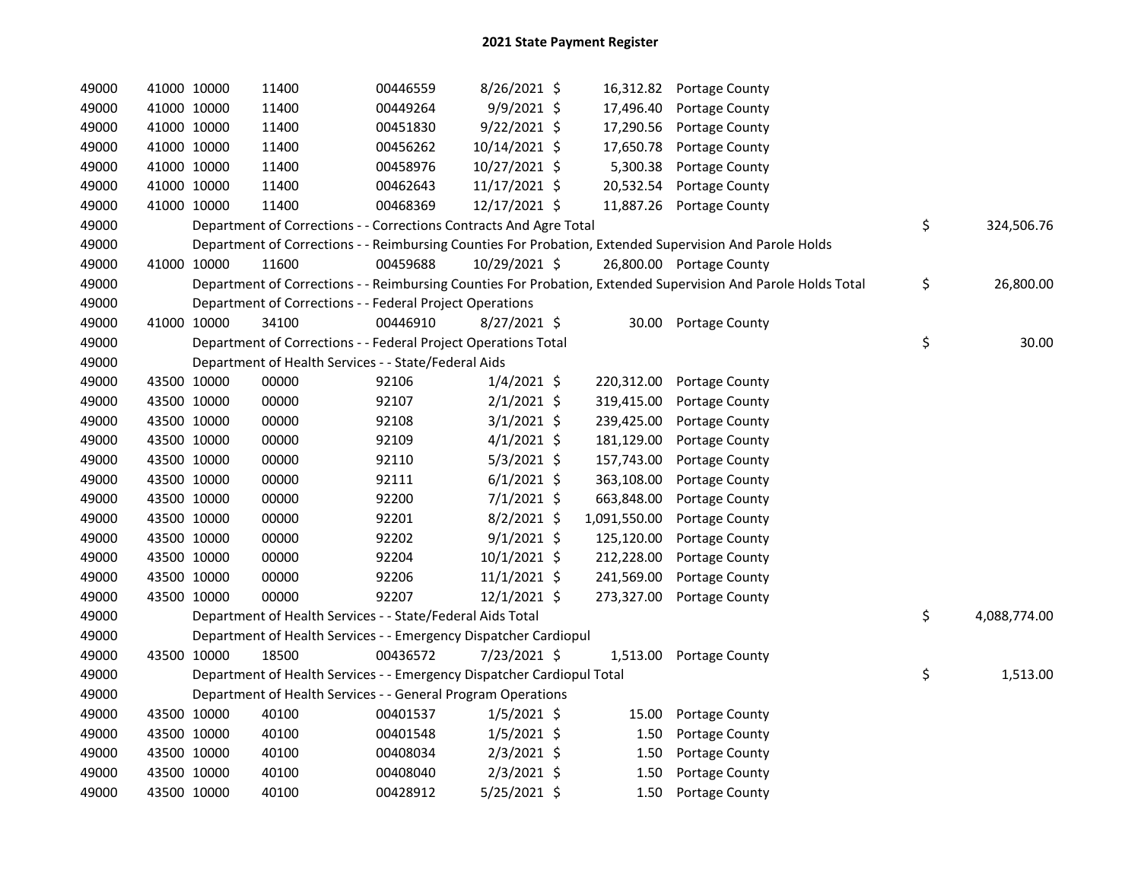| 49000 | 41000 10000 |             | 11400                                                                  | 00446559 | 8/26/2021 \$   |              | 16,312.82 Portage County                                                                                      |                    |
|-------|-------------|-------------|------------------------------------------------------------------------|----------|----------------|--------------|---------------------------------------------------------------------------------------------------------------|--------------------|
| 49000 |             | 41000 10000 | 11400                                                                  | 00449264 | 9/9/2021 \$    | 17,496.40    | Portage County                                                                                                |                    |
| 49000 |             | 41000 10000 | 11400                                                                  | 00451830 | $9/22/2021$ \$ |              | 17,290.56 Portage County                                                                                      |                    |
| 49000 |             | 41000 10000 | 11400                                                                  | 00456262 | 10/14/2021 \$  |              | 17,650.78 Portage County                                                                                      |                    |
| 49000 | 41000 10000 |             | 11400                                                                  | 00458976 | 10/27/2021 \$  | 5,300.38     | Portage County                                                                                                |                    |
| 49000 | 41000 10000 |             | 11400                                                                  | 00462643 | 11/17/2021 \$  |              | 20,532.54 Portage County                                                                                      |                    |
| 49000 | 41000 10000 |             | 11400                                                                  | 00468369 | 12/17/2021 \$  |              | 11,887.26 Portage County                                                                                      |                    |
| 49000 |             |             | Department of Corrections - - Corrections Contracts And Agre Total     |          |                |              |                                                                                                               | \$<br>324,506.76   |
| 49000 |             |             |                                                                        |          |                |              | Department of Corrections - - Reimbursing Counties For Probation, Extended Supervision And Parole Holds       |                    |
| 49000 |             | 41000 10000 | 11600                                                                  | 00459688 | 10/29/2021 \$  |              | 26,800.00 Portage County                                                                                      |                    |
| 49000 |             |             |                                                                        |          |                |              | Department of Corrections - - Reimbursing Counties For Probation, Extended Supervision And Parole Holds Total | \$<br>26,800.00    |
| 49000 |             |             | Department of Corrections - - Federal Project Operations               |          |                |              |                                                                                                               |                    |
| 49000 | 41000 10000 |             | 34100                                                                  | 00446910 | $8/27/2021$ \$ |              | 30.00 Portage County                                                                                          |                    |
| 49000 |             |             | Department of Corrections - - Federal Project Operations Total         |          |                |              |                                                                                                               | \$<br>30.00        |
| 49000 |             |             | Department of Health Services - - State/Federal Aids                   |          |                |              |                                                                                                               |                    |
| 49000 |             | 43500 10000 | 00000                                                                  | 92106    | $1/4/2021$ \$  | 220,312.00   | Portage County                                                                                                |                    |
| 49000 |             | 43500 10000 | 00000                                                                  | 92107    | $2/1/2021$ \$  | 319,415.00   | Portage County                                                                                                |                    |
| 49000 |             | 43500 10000 | 00000                                                                  | 92108    | $3/1/2021$ \$  | 239,425.00   | Portage County                                                                                                |                    |
| 49000 |             | 43500 10000 | 00000                                                                  | 92109    | $4/1/2021$ \$  | 181,129.00   | Portage County                                                                                                |                    |
| 49000 | 43500 10000 |             | 00000                                                                  | 92110    | 5/3/2021 \$    | 157,743.00   | Portage County                                                                                                |                    |
| 49000 | 43500 10000 |             | 00000                                                                  | 92111    | $6/1/2021$ \$  | 363,108.00   | Portage County                                                                                                |                    |
| 49000 | 43500 10000 |             | 00000                                                                  | 92200    | $7/1/2021$ \$  | 663,848.00   | Portage County                                                                                                |                    |
| 49000 |             | 43500 10000 | 00000                                                                  | 92201    | $8/2/2021$ \$  | 1,091,550.00 | Portage County                                                                                                |                    |
| 49000 | 43500 10000 |             | 00000                                                                  | 92202    | $9/1/2021$ \$  | 125,120.00   | Portage County                                                                                                |                    |
| 49000 | 43500 10000 |             | 00000                                                                  | 92204    | 10/1/2021 \$   | 212,228.00   | Portage County                                                                                                |                    |
| 49000 | 43500 10000 |             | 00000                                                                  | 92206    | $11/1/2021$ \$ | 241,569.00   | Portage County                                                                                                |                    |
| 49000 | 43500 10000 |             | 00000                                                                  | 92207    | 12/1/2021 \$   | 273,327.00   | Portage County                                                                                                |                    |
| 49000 |             |             | Department of Health Services - - State/Federal Aids Total             |          |                |              |                                                                                                               | \$<br>4,088,774.00 |
| 49000 |             |             | Department of Health Services - - Emergency Dispatcher Cardiopul       |          |                |              |                                                                                                               |                    |
| 49000 | 43500 10000 |             | 18500                                                                  | 00436572 | 7/23/2021 \$   |              | 1,513.00 Portage County                                                                                       |                    |
| 49000 |             |             | Department of Health Services - - Emergency Dispatcher Cardiopul Total |          |                |              |                                                                                                               | \$<br>1,513.00     |
| 49000 |             |             | Department of Health Services - - General Program Operations           |          |                |              |                                                                                                               |                    |
| 49000 |             | 43500 10000 | 40100                                                                  | 00401537 | $1/5/2021$ \$  | 15.00        | Portage County                                                                                                |                    |
| 49000 |             | 43500 10000 | 40100                                                                  | 00401548 | $1/5/2021$ \$  | 1.50         | Portage County                                                                                                |                    |
| 49000 | 43500 10000 |             | 40100                                                                  | 00408034 | $2/3/2021$ \$  | 1.50         | Portage County                                                                                                |                    |
| 49000 |             | 43500 10000 | 40100                                                                  | 00408040 | $2/3/2021$ \$  | 1.50         | Portage County                                                                                                |                    |
| 49000 |             | 43500 10000 | 40100                                                                  | 00428912 | 5/25/2021 \$   | 1.50         | Portage County                                                                                                |                    |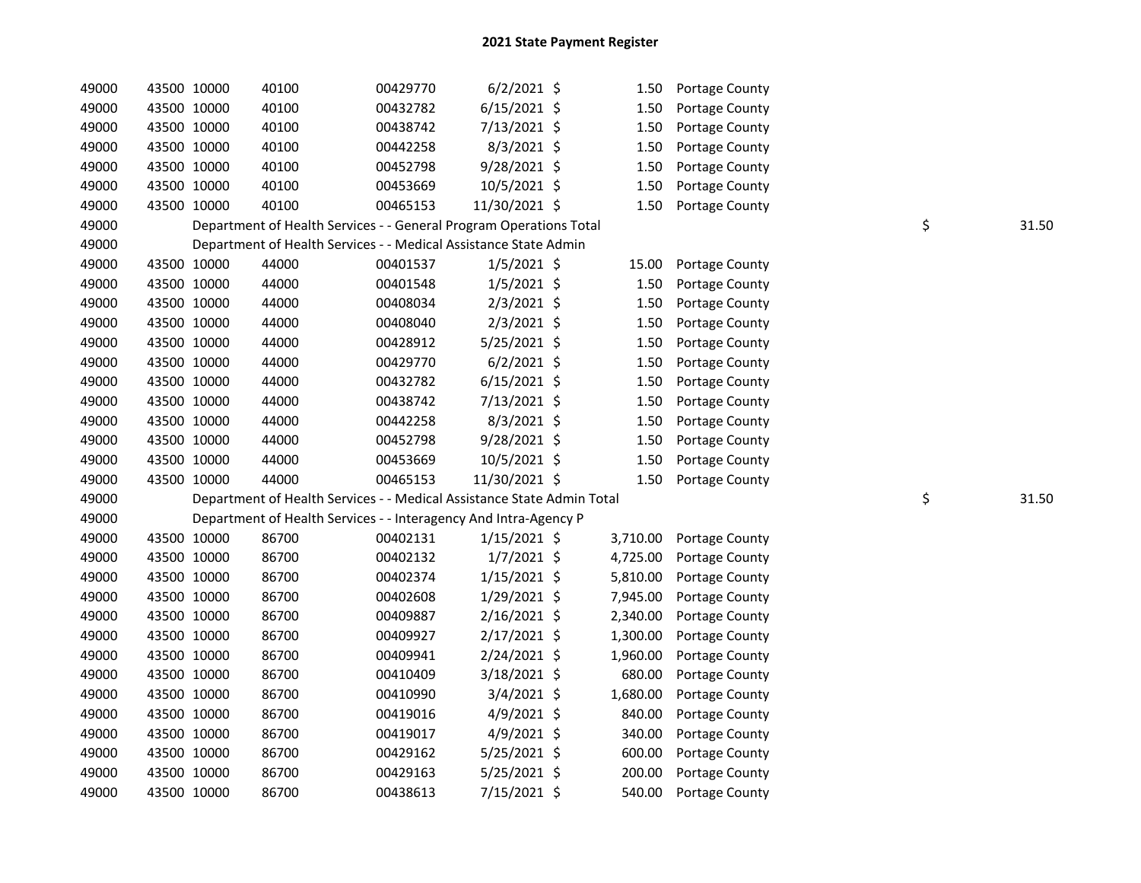| 49000 | 43500 10000 | 40100 | 00429770                                                               | $6/2/2021$ \$  | 1.50     | Portage County |    |       |
|-------|-------------|-------|------------------------------------------------------------------------|----------------|----------|----------------|----|-------|
| 49000 | 43500 10000 | 40100 | 00432782                                                               | $6/15/2021$ \$ | 1.50     | Portage County |    |       |
| 49000 | 43500 10000 | 40100 | 00438742                                                               | 7/13/2021 \$   | 1.50     | Portage County |    |       |
| 49000 | 43500 10000 | 40100 | 00442258                                                               | 8/3/2021 \$    | 1.50     | Portage County |    |       |
| 49000 | 43500 10000 | 40100 | 00452798                                                               | 9/28/2021 \$   | 1.50     | Portage County |    |       |
| 49000 | 43500 10000 | 40100 | 00453669                                                               | 10/5/2021 \$   | 1.50     | Portage County |    |       |
| 49000 | 43500 10000 | 40100 | 00465153                                                               | 11/30/2021 \$  | 1.50     | Portage County |    |       |
| 49000 |             |       | Department of Health Services - - General Program Operations Total     |                |          |                | \$ | 31.50 |
| 49000 |             |       | Department of Health Services - - Medical Assistance State Admin       |                |          |                |    |       |
| 49000 | 43500 10000 | 44000 | 00401537                                                               | $1/5/2021$ \$  | 15.00    | Portage County |    |       |
| 49000 | 43500 10000 | 44000 | 00401548                                                               | $1/5/2021$ \$  | 1.50     | Portage County |    |       |
| 49000 | 43500 10000 | 44000 | 00408034                                                               | $2/3/2021$ \$  | 1.50     | Portage County |    |       |
| 49000 | 43500 10000 | 44000 | 00408040                                                               | $2/3/2021$ \$  | 1.50     | Portage County |    |       |
| 49000 | 43500 10000 | 44000 | 00428912                                                               | 5/25/2021 \$   | 1.50     | Portage County |    |       |
| 49000 | 43500 10000 | 44000 | 00429770                                                               | $6/2/2021$ \$  | 1.50     | Portage County |    |       |
| 49000 | 43500 10000 | 44000 | 00432782                                                               | $6/15/2021$ \$ | 1.50     | Portage County |    |       |
| 49000 | 43500 10000 | 44000 | 00438742                                                               | 7/13/2021 \$   | 1.50     | Portage County |    |       |
| 49000 | 43500 10000 | 44000 | 00442258                                                               | $8/3/2021$ \$  | 1.50     | Portage County |    |       |
| 49000 | 43500 10000 | 44000 | 00452798                                                               | 9/28/2021 \$   | 1.50     | Portage County |    |       |
| 49000 | 43500 10000 | 44000 | 00453669                                                               | 10/5/2021 \$   | 1.50     | Portage County |    |       |
| 49000 | 43500 10000 | 44000 | 00465153                                                               | 11/30/2021 \$  | 1.50     | Portage County |    |       |
| 49000 |             |       | Department of Health Services - - Medical Assistance State Admin Total |                |          |                | \$ | 31.50 |
| 49000 |             |       | Department of Health Services - - Interagency And Intra-Agency P       |                |          |                |    |       |
| 49000 | 43500 10000 | 86700 | 00402131                                                               | $1/15/2021$ \$ | 3,710.00 | Portage County |    |       |
| 49000 | 43500 10000 | 86700 | 00402132                                                               | $1/7/2021$ \$  | 4,725.00 | Portage County |    |       |
| 49000 | 43500 10000 | 86700 | 00402374                                                               | $1/15/2021$ \$ | 5,810.00 | Portage County |    |       |
| 49000 | 43500 10000 | 86700 | 00402608                                                               | 1/29/2021 \$   | 7,945.00 | Portage County |    |       |
| 49000 | 43500 10000 | 86700 | 00409887                                                               | 2/16/2021 \$   | 2,340.00 | Portage County |    |       |
| 49000 | 43500 10000 | 86700 | 00409927                                                               | 2/17/2021 \$   | 1,300.00 | Portage County |    |       |
| 49000 | 43500 10000 | 86700 | 00409941                                                               | 2/24/2021 \$   | 1,960.00 | Portage County |    |       |
| 49000 | 43500 10000 | 86700 | 00410409                                                               | 3/18/2021 \$   | 680.00   | Portage County |    |       |
| 49000 | 43500 10000 | 86700 | 00410990                                                               | $3/4/2021$ \$  | 1,680.00 | Portage County |    |       |
| 49000 | 43500 10000 | 86700 | 00419016                                                               | $4/9/2021$ \$  | 840.00   | Portage County |    |       |
| 49000 | 43500 10000 | 86700 | 00419017                                                               | 4/9/2021 \$    | 340.00   | Portage County |    |       |
| 49000 | 43500 10000 | 86700 | 00429162                                                               | 5/25/2021 \$   | 600.00   | Portage County |    |       |
| 49000 | 43500 10000 | 86700 | 00429163                                                               | 5/25/2021 \$   | 200.00   | Portage County |    |       |
| 49000 | 43500 10000 | 86700 | 00438613                                                               | 7/15/2021 \$   | 540.00   | Portage County |    |       |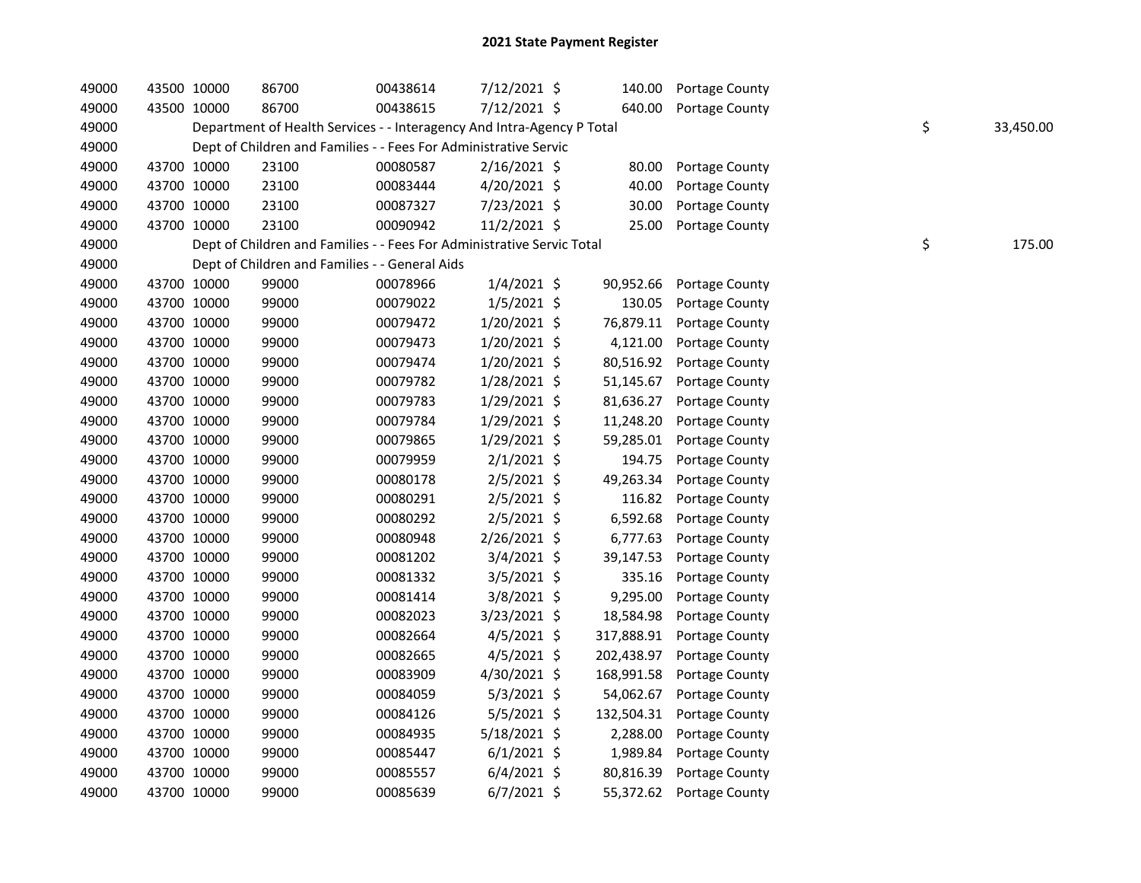| 49000 | 43500 10000 | 86700                                                                  | 00438614 | 7/12/2021 \$   | 140.00     | Portage County |    |           |
|-------|-------------|------------------------------------------------------------------------|----------|----------------|------------|----------------|----|-----------|
| 49000 | 43500 10000 | 86700                                                                  | 00438615 | 7/12/2021 \$   | 640.00     | Portage County |    |           |
| 49000 |             | Department of Health Services - - Interagency And Intra-Agency P Total |          |                |            |                | \$ | 33,450.00 |
| 49000 |             | Dept of Children and Families - - Fees For Administrative Servic       |          |                |            |                |    |           |
| 49000 | 43700 10000 | 23100                                                                  | 00080587 | 2/16/2021 \$   | 80.00      | Portage County |    |           |
| 49000 | 43700 10000 | 23100                                                                  | 00083444 | 4/20/2021 \$   | 40.00      | Portage County |    |           |
| 49000 | 43700 10000 | 23100                                                                  | 00087327 | 7/23/2021 \$   | 30.00      | Portage County |    |           |
| 49000 | 43700 10000 | 23100                                                                  | 00090942 | 11/2/2021 \$   | 25.00      | Portage County |    |           |
| 49000 |             | Dept of Children and Families - - Fees For Administrative Servic Total |          |                |            |                | \$ | 175.00    |
| 49000 |             | Dept of Children and Families - - General Aids                         |          |                |            |                |    |           |
| 49000 | 43700 10000 | 99000                                                                  | 00078966 | $1/4/2021$ \$  | 90,952.66  | Portage County |    |           |
| 49000 | 43700 10000 | 99000                                                                  | 00079022 | $1/5/2021$ \$  | 130.05     | Portage County |    |           |
| 49000 | 43700 10000 | 99000                                                                  | 00079472 | 1/20/2021 \$   | 76,879.11  | Portage County |    |           |
| 49000 | 43700 10000 | 99000                                                                  | 00079473 | 1/20/2021 \$   | 4,121.00   | Portage County |    |           |
| 49000 | 43700 10000 | 99000                                                                  | 00079474 | 1/20/2021 \$   | 80,516.92  | Portage County |    |           |
| 49000 | 43700 10000 | 99000                                                                  | 00079782 | $1/28/2021$ \$ | 51,145.67  | Portage County |    |           |
| 49000 | 43700 10000 | 99000                                                                  | 00079783 | $1/29/2021$ \$ | 81,636.27  | Portage County |    |           |
| 49000 | 43700 10000 | 99000                                                                  | 00079784 | 1/29/2021 \$   | 11,248.20  | Portage County |    |           |
| 49000 | 43700 10000 | 99000                                                                  | 00079865 | 1/29/2021 \$   | 59,285.01  | Portage County |    |           |
| 49000 | 43700 10000 | 99000                                                                  | 00079959 | $2/1/2021$ \$  | 194.75     | Portage County |    |           |
| 49000 | 43700 10000 | 99000                                                                  | 00080178 | $2/5/2021$ \$  | 49,263.34  | Portage County |    |           |
| 49000 | 43700 10000 | 99000                                                                  | 00080291 | $2/5/2021$ \$  | 116.82     | Portage County |    |           |
| 49000 | 43700 10000 | 99000                                                                  | 00080292 | $2/5/2021$ \$  | 6,592.68   | Portage County |    |           |
| 49000 | 43700 10000 | 99000                                                                  | 00080948 | 2/26/2021 \$   | 6,777.63   | Portage County |    |           |
| 49000 | 43700 10000 | 99000                                                                  | 00081202 | 3/4/2021 \$    | 39,147.53  | Portage County |    |           |
| 49000 | 43700 10000 | 99000                                                                  | 00081332 | $3/5/2021$ \$  | 335.16     | Portage County |    |           |
| 49000 | 43700 10000 | 99000                                                                  | 00081414 | 3/8/2021 \$    | 9,295.00   | Portage County |    |           |
| 49000 | 43700 10000 | 99000                                                                  | 00082023 | 3/23/2021 \$   | 18,584.98  | Portage County |    |           |
| 49000 | 43700 10000 | 99000                                                                  | 00082664 | $4/5/2021$ \$  | 317,888.91 | Portage County |    |           |
| 49000 | 43700 10000 | 99000                                                                  | 00082665 | $4/5/2021$ \$  | 202,438.97 | Portage County |    |           |
| 49000 | 43700 10000 | 99000                                                                  | 00083909 | 4/30/2021 \$   | 168,991.58 | Portage County |    |           |
| 49000 | 43700 10000 | 99000                                                                  | 00084059 | $5/3/2021$ \$  | 54,062.67  | Portage County |    |           |
| 49000 | 43700 10000 | 99000                                                                  | 00084126 | $5/5/2021$ \$  | 132,504.31 | Portage County |    |           |
| 49000 | 43700 10000 | 99000                                                                  | 00084935 | 5/18/2021 \$   | 2,288.00   | Portage County |    |           |
| 49000 | 43700 10000 | 99000                                                                  | 00085447 | $6/1/2021$ \$  | 1,989.84   | Portage County |    |           |
| 49000 | 43700 10000 | 99000                                                                  | 00085557 | $6/4/2021$ \$  | 80,816.39  | Portage County |    |           |
| 49000 | 43700 10000 | 99000                                                                  | 00085639 | $6/7/2021$ \$  | 55,372.62  | Portage County |    |           |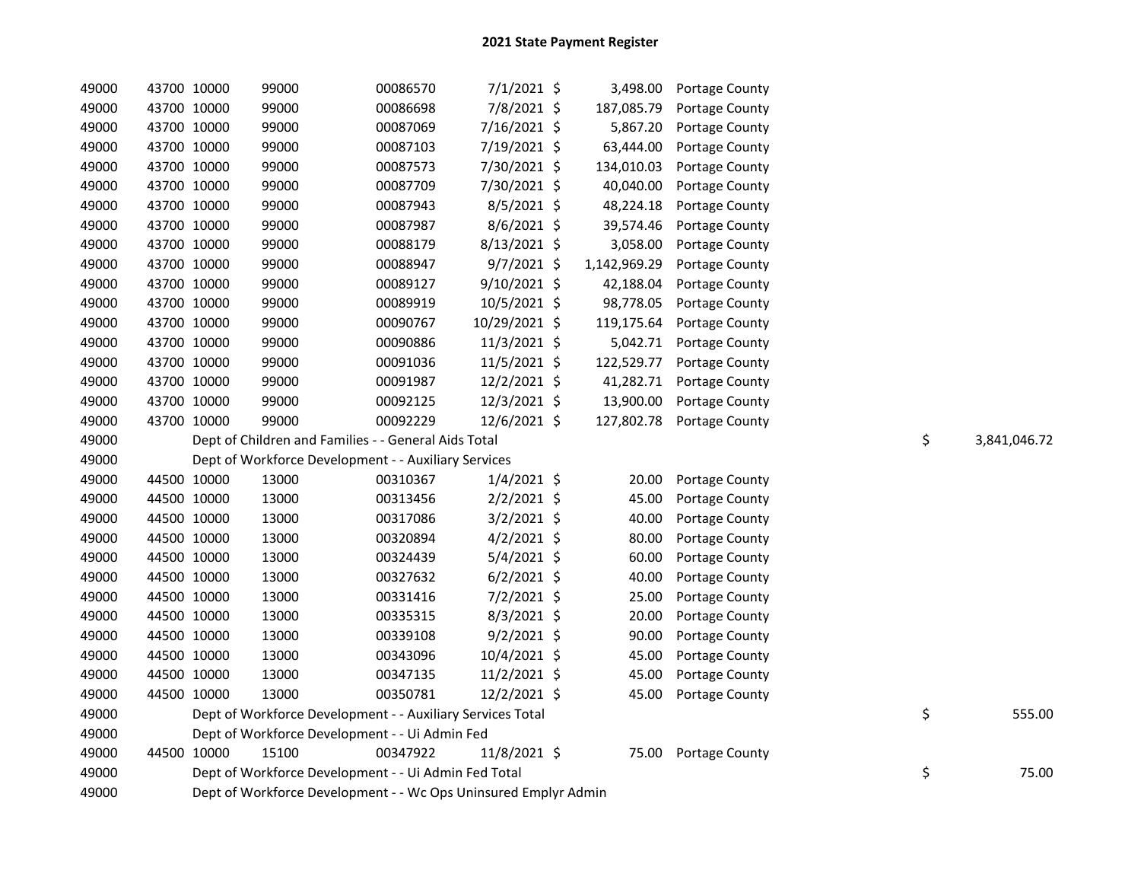| 49000 | 43700 10000 |             | 99000                                                      | 00086570 | $7/1/2021$ \$ | 3,498.00     | Portage County       |    |              |
|-------|-------------|-------------|------------------------------------------------------------|----------|---------------|--------------|----------------------|----|--------------|
| 49000 |             | 43700 10000 | 99000                                                      | 00086698 | 7/8/2021 \$   | 187,085.79   | Portage County       |    |              |
| 49000 |             | 43700 10000 | 99000                                                      | 00087069 | 7/16/2021 \$  | 5,867.20     | Portage County       |    |              |
| 49000 |             | 43700 10000 | 99000                                                      | 00087103 | 7/19/2021 \$  | 63,444.00    | Portage County       |    |              |
| 49000 |             | 43700 10000 | 99000                                                      | 00087573 | 7/30/2021 \$  | 134,010.03   | Portage County       |    |              |
| 49000 |             | 43700 10000 | 99000                                                      | 00087709 | 7/30/2021 \$  | 40,040.00    | Portage County       |    |              |
| 49000 |             | 43700 10000 | 99000                                                      | 00087943 | $8/5/2021$ \$ | 48,224.18    | Portage County       |    |              |
| 49000 |             | 43700 10000 | 99000                                                      | 00087987 | $8/6/2021$ \$ | 39,574.46    | Portage County       |    |              |
| 49000 |             | 43700 10000 | 99000                                                      | 00088179 | 8/13/2021 \$  | 3,058.00     | Portage County       |    |              |
| 49000 |             | 43700 10000 | 99000                                                      | 00088947 | 9/7/2021 \$   | 1,142,969.29 | Portage County       |    |              |
| 49000 |             | 43700 10000 | 99000                                                      | 00089127 | 9/10/2021 \$  | 42,188.04    | Portage County       |    |              |
| 49000 |             | 43700 10000 | 99000                                                      | 00089919 | 10/5/2021 \$  | 98,778.05    | Portage County       |    |              |
| 49000 |             | 43700 10000 | 99000                                                      | 00090767 | 10/29/2021 \$ | 119,175.64   | Portage County       |    |              |
| 49000 |             | 43700 10000 | 99000                                                      | 00090886 | 11/3/2021 \$  | 5,042.71     | Portage County       |    |              |
| 49000 | 43700 10000 |             | 99000                                                      | 00091036 | 11/5/2021 \$  | 122,529.77   | Portage County       |    |              |
| 49000 | 43700 10000 |             | 99000                                                      | 00091987 | 12/2/2021 \$  | 41,282.71    | Portage County       |    |              |
| 49000 | 43700 10000 |             | 99000                                                      | 00092125 | 12/3/2021 \$  | 13,900.00    | Portage County       |    |              |
| 49000 | 43700 10000 |             | 99000                                                      | 00092229 | 12/6/2021 \$  | 127,802.78   | Portage County       |    |              |
| 49000 |             |             | Dept of Children and Families - - General Aids Total       |          |               |              |                      | \$ | 3,841,046.72 |
| 49000 |             |             | Dept of Workforce Development - - Auxiliary Services       |          |               |              |                      |    |              |
| 49000 |             |             |                                                            |          |               |              |                      |    |              |
|       |             | 44500 10000 | 13000                                                      | 00310367 | $1/4/2021$ \$ | 20.00        | Portage County       |    |              |
| 49000 |             | 44500 10000 | 13000                                                      | 00313456 | $2/2/2021$ \$ | 45.00        | Portage County       |    |              |
| 49000 |             | 44500 10000 | 13000                                                      | 00317086 | $3/2/2021$ \$ | 40.00        | Portage County       |    |              |
| 49000 |             | 44500 10000 | 13000                                                      | 00320894 | $4/2/2021$ \$ | 80.00        | Portage County       |    |              |
| 49000 |             | 44500 10000 | 13000                                                      | 00324439 | 5/4/2021 \$   | 60.00        | Portage County       |    |              |
| 49000 |             | 44500 10000 | 13000                                                      | 00327632 | $6/2/2021$ \$ | 40.00        | Portage County       |    |              |
| 49000 | 44500 10000 |             | 13000                                                      | 00331416 | $7/2/2021$ \$ | 25.00        | Portage County       |    |              |
| 49000 |             | 44500 10000 | 13000                                                      | 00335315 | 8/3/2021 \$   | 20.00        | Portage County       |    |              |
| 49000 |             | 44500 10000 | 13000                                                      | 00339108 | $9/2/2021$ \$ | 90.00        | Portage County       |    |              |
| 49000 |             | 44500 10000 | 13000                                                      | 00343096 | 10/4/2021 \$  | 45.00        | Portage County       |    |              |
| 49000 |             | 44500 10000 | 13000                                                      | 00347135 | 11/2/2021 \$  | 45.00        | Portage County       |    |              |
| 49000 |             | 44500 10000 | 13000                                                      | 00350781 | 12/2/2021 \$  | 45.00        | Portage County       |    |              |
| 49000 |             |             | Dept of Workforce Development - - Auxiliary Services Total |          |               |              |                      | \$ | 555.00       |
| 49000 |             |             | Dept of Workforce Development - - Ui Admin Fed             |          |               |              |                      |    |              |
| 49000 | 44500 10000 |             | 15100                                                      | 00347922 | 11/8/2021 \$  |              | 75.00 Portage County |    |              |
| 49000 |             |             | Dept of Workforce Development - - Ui Admin Fed Total       |          |               |              |                      | \$ | 75.00        |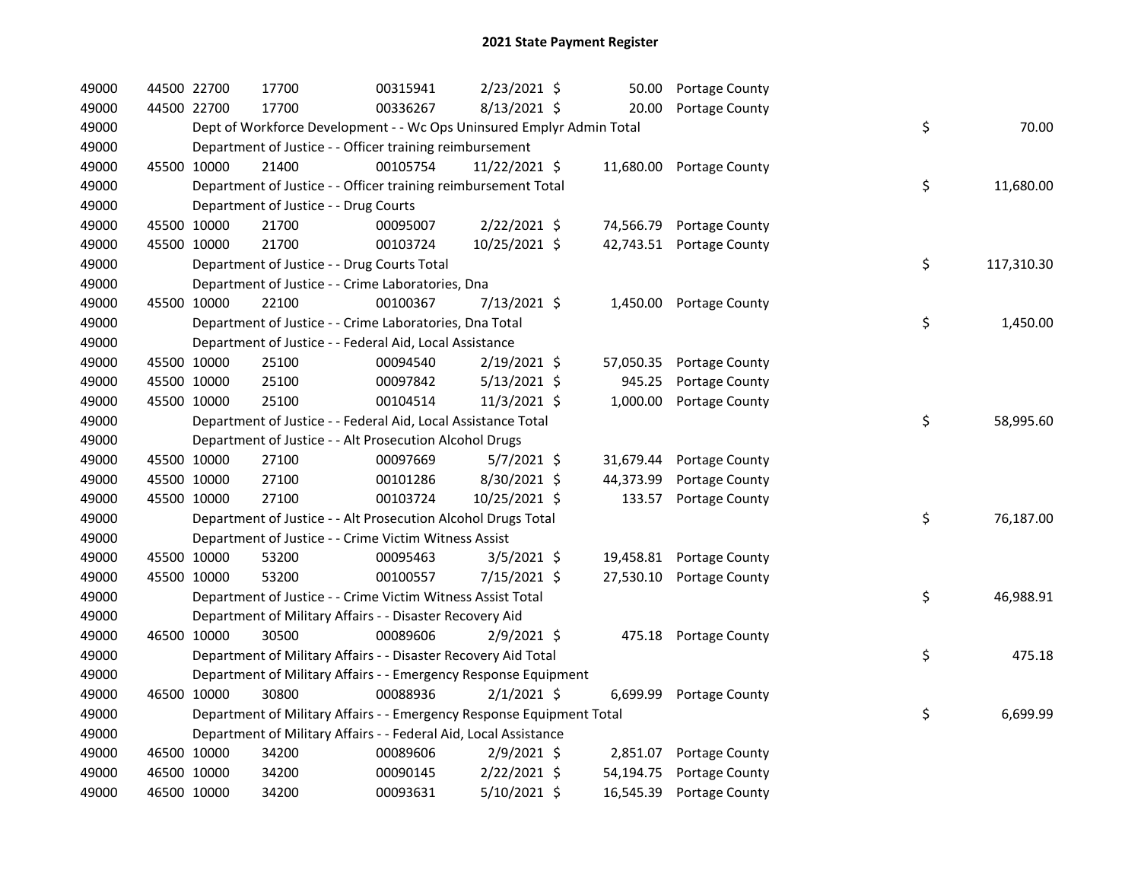| 49000 | 44500 22700 | 17700                                                                 | 00315941 | 2/23/2021 \$   |           | 50.00 Portage County     |    |            |
|-------|-------------|-----------------------------------------------------------------------|----------|----------------|-----------|--------------------------|----|------------|
| 49000 | 44500 22700 | 17700                                                                 | 00336267 | 8/13/2021 \$   | 20.00     | Portage County           |    |            |
| 49000 |             | Dept of Workforce Development - - Wc Ops Uninsured Emplyr Admin Total |          |                |           |                          | \$ | 70.00      |
| 49000 |             | Department of Justice - - Officer training reimbursement              |          |                |           |                          |    |            |
| 49000 | 45500 10000 | 21400                                                                 | 00105754 | 11/22/2021 \$  |           | 11,680.00 Portage County |    |            |
| 49000 |             | Department of Justice - - Officer training reimbursement Total        |          |                |           |                          | \$ | 11,680.00  |
| 49000 |             | Department of Justice - - Drug Courts                                 |          |                |           |                          |    |            |
| 49000 | 45500 10000 | 21700                                                                 | 00095007 | $2/22/2021$ \$ | 74,566.79 | Portage County           |    |            |
| 49000 | 45500 10000 | 21700                                                                 | 00103724 | 10/25/2021 \$  |           | 42,743.51 Portage County |    |            |
| 49000 |             | Department of Justice - - Drug Courts Total                           |          |                |           |                          | \$ | 117,310.30 |
| 49000 |             | Department of Justice - - Crime Laboratories, Dna                     |          |                |           |                          |    |            |
| 49000 | 45500 10000 | 22100                                                                 | 00100367 | 7/13/2021 \$   |           | 1,450.00 Portage County  |    |            |
| 49000 |             | Department of Justice - - Crime Laboratories, Dna Total               |          |                |           |                          | \$ | 1,450.00   |
| 49000 |             | Department of Justice - - Federal Aid, Local Assistance               |          |                |           |                          |    |            |
| 49000 | 45500 10000 | 25100                                                                 | 00094540 | $2/19/2021$ \$ | 57,050.35 | Portage County           |    |            |
| 49000 | 45500 10000 | 25100                                                                 | 00097842 | $5/13/2021$ \$ | 945.25    | Portage County           |    |            |
| 49000 | 45500 10000 | 25100                                                                 | 00104514 | 11/3/2021 \$   | 1,000.00  | Portage County           |    |            |
| 49000 |             | Department of Justice - - Federal Aid, Local Assistance Total         |          |                |           |                          | \$ | 58,995.60  |
| 49000 |             | Department of Justice - - Alt Prosecution Alcohol Drugs               |          |                |           |                          |    |            |
| 49000 | 45500 10000 | 27100                                                                 | 00097669 | $5/7/2021$ \$  | 31,679.44 | Portage County           |    |            |
| 49000 | 45500 10000 | 27100                                                                 | 00101286 | 8/30/2021 \$   | 44,373.99 | Portage County           |    |            |
| 49000 | 45500 10000 | 27100                                                                 | 00103724 | 10/25/2021 \$  | 133.57    | Portage County           |    |            |
| 49000 |             | Department of Justice - - Alt Prosecution Alcohol Drugs Total         |          |                |           |                          | \$ | 76,187.00  |
| 49000 |             | Department of Justice - - Crime Victim Witness Assist                 |          |                |           |                          |    |            |
| 49000 | 45500 10000 | 53200                                                                 | 00095463 | $3/5/2021$ \$  |           | 19,458.81 Portage County |    |            |
| 49000 | 45500 10000 | 53200                                                                 | 00100557 | 7/15/2021 \$   |           | 27,530.10 Portage County |    |            |
| 49000 |             | Department of Justice - - Crime Victim Witness Assist Total           |          |                |           |                          | \$ | 46,988.91  |
| 49000 |             | Department of Military Affairs - - Disaster Recovery Aid              |          |                |           |                          |    |            |
| 49000 | 46500 10000 | 30500                                                                 | 00089606 | $2/9/2021$ \$  |           | 475.18 Portage County    |    |            |
| 49000 |             | Department of Military Affairs - - Disaster Recovery Aid Total        |          |                |           |                          | \$ | 475.18     |
| 49000 |             | Department of Military Affairs - - Emergency Response Equipment       |          |                |           |                          |    |            |
| 49000 | 46500 10000 | 30800                                                                 | 00088936 | $2/1/2021$ \$  | 6,699.99  | Portage County           |    |            |
| 49000 |             | Department of Military Affairs - - Emergency Response Equipment Total |          |                |           |                          | \$ | 6,699.99   |
| 49000 |             | Department of Military Affairs - - Federal Aid, Local Assistance      |          |                |           |                          |    |            |
| 49000 | 46500 10000 | 34200                                                                 | 00089606 | $2/9/2021$ \$  | 2,851.07  | Portage County           |    |            |
| 49000 | 46500 10000 | 34200                                                                 | 00090145 | $2/22/2021$ \$ | 54,194.75 | Portage County           |    |            |
| 49000 | 46500 10000 | 34200                                                                 | 00093631 | 5/10/2021 \$   | 16,545.39 | Portage County           |    |            |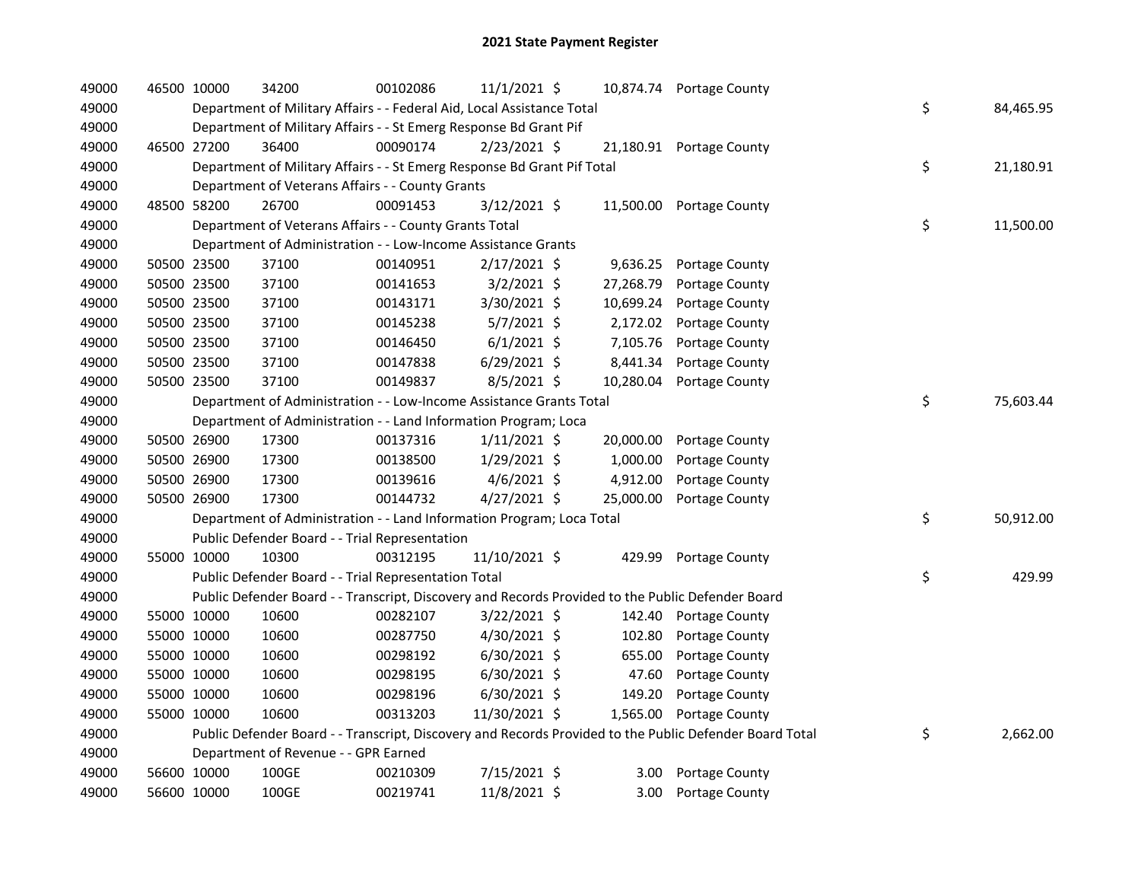| 49000 | 46500 10000 | 34200                                                                   | 00102086 | 11/1/2021 \$   |           | 10,874.74 Portage County                                                                                |                 |
|-------|-------------|-------------------------------------------------------------------------|----------|----------------|-----------|---------------------------------------------------------------------------------------------------------|-----------------|
| 49000 |             | Department of Military Affairs - - Federal Aid, Local Assistance Total  |          |                |           |                                                                                                         | \$<br>84,465.95 |
| 49000 |             | Department of Military Affairs - - St Emerg Response Bd Grant Pif       |          |                |           |                                                                                                         |                 |
| 49000 | 46500 27200 | 36400                                                                   | 00090174 | $2/23/2021$ \$ |           | 21,180.91 Portage County                                                                                |                 |
| 49000 |             | Department of Military Affairs - - St Emerg Response Bd Grant Pif Total |          |                |           |                                                                                                         | \$<br>21,180.91 |
| 49000 |             | Department of Veterans Affairs - - County Grants                        |          |                |           |                                                                                                         |                 |
| 49000 | 48500 58200 | 26700                                                                   | 00091453 | $3/12/2021$ \$ | 11,500.00 | Portage County                                                                                          |                 |
| 49000 |             | Department of Veterans Affairs - - County Grants Total                  |          |                |           |                                                                                                         | \$<br>11,500.00 |
| 49000 |             | Department of Administration - - Low-Income Assistance Grants           |          |                |           |                                                                                                         |                 |
| 49000 | 50500 23500 | 37100                                                                   | 00140951 | 2/17/2021 \$   | 9,636.25  | Portage County                                                                                          |                 |
| 49000 | 50500 23500 | 37100                                                                   | 00141653 | $3/2/2021$ \$  | 27,268.79 | Portage County                                                                                          |                 |
| 49000 | 50500 23500 | 37100                                                                   | 00143171 | 3/30/2021 \$   | 10,699.24 | Portage County                                                                                          |                 |
| 49000 | 50500 23500 | 37100                                                                   | 00145238 | 5/7/2021 \$    | 2,172.02  | Portage County                                                                                          |                 |
| 49000 | 50500 23500 | 37100                                                                   | 00146450 | $6/1/2021$ \$  | 7,105.76  | Portage County                                                                                          |                 |
| 49000 | 50500 23500 | 37100                                                                   | 00147838 | $6/29/2021$ \$ | 8,441.34  | Portage County                                                                                          |                 |
| 49000 | 50500 23500 | 37100                                                                   | 00149837 | $8/5/2021$ \$  | 10,280.04 | Portage County                                                                                          |                 |
| 49000 |             | Department of Administration - - Low-Income Assistance Grants Total     |          |                |           |                                                                                                         | \$<br>75,603.44 |
| 49000 |             | Department of Administration - - Land Information Program; Loca         |          |                |           |                                                                                                         |                 |
| 49000 | 50500 26900 | 17300                                                                   | 00137316 | $1/11/2021$ \$ | 20,000.00 | Portage County                                                                                          |                 |
| 49000 | 50500 26900 | 17300                                                                   | 00138500 | $1/29/2021$ \$ | 1,000.00  | Portage County                                                                                          |                 |
| 49000 | 50500 26900 | 17300                                                                   | 00139616 | $4/6/2021$ \$  | 4,912.00  | Portage County                                                                                          |                 |
| 49000 | 50500 26900 | 17300                                                                   | 00144732 | 4/27/2021 \$   | 25,000.00 | Portage County                                                                                          |                 |
| 49000 |             | Department of Administration - - Land Information Program; Loca Total   |          |                |           |                                                                                                         | \$<br>50,912.00 |
| 49000 |             | Public Defender Board - - Trial Representation                          |          |                |           |                                                                                                         |                 |
| 49000 | 55000 10000 | 10300                                                                   | 00312195 | 11/10/2021 \$  | 429.99    | Portage County                                                                                          |                 |
| 49000 |             | Public Defender Board - - Trial Representation Total                    |          |                |           |                                                                                                         | \$<br>429.99    |
| 49000 |             |                                                                         |          |                |           | Public Defender Board - - Transcript, Discovery and Records Provided to the Public Defender Board       |                 |
| 49000 | 55000 10000 | 10600                                                                   | 00282107 | $3/22/2021$ \$ | 142.40    | Portage County                                                                                          |                 |
| 49000 | 55000 10000 | 10600                                                                   | 00287750 | 4/30/2021 \$   | 102.80    | Portage County                                                                                          |                 |
| 49000 | 55000 10000 | 10600                                                                   | 00298192 | $6/30/2021$ \$ | 655.00    | Portage County                                                                                          |                 |
| 49000 | 55000 10000 | 10600                                                                   | 00298195 | $6/30/2021$ \$ | 47.60     | Portage County                                                                                          |                 |
| 49000 | 55000 10000 | 10600                                                                   | 00298196 | 6/30/2021 \$   | 149.20    | Portage County                                                                                          |                 |
| 49000 | 55000 10000 | 10600                                                                   | 00313203 | 11/30/2021 \$  | 1,565.00  | Portage County                                                                                          |                 |
| 49000 |             |                                                                         |          |                |           | Public Defender Board - - Transcript, Discovery and Records Provided to the Public Defender Board Total | \$<br>2,662.00  |
| 49000 |             | Department of Revenue - - GPR Earned                                    |          |                |           |                                                                                                         |                 |
| 49000 | 56600 10000 | 100GE                                                                   | 00210309 | 7/15/2021 \$   | 3.00      | Portage County                                                                                          |                 |
| 49000 | 56600 10000 | 100GE                                                                   | 00219741 | 11/8/2021 \$   | 3.00      | Portage County                                                                                          |                 |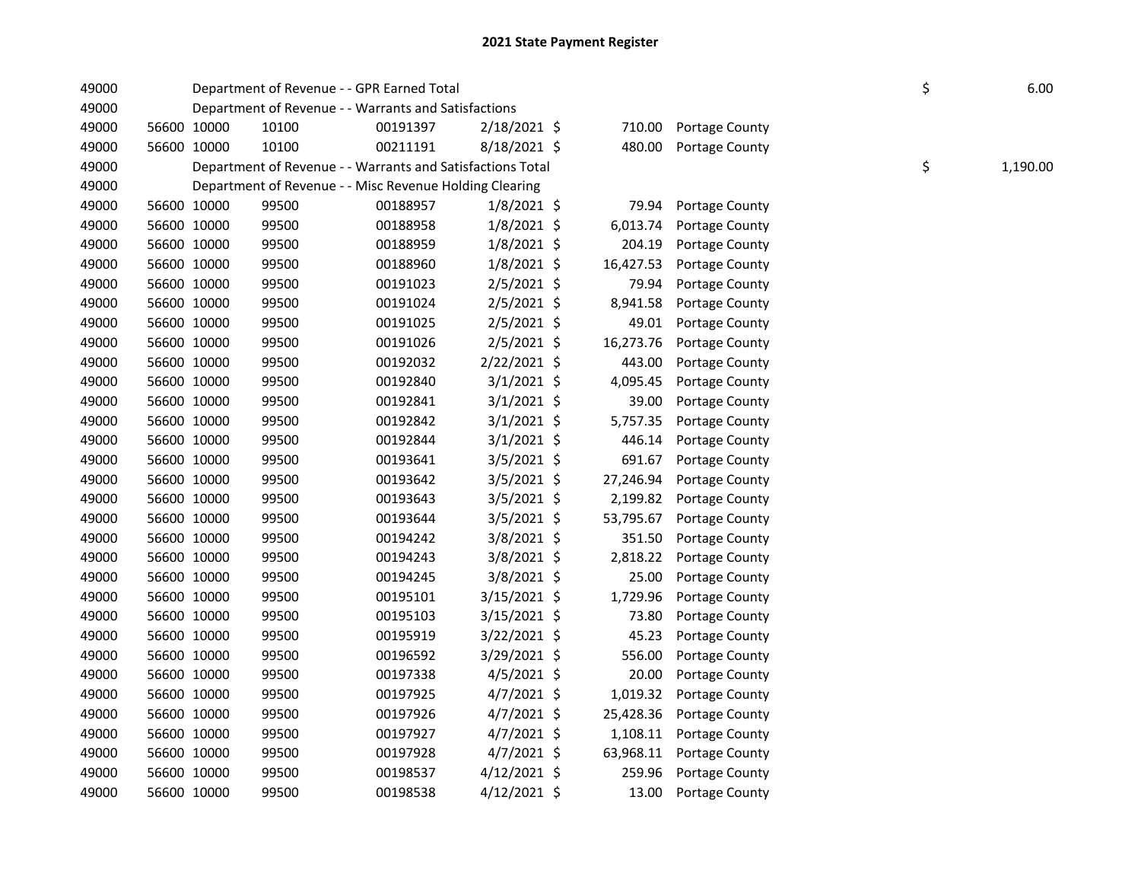| 49000 |             | Department of Revenue - - GPR Earned Total | \$                                                         | 6.00           |           |                |    |          |
|-------|-------------|--------------------------------------------|------------------------------------------------------------|----------------|-----------|----------------|----|----------|
| 49000 |             |                                            | Department of Revenue - - Warrants and Satisfactions       |                |           |                |    |          |
| 49000 | 56600 10000 | 10100                                      | 00191397                                                   | 2/18/2021 \$   | 710.00    | Portage County |    |          |
| 49000 | 56600 10000 | 10100                                      | 00211191                                                   | 8/18/2021 \$   | 480.00    | Portage County |    |          |
| 49000 |             |                                            | Department of Revenue - - Warrants and Satisfactions Total |                |           |                | \$ | 1,190.00 |
| 49000 |             |                                            | Department of Revenue - - Misc Revenue Holding Clearing    |                |           |                |    |          |
| 49000 | 56600 10000 | 99500                                      | 00188957                                                   | $1/8/2021$ \$  | 79.94     | Portage County |    |          |
| 49000 | 56600 10000 | 99500                                      | 00188958                                                   | $1/8/2021$ \$  | 6,013.74  | Portage County |    |          |
| 49000 | 56600 10000 | 99500                                      | 00188959                                                   | $1/8/2021$ \$  | 204.19    | Portage County |    |          |
| 49000 | 56600 10000 | 99500                                      | 00188960                                                   | $1/8/2021$ \$  | 16,427.53 | Portage County |    |          |
| 49000 | 56600 10000 | 99500                                      | 00191023                                                   | $2/5/2021$ \$  | 79.94     | Portage County |    |          |
| 49000 | 56600 10000 | 99500                                      | 00191024                                                   | $2/5/2021$ \$  | 8,941.58  | Portage County |    |          |
| 49000 | 56600 10000 | 99500                                      | 00191025                                                   | 2/5/2021 \$    | 49.01     | Portage County |    |          |
| 49000 | 56600 10000 | 99500                                      | 00191026                                                   | $2/5/2021$ \$  | 16,273.76 | Portage County |    |          |
| 49000 | 56600 10000 | 99500                                      | 00192032                                                   | 2/22/2021 \$   | 443.00    | Portage County |    |          |
| 49000 | 56600 10000 | 99500                                      | 00192840                                                   | $3/1/2021$ \$  | 4,095.45  | Portage County |    |          |
| 49000 | 56600 10000 | 99500                                      | 00192841                                                   | $3/1/2021$ \$  | 39.00     | Portage County |    |          |
| 49000 | 56600 10000 | 99500                                      | 00192842                                                   | $3/1/2021$ \$  | 5,757.35  | Portage County |    |          |
| 49000 | 56600 10000 | 99500                                      | 00192844                                                   | $3/1/2021$ \$  | 446.14    | Portage County |    |          |
| 49000 | 56600 10000 | 99500                                      | 00193641                                                   | $3/5/2021$ \$  | 691.67    | Portage County |    |          |
| 49000 | 56600 10000 | 99500                                      | 00193642                                                   | $3/5/2021$ \$  | 27,246.94 | Portage County |    |          |
| 49000 | 56600 10000 | 99500                                      | 00193643                                                   | $3/5/2021$ \$  | 2,199.82  | Portage County |    |          |
| 49000 | 56600 10000 | 99500                                      | 00193644                                                   | $3/5/2021$ \$  | 53,795.67 | Portage County |    |          |
| 49000 | 56600 10000 | 99500                                      | 00194242                                                   | 3/8/2021 \$    | 351.50    | Portage County |    |          |
| 49000 | 56600 10000 | 99500                                      | 00194243                                                   | $3/8/2021$ \$  | 2,818.22  | Portage County |    |          |
| 49000 | 56600 10000 | 99500                                      | 00194245                                                   | $3/8/2021$ \$  | 25.00     | Portage County |    |          |
| 49000 | 56600 10000 | 99500                                      | 00195101                                                   | 3/15/2021 \$   | 1,729.96  | Portage County |    |          |
| 49000 | 56600 10000 | 99500                                      | 00195103                                                   | 3/15/2021 \$   | 73.80     | Portage County |    |          |
| 49000 | 56600 10000 | 99500                                      | 00195919                                                   | 3/22/2021 \$   | 45.23     | Portage County |    |          |
| 49000 | 56600 10000 | 99500                                      | 00196592                                                   | $3/29/2021$ \$ | 556.00    | Portage County |    |          |
| 49000 | 56600 10000 | 99500                                      | 00197338                                                   | $4/5/2021$ \$  | 20.00     | Portage County |    |          |
| 49000 | 56600 10000 | 99500                                      | 00197925                                                   | $4/7/2021$ \$  | 1,019.32  | Portage County |    |          |
| 49000 | 56600 10000 | 99500                                      | 00197926                                                   | $4/7/2021$ \$  | 25,428.36 | Portage County |    |          |
| 49000 | 56600 10000 | 99500                                      | 00197927                                                   | $4/7/2021$ \$  | 1,108.11  | Portage County |    |          |
| 49000 | 56600 10000 | 99500                                      | 00197928                                                   | $4/7/2021$ \$  | 63,968.11 | Portage County |    |          |
| 49000 | 56600 10000 | 99500                                      | 00198537                                                   | $4/12/2021$ \$ | 259.96    | Portage County |    |          |
| 49000 | 56600 10000 | 99500                                      | 00198538                                                   | $4/12/2021$ \$ | 13.00     | Portage County |    |          |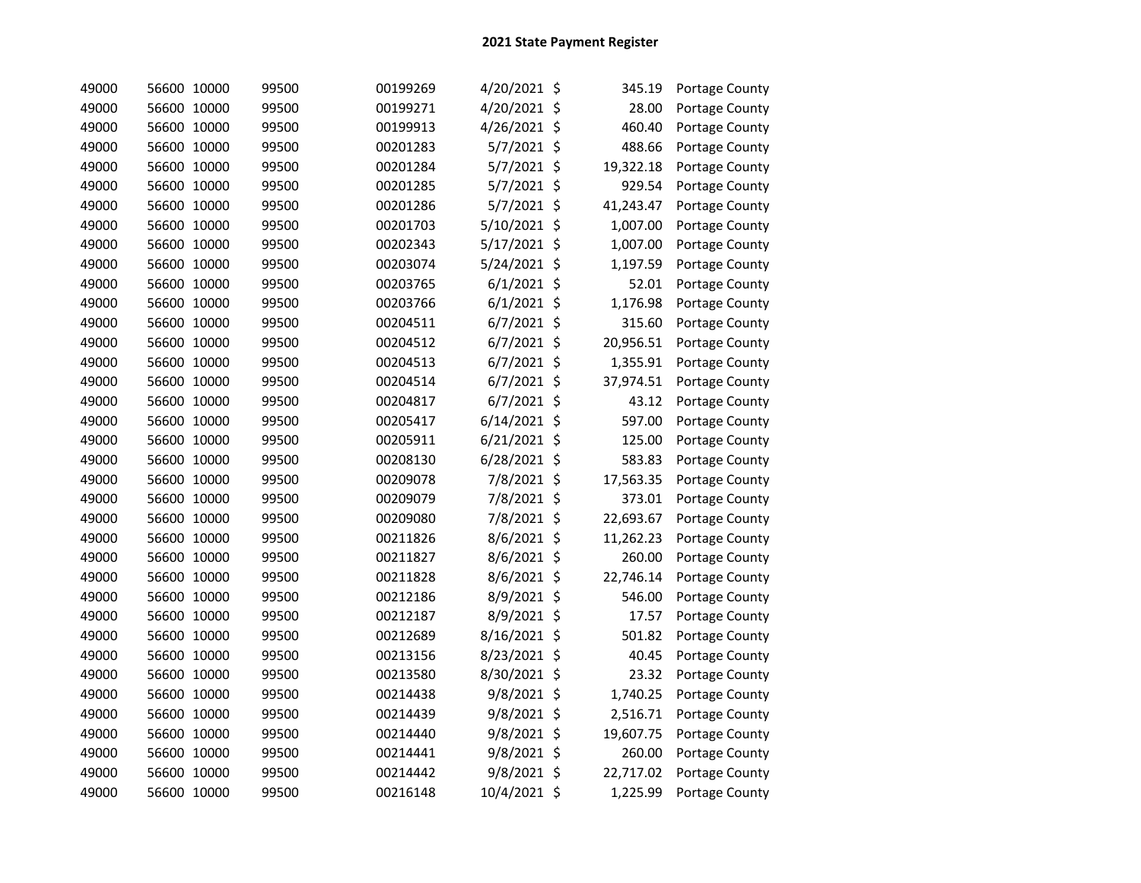| 49000 | 56600 10000 |       | 99500 | 00199269 | 4/20/2021 \$  |         | 345.19    | Portage County |
|-------|-------------|-------|-------|----------|---------------|---------|-----------|----------------|
| 49000 | 56600 10000 |       | 99500 | 00199271 | 4/20/2021 \$  |         | 28.00     | Portage County |
| 49000 | 56600 10000 |       | 99500 | 00199913 | 4/26/2021     | $\zeta$ | 460.40    | Portage County |
| 49000 | 56600 10000 |       | 99500 | 00201283 | 5/7/2021 \$   |         | 488.66    | Portage County |
| 49000 | 56600 10000 |       | 99500 | 00201284 | 5/7/2021 \$   |         | 19,322.18 | Portage County |
| 49000 | 56600 10000 |       | 99500 | 00201285 | 5/7/2021      | \$      | 929.54    | Portage County |
| 49000 | 56600 10000 |       | 99500 | 00201286 | 5/7/2021 \$   |         | 41,243.47 | Portage County |
| 49000 | 56600 10000 |       | 99500 | 00201703 | 5/10/2021 \$  |         | 1,007.00  | Portage County |
| 49000 | 56600 10000 |       | 99500 | 00202343 | 5/17/2021 \$  |         | 1,007.00  | Portage County |
| 49000 | 56600 10000 |       | 99500 | 00203074 | 5/24/2021 \$  |         | 1,197.59  | Portage County |
| 49000 | 56600 10000 |       | 99500 | 00203765 | $6/1/2021$ \$ |         | 52.01     | Portage County |
| 49000 | 56600 10000 |       | 99500 | 00203766 | $6/1/2021$ \$ |         | 1,176.98  | Portage County |
| 49000 | 56600 10000 |       | 99500 | 00204511 | 6/7/2021 \$   |         | 315.60    | Portage County |
| 49000 | 56600 10000 |       | 99500 | 00204512 | 6/7/2021 \$   |         | 20,956.51 | Portage County |
| 49000 | 56600 10000 |       | 99500 | 00204513 | 6/7/2021 \$   |         | 1,355.91  | Portage County |
| 49000 | 56600 10000 |       | 99500 | 00204514 | 6/7/2021 \$   |         | 37,974.51 | Portage County |
| 49000 | 56600 10000 |       | 99500 | 00204817 | 6/7/2021 \$   |         | 43.12     | Portage County |
| 49000 | 56600 10000 |       | 99500 | 00205417 | 6/14/2021 \$  |         | 597.00    | Portage County |
| 49000 | 56600 10000 |       | 99500 | 00205911 | 6/21/2021 \$  |         | 125.00    | Portage County |
| 49000 | 56600 10000 |       | 99500 | 00208130 | 6/28/2021 \$  |         | 583.83    | Portage County |
| 49000 | 56600 10000 |       | 99500 | 00209078 | 7/8/2021 \$   |         | 17,563.35 | Portage County |
| 49000 | 56600 10000 |       | 99500 | 00209079 | 7/8/2021 \$   |         | 373.01    | Portage County |
| 49000 | 56600 10000 |       | 99500 | 00209080 | 7/8/2021 \$   |         | 22,693.67 | Portage County |
| 49000 | 56600 10000 |       | 99500 | 00211826 | 8/6/2021 \$   |         | 11,262.23 | Portage County |
| 49000 | 56600       | 10000 | 99500 | 00211827 | 8/6/2021 \$   |         | 260.00    | Portage County |
| 49000 | 56600       | 10000 | 99500 | 00211828 | 8/6/2021 \$   |         | 22,746.14 | Portage County |
| 49000 | 56600       | 10000 | 99500 | 00212186 | 8/9/2021 \$   |         | 546.00    | Portage County |
| 49000 | 56600       | 10000 | 99500 | 00212187 | 8/9/2021 \$   |         | 17.57     | Portage County |
| 49000 | 56600       | 10000 | 99500 | 00212689 | 8/16/2021 \$  |         | 501.82    | Portage County |
| 49000 | 56600       | 10000 | 99500 | 00213156 | 8/23/2021 \$  |         | 40.45     | Portage County |
| 49000 | 56600       | 10000 | 99500 | 00213580 | 8/30/2021 \$  |         | 23.32     | Portage County |
| 49000 | 56600       | 10000 | 99500 | 00214438 | 9/8/2021 \$   |         | 1,740.25  | Portage County |
| 49000 | 56600 10000 |       | 99500 | 00214439 | 9/8/2021 \$   |         | 2,516.71  | Portage County |
| 49000 | 56600 10000 |       | 99500 | 00214440 | 9/8/2021 \$   |         | 19,607.75 | Portage County |
| 49000 | 56600 10000 |       | 99500 | 00214441 | 9/8/2021 \$   |         | 260.00    | Portage County |
| 49000 | 56600 10000 |       | 99500 | 00214442 | 9/8/2021      | $\zeta$ | 22,717.02 | Portage County |
| 49000 | 56600 10000 |       | 99500 | 00216148 | 10/4/2021 \$  |         | 1,225.99  | Portage County |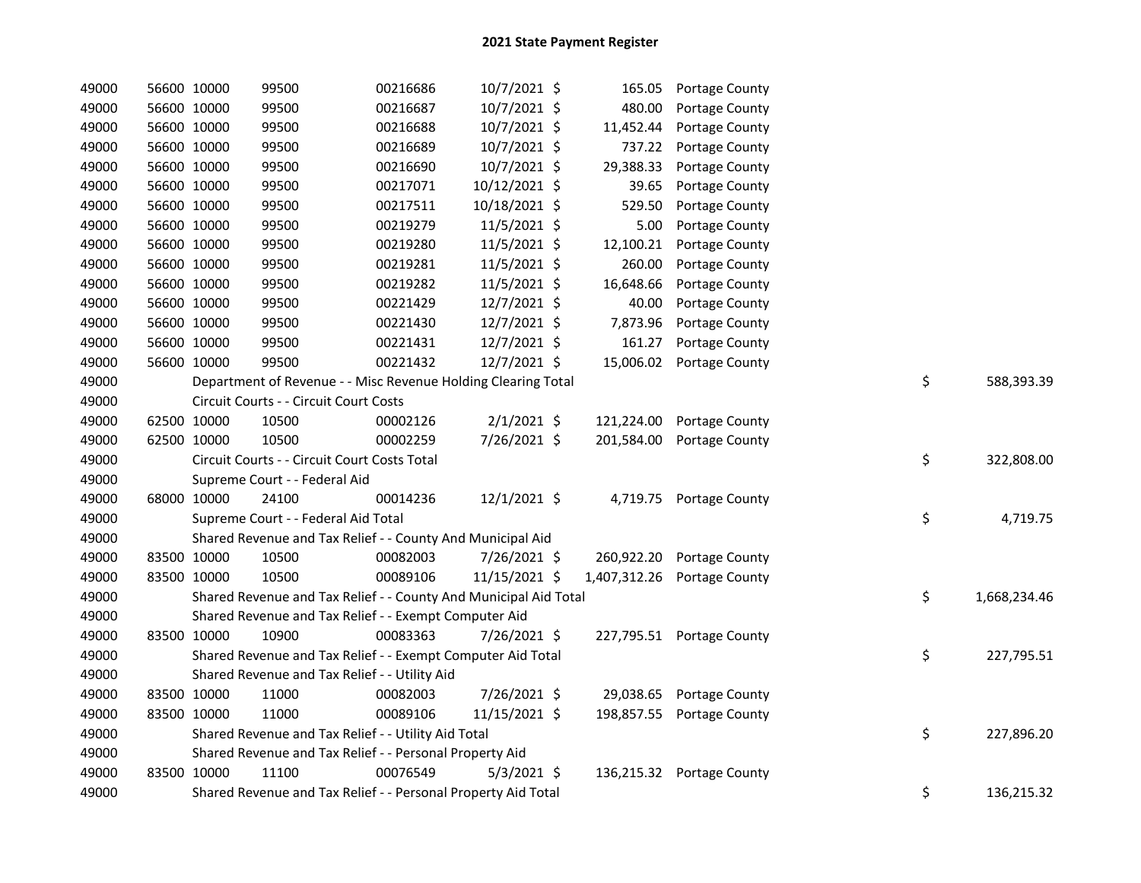| 49000 | 56600 10000 |             | 99500                                                            | 00216686 | 10/7/2021 \$  |            | 165.05 Portage County       |    |              |
|-------|-------------|-------------|------------------------------------------------------------------|----------|---------------|------------|-----------------------------|----|--------------|
| 49000 | 56600 10000 |             | 99500                                                            | 00216687 | 10/7/2021 \$  | 480.00     | Portage County              |    |              |
| 49000 | 56600 10000 |             | 99500                                                            | 00216688 | 10/7/2021 \$  | 11,452.44  | Portage County              |    |              |
| 49000 | 56600 10000 |             | 99500                                                            | 00216689 | 10/7/2021 \$  | 737.22     | Portage County              |    |              |
| 49000 | 56600 10000 |             | 99500                                                            | 00216690 | 10/7/2021 \$  | 29,388.33  | Portage County              |    |              |
| 49000 | 56600 10000 |             | 99500                                                            | 00217071 | 10/12/2021 \$ | 39.65      | Portage County              |    |              |
| 49000 | 56600 10000 |             | 99500                                                            | 00217511 | 10/18/2021 \$ | 529.50     | Portage County              |    |              |
| 49000 | 56600 10000 |             | 99500                                                            | 00219279 | 11/5/2021 \$  | 5.00       | Portage County              |    |              |
| 49000 |             | 56600 10000 | 99500                                                            | 00219280 | 11/5/2021 \$  | 12,100.21  | Portage County              |    |              |
| 49000 |             | 56600 10000 | 99500                                                            | 00219281 | 11/5/2021 \$  | 260.00     | Portage County              |    |              |
| 49000 |             | 56600 10000 | 99500                                                            | 00219282 | 11/5/2021 \$  | 16,648.66  | Portage County              |    |              |
| 49000 | 56600 10000 |             | 99500                                                            | 00221429 | 12/7/2021 \$  | 40.00      | Portage County              |    |              |
| 49000 | 56600 10000 |             | 99500                                                            | 00221430 | 12/7/2021 \$  | 7,873.96   | Portage County              |    |              |
| 49000 | 56600 10000 |             | 99500                                                            | 00221431 | 12/7/2021 \$  | 161.27     | Portage County              |    |              |
| 49000 | 56600 10000 |             | 99500                                                            | 00221432 | 12/7/2021 \$  |            | 15,006.02 Portage County    |    |              |
| 49000 |             |             | Department of Revenue - - Misc Revenue Holding Clearing Total    |          |               |            |                             | \$ | 588,393.39   |
| 49000 |             |             | Circuit Courts - - Circuit Court Costs                           |          |               |            |                             |    |              |
| 49000 | 62500 10000 |             | 10500                                                            | 00002126 | $2/1/2021$ \$ | 121,224.00 | Portage County              |    |              |
| 49000 | 62500 10000 |             | 10500                                                            | 00002259 | 7/26/2021 \$  | 201,584.00 | Portage County              |    |              |
| 49000 |             |             | Circuit Courts - - Circuit Court Costs Total                     |          |               |            |                             | \$ | 322,808.00   |
| 49000 |             |             | Supreme Court - - Federal Aid                                    |          |               |            |                             |    |              |
| 49000 | 68000 10000 |             | 24100                                                            | 00014236 | 12/1/2021 \$  |            | 4,719.75 Portage County     |    |              |
| 49000 |             |             | Supreme Court - - Federal Aid Total                              |          |               |            |                             | \$ | 4,719.75     |
| 49000 |             |             | Shared Revenue and Tax Relief - - County And Municipal Aid       |          |               |            |                             |    |              |
| 49000 | 83500 10000 |             | 10500                                                            | 00082003 | 7/26/2021 \$  |            | 260,922.20 Portage County   |    |              |
| 49000 | 83500 10000 |             | 10500                                                            | 00089106 | 11/15/2021 \$ |            | 1,407,312.26 Portage County |    |              |
| 49000 |             |             | Shared Revenue and Tax Relief - - County And Municipal Aid Total |          |               |            |                             | \$ | 1,668,234.46 |
| 49000 |             |             | Shared Revenue and Tax Relief - - Exempt Computer Aid            |          |               |            |                             |    |              |
| 49000 | 83500 10000 |             | 10900                                                            | 00083363 | 7/26/2021 \$  |            | 227,795.51 Portage County   |    |              |
| 49000 |             |             | Shared Revenue and Tax Relief - - Exempt Computer Aid Total      |          |               |            |                             | \$ | 227,795.51   |
| 49000 |             |             | Shared Revenue and Tax Relief - - Utility Aid                    |          |               |            |                             |    |              |
| 49000 | 83500 10000 |             | 11000                                                            | 00082003 | 7/26/2021 \$  |            | 29,038.65 Portage County    |    |              |
| 49000 | 83500 10000 |             | 11000                                                            | 00089106 | 11/15/2021 \$ |            | 198,857.55 Portage County   |    |              |
| 49000 |             |             | Shared Revenue and Tax Relief - - Utility Aid Total              |          |               |            |                             | \$ | 227,896.20   |
| 49000 |             |             | Shared Revenue and Tax Relief - - Personal Property Aid          |          |               |            |                             |    |              |
| 49000 | 83500 10000 |             | 11100                                                            | 00076549 | $5/3/2021$ \$ |            | 136,215.32 Portage County   |    |              |
| 49000 |             |             | Shared Revenue and Tax Relief - - Personal Property Aid Total    |          |               |            |                             | \$ | 136,215.32   |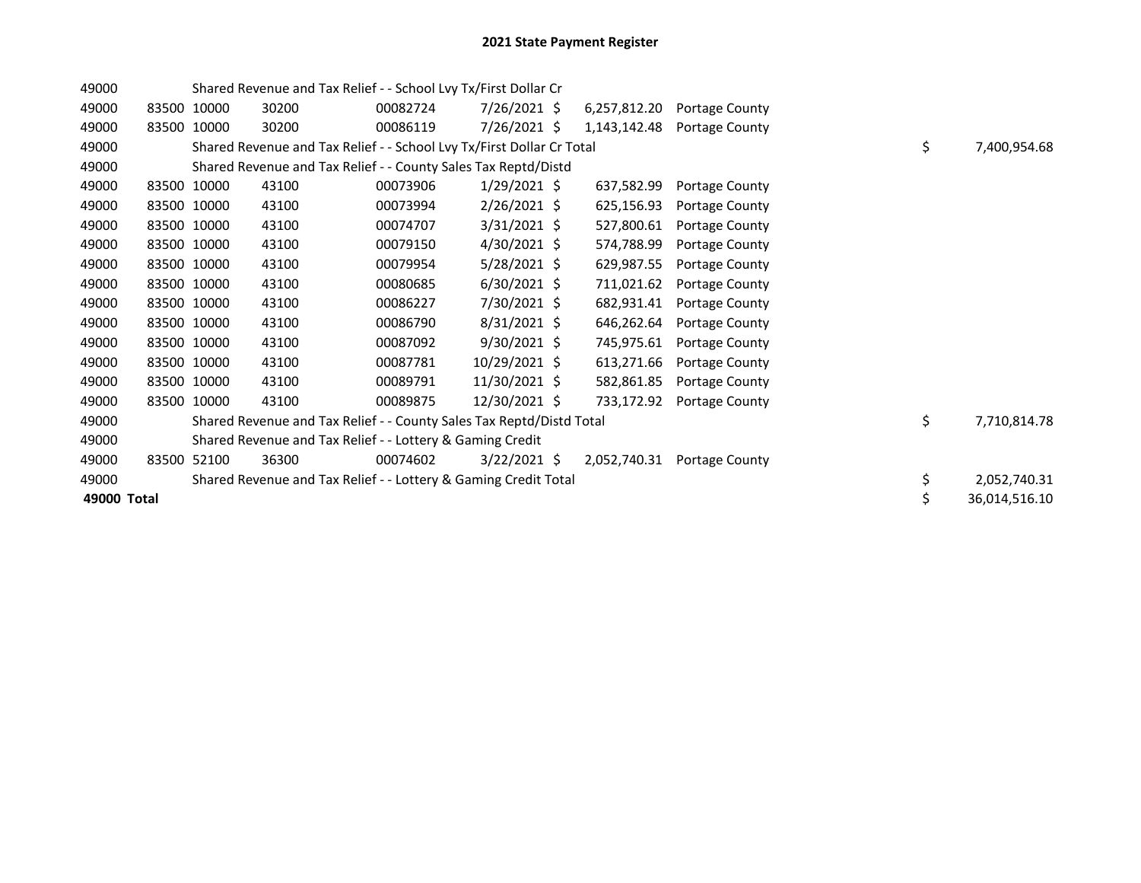| 49000       |       |             | Shared Revenue and Tax Relief - - School Lvy Tx/First Dollar Cr       |          |                |              |                       |    |               |
|-------------|-------|-------------|-----------------------------------------------------------------------|----------|----------------|--------------|-----------------------|----|---------------|
| 49000       |       | 83500 10000 | 30200                                                                 | 00082724 | $7/26/2021$ \$ | 6,257,812.20 | Portage County        |    |               |
| 49000       | 83500 | 10000       | 30200                                                                 | 00086119 | $7/26/2021$ \$ | 1,143,142.48 | Portage County        |    |               |
| 49000       |       |             | Shared Revenue and Tax Relief - - School Lvy Tx/First Dollar Cr Total |          |                |              |                       | \$ | 7,400,954.68  |
| 49000       |       |             | Shared Revenue and Tax Relief - - County Sales Tax Reptd/Distd        |          |                |              |                       |    |               |
| 49000       |       | 83500 10000 | 43100                                                                 | 00073906 | $1/29/2021$ \$ | 637,582.99   | Portage County        |    |               |
| 49000       |       | 83500 10000 | 43100                                                                 | 00073994 | $2/26/2021$ \$ | 625,156.93   | <b>Portage County</b> |    |               |
| 49000       |       | 83500 10000 | 43100                                                                 | 00074707 | $3/31/2021$ \$ | 527,800.61   | Portage County        |    |               |
| 49000       |       | 83500 10000 | 43100                                                                 | 00079150 | $4/30/2021$ \$ | 574,788.99   | <b>Portage County</b> |    |               |
| 49000       |       | 83500 10000 | 43100                                                                 | 00079954 | $5/28/2021$ \$ | 629,987.55   | Portage County        |    |               |
| 49000       |       | 83500 10000 | 43100                                                                 | 00080685 | $6/30/2021$ \$ | 711,021.62   | Portage County        |    |               |
| 49000       |       | 83500 10000 | 43100                                                                 | 00086227 | 7/30/2021 \$   | 682,931.41   | Portage County        |    |               |
| 49000       |       | 83500 10000 | 43100                                                                 | 00086790 | $8/31/2021$ \$ | 646,262.64   | <b>Portage County</b> |    |               |
| 49000       |       | 83500 10000 | 43100                                                                 | 00087092 | $9/30/2021$ \$ | 745,975.61   | Portage County        |    |               |
| 49000       |       | 83500 10000 | 43100                                                                 | 00087781 | 10/29/2021 \$  | 613,271.66   | Portage County        |    |               |
| 49000       |       | 83500 10000 | 43100                                                                 | 00089791 | 11/30/2021 \$  | 582,861.85   | Portage County        |    |               |
| 49000       |       | 83500 10000 | 43100                                                                 | 00089875 | 12/30/2021 \$  | 733,172.92   | Portage County        |    |               |
| 49000       |       |             | Shared Revenue and Tax Relief - - County Sales Tax Reptd/Distd Total  |          |                |              |                       | \$ | 7,710,814.78  |
| 49000       |       |             | Shared Revenue and Tax Relief - - Lottery & Gaming Credit             |          |                |              |                       |    |               |
| 49000       |       | 83500 52100 | 36300                                                                 | 00074602 | $3/22/2021$ \$ | 2,052,740.31 | Portage County        |    |               |
| 49000       |       |             | Shared Revenue and Tax Relief - - Lottery & Gaming Credit Total       |          |                |              |                       | \$ | 2,052,740.31  |
| 49000 Total |       |             |                                                                       |          |                |              |                       | \$ | 36,014,516.10 |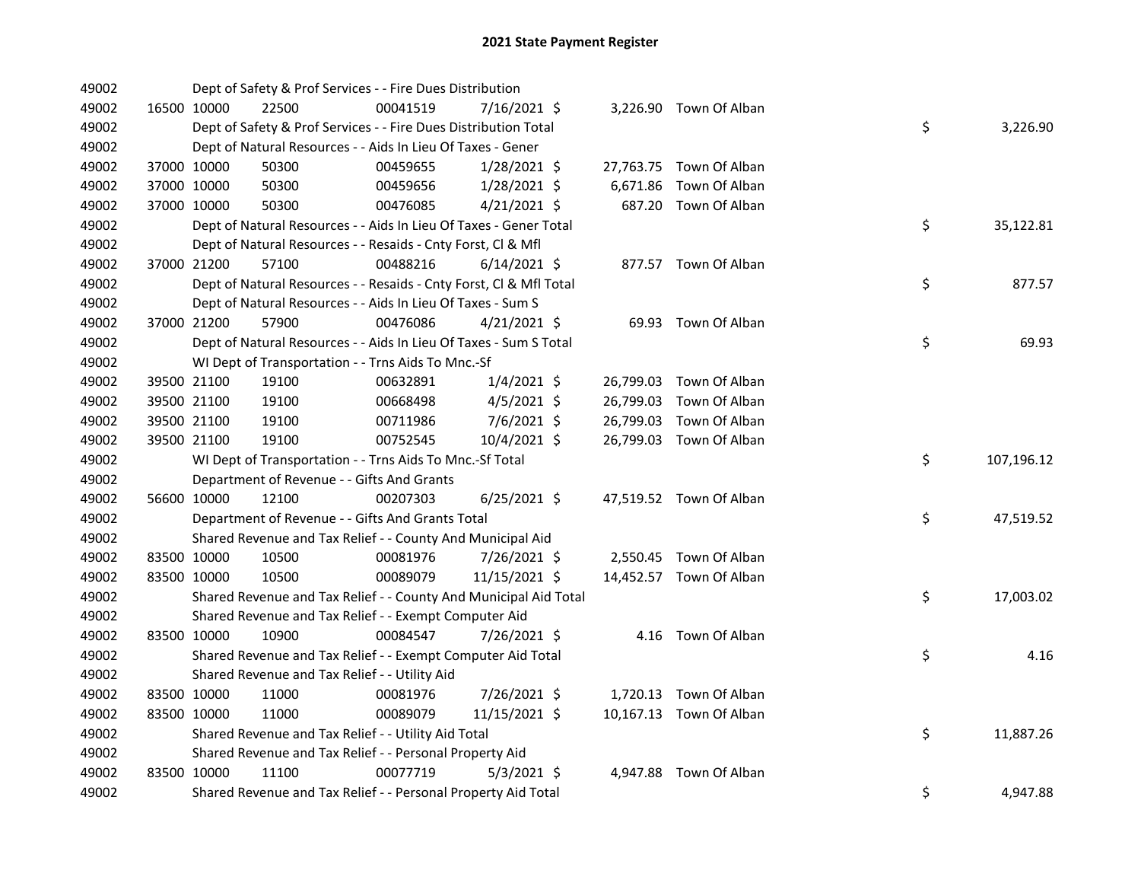| 49002 |             |             | Dept of Safety & Prof Services - - Fire Dues Distribution          |          |                |  |                         |    |            |
|-------|-------------|-------------|--------------------------------------------------------------------|----------|----------------|--|-------------------------|----|------------|
| 49002 |             | 16500 10000 | 22500                                                              | 00041519 | 7/16/2021 \$   |  | 3,226.90 Town Of Alban  |    |            |
| 49002 |             |             | Dept of Safety & Prof Services - - Fire Dues Distribution Total    |          |                |  |                         | \$ | 3,226.90   |
| 49002 |             |             | Dept of Natural Resources - - Aids In Lieu Of Taxes - Gener        |          |                |  |                         |    |            |
| 49002 |             | 37000 10000 | 50300                                                              | 00459655 | 1/28/2021 \$   |  | 27,763.75 Town Of Alban |    |            |
| 49002 | 37000 10000 |             | 50300                                                              | 00459656 | $1/28/2021$ \$ |  | 6,671.86 Town Of Alban  |    |            |
| 49002 |             | 37000 10000 | 50300                                                              | 00476085 | $4/21/2021$ \$ |  | 687.20 Town Of Alban    |    |            |
| 49002 |             |             | Dept of Natural Resources - - Aids In Lieu Of Taxes - Gener Total  |          |                |  |                         | \$ | 35,122.81  |
| 49002 |             |             | Dept of Natural Resources - - Resaids - Cnty Forst, Cl & Mfl       |          |                |  |                         |    |            |
| 49002 |             | 37000 21200 | 57100                                                              | 00488216 | $6/14/2021$ \$ |  | 877.57 Town Of Alban    |    |            |
| 49002 |             |             | Dept of Natural Resources - - Resaids - Cnty Forst, Cl & Mfl Total |          |                |  |                         | \$ | 877.57     |
| 49002 |             |             | Dept of Natural Resources - - Aids In Lieu Of Taxes - Sum S        |          |                |  |                         |    |            |
| 49002 |             | 37000 21200 | 57900                                                              | 00476086 | $4/21/2021$ \$ |  | 69.93 Town Of Alban     |    |            |
| 49002 |             |             | Dept of Natural Resources - - Aids In Lieu Of Taxes - Sum S Total  |          |                |  |                         | \$ | 69.93      |
| 49002 |             |             | WI Dept of Transportation - - Trns Aids To Mnc.-Sf                 |          |                |  |                         |    |            |
| 49002 | 39500 21100 |             | 19100                                                              | 00632891 | $1/4/2021$ \$  |  | 26,799.03 Town Of Alban |    |            |
| 49002 |             | 39500 21100 | 19100                                                              | 00668498 | $4/5/2021$ \$  |  | 26,799.03 Town Of Alban |    |            |
| 49002 |             | 39500 21100 | 19100                                                              | 00711986 | 7/6/2021 \$    |  | 26,799.03 Town Of Alban |    |            |
| 49002 |             | 39500 21100 | 19100                                                              | 00752545 | 10/4/2021 \$   |  | 26,799.03 Town Of Alban |    |            |
| 49002 |             |             | WI Dept of Transportation - - Trns Aids To Mnc.-Sf Total           |          |                |  |                         | \$ | 107,196.12 |
| 49002 |             |             | Department of Revenue - - Gifts And Grants                         |          |                |  |                         |    |            |
| 49002 |             | 56600 10000 | 12100                                                              | 00207303 | $6/25/2021$ \$ |  | 47,519.52 Town Of Alban |    |            |
| 49002 |             |             | Department of Revenue - - Gifts And Grants Total                   |          |                |  |                         | \$ | 47,519.52  |
| 49002 |             |             | Shared Revenue and Tax Relief - - County And Municipal Aid         |          |                |  |                         |    |            |
| 49002 | 83500 10000 |             | 10500                                                              | 00081976 | 7/26/2021 \$   |  | 2,550.45 Town Of Alban  |    |            |
| 49002 | 83500 10000 |             | 10500                                                              | 00089079 | 11/15/2021 \$  |  | 14,452.57 Town Of Alban |    |            |
| 49002 |             |             | Shared Revenue and Tax Relief - - County And Municipal Aid Total   |          |                |  |                         | \$ | 17,003.02  |
| 49002 |             |             | Shared Revenue and Tax Relief - - Exempt Computer Aid              |          |                |  |                         |    |            |
| 49002 |             | 83500 10000 | 10900                                                              | 00084547 | 7/26/2021 \$   |  | 4.16 Town Of Alban      |    |            |
| 49002 |             |             | Shared Revenue and Tax Relief - - Exempt Computer Aid Total        |          |                |  |                         | \$ | 4.16       |
| 49002 |             |             | Shared Revenue and Tax Relief - - Utility Aid                      |          |                |  |                         |    |            |
| 49002 |             | 83500 10000 | 11000                                                              | 00081976 | 7/26/2021 \$   |  | 1,720.13 Town Of Alban  |    |            |
| 49002 | 83500 10000 |             | 11000                                                              | 00089079 | 11/15/2021 \$  |  | 10,167.13 Town Of Alban |    |            |
| 49002 |             |             | Shared Revenue and Tax Relief - - Utility Aid Total                |          |                |  |                         | \$ | 11,887.26  |
| 49002 |             |             | Shared Revenue and Tax Relief - - Personal Property Aid            |          |                |  |                         |    |            |
| 49002 | 83500 10000 |             | 11100                                                              | 00077719 | $5/3/2021$ \$  |  | 4,947.88 Town Of Alban  |    |            |
| 49002 |             |             | Shared Revenue and Tax Relief - - Personal Property Aid Total      |          |                |  |                         | \$ | 4,947.88   |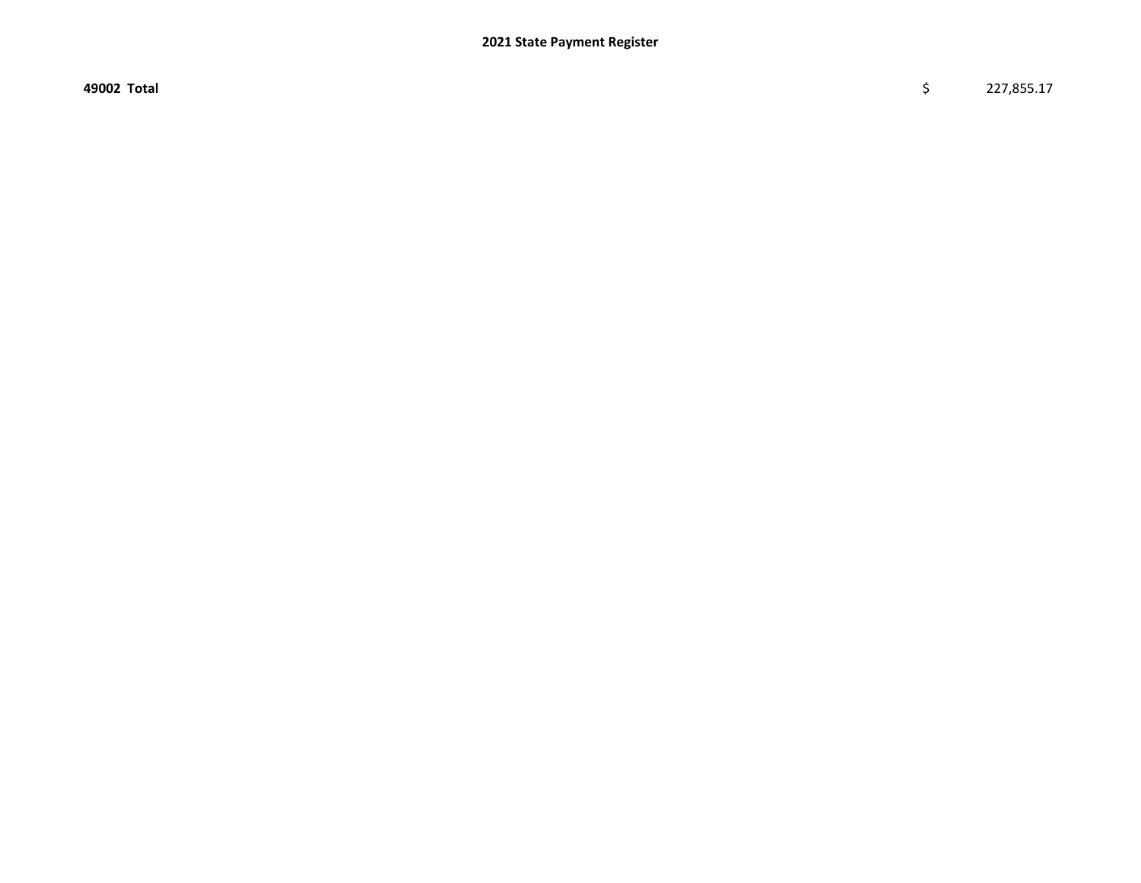49002 Total \$ 227,855.17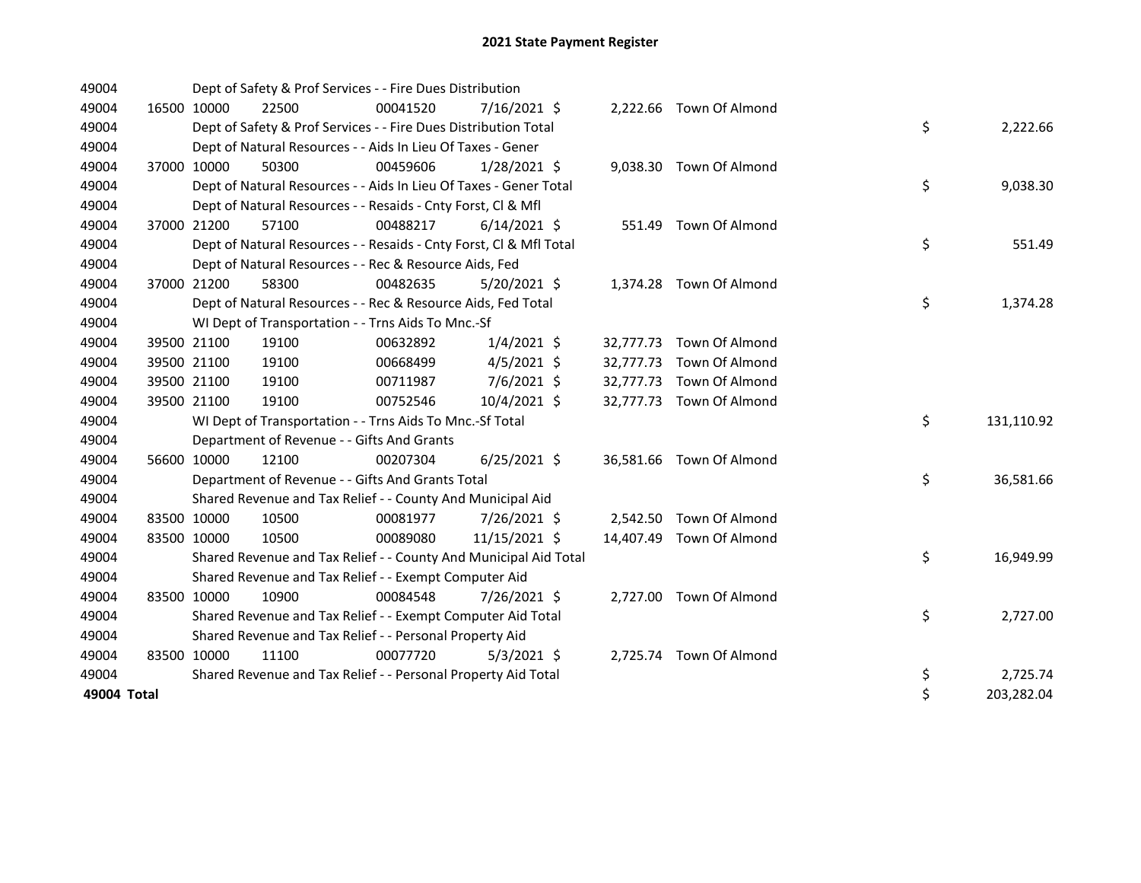| 49004       |             | Dept of Safety & Prof Services - - Fire Dues Distribution          |          |                |           |                          |    |            |
|-------------|-------------|--------------------------------------------------------------------|----------|----------------|-----------|--------------------------|----|------------|
| 49004       | 16500 10000 | 22500                                                              | 00041520 | $7/16/2021$ \$ |           | 2,222.66 Town Of Almond  |    |            |
| 49004       |             | Dept of Safety & Prof Services - - Fire Dues Distribution Total    |          |                |           |                          | \$ | 2,222.66   |
| 49004       |             | Dept of Natural Resources - - Aids In Lieu Of Taxes - Gener        |          |                |           |                          |    |            |
| 49004       | 37000 10000 | 50300                                                              | 00459606 | $1/28/2021$ \$ |           | 9,038.30 Town Of Almond  |    |            |
| 49004       |             | Dept of Natural Resources - - Aids In Lieu Of Taxes - Gener Total  |          |                |           |                          | \$ | 9,038.30   |
| 49004       |             | Dept of Natural Resources - - Resaids - Cnty Forst, CI & Mfl       |          |                |           |                          |    |            |
| 49004       | 37000 21200 | 57100                                                              | 00488217 | $6/14/2021$ \$ |           | 551.49 Town Of Almond    |    |            |
| 49004       |             | Dept of Natural Resources - - Resaids - Cnty Forst, Cl & Mfl Total |          |                |           |                          | \$ | 551.49     |
| 49004       |             | Dept of Natural Resources - - Rec & Resource Aids, Fed             |          |                |           |                          |    |            |
| 49004       | 37000 21200 | 58300                                                              | 00482635 | $5/20/2021$ \$ |           | 1,374.28 Town Of Almond  |    |            |
| 49004       |             | Dept of Natural Resources - - Rec & Resource Aids, Fed Total       |          |                |           |                          | \$ | 1,374.28   |
| 49004       |             | WI Dept of Transportation - - Trns Aids To Mnc.-Sf                 |          |                |           |                          |    |            |
| 49004       | 39500 21100 | 19100                                                              | 00632892 | $1/4/2021$ \$  |           | 32,777.73 Town Of Almond |    |            |
| 49004       | 39500 21100 | 19100                                                              | 00668499 | $4/5/2021$ \$  | 32,777.73 | Town Of Almond           |    |            |
| 49004       | 39500 21100 | 19100                                                              | 00711987 | 7/6/2021 \$    | 32,777.73 | Town Of Almond           |    |            |
| 49004       | 39500 21100 | 19100                                                              | 00752546 | 10/4/2021 \$   |           | 32,777.73 Town Of Almond |    |            |
| 49004       |             | WI Dept of Transportation - - Trns Aids To Mnc .- Sf Total         |          |                |           |                          | \$ | 131,110.92 |
| 49004       |             | Department of Revenue - - Gifts And Grants                         |          |                |           |                          |    |            |
| 49004       | 56600 10000 | 12100                                                              | 00207304 | $6/25/2021$ \$ |           | 36,581.66 Town Of Almond |    |            |
| 49004       |             | Department of Revenue - - Gifts And Grants Total                   |          |                |           |                          | \$ | 36,581.66  |
| 49004       |             | Shared Revenue and Tax Relief - - County And Municipal Aid         |          |                |           |                          |    |            |
| 49004       | 83500 10000 | 10500                                                              | 00081977 | 7/26/2021 \$   |           | 2,542.50 Town Of Almond  |    |            |
| 49004       | 83500 10000 | 10500                                                              | 00089080 | 11/15/2021 \$  |           | 14,407.49 Town Of Almond |    |            |
| 49004       |             | Shared Revenue and Tax Relief - - County And Municipal Aid Total   |          |                |           |                          | \$ | 16,949.99  |
| 49004       |             | Shared Revenue and Tax Relief - - Exempt Computer Aid              |          |                |           |                          |    |            |
| 49004       | 83500 10000 | 10900                                                              | 00084548 | 7/26/2021 \$   |           | 2,727.00 Town Of Almond  |    |            |
| 49004       |             | Shared Revenue and Tax Relief - - Exempt Computer Aid Total        |          |                |           |                          | \$ | 2,727.00   |
| 49004       |             | Shared Revenue and Tax Relief - - Personal Property Aid            |          |                |           |                          |    |            |
| 49004       | 83500 10000 | 11100                                                              | 00077720 | $5/3/2021$ \$  |           | 2,725.74 Town Of Almond  |    |            |
| 49004       |             | Shared Revenue and Tax Relief - - Personal Property Aid Total      |          |                |           |                          | \$ | 2,725.74   |
| 49004 Total |             |                                                                    |          |                |           |                          | \$ | 203,282.04 |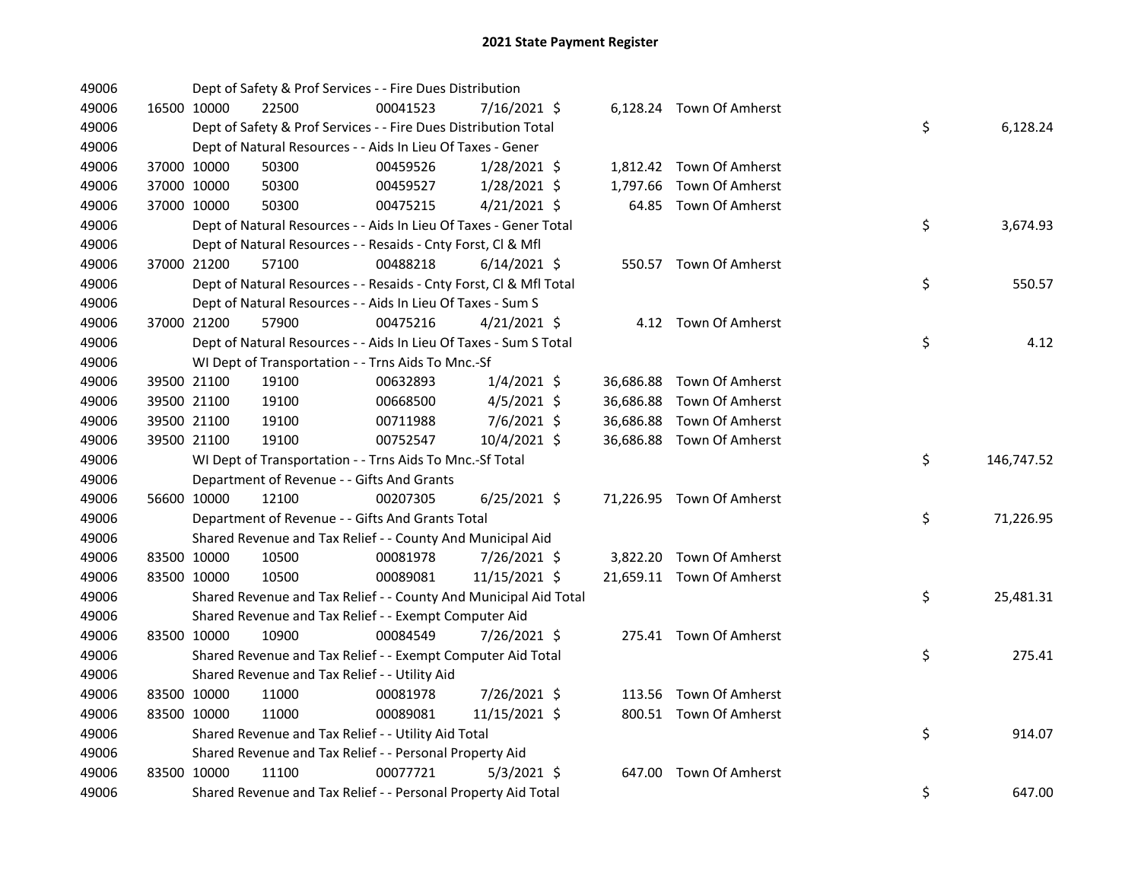| 49006 |             |             | Dept of Safety & Prof Services - - Fire Dues Distribution          |          |                |  |                           |    |            |
|-------|-------------|-------------|--------------------------------------------------------------------|----------|----------------|--|---------------------------|----|------------|
| 49006 |             | 16500 10000 | 22500                                                              | 00041523 | 7/16/2021 \$   |  | 6,128.24 Town Of Amherst  |    |            |
| 49006 |             |             | Dept of Safety & Prof Services - - Fire Dues Distribution Total    |          |                |  |                           | \$ | 6,128.24   |
| 49006 |             |             | Dept of Natural Resources - - Aids In Lieu Of Taxes - Gener        |          |                |  |                           |    |            |
| 49006 |             | 37000 10000 | 50300                                                              | 00459526 | $1/28/2021$ \$ |  | 1,812.42 Town Of Amherst  |    |            |
| 49006 | 37000 10000 |             | 50300                                                              | 00459527 | $1/28/2021$ \$ |  | 1,797.66 Town Of Amherst  |    |            |
| 49006 |             | 37000 10000 | 50300                                                              | 00475215 | $4/21/2021$ \$ |  | 64.85 Town Of Amherst     |    |            |
| 49006 |             |             | Dept of Natural Resources - - Aids In Lieu Of Taxes - Gener Total  |          |                |  |                           | \$ | 3,674.93   |
| 49006 |             |             | Dept of Natural Resources - - Resaids - Cnty Forst, Cl & Mfl       |          |                |  |                           |    |            |
| 49006 |             | 37000 21200 | 57100                                                              | 00488218 | $6/14/2021$ \$ |  | 550.57 Town Of Amherst    |    |            |
| 49006 |             |             | Dept of Natural Resources - - Resaids - Cnty Forst, Cl & Mfl Total |          |                |  |                           | \$ | 550.57     |
| 49006 |             |             | Dept of Natural Resources - - Aids In Lieu Of Taxes - Sum S        |          |                |  |                           |    |            |
| 49006 |             | 37000 21200 | 57900                                                              | 00475216 | $4/21/2021$ \$ |  | 4.12 Town Of Amherst      |    |            |
| 49006 |             |             | Dept of Natural Resources - - Aids In Lieu Of Taxes - Sum S Total  |          |                |  |                           | \$ | 4.12       |
| 49006 |             |             | WI Dept of Transportation - - Trns Aids To Mnc.-Sf                 |          |                |  |                           |    |            |
| 49006 |             | 39500 21100 | 19100                                                              | 00632893 | $1/4/2021$ \$  |  | 36,686.88 Town Of Amherst |    |            |
| 49006 |             | 39500 21100 | 19100                                                              | 00668500 | $4/5/2021$ \$  |  | 36,686.88 Town Of Amherst |    |            |
| 49006 |             | 39500 21100 | 19100                                                              | 00711988 | 7/6/2021 \$    |  | 36,686.88 Town Of Amherst |    |            |
| 49006 |             | 39500 21100 | 19100                                                              | 00752547 | 10/4/2021 \$   |  | 36,686.88 Town Of Amherst |    |            |
| 49006 |             |             | WI Dept of Transportation - - Trns Aids To Mnc.-Sf Total           |          |                |  |                           | \$ | 146,747.52 |
| 49006 |             |             | Department of Revenue - - Gifts And Grants                         |          |                |  |                           |    |            |
| 49006 |             | 56600 10000 | 12100                                                              | 00207305 | $6/25/2021$ \$ |  | 71,226.95 Town Of Amherst |    |            |
| 49006 |             |             | Department of Revenue - - Gifts And Grants Total                   |          |                |  |                           | \$ | 71,226.95  |
| 49006 |             |             | Shared Revenue and Tax Relief - - County And Municipal Aid         |          |                |  |                           |    |            |
| 49006 |             | 83500 10000 | 10500                                                              | 00081978 | 7/26/2021 \$   |  | 3,822.20 Town Of Amherst  |    |            |
| 49006 | 83500 10000 |             | 10500                                                              | 00089081 | 11/15/2021 \$  |  | 21,659.11 Town Of Amherst |    |            |
| 49006 |             |             | Shared Revenue and Tax Relief - - County And Municipal Aid Total   |          |                |  |                           | \$ | 25,481.31  |
| 49006 |             |             | Shared Revenue and Tax Relief - - Exempt Computer Aid              |          |                |  |                           |    |            |
| 49006 |             | 83500 10000 | 10900                                                              | 00084549 | 7/26/2021 \$   |  | 275.41 Town Of Amherst    |    |            |
| 49006 |             |             | Shared Revenue and Tax Relief - - Exempt Computer Aid Total        |          |                |  |                           | \$ | 275.41     |
| 49006 |             |             | Shared Revenue and Tax Relief - - Utility Aid                      |          |                |  |                           |    |            |
| 49006 |             | 83500 10000 | 11000                                                              | 00081978 | 7/26/2021 \$   |  | 113.56 Town Of Amherst    |    |            |
| 49006 | 83500 10000 |             | 11000                                                              | 00089081 | 11/15/2021 \$  |  | 800.51 Town Of Amherst    |    |            |
| 49006 |             |             | Shared Revenue and Tax Relief - - Utility Aid Total                |          |                |  |                           | \$ | 914.07     |
| 49006 |             |             | Shared Revenue and Tax Relief - - Personal Property Aid            |          |                |  |                           |    |            |
| 49006 | 83500 10000 |             | 11100                                                              | 00077721 | $5/3/2021$ \$  |  | 647.00 Town Of Amherst    |    |            |
| 49006 |             |             | Shared Revenue and Tax Relief - - Personal Property Aid Total      |          |                |  |                           | \$ | 647.00     |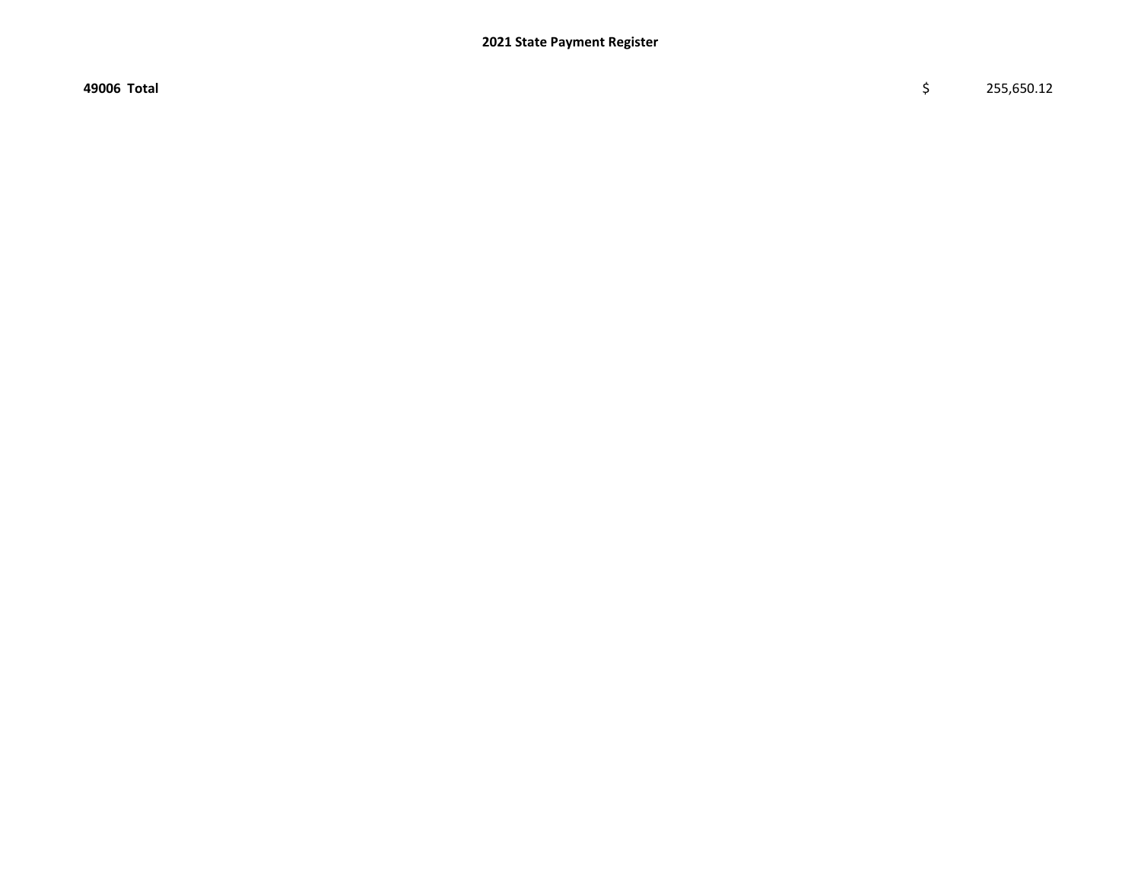49006 Total \$ 255,650.12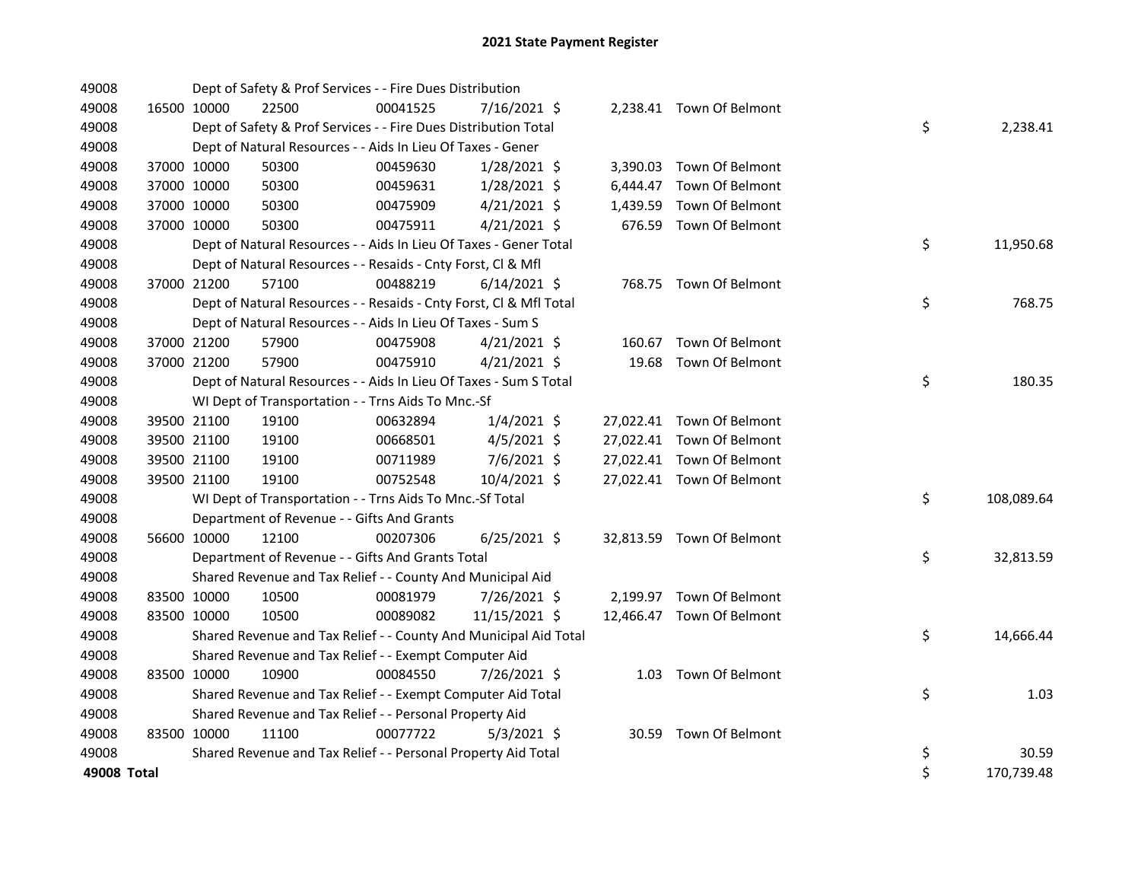| 49008       |             |             | Dept of Safety & Prof Services - - Fire Dues Distribution          |          |                |  |                           |    |            |
|-------------|-------------|-------------|--------------------------------------------------------------------|----------|----------------|--|---------------------------|----|------------|
| 49008       |             | 16500 10000 | 22500                                                              | 00041525 | 7/16/2021 \$   |  | 2,238.41 Town Of Belmont  |    |            |
| 49008       |             |             | Dept of Safety & Prof Services - - Fire Dues Distribution Total    |          |                |  |                           | \$ | 2,238.41   |
| 49008       |             |             | Dept of Natural Resources - - Aids In Lieu Of Taxes - Gener        |          |                |  |                           |    |            |
| 49008       |             | 37000 10000 | 50300                                                              | 00459630 | $1/28/2021$ \$ |  | 3,390.03 Town Of Belmont  |    |            |
| 49008       |             | 37000 10000 | 50300                                                              | 00459631 | 1/28/2021 \$   |  | 6,444.47 Town Of Belmont  |    |            |
| 49008       | 37000 10000 |             | 50300                                                              | 00475909 | $4/21/2021$ \$ |  | 1,439.59 Town Of Belmont  |    |            |
| 49008       | 37000 10000 |             | 50300                                                              | 00475911 | $4/21/2021$ \$ |  | 676.59 Town Of Belmont    |    |            |
| 49008       |             |             | Dept of Natural Resources - - Aids In Lieu Of Taxes - Gener Total  |          |                |  |                           | \$ | 11,950.68  |
| 49008       |             |             | Dept of Natural Resources - - Resaids - Cnty Forst, Cl & Mfl       |          |                |  |                           |    |            |
| 49008       |             | 37000 21200 | 57100                                                              | 00488219 | $6/14/2021$ \$ |  | 768.75 Town Of Belmont    |    |            |
| 49008       |             |             | Dept of Natural Resources - - Resaids - Cnty Forst, Cl & Mfl Total |          |                |  |                           | \$ | 768.75     |
| 49008       |             |             | Dept of Natural Resources - - Aids In Lieu Of Taxes - Sum S        |          |                |  |                           |    |            |
| 49008       |             | 37000 21200 | 57900                                                              | 00475908 | $4/21/2021$ \$ |  | 160.67 Town Of Belmont    |    |            |
| 49008       |             | 37000 21200 | 57900                                                              | 00475910 | $4/21/2021$ \$ |  | 19.68 Town Of Belmont     |    |            |
| 49008       |             |             | Dept of Natural Resources - - Aids In Lieu Of Taxes - Sum S Total  |          |                |  |                           | \$ | 180.35     |
| 49008       |             |             | WI Dept of Transportation - - Trns Aids To Mnc.-Sf                 |          |                |  |                           |    |            |
| 49008       |             | 39500 21100 | 19100                                                              | 00632894 | $1/4/2021$ \$  |  | 27,022.41 Town Of Belmont |    |            |
| 49008       |             | 39500 21100 | 19100                                                              | 00668501 | $4/5/2021$ \$  |  | 27,022.41 Town Of Belmont |    |            |
| 49008       |             | 39500 21100 | 19100                                                              | 00711989 | 7/6/2021 \$    |  | 27,022.41 Town Of Belmont |    |            |
| 49008       |             | 39500 21100 | 19100                                                              | 00752548 | 10/4/2021 \$   |  | 27,022.41 Town Of Belmont |    |            |
| 49008       |             |             | WI Dept of Transportation - - Trns Aids To Mnc.-Sf Total           |          |                |  |                           | \$ | 108,089.64 |
| 49008       |             |             | Department of Revenue - - Gifts And Grants                         |          |                |  |                           |    |            |
| 49008       |             | 56600 10000 | 12100                                                              | 00207306 | $6/25/2021$ \$ |  | 32,813.59 Town Of Belmont |    |            |
| 49008       |             |             | Department of Revenue - - Gifts And Grants Total                   |          |                |  |                           | \$ | 32,813.59  |
| 49008       |             |             | Shared Revenue and Tax Relief - - County And Municipal Aid         |          |                |  |                           |    |            |
| 49008       | 83500 10000 |             | 10500                                                              | 00081979 | 7/26/2021 \$   |  | 2,199.97 Town Of Belmont  |    |            |
| 49008       | 83500 10000 |             | 10500                                                              | 00089082 | 11/15/2021 \$  |  | 12,466.47 Town Of Belmont |    |            |
| 49008       |             |             | Shared Revenue and Tax Relief - - County And Municipal Aid Total   |          |                |  |                           | \$ | 14,666.44  |
| 49008       |             |             | Shared Revenue and Tax Relief - - Exempt Computer Aid              |          |                |  |                           |    |            |
| 49008       | 83500 10000 |             | 10900                                                              | 00084550 | 7/26/2021 \$   |  | 1.03 Town Of Belmont      |    |            |
| 49008       |             |             | Shared Revenue and Tax Relief - - Exempt Computer Aid Total        |          |                |  |                           | \$ | 1.03       |
| 49008       |             |             | Shared Revenue and Tax Relief - - Personal Property Aid            |          |                |  |                           |    |            |
| 49008       | 83500 10000 |             | 11100                                                              | 00077722 | $5/3/2021$ \$  |  | 30.59 Town Of Belmont     |    |            |
| 49008       |             |             | Shared Revenue and Tax Relief - - Personal Property Aid Total      |          |                |  |                           | \$ | 30.59      |
| 49008 Total |             |             |                                                                    |          |                |  |                           | \$ | 170,739.48 |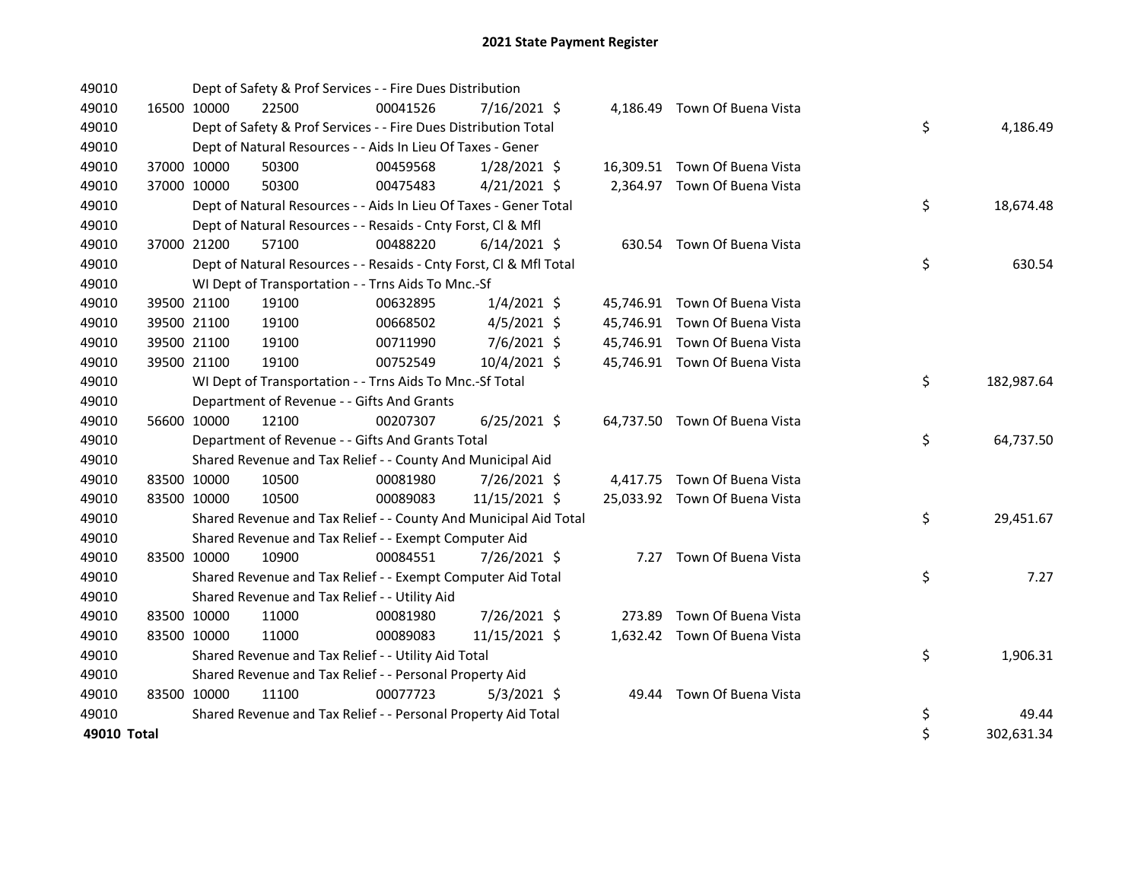| 49010       |             |             | Dept of Safety & Prof Services - - Fire Dues Distribution          |          |                |  |                               |    |            |
|-------------|-------------|-------------|--------------------------------------------------------------------|----------|----------------|--|-------------------------------|----|------------|
| 49010       |             | 16500 10000 | 22500                                                              | 00041526 | 7/16/2021 \$   |  | 4,186.49 Town Of Buena Vista  |    |            |
| 49010       |             |             | Dept of Safety & Prof Services - - Fire Dues Distribution Total    |          |                |  |                               | \$ | 4,186.49   |
| 49010       |             |             | Dept of Natural Resources - - Aids In Lieu Of Taxes - Gener        |          |                |  |                               |    |            |
| 49010       |             | 37000 10000 | 50300                                                              | 00459568 | $1/28/2021$ \$ |  | 16,309.51 Town Of Buena Vista |    |            |
| 49010       |             | 37000 10000 | 50300                                                              | 00475483 | $4/21/2021$ \$ |  | 2,364.97 Town Of Buena Vista  |    |            |
| 49010       |             |             | Dept of Natural Resources - - Aids In Lieu Of Taxes - Gener Total  |          |                |  |                               | \$ | 18,674.48  |
| 49010       |             |             | Dept of Natural Resources - - Resaids - Cnty Forst, Cl & Mfl       |          |                |  |                               |    |            |
| 49010       |             | 37000 21200 | 57100                                                              | 00488220 | $6/14/2021$ \$ |  | 630.54 Town Of Buena Vista    |    |            |
| 49010       |             |             | Dept of Natural Resources - - Resaids - Cnty Forst, Cl & Mfl Total |          |                |  |                               | \$ | 630.54     |
| 49010       |             |             | WI Dept of Transportation - - Trns Aids To Mnc.-Sf                 |          |                |  |                               |    |            |
| 49010       |             | 39500 21100 | 19100                                                              | 00632895 | $1/4/2021$ \$  |  | 45,746.91 Town Of Buena Vista |    |            |
| 49010       |             | 39500 21100 | 19100                                                              | 00668502 | $4/5/2021$ \$  |  | 45,746.91 Town Of Buena Vista |    |            |
| 49010       |             | 39500 21100 | 19100                                                              | 00711990 | 7/6/2021 \$    |  | 45,746.91 Town Of Buena Vista |    |            |
| 49010       |             | 39500 21100 | 19100                                                              | 00752549 | 10/4/2021 \$   |  | 45,746.91 Town Of Buena Vista |    |            |
| 49010       |             |             | WI Dept of Transportation - - Trns Aids To Mnc.-Sf Total           |          |                |  |                               | \$ | 182,987.64 |
| 49010       |             |             | Department of Revenue - - Gifts And Grants                         |          |                |  |                               |    |            |
| 49010       |             | 56600 10000 | 12100                                                              | 00207307 | $6/25/2021$ \$ |  | 64,737.50 Town Of Buena Vista |    |            |
| 49010       |             |             | Department of Revenue - - Gifts And Grants Total                   |          |                |  |                               | \$ | 64,737.50  |
| 49010       |             |             | Shared Revenue and Tax Relief - - County And Municipal Aid         |          |                |  |                               |    |            |
| 49010       |             | 83500 10000 | 10500                                                              | 00081980 | 7/26/2021 \$   |  | 4,417.75 Town Of Buena Vista  |    |            |
| 49010       |             | 83500 10000 | 10500                                                              | 00089083 | 11/15/2021 \$  |  | 25,033.92 Town Of Buena Vista |    |            |
| 49010       |             |             | Shared Revenue and Tax Relief - - County And Municipal Aid Total   |          |                |  |                               | \$ | 29,451.67  |
| 49010       |             |             | Shared Revenue and Tax Relief - - Exempt Computer Aid              |          |                |  |                               |    |            |
| 49010       |             | 83500 10000 | 10900                                                              | 00084551 | 7/26/2021 \$   |  | 7.27 Town Of Buena Vista      |    |            |
| 49010       |             |             | Shared Revenue and Tax Relief - - Exempt Computer Aid Total        |          |                |  |                               | \$ | 7.27       |
| 49010       |             |             | Shared Revenue and Tax Relief - - Utility Aid                      |          |                |  |                               |    |            |
| 49010       |             | 83500 10000 | 11000                                                              | 00081980 | 7/26/2021 \$   |  | 273.89 Town Of Buena Vista    |    |            |
| 49010       |             | 83500 10000 | 11000                                                              | 00089083 | 11/15/2021 \$  |  | 1,632.42 Town Of Buena Vista  |    |            |
| 49010       |             |             | Shared Revenue and Tax Relief - - Utility Aid Total                |          |                |  |                               | \$ | 1,906.31   |
| 49010       |             |             | Shared Revenue and Tax Relief - - Personal Property Aid            |          |                |  |                               |    |            |
| 49010       | 83500 10000 |             | 11100                                                              | 00077723 | $5/3/2021$ \$  |  | 49.44 Town Of Buena Vista     |    |            |
| 49010       |             |             | Shared Revenue and Tax Relief - - Personal Property Aid Total      |          |                |  |                               | \$ | 49.44      |
| 49010 Total |             |             |                                                                    |          |                |  |                               | \$ | 302,631.34 |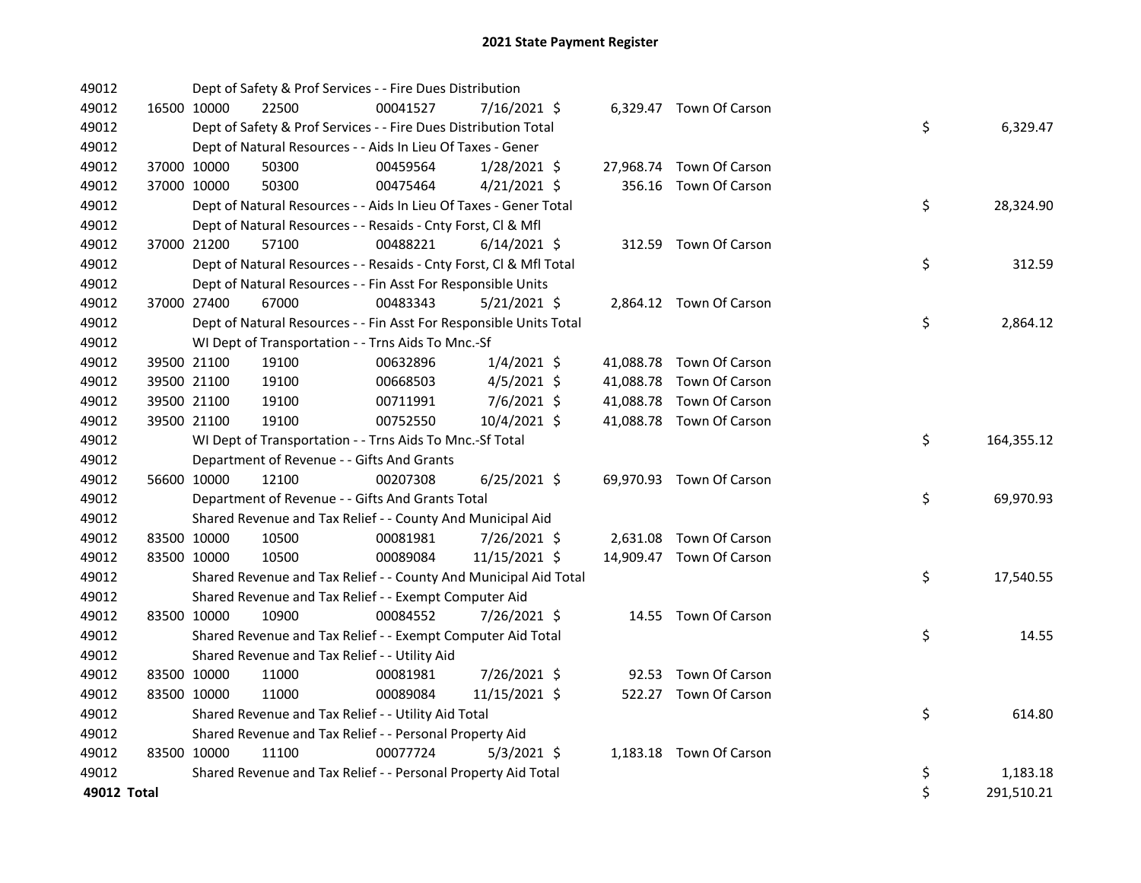| 49012       |             | Dept of Safety & Prof Services - - Fire Dues Distribution          |          |                |  |                          |    |            |
|-------------|-------------|--------------------------------------------------------------------|----------|----------------|--|--------------------------|----|------------|
| 49012       | 16500 10000 | 22500                                                              | 00041527 | 7/16/2021 \$   |  | 6,329.47 Town Of Carson  |    |            |
| 49012       |             | Dept of Safety & Prof Services - - Fire Dues Distribution Total    |          |                |  |                          | \$ | 6,329.47   |
| 49012       |             | Dept of Natural Resources - - Aids In Lieu Of Taxes - Gener        |          |                |  |                          |    |            |
| 49012       | 37000 10000 | 50300                                                              | 00459564 | 1/28/2021 \$   |  | 27,968.74 Town Of Carson |    |            |
| 49012       | 37000 10000 | 50300                                                              | 00475464 | $4/21/2021$ \$ |  | 356.16 Town Of Carson    |    |            |
| 49012       |             | Dept of Natural Resources - - Aids In Lieu Of Taxes - Gener Total  |          |                |  |                          | \$ | 28,324.90  |
| 49012       |             | Dept of Natural Resources - - Resaids - Cnty Forst, Cl & Mfl       |          |                |  |                          |    |            |
| 49012       | 37000 21200 | 57100                                                              | 00488221 | $6/14/2021$ \$ |  | 312.59 Town Of Carson    |    |            |
| 49012       |             | Dept of Natural Resources - - Resaids - Cnty Forst, CI & Mfl Total |          |                |  |                          | \$ | 312.59     |
| 49012       |             | Dept of Natural Resources - - Fin Asst For Responsible Units       |          |                |  |                          |    |            |
| 49012       | 37000 27400 | 67000                                                              | 00483343 | $5/21/2021$ \$ |  | 2,864.12 Town Of Carson  |    |            |
| 49012       |             | Dept of Natural Resources - - Fin Asst For Responsible Units Total |          |                |  |                          | \$ | 2,864.12   |
| 49012       |             | WI Dept of Transportation - - Trns Aids To Mnc.-Sf                 |          |                |  |                          |    |            |
| 49012       | 39500 21100 | 19100                                                              | 00632896 | $1/4/2021$ \$  |  | 41,088.78 Town Of Carson |    |            |
| 49012       | 39500 21100 | 19100                                                              | 00668503 | $4/5/2021$ \$  |  | 41,088.78 Town Of Carson |    |            |
| 49012       | 39500 21100 | 19100                                                              | 00711991 | 7/6/2021 \$    |  | 41,088.78 Town Of Carson |    |            |
| 49012       | 39500 21100 | 19100                                                              | 00752550 | 10/4/2021 \$   |  | 41,088.78 Town Of Carson |    |            |
| 49012       |             | WI Dept of Transportation - - Trns Aids To Mnc.-Sf Total           |          |                |  |                          | \$ | 164,355.12 |
| 49012       |             | Department of Revenue - - Gifts And Grants                         |          |                |  |                          |    |            |
| 49012       | 56600 10000 | 12100                                                              | 00207308 | $6/25/2021$ \$ |  | 69,970.93 Town Of Carson |    |            |
| 49012       |             | Department of Revenue - - Gifts And Grants Total                   |          |                |  |                          | \$ | 69,970.93  |
| 49012       |             | Shared Revenue and Tax Relief - - County And Municipal Aid         |          |                |  |                          |    |            |
| 49012       | 83500 10000 | 10500                                                              | 00081981 | 7/26/2021 \$   |  | 2,631.08 Town Of Carson  |    |            |
| 49012       | 83500 10000 | 10500                                                              | 00089084 | 11/15/2021 \$  |  | 14,909.47 Town Of Carson |    |            |
| 49012       |             | Shared Revenue and Tax Relief - - County And Municipal Aid Total   |          |                |  |                          | \$ | 17,540.55  |
| 49012       |             | Shared Revenue and Tax Relief - - Exempt Computer Aid              |          |                |  |                          |    |            |
| 49012       | 83500 10000 | 10900                                                              | 00084552 | 7/26/2021 \$   |  | 14.55 Town Of Carson     |    |            |
| 49012       |             | Shared Revenue and Tax Relief - - Exempt Computer Aid Total        |          |                |  |                          | \$ | 14.55      |
| 49012       |             | Shared Revenue and Tax Relief - - Utility Aid                      |          |                |  |                          |    |            |
| 49012       | 83500 10000 | 11000                                                              | 00081981 | 7/26/2021 \$   |  | 92.53 Town Of Carson     |    |            |
| 49012       | 83500 10000 | 11000                                                              | 00089084 | 11/15/2021 \$  |  | 522.27 Town Of Carson    |    |            |
| 49012       |             | Shared Revenue and Tax Relief - - Utility Aid Total                |          |                |  |                          | \$ | 614.80     |
| 49012       |             | Shared Revenue and Tax Relief - - Personal Property Aid            |          |                |  |                          |    |            |
| 49012       | 83500 10000 | 11100                                                              | 00077724 | $5/3/2021$ \$  |  | 1,183.18 Town Of Carson  |    |            |
| 49012       |             | Shared Revenue and Tax Relief - - Personal Property Aid Total      |          |                |  |                          | \$ | 1,183.18   |
| 49012 Total |             |                                                                    |          |                |  |                          | \$ | 291,510.21 |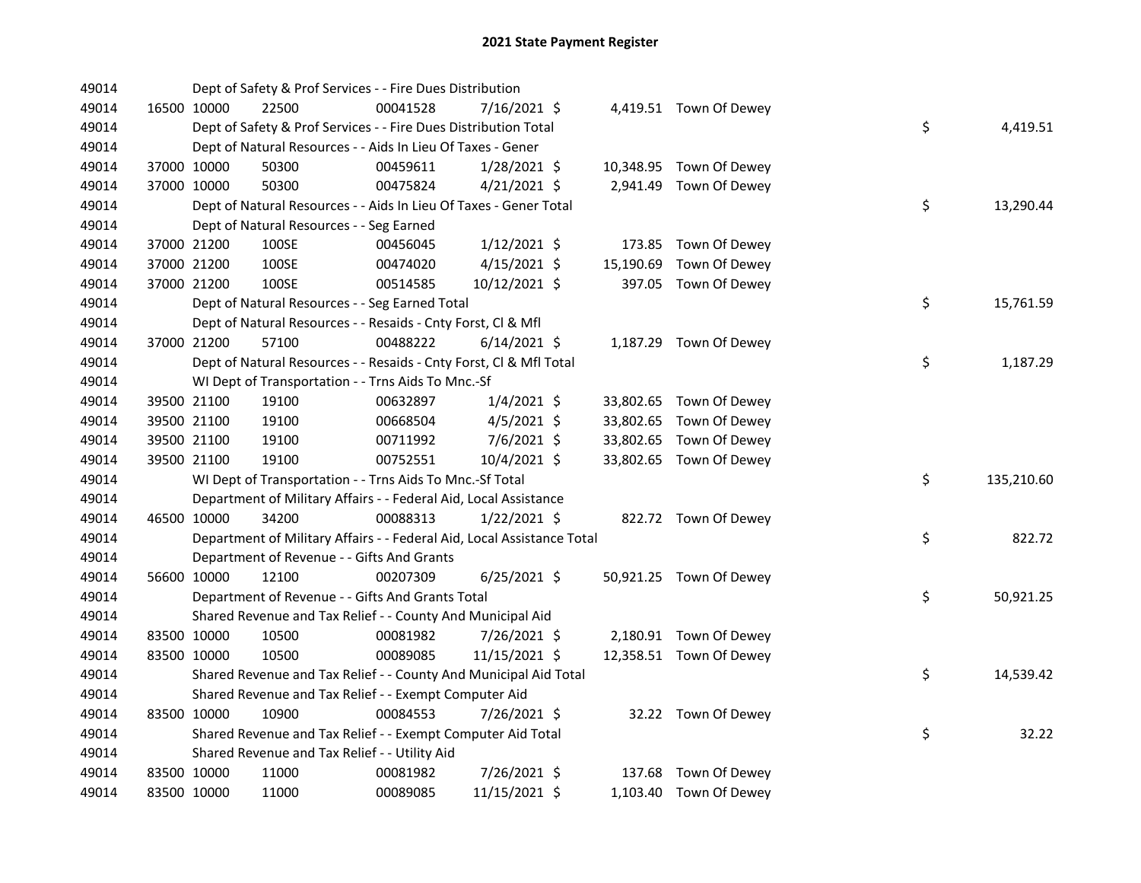| 49014 |             | Dept of Safety & Prof Services - - Fire Dues Distribution              |          |                |           |                         |    |            |
|-------|-------------|------------------------------------------------------------------------|----------|----------------|-----------|-------------------------|----|------------|
| 49014 | 16500 10000 | 22500                                                                  | 00041528 | 7/16/2021 \$   |           | 4,419.51 Town Of Dewey  |    |            |
| 49014 |             | Dept of Safety & Prof Services - - Fire Dues Distribution Total        |          |                |           |                         | \$ | 4,419.51   |
| 49014 |             | Dept of Natural Resources - - Aids In Lieu Of Taxes - Gener            |          |                |           |                         |    |            |
| 49014 | 37000 10000 | 50300                                                                  | 00459611 | $1/28/2021$ \$ |           | 10,348.95 Town Of Dewey |    |            |
| 49014 | 37000 10000 | 50300                                                                  | 00475824 | $4/21/2021$ \$ |           | 2,941.49 Town Of Dewey  |    |            |
| 49014 |             | Dept of Natural Resources - - Aids In Lieu Of Taxes - Gener Total      |          |                |           |                         | \$ | 13,290.44  |
| 49014 |             | Dept of Natural Resources - - Seg Earned                               |          |                |           |                         |    |            |
| 49014 | 37000 21200 | 100SE                                                                  | 00456045 | $1/12/2021$ \$ |           | 173.85 Town Of Dewey    |    |            |
| 49014 | 37000 21200 | 100SE                                                                  | 00474020 | $4/15/2021$ \$ | 15,190.69 | Town Of Dewey           |    |            |
| 49014 | 37000 21200 | 100SE                                                                  | 00514585 | 10/12/2021 \$  |           | 397.05 Town Of Dewey    |    |            |
| 49014 |             | Dept of Natural Resources - - Seg Earned Total                         |          |                |           |                         | \$ | 15,761.59  |
| 49014 |             | Dept of Natural Resources - - Resaids - Cnty Forst, Cl & Mfl           |          |                |           |                         |    |            |
| 49014 | 37000 21200 | 57100                                                                  | 00488222 | $6/14/2021$ \$ |           | 1,187.29 Town Of Dewey  |    |            |
| 49014 |             | Dept of Natural Resources - - Resaids - Cnty Forst, CI & Mfl Total     |          |                |           |                         | \$ | 1,187.29   |
| 49014 |             | WI Dept of Transportation - - Trns Aids To Mnc.-Sf                     |          |                |           |                         |    |            |
| 49014 | 39500 21100 | 19100                                                                  | 00632897 | $1/4/2021$ \$  |           | 33,802.65 Town Of Dewey |    |            |
| 49014 | 39500 21100 | 19100                                                                  | 00668504 | $4/5/2021$ \$  |           | 33,802.65 Town Of Dewey |    |            |
| 49014 | 39500 21100 | 19100                                                                  | 00711992 | 7/6/2021 \$    |           | 33,802.65 Town Of Dewey |    |            |
| 49014 | 39500 21100 | 19100                                                                  | 00752551 | 10/4/2021 \$   |           | 33,802.65 Town Of Dewey |    |            |
| 49014 |             | WI Dept of Transportation - - Trns Aids To Mnc.-Sf Total               |          |                |           |                         | \$ | 135,210.60 |
| 49014 |             | Department of Military Affairs - - Federal Aid, Local Assistance       |          |                |           |                         |    |            |
| 49014 | 46500 10000 | 34200                                                                  | 00088313 | 1/22/2021 \$   |           | 822.72 Town Of Dewey    |    |            |
| 49014 |             | Department of Military Affairs - - Federal Aid, Local Assistance Total |          |                |           |                         | \$ | 822.72     |
| 49014 |             | Department of Revenue - - Gifts And Grants                             |          |                |           |                         |    |            |
| 49014 | 56600 10000 | 12100                                                                  | 00207309 | $6/25/2021$ \$ |           | 50,921.25 Town Of Dewey |    |            |
| 49014 |             | Department of Revenue - - Gifts And Grants Total                       |          |                |           |                         | \$ | 50,921.25  |
| 49014 |             | Shared Revenue and Tax Relief - - County And Municipal Aid             |          |                |           |                         |    |            |
| 49014 | 83500 10000 | 10500                                                                  | 00081982 | 7/26/2021 \$   |           | 2,180.91 Town Of Dewey  |    |            |
| 49014 | 83500 10000 | 10500                                                                  | 00089085 | 11/15/2021 \$  |           | 12,358.51 Town Of Dewey |    |            |
| 49014 |             | Shared Revenue and Tax Relief - - County And Municipal Aid Total       |          |                |           |                         | \$ | 14,539.42  |
| 49014 |             | Shared Revenue and Tax Relief - - Exempt Computer Aid                  |          |                |           |                         |    |            |
| 49014 | 83500 10000 | 10900                                                                  | 00084553 | 7/26/2021 \$   |           | 32.22 Town Of Dewey     |    |            |
| 49014 |             | Shared Revenue and Tax Relief - - Exempt Computer Aid Total            |          |                |           |                         | \$ | 32.22      |
| 49014 |             | Shared Revenue and Tax Relief - - Utility Aid                          |          |                |           |                         |    |            |
| 49014 | 83500 10000 | 11000                                                                  | 00081982 | 7/26/2021 \$   |           | 137.68 Town Of Dewey    |    |            |
| 49014 | 83500 10000 | 11000                                                                  | 00089085 | 11/15/2021 \$  |           | 1,103.40 Town Of Dewey  |    |            |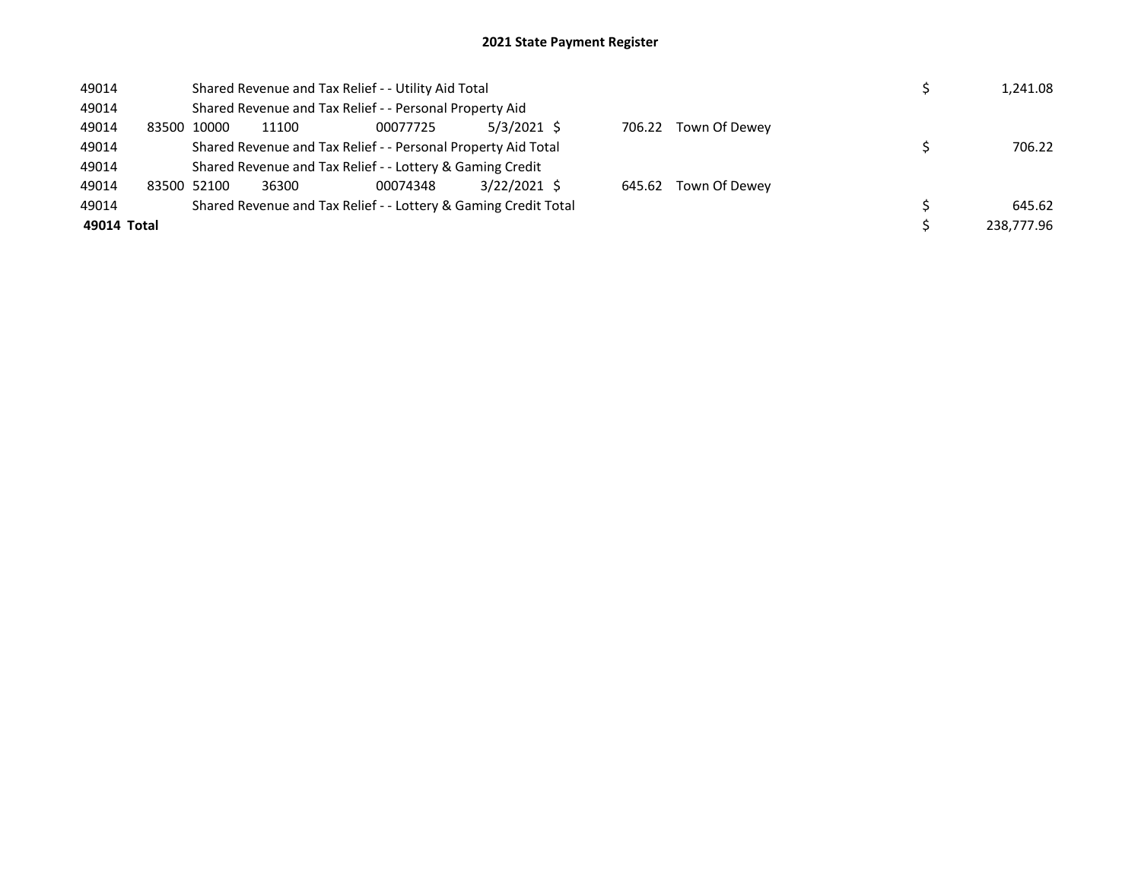| 49014       |       |       | Shared Revenue and Tax Relief - - Utility Aid Total | 1,241.08                                                        |              |        |               |            |
|-------------|-------|-------|-----------------------------------------------------|-----------------------------------------------------------------|--------------|--------|---------------|------------|
| 49014       |       |       |                                                     | Shared Revenue and Tax Relief - - Personal Property Aid         |              |        |               |            |
| 49014       | 83500 | 10000 | 11100                                               | 00077725                                                        | 5/3/2021 \$  | 706.22 | Town Of Dewey |            |
| 49014       |       |       |                                                     | Shared Revenue and Tax Relief - - Personal Property Aid Total   |              |        |               | 706.22     |
| 49014       |       |       |                                                     | Shared Revenue and Tax Relief - - Lottery & Gaming Credit       |              |        |               |            |
| 49014       | 83500 | 52100 | 36300                                               | 00074348                                                        | 3/22/2021 \$ | 645.62 | Town Of Dewev |            |
| 49014       |       |       |                                                     | Shared Revenue and Tax Relief - - Lottery & Gaming Credit Total |              |        |               | 645.62     |
| 49014 Total |       |       |                                                     |                                                                 |              |        |               | 238.777.96 |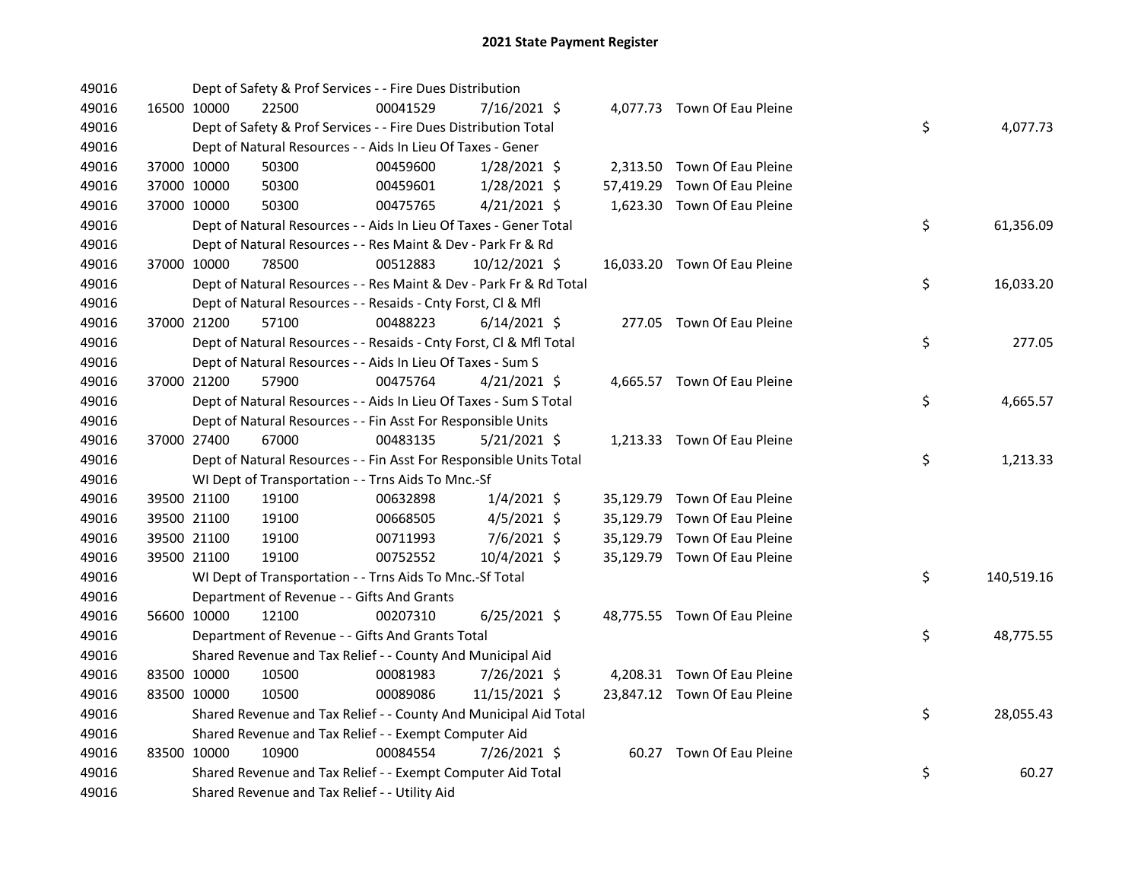| 49016 |             | Dept of Safety & Prof Services - - Fire Dues Distribution          |          |                |  |                              |    |            |
|-------|-------------|--------------------------------------------------------------------|----------|----------------|--|------------------------------|----|------------|
| 49016 | 16500 10000 | 22500                                                              | 00041529 | 7/16/2021 \$   |  | 4,077.73 Town Of Eau Pleine  |    |            |
| 49016 |             | Dept of Safety & Prof Services - - Fire Dues Distribution Total    |          |                |  |                              | \$ | 4,077.73   |
| 49016 |             | Dept of Natural Resources - - Aids In Lieu Of Taxes - Gener        |          |                |  |                              |    |            |
| 49016 | 37000 10000 | 50300                                                              | 00459600 | $1/28/2021$ \$ |  | 2,313.50 Town Of Eau Pleine  |    |            |
| 49016 | 37000 10000 | 50300                                                              | 00459601 | 1/28/2021 \$   |  | 57,419.29 Town Of Eau Pleine |    |            |
| 49016 | 37000 10000 | 50300                                                              | 00475765 | $4/21/2021$ \$ |  | 1,623.30 Town Of Eau Pleine  |    |            |
| 49016 |             | Dept of Natural Resources - - Aids In Lieu Of Taxes - Gener Total  |          |                |  |                              | \$ | 61,356.09  |
| 49016 |             | Dept of Natural Resources - - Res Maint & Dev - Park Fr & Rd       |          |                |  |                              |    |            |
| 49016 | 37000 10000 | 78500                                                              | 00512883 | 10/12/2021 \$  |  | 16,033.20 Town Of Eau Pleine |    |            |
| 49016 |             | Dept of Natural Resources - - Res Maint & Dev - Park Fr & Rd Total |          |                |  |                              | \$ | 16,033.20  |
| 49016 |             | Dept of Natural Resources - - Resaids - Cnty Forst, Cl & Mfl       |          |                |  |                              |    |            |
| 49016 | 37000 21200 | 57100                                                              | 00488223 | $6/14/2021$ \$ |  | 277.05 Town Of Eau Pleine    |    |            |
| 49016 |             | Dept of Natural Resources - - Resaids - Cnty Forst, Cl & Mfl Total |          |                |  |                              | \$ | 277.05     |
| 49016 |             | Dept of Natural Resources - - Aids In Lieu Of Taxes - Sum S        |          |                |  |                              |    |            |
| 49016 | 37000 21200 | 57900                                                              | 00475764 | $4/21/2021$ \$ |  | 4,665.57 Town Of Eau Pleine  |    |            |
| 49016 |             | Dept of Natural Resources - - Aids In Lieu Of Taxes - Sum S Total  |          |                |  |                              | \$ | 4,665.57   |
| 49016 |             | Dept of Natural Resources - - Fin Asst For Responsible Units       |          |                |  |                              |    |            |
| 49016 | 37000 27400 | 67000                                                              | 00483135 | $5/21/2021$ \$ |  | 1,213.33 Town Of Eau Pleine  |    |            |
| 49016 |             | Dept of Natural Resources - - Fin Asst For Responsible Units Total |          |                |  |                              | \$ | 1,213.33   |
| 49016 |             | WI Dept of Transportation - - Trns Aids To Mnc.-Sf                 |          |                |  |                              |    |            |
| 49016 | 39500 21100 | 19100                                                              | 00632898 | $1/4/2021$ \$  |  | 35,129.79 Town Of Eau Pleine |    |            |
| 49016 | 39500 21100 | 19100                                                              | 00668505 | $4/5/2021$ \$  |  | 35,129.79 Town Of Eau Pleine |    |            |
| 49016 | 39500 21100 | 19100                                                              | 00711993 | 7/6/2021 \$    |  | 35,129.79 Town Of Eau Pleine |    |            |
| 49016 | 39500 21100 | 19100                                                              | 00752552 | 10/4/2021 \$   |  | 35,129.79 Town Of Eau Pleine |    |            |
| 49016 |             | WI Dept of Transportation - - Trns Aids To Mnc.-Sf Total           |          |                |  |                              | \$ | 140,519.16 |
| 49016 |             | Department of Revenue - - Gifts And Grants                         |          |                |  |                              |    |            |
| 49016 | 56600 10000 | 12100                                                              | 00207310 | $6/25/2021$ \$ |  | 48,775.55 Town Of Eau Pleine |    |            |
| 49016 |             | Department of Revenue - - Gifts And Grants Total                   |          |                |  |                              | \$ | 48,775.55  |
| 49016 |             | Shared Revenue and Tax Relief - - County And Municipal Aid         |          |                |  |                              |    |            |
| 49016 | 83500 10000 | 10500                                                              | 00081983 | 7/26/2021 \$   |  | 4,208.31 Town Of Eau Pleine  |    |            |
| 49016 | 83500 10000 | 10500                                                              | 00089086 | 11/15/2021 \$  |  | 23,847.12 Town Of Eau Pleine |    |            |
| 49016 |             | Shared Revenue and Tax Relief - - County And Municipal Aid Total   |          |                |  |                              | \$ | 28,055.43  |
| 49016 |             | Shared Revenue and Tax Relief - - Exempt Computer Aid              |          |                |  |                              |    |            |
| 49016 | 83500 10000 | 10900                                                              | 00084554 | 7/26/2021 \$   |  | 60.27 Town Of Eau Pleine     |    |            |
| 49016 |             | Shared Revenue and Tax Relief - - Exempt Computer Aid Total        |          |                |  |                              | \$ | 60.27      |
| 49016 |             | Shared Revenue and Tax Relief - - Utility Aid                      |          |                |  |                              |    |            |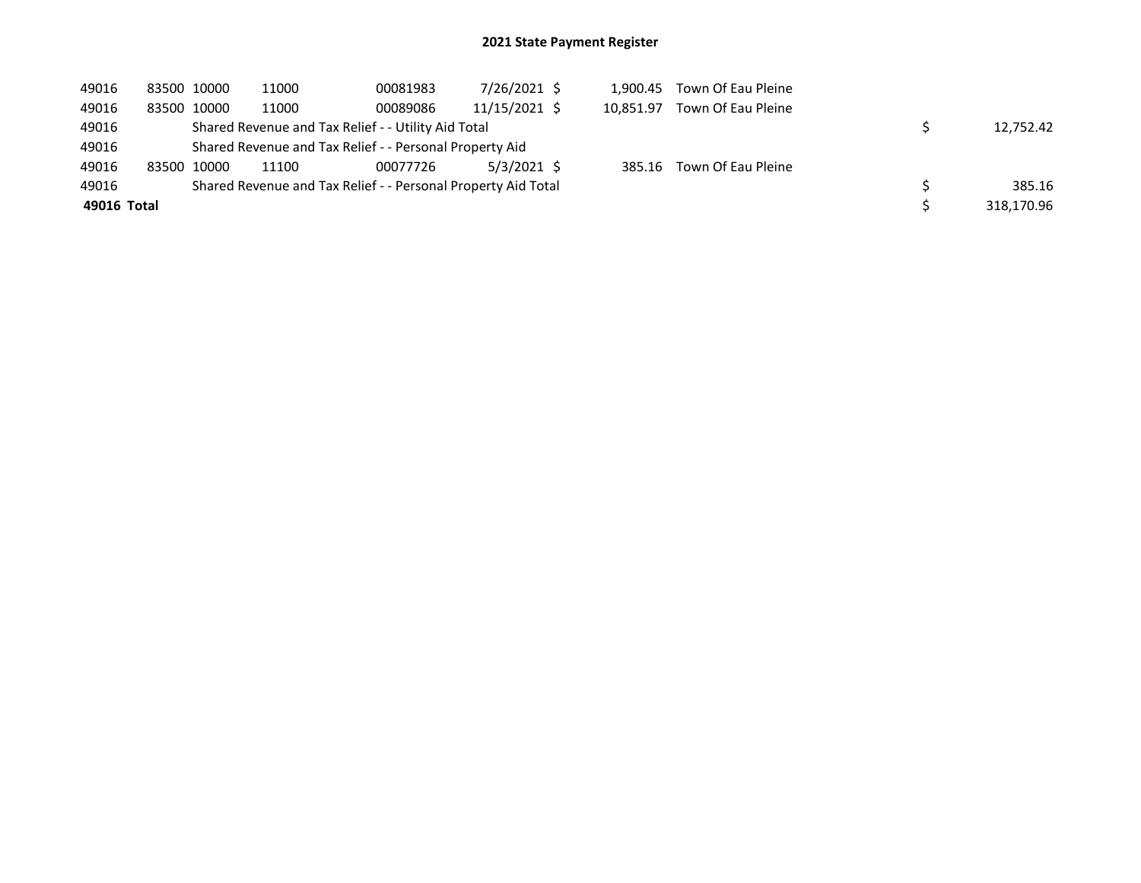| 49016       | 83500 10000 | 11000                                                         | 00081983 | 7/26/2021 \$  |           | 1,900.45 Town Of Eau Pleine |            |
|-------------|-------------|---------------------------------------------------------------|----------|---------------|-----------|-----------------------------|------------|
| 49016       | 83500 10000 | 11000                                                         | 00089086 | 11/15/2021 \$ | 10.851.97 | Town Of Eau Pleine          |            |
| 49016       |             | Shared Revenue and Tax Relief - - Utility Aid Total           |          |               |           |                             | 12.752.42  |
| 49016       |             | Shared Revenue and Tax Relief - - Personal Property Aid       |          |               |           |                             |            |
| 49016       | 83500 10000 | 11100                                                         | 00077726 | 5/3/2021 \$   |           | 385.16 Town Of Eau Pleine   |            |
| 49016       |             | Shared Revenue and Tax Relief - - Personal Property Aid Total |          |               |           |                             | 385.16     |
| 49016 Total |             |                                                               |          |               |           |                             | 318,170.96 |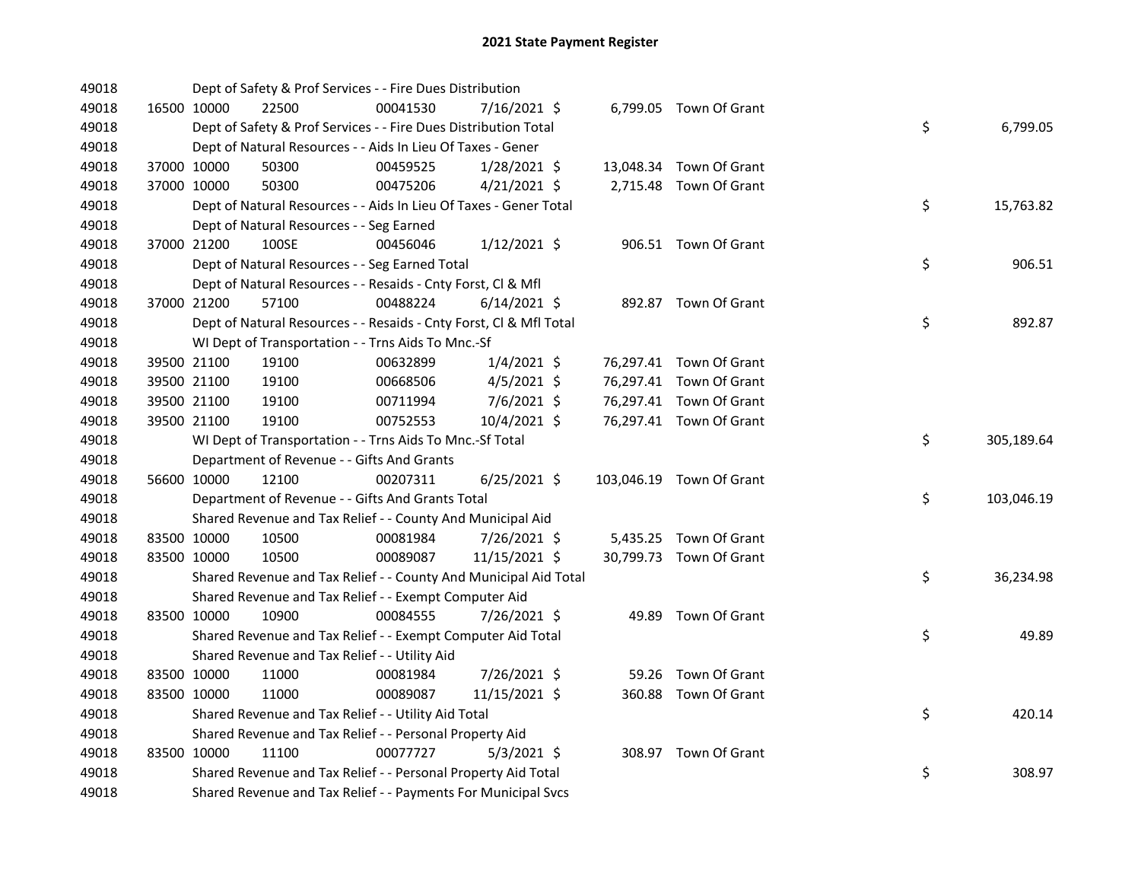| 49018 |             | Dept of Safety & Prof Services - - Fire Dues Distribution          |          |                |  |                          |    |            |
|-------|-------------|--------------------------------------------------------------------|----------|----------------|--|--------------------------|----|------------|
| 49018 | 16500 10000 | 22500                                                              | 00041530 | 7/16/2021 \$   |  | 6,799.05 Town Of Grant   |    |            |
| 49018 |             | Dept of Safety & Prof Services - - Fire Dues Distribution Total    |          |                |  |                          | \$ | 6,799.05   |
| 49018 |             | Dept of Natural Resources - - Aids In Lieu Of Taxes - Gener        |          |                |  |                          |    |            |
| 49018 | 37000 10000 | 50300                                                              | 00459525 | 1/28/2021 \$   |  | 13,048.34 Town Of Grant  |    |            |
| 49018 | 37000 10000 | 50300                                                              | 00475206 | $4/21/2021$ \$ |  | 2,715.48 Town Of Grant   |    |            |
| 49018 |             | Dept of Natural Resources - - Aids In Lieu Of Taxes - Gener Total  |          |                |  |                          | \$ | 15,763.82  |
| 49018 |             | Dept of Natural Resources - - Seg Earned                           |          |                |  |                          |    |            |
| 49018 | 37000 21200 | 100SE                                                              | 00456046 | $1/12/2021$ \$ |  | 906.51 Town Of Grant     |    |            |
| 49018 |             | Dept of Natural Resources - - Seg Earned Total                     |          |                |  |                          | \$ | 906.51     |
| 49018 |             | Dept of Natural Resources - - Resaids - Cnty Forst, Cl & Mfl       |          |                |  |                          |    |            |
| 49018 | 37000 21200 | 57100                                                              | 00488224 | $6/14/2021$ \$ |  | 892.87 Town Of Grant     |    |            |
| 49018 |             | Dept of Natural Resources - - Resaids - Cnty Forst, Cl & Mfl Total |          |                |  |                          | \$ | 892.87     |
| 49018 |             | WI Dept of Transportation - - Trns Aids To Mnc.-Sf                 |          |                |  |                          |    |            |
| 49018 | 39500 21100 | 19100                                                              | 00632899 | $1/4/2021$ \$  |  | 76,297.41 Town Of Grant  |    |            |
| 49018 | 39500 21100 | 19100                                                              | 00668506 | 4/5/2021 \$    |  | 76,297.41 Town Of Grant  |    |            |
| 49018 | 39500 21100 | 19100                                                              | 00711994 | 7/6/2021 \$    |  | 76,297.41 Town Of Grant  |    |            |
| 49018 | 39500 21100 | 19100                                                              | 00752553 | 10/4/2021 \$   |  | 76,297.41 Town Of Grant  |    |            |
| 49018 |             | WI Dept of Transportation - - Trns Aids To Mnc.-Sf Total           |          |                |  |                          | \$ | 305,189.64 |
| 49018 |             | Department of Revenue - - Gifts And Grants                         |          |                |  |                          |    |            |
| 49018 | 56600 10000 | 12100                                                              | 00207311 | $6/25/2021$ \$ |  | 103,046.19 Town Of Grant |    |            |
| 49018 |             | Department of Revenue - - Gifts And Grants Total                   |          |                |  |                          | \$ | 103,046.19 |
| 49018 |             | Shared Revenue and Tax Relief - - County And Municipal Aid         |          |                |  |                          |    |            |
| 49018 | 83500 10000 | 10500                                                              | 00081984 | 7/26/2021 \$   |  | 5,435.25 Town Of Grant   |    |            |
| 49018 | 83500 10000 | 10500                                                              | 00089087 | 11/15/2021 \$  |  | 30,799.73 Town Of Grant  |    |            |
| 49018 |             | Shared Revenue and Tax Relief - - County And Municipal Aid Total   |          |                |  |                          | \$ | 36,234.98  |
| 49018 |             | Shared Revenue and Tax Relief - - Exempt Computer Aid              |          |                |  |                          |    |            |
| 49018 | 83500 10000 | 10900                                                              | 00084555 | 7/26/2021 \$   |  | 49.89 Town Of Grant      |    |            |
| 49018 |             | Shared Revenue and Tax Relief - - Exempt Computer Aid Total        |          |                |  |                          | \$ | 49.89      |
| 49018 |             | Shared Revenue and Tax Relief - - Utility Aid                      |          |                |  |                          |    |            |
| 49018 | 83500 10000 | 11000                                                              | 00081984 | 7/26/2021 \$   |  | 59.26 Town Of Grant      |    |            |
| 49018 | 83500 10000 | 11000                                                              | 00089087 | 11/15/2021 \$  |  | 360.88 Town Of Grant     |    |            |
| 49018 |             | Shared Revenue and Tax Relief - - Utility Aid Total                |          |                |  |                          | \$ | 420.14     |
| 49018 |             | Shared Revenue and Tax Relief - - Personal Property Aid            |          |                |  |                          |    |            |
| 49018 | 83500 10000 | 11100                                                              | 00077727 | $5/3/2021$ \$  |  | 308.97 Town Of Grant     |    |            |
| 49018 |             | Shared Revenue and Tax Relief - - Personal Property Aid Total      |          |                |  |                          | \$ | 308.97     |
| 49018 |             | Shared Revenue and Tax Relief - - Payments For Municipal Svcs      |          |                |  |                          |    |            |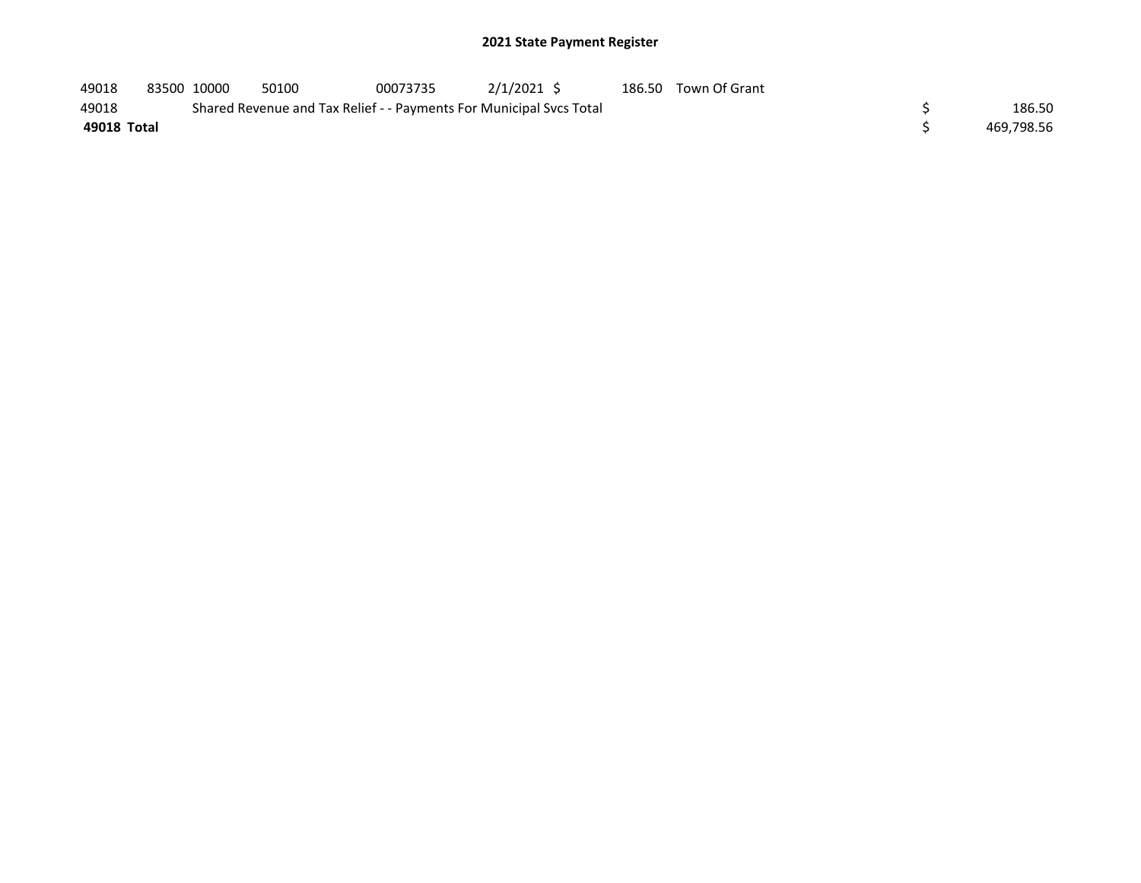| 49018       | 83500 10000 | 50100 | 00073735 | $2/1/2021$ \$                                                       | 186.50 Town Of Grant |            |
|-------------|-------------|-------|----------|---------------------------------------------------------------------|----------------------|------------|
| 49018       |             |       |          | Shared Revenue and Tax Relief - - Payments For Municipal Svcs Total |                      | 186.50     |
| 49018 Total |             |       |          |                                                                     |                      | 469,798.56 |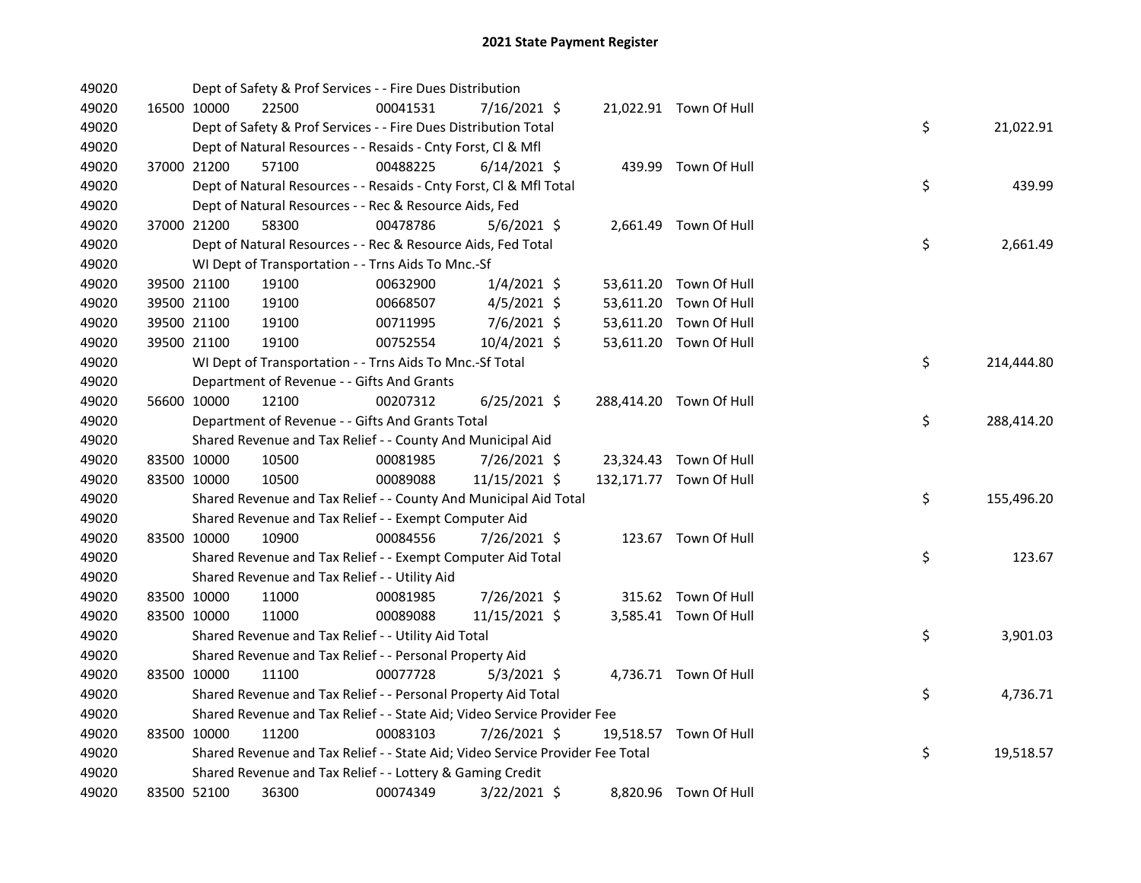| 49020 |             | Dept of Safety & Prof Services - - Fire Dues Distribution                     |          |                |  |                         |    |            |
|-------|-------------|-------------------------------------------------------------------------------|----------|----------------|--|-------------------------|----|------------|
| 49020 | 16500 10000 | 22500                                                                         | 00041531 | 7/16/2021 \$   |  | 21,022.91 Town Of Hull  |    |            |
| 49020 |             | Dept of Safety & Prof Services - - Fire Dues Distribution Total               |          |                |  |                         | \$ | 21,022.91  |
| 49020 |             | Dept of Natural Resources - - Resaids - Cnty Forst, Cl & Mfl                  |          |                |  |                         |    |            |
| 49020 | 37000 21200 | 57100                                                                         | 00488225 | $6/14/2021$ \$ |  | 439.99 Town Of Hull     |    |            |
| 49020 |             | Dept of Natural Resources - - Resaids - Cnty Forst, Cl & Mfl Total            |          |                |  |                         | \$ | 439.99     |
| 49020 |             | Dept of Natural Resources - - Rec & Resource Aids, Fed                        |          |                |  |                         |    |            |
| 49020 | 37000 21200 | 58300                                                                         | 00478786 | $5/6/2021$ \$  |  | 2,661.49 Town Of Hull   |    |            |
| 49020 |             | Dept of Natural Resources - - Rec & Resource Aids, Fed Total                  |          |                |  |                         | \$ | 2,661.49   |
| 49020 |             | WI Dept of Transportation - - Trns Aids To Mnc.-Sf                            |          |                |  |                         |    |            |
| 49020 | 39500 21100 | 19100                                                                         | 00632900 | $1/4/2021$ \$  |  | 53,611.20 Town Of Hull  |    |            |
| 49020 | 39500 21100 | 19100                                                                         | 00668507 | $4/5/2021$ \$  |  | 53,611.20 Town Of Hull  |    |            |
| 49020 | 39500 21100 | 19100                                                                         | 00711995 | $7/6/2021$ \$  |  | 53,611.20 Town Of Hull  |    |            |
| 49020 | 39500 21100 | 19100                                                                         | 00752554 | 10/4/2021 \$   |  | 53,611.20 Town Of Hull  |    |            |
| 49020 |             | WI Dept of Transportation - - Trns Aids To Mnc.-Sf Total                      |          |                |  |                         | \$ | 214,444.80 |
| 49020 |             | Department of Revenue - - Gifts And Grants                                    |          |                |  |                         |    |            |
| 49020 | 56600 10000 | 12100                                                                         | 00207312 | $6/25/2021$ \$ |  | 288,414.20 Town Of Hull |    |            |
| 49020 |             | Department of Revenue - - Gifts And Grants Total                              |          |                |  |                         | \$ | 288,414.20 |
| 49020 |             | Shared Revenue and Tax Relief - - County And Municipal Aid                    |          |                |  |                         |    |            |
| 49020 | 83500 10000 | 10500                                                                         | 00081985 | 7/26/2021 \$   |  | 23,324.43 Town Of Hull  |    |            |
| 49020 | 83500 10000 | 10500                                                                         | 00089088 | 11/15/2021 \$  |  | 132,171.77 Town Of Hull |    |            |
| 49020 |             | Shared Revenue and Tax Relief - - County And Municipal Aid Total              |          |                |  |                         | \$ | 155,496.20 |
| 49020 |             | Shared Revenue and Tax Relief - - Exempt Computer Aid                         |          |                |  |                         |    |            |
| 49020 | 83500 10000 | 10900                                                                         | 00084556 | 7/26/2021 \$   |  | 123.67 Town Of Hull     |    |            |
| 49020 |             | Shared Revenue and Tax Relief - - Exempt Computer Aid Total                   |          |                |  |                         | \$ | 123.67     |
| 49020 |             | Shared Revenue and Tax Relief - - Utility Aid                                 |          |                |  |                         |    |            |
| 49020 | 83500 10000 | 11000                                                                         | 00081985 | 7/26/2021 \$   |  | 315.62 Town Of Hull     |    |            |
| 49020 | 83500 10000 | 11000                                                                         | 00089088 | 11/15/2021 \$  |  | 3,585.41 Town Of Hull   |    |            |
| 49020 |             | Shared Revenue and Tax Relief - - Utility Aid Total                           |          |                |  |                         | \$ | 3,901.03   |
| 49020 |             | Shared Revenue and Tax Relief - - Personal Property Aid                       |          |                |  |                         |    |            |
| 49020 | 83500 10000 | 11100                                                                         | 00077728 | $5/3/2021$ \$  |  | 4,736.71 Town Of Hull   |    |            |
| 49020 |             | Shared Revenue and Tax Relief - - Personal Property Aid Total                 |          |                |  |                         | \$ | 4,736.71   |
| 49020 |             | Shared Revenue and Tax Relief - - State Aid; Video Service Provider Fee       |          |                |  |                         |    |            |
| 49020 | 83500 10000 | 11200                                                                         | 00083103 | 7/26/2021 \$   |  | 19,518.57 Town Of Hull  |    |            |
| 49020 |             | Shared Revenue and Tax Relief - - State Aid; Video Service Provider Fee Total |          |                |  |                         | \$ | 19,518.57  |
| 49020 |             | Shared Revenue and Tax Relief - - Lottery & Gaming Credit                     |          |                |  |                         |    |            |
| 49020 | 83500 52100 | 36300                                                                         | 00074349 | 3/22/2021 \$   |  | 8,820.96 Town Of Hull   |    |            |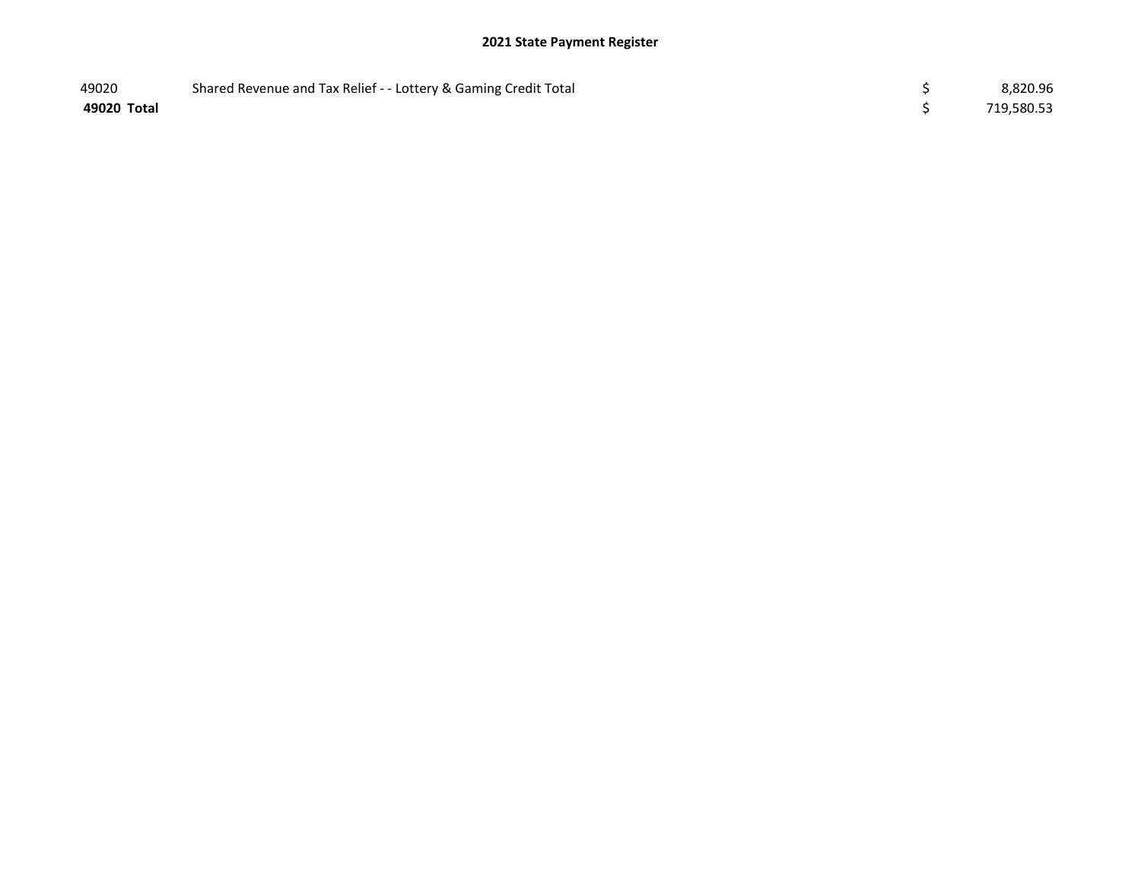| 49020       | Shared Revenue and Tax Relief - - Lottery & Gaming Credit Total | 8,820.96   |
|-------------|-----------------------------------------------------------------|------------|
| 49020 Total |                                                                 | 719,580.53 |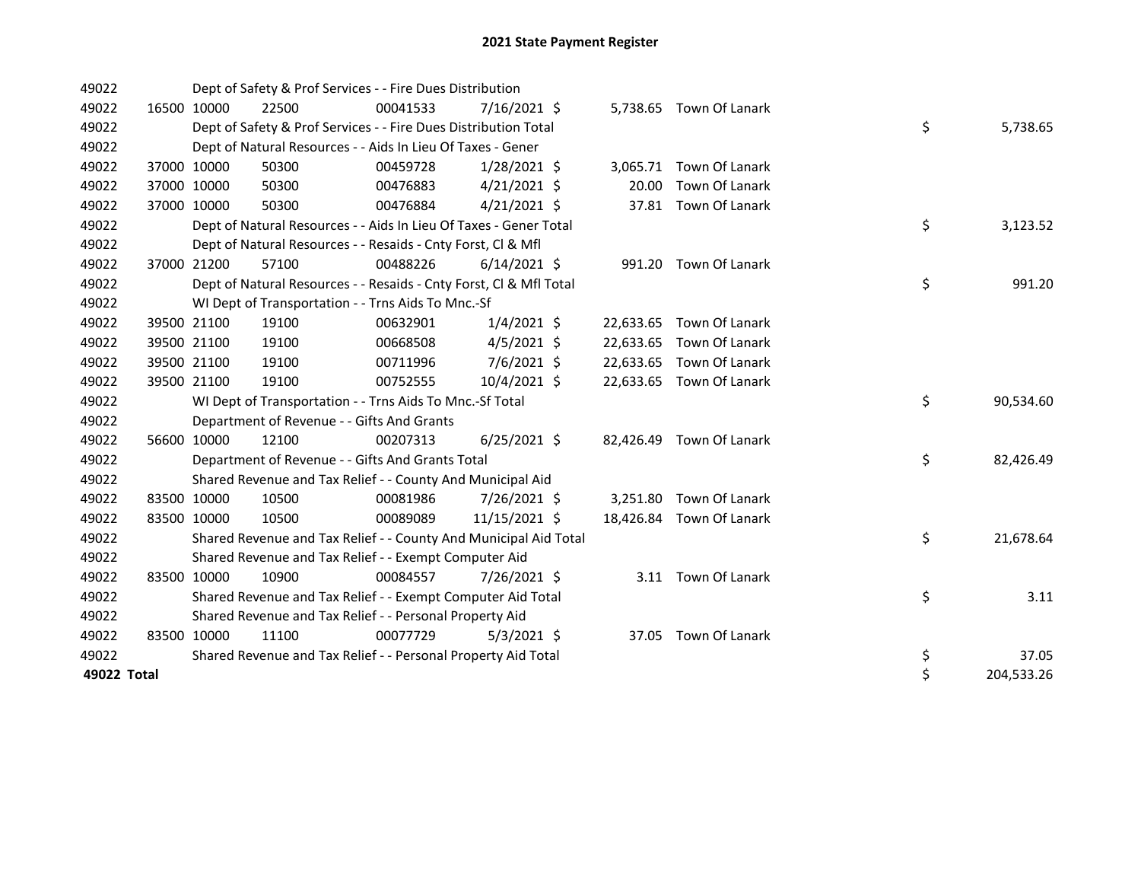| 49022       |             | Dept of Safety & Prof Services - - Fire Dues Distribution          |          |                |       |                          |    |            |
|-------------|-------------|--------------------------------------------------------------------|----------|----------------|-------|--------------------------|----|------------|
| 49022       | 16500 10000 | 22500                                                              | 00041533 | 7/16/2021 \$   |       | 5,738.65 Town Of Lanark  |    |            |
| 49022       |             | Dept of Safety & Prof Services - - Fire Dues Distribution Total    |          |                |       |                          | \$ | 5,738.65   |
| 49022       |             | Dept of Natural Resources - - Aids In Lieu Of Taxes - Gener        |          |                |       |                          |    |            |
| 49022       | 37000 10000 | 50300                                                              | 00459728 | $1/28/2021$ \$ |       | 3,065.71 Town Of Lanark  |    |            |
| 49022       | 37000 10000 | 50300                                                              | 00476883 | $4/21/2021$ \$ | 20.00 | Town Of Lanark           |    |            |
| 49022       | 37000 10000 | 50300                                                              | 00476884 | $4/21/2021$ \$ |       | 37.81 Town Of Lanark     |    |            |
| 49022       |             | Dept of Natural Resources - - Aids In Lieu Of Taxes - Gener Total  |          |                |       |                          | \$ | 3,123.52   |
| 49022       |             | Dept of Natural Resources - - Resaids - Cnty Forst, CI & Mfl       |          |                |       |                          |    |            |
| 49022       | 37000 21200 | 57100                                                              | 00488226 | $6/14/2021$ \$ |       | 991.20 Town Of Lanark    |    |            |
| 49022       |             | Dept of Natural Resources - - Resaids - Cnty Forst, Cl & Mfl Total |          |                |       |                          | \$ | 991.20     |
| 49022       |             | WI Dept of Transportation - - Trns Aids To Mnc.-Sf                 |          |                |       |                          |    |            |
| 49022       | 39500 21100 | 19100                                                              | 00632901 | $1/4/2021$ \$  |       | 22,633.65 Town Of Lanark |    |            |
| 49022       | 39500 21100 | 19100                                                              | 00668508 | $4/5/2021$ \$  |       | 22,633.65 Town Of Lanark |    |            |
| 49022       | 39500 21100 | 19100                                                              | 00711996 | 7/6/2021 \$    |       | 22,633.65 Town Of Lanark |    |            |
| 49022       | 39500 21100 | 19100                                                              | 00752555 | 10/4/2021 \$   |       | 22,633.65 Town Of Lanark |    |            |
| 49022       |             | WI Dept of Transportation - - Trns Aids To Mnc .- Sf Total         |          |                |       |                          | \$ | 90,534.60  |
| 49022       |             | Department of Revenue - - Gifts And Grants                         |          |                |       |                          |    |            |
| 49022       | 56600 10000 | 12100                                                              | 00207313 | $6/25/2021$ \$ |       | 82,426.49 Town Of Lanark |    |            |
| 49022       |             | Department of Revenue - - Gifts And Grants Total                   |          |                |       |                          | \$ | 82,426.49  |
| 49022       |             | Shared Revenue and Tax Relief - - County And Municipal Aid         |          |                |       |                          |    |            |
| 49022       | 83500 10000 | 10500                                                              | 00081986 | 7/26/2021 \$   |       | 3,251.80 Town Of Lanark  |    |            |
| 49022       | 83500 10000 | 10500                                                              | 00089089 | 11/15/2021 \$  |       | 18,426.84 Town Of Lanark |    |            |
| 49022       |             | Shared Revenue and Tax Relief - - County And Municipal Aid Total   |          |                |       |                          | \$ | 21,678.64  |
| 49022       |             | Shared Revenue and Tax Relief - - Exempt Computer Aid              |          |                |       |                          |    |            |
| 49022       | 83500 10000 | 10900                                                              | 00084557 | 7/26/2021 \$   |       | 3.11 Town Of Lanark      |    |            |
| 49022       |             | Shared Revenue and Tax Relief - - Exempt Computer Aid Total        |          |                |       |                          | \$ | 3.11       |
| 49022       |             | Shared Revenue and Tax Relief - - Personal Property Aid            |          |                |       |                          |    |            |
| 49022       | 83500 10000 | 11100                                                              | 00077729 | $5/3/2021$ \$  |       | 37.05 Town Of Lanark     |    |            |
| 49022       |             | Shared Revenue and Tax Relief - - Personal Property Aid Total      |          |                |       |                          | \$ | 37.05      |
| 49022 Total |             |                                                                    |          |                |       |                          | \$ | 204,533.26 |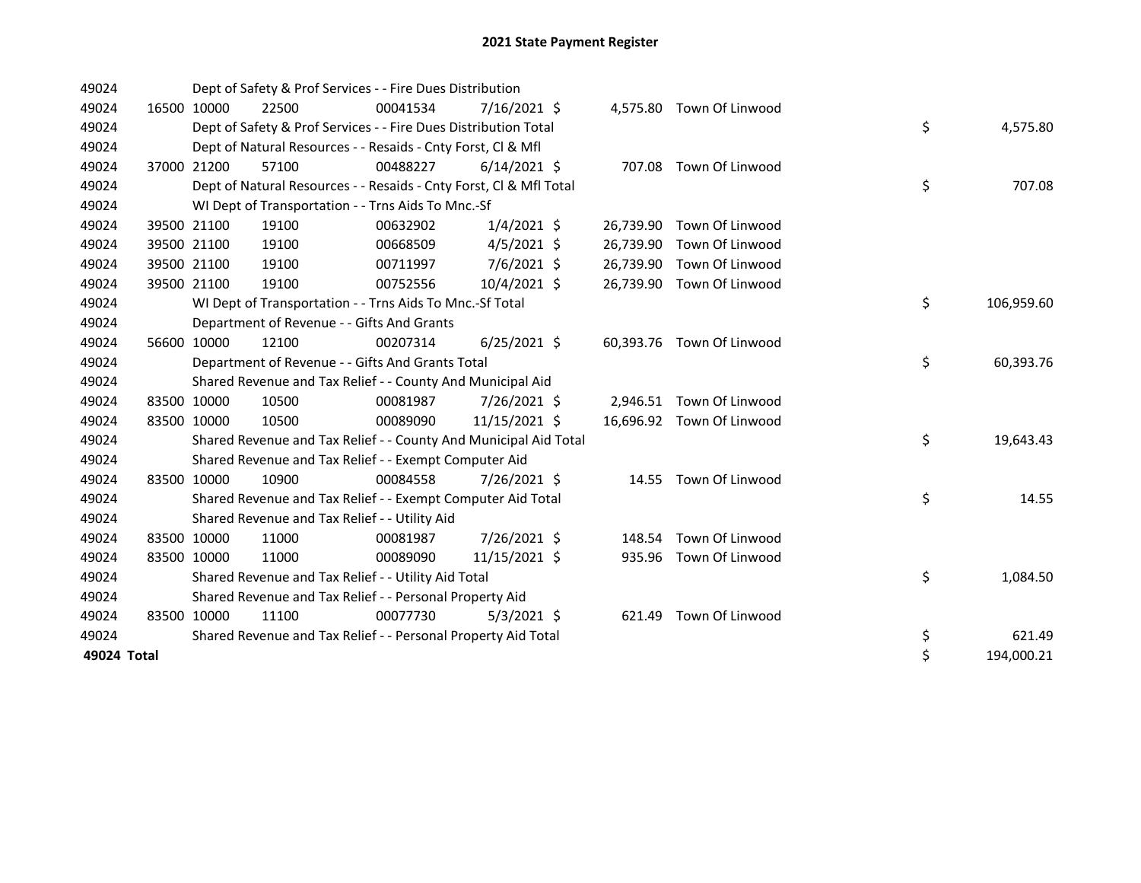| 49024       |             | Dept of Safety & Prof Services - - Fire Dues Distribution          |          |                |           |                           |    |            |
|-------------|-------------|--------------------------------------------------------------------|----------|----------------|-----------|---------------------------|----|------------|
| 49024       | 16500 10000 | 22500                                                              | 00041534 | $7/16/2021$ \$ |           | 4,575.80 Town Of Linwood  |    |            |
| 49024       |             | Dept of Safety & Prof Services - - Fire Dues Distribution Total    |          |                |           |                           | \$ | 4,575.80   |
| 49024       |             | Dept of Natural Resources - - Resaids - Cnty Forst, Cl & Mfl       |          |                |           |                           |    |            |
| 49024       | 37000 21200 | 57100                                                              | 00488227 | $6/14/2021$ \$ |           | 707.08 Town Of Linwood    |    |            |
| 49024       |             | Dept of Natural Resources - - Resaids - Cnty Forst, Cl & Mfl Total |          |                |           |                           | \$ | 707.08     |
| 49024       |             | WI Dept of Transportation - - Trns Aids To Mnc.-Sf                 |          |                |           |                           |    |            |
| 49024       | 39500 21100 | 19100                                                              | 00632902 | $1/4/2021$ \$  |           | 26,739.90 Town Of Linwood |    |            |
| 49024       | 39500 21100 | 19100                                                              | 00668509 | $4/5/2021$ \$  | 26,739.90 | Town Of Linwood           |    |            |
| 49024       | 39500 21100 | 19100                                                              | 00711997 | 7/6/2021 \$    |           | 26,739.90 Town Of Linwood |    |            |
| 49024       | 39500 21100 | 19100                                                              | 00752556 | 10/4/2021 \$   |           | 26,739.90 Town Of Linwood |    |            |
| 49024       |             | WI Dept of Transportation - - Trns Aids To Mnc.-Sf Total           |          |                |           |                           | \$ | 106,959.60 |
| 49024       |             | Department of Revenue - - Gifts And Grants                         |          |                |           |                           |    |            |
| 49024       | 56600 10000 | 12100                                                              | 00207314 | $6/25/2021$ \$ |           | 60,393.76 Town Of Linwood |    |            |
| 49024       |             | Department of Revenue - - Gifts And Grants Total                   |          |                |           |                           | \$ | 60,393.76  |
| 49024       |             | Shared Revenue and Tax Relief - - County And Municipal Aid         |          |                |           |                           |    |            |
| 49024       | 83500 10000 | 10500                                                              | 00081987 | 7/26/2021 \$   |           | 2,946.51 Town Of Linwood  |    |            |
| 49024       | 83500 10000 | 10500                                                              | 00089090 | 11/15/2021 \$  |           | 16,696.92 Town Of Linwood |    |            |
| 49024       |             | Shared Revenue and Tax Relief - - County And Municipal Aid Total   |          |                |           |                           | \$ | 19,643.43  |
| 49024       |             | Shared Revenue and Tax Relief - - Exempt Computer Aid              |          |                |           |                           |    |            |
| 49024       | 83500 10000 | 10900                                                              | 00084558 | 7/26/2021 \$   |           | 14.55 Town Of Linwood     |    |            |
| 49024       |             | Shared Revenue and Tax Relief - - Exempt Computer Aid Total        |          |                |           |                           | \$ | 14.55      |
| 49024       |             | Shared Revenue and Tax Relief - - Utility Aid                      |          |                |           |                           |    |            |
| 49024       | 83500 10000 | 11000                                                              | 00081987 | 7/26/2021 \$   | 148.54    | Town Of Linwood           |    |            |
| 49024       | 83500 10000 | 11000                                                              | 00089090 | 11/15/2021 \$  |           | 935.96 Town Of Linwood    |    |            |
| 49024       |             | Shared Revenue and Tax Relief - - Utility Aid Total                |          |                |           |                           | \$ | 1,084.50   |
| 49024       |             | Shared Revenue and Tax Relief - - Personal Property Aid            |          |                |           |                           |    |            |
| 49024       | 83500 10000 | 11100                                                              | 00077730 | $5/3/2021$ \$  |           | 621.49 Town Of Linwood    |    |            |
| 49024       |             | Shared Revenue and Tax Relief - - Personal Property Aid Total      |          |                |           |                           | \$ | 621.49     |
| 49024 Total |             |                                                                    |          |                |           |                           | \$ | 194,000.21 |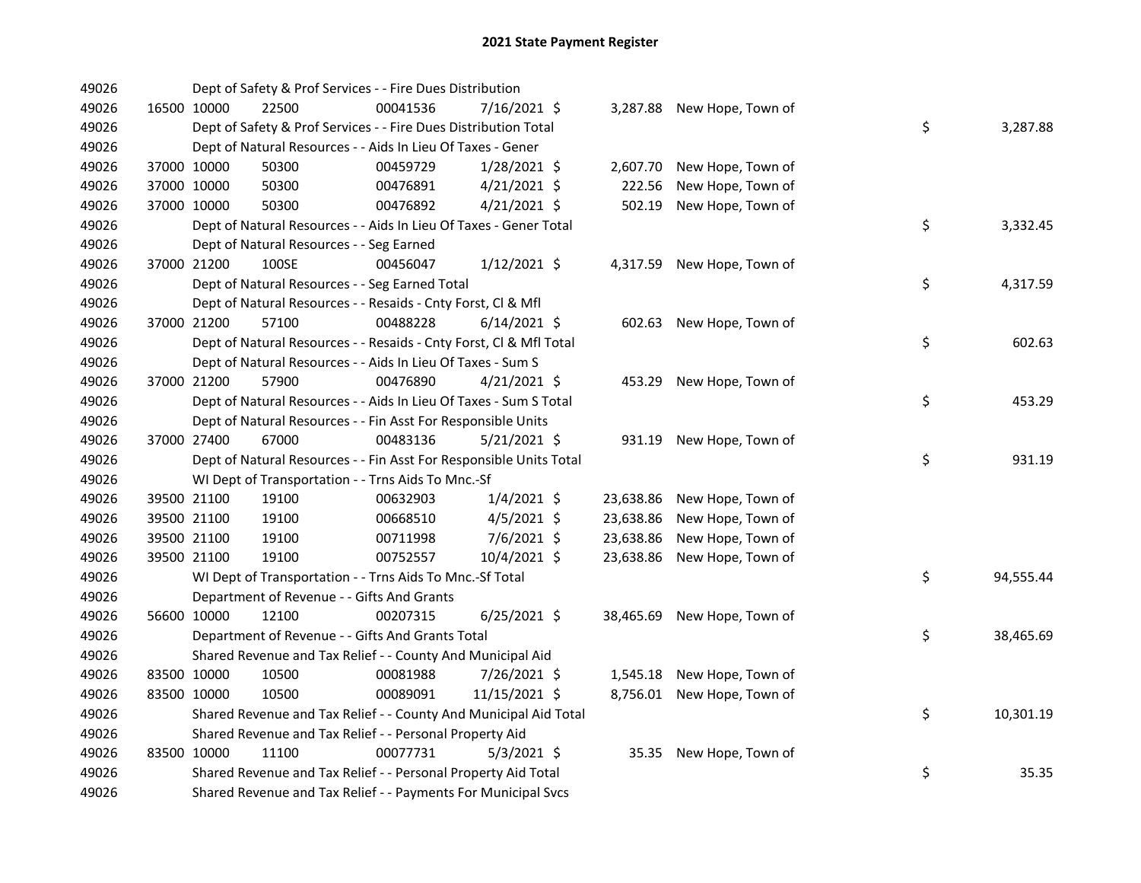| 49026 |             | Dept of Safety & Prof Services - - Fire Dues Distribution          |          |                |           |                            |    |           |
|-------|-------------|--------------------------------------------------------------------|----------|----------------|-----------|----------------------------|----|-----------|
| 49026 | 16500 10000 | 22500                                                              | 00041536 | 7/16/2021 \$   |           | 3,287.88 New Hope, Town of |    |           |
| 49026 |             | Dept of Safety & Prof Services - - Fire Dues Distribution Total    |          |                |           |                            | \$ | 3,287.88  |
| 49026 |             | Dept of Natural Resources - - Aids In Lieu Of Taxes - Gener        |          |                |           |                            |    |           |
| 49026 | 37000 10000 | 50300                                                              | 00459729 | 1/28/2021 \$   | 2,607.70  | New Hope, Town of          |    |           |
| 49026 | 37000 10000 | 50300                                                              | 00476891 | $4/21/2021$ \$ | 222.56    | New Hope, Town of          |    |           |
| 49026 | 37000 10000 | 50300                                                              | 00476892 | $4/21/2021$ \$ | 502.19    | New Hope, Town of          |    |           |
| 49026 |             | Dept of Natural Resources - - Aids In Lieu Of Taxes - Gener Total  |          |                |           |                            | \$ | 3,332.45  |
| 49026 |             | Dept of Natural Resources - - Seg Earned                           |          |                |           |                            |    |           |
| 49026 | 37000 21200 | 100SE                                                              | 00456047 | $1/12/2021$ \$ | 4,317.59  | New Hope, Town of          |    |           |
| 49026 |             | Dept of Natural Resources - - Seg Earned Total                     |          |                |           |                            | \$ | 4,317.59  |
| 49026 |             | Dept of Natural Resources - - Resaids - Cnty Forst, Cl & Mfl       |          |                |           |                            |    |           |
| 49026 | 37000 21200 | 57100                                                              | 00488228 | $6/14/2021$ \$ | 602.63    | New Hope, Town of          |    |           |
| 49026 |             | Dept of Natural Resources - - Resaids - Cnty Forst, Cl & Mfl Total |          |                |           |                            | \$ | 602.63    |
| 49026 |             | Dept of Natural Resources - - Aids In Lieu Of Taxes - Sum S        |          |                |           |                            |    |           |
| 49026 | 37000 21200 | 57900                                                              | 00476890 | $4/21/2021$ \$ |           | 453.29 New Hope, Town of   |    |           |
| 49026 |             | Dept of Natural Resources - - Aids In Lieu Of Taxes - Sum S Total  |          |                |           |                            | \$ | 453.29    |
| 49026 |             | Dept of Natural Resources - - Fin Asst For Responsible Units       |          |                |           |                            |    |           |
| 49026 | 37000 27400 | 67000                                                              | 00483136 | $5/21/2021$ \$ |           | 931.19 New Hope, Town of   |    |           |
| 49026 |             | Dept of Natural Resources - - Fin Asst For Responsible Units Total |          |                |           |                            | \$ | 931.19    |
| 49026 |             | WI Dept of Transportation - - Trns Aids To Mnc.-Sf                 |          |                |           |                            |    |           |
| 49026 | 39500 21100 | 19100                                                              | 00632903 | $1/4/2021$ \$  | 23,638.86 | New Hope, Town of          |    |           |
| 49026 | 39500 21100 | 19100                                                              | 00668510 | 4/5/2021 \$    | 23,638.86 | New Hope, Town of          |    |           |
| 49026 | 39500 21100 | 19100                                                              | 00711998 | 7/6/2021 \$    | 23,638.86 | New Hope, Town of          |    |           |
| 49026 | 39500 21100 | 19100                                                              | 00752557 | 10/4/2021 \$   | 23,638.86 | New Hope, Town of          |    |           |
| 49026 |             | WI Dept of Transportation - - Trns Aids To Mnc.-Sf Total           |          |                |           |                            | \$ | 94,555.44 |
| 49026 |             | Department of Revenue - - Gifts And Grants                         |          |                |           |                            |    |           |
| 49026 | 56600 10000 | 12100                                                              | 00207315 | $6/25/2021$ \$ | 38,465.69 | New Hope, Town of          |    |           |
| 49026 |             | Department of Revenue - - Gifts And Grants Total                   |          |                |           |                            | \$ | 38,465.69 |
| 49026 |             | Shared Revenue and Tax Relief - - County And Municipal Aid         |          |                |           |                            |    |           |
| 49026 | 83500 10000 | 10500                                                              | 00081988 | 7/26/2021 \$   |           | 1,545.18 New Hope, Town of |    |           |
| 49026 | 83500 10000 | 10500                                                              | 00089091 | 11/15/2021 \$  | 8,756.01  | New Hope, Town of          |    |           |
| 49026 |             | Shared Revenue and Tax Relief - - County And Municipal Aid Total   |          |                |           |                            | \$ | 10,301.19 |
| 49026 |             | Shared Revenue and Tax Relief - - Personal Property Aid            |          |                |           |                            |    |           |
| 49026 | 83500 10000 | 11100                                                              | 00077731 | $5/3/2021$ \$  | 35.35     | New Hope, Town of          |    |           |
| 49026 |             | Shared Revenue and Tax Relief - - Personal Property Aid Total      |          |                |           |                            | \$ | 35.35     |
| 49026 |             | Shared Revenue and Tax Relief - - Payments For Municipal Svcs      |          |                |           |                            |    |           |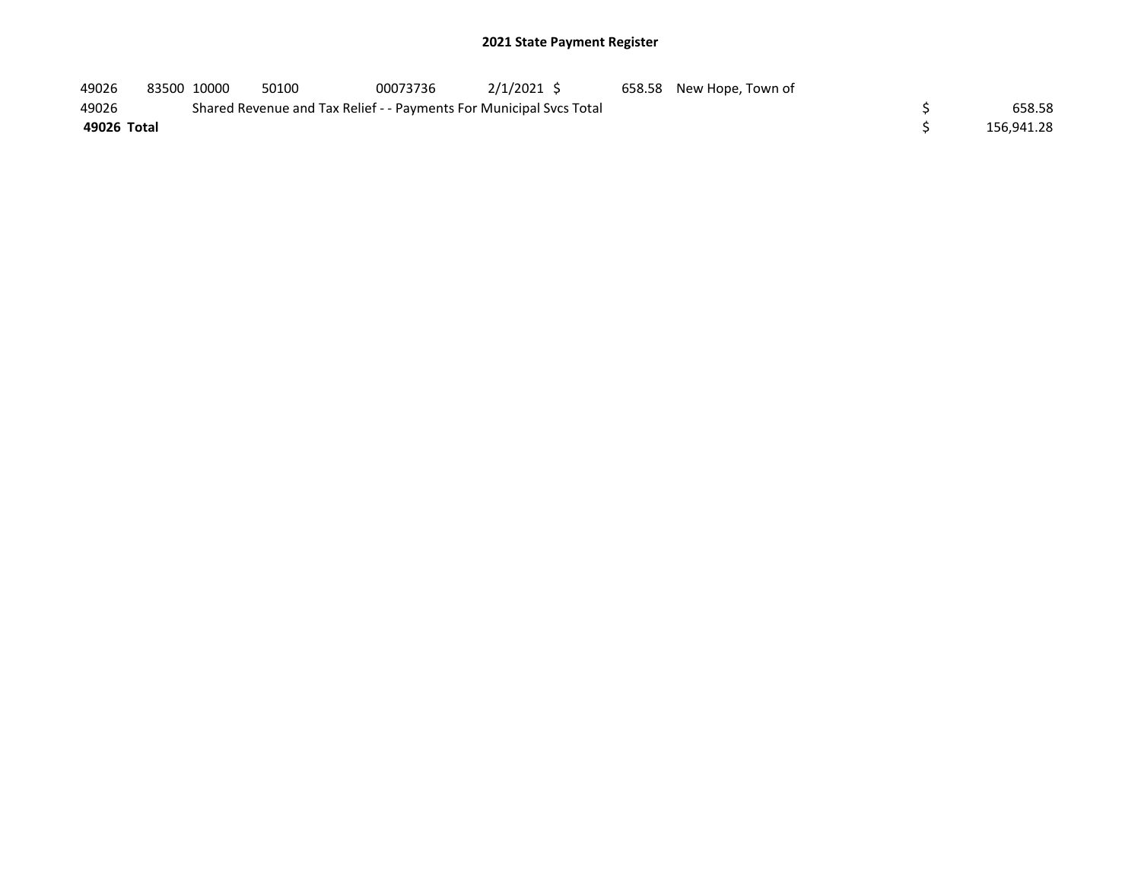| 49026       | 83500 10000 | 50100 | 00073736 | $2/1/2021$ \$                                                       | 658.58 New Hope, Town of |            |
|-------------|-------------|-------|----------|---------------------------------------------------------------------|--------------------------|------------|
| 49026       |             |       |          | Shared Revenue and Tax Relief - - Payments For Municipal Svcs Total |                          | 658.58     |
| 49026 Total |             |       |          |                                                                     |                          | 156.941.28 |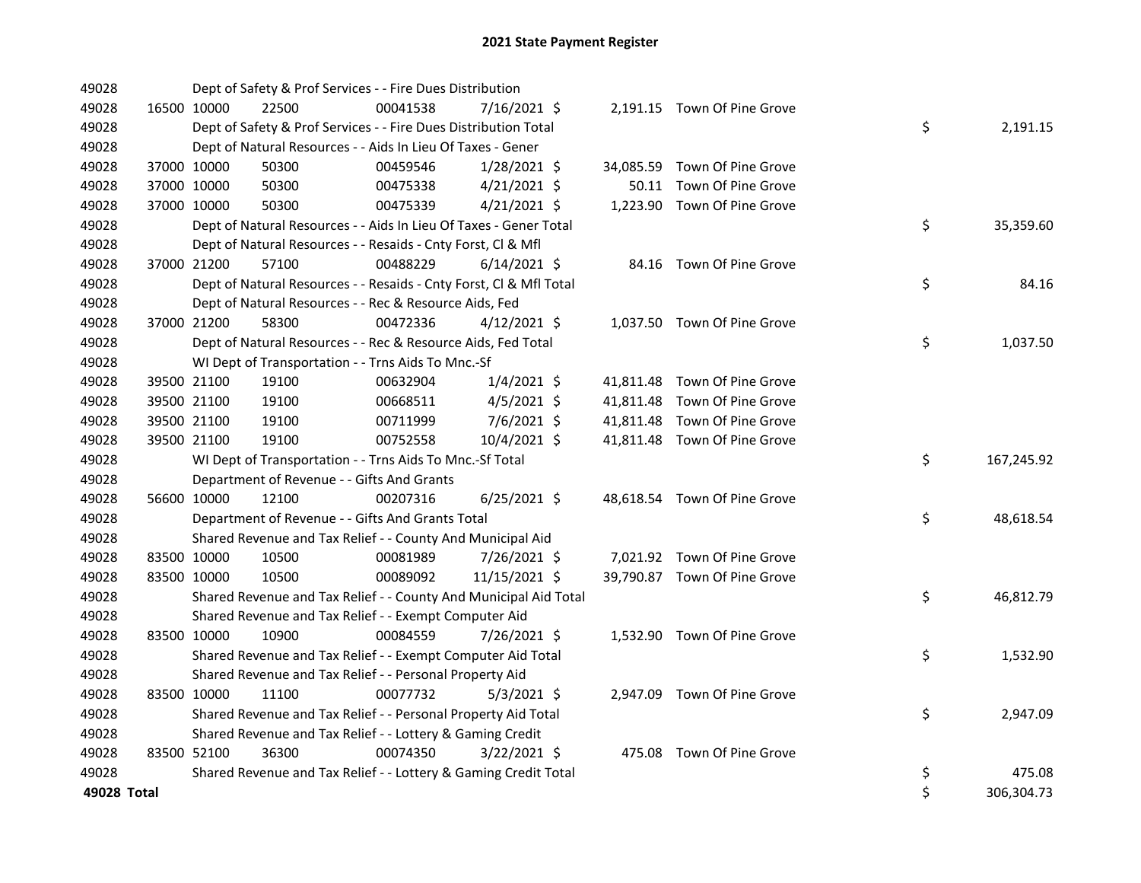| 49028       |             | Dept of Safety & Prof Services - - Fire Dues Distribution          |          |                |           |                              |    |            |
|-------------|-------------|--------------------------------------------------------------------|----------|----------------|-----------|------------------------------|----|------------|
| 49028       | 16500 10000 | 22500                                                              | 00041538 | 7/16/2021 \$   |           | 2,191.15 Town Of Pine Grove  |    |            |
| 49028       |             | Dept of Safety & Prof Services - - Fire Dues Distribution Total    |          |                |           |                              | \$ | 2,191.15   |
| 49028       |             | Dept of Natural Resources - - Aids In Lieu Of Taxes - Gener        |          |                |           |                              |    |            |
| 49028       | 37000 10000 | 50300                                                              | 00459546 | 1/28/2021 \$   | 34,085.59 | Town Of Pine Grove           |    |            |
| 49028       | 37000 10000 | 50300                                                              | 00475338 | $4/21/2021$ \$ | 50.11     | Town Of Pine Grove           |    |            |
| 49028       | 37000 10000 | 50300                                                              | 00475339 | $4/21/2021$ \$ |           | 1,223.90 Town Of Pine Grove  |    |            |
| 49028       |             | Dept of Natural Resources - - Aids In Lieu Of Taxes - Gener Total  |          |                |           |                              | \$ | 35,359.60  |
| 49028       |             | Dept of Natural Resources - - Resaids - Cnty Forst, Cl & Mfl       |          |                |           |                              |    |            |
| 49028       | 37000 21200 | 57100                                                              | 00488229 | $6/14/2021$ \$ |           | 84.16 Town Of Pine Grove     |    |            |
| 49028       |             | Dept of Natural Resources - - Resaids - Cnty Forst, Cl & Mfl Total |          |                |           |                              | \$ | 84.16      |
| 49028       |             | Dept of Natural Resources - - Rec & Resource Aids, Fed             |          |                |           |                              |    |            |
| 49028       | 37000 21200 | 58300                                                              | 00472336 | $4/12/2021$ \$ |           | 1,037.50 Town Of Pine Grove  |    |            |
| 49028       |             | Dept of Natural Resources - - Rec & Resource Aids, Fed Total       |          |                |           |                              | \$ | 1,037.50   |
| 49028       |             | WI Dept of Transportation - - Trns Aids To Mnc.-Sf                 |          |                |           |                              |    |            |
| 49028       | 39500 21100 | 19100                                                              | 00632904 | $1/4/2021$ \$  |           | 41,811.48 Town Of Pine Grove |    |            |
| 49028       | 39500 21100 | 19100                                                              | 00668511 | $4/5/2021$ \$  |           | 41,811.48 Town Of Pine Grove |    |            |
| 49028       | 39500 21100 | 19100                                                              | 00711999 | 7/6/2021 \$    |           | 41,811.48 Town Of Pine Grove |    |            |
| 49028       | 39500 21100 | 19100                                                              | 00752558 | 10/4/2021 \$   |           | 41,811.48 Town Of Pine Grove |    |            |
| 49028       |             | WI Dept of Transportation - - Trns Aids To Mnc.-Sf Total           |          |                |           |                              | \$ | 167,245.92 |
| 49028       |             | Department of Revenue - - Gifts And Grants                         |          |                |           |                              |    |            |
| 49028       | 56600 10000 | 12100                                                              | 00207316 | $6/25/2021$ \$ |           | 48,618.54 Town Of Pine Grove |    |            |
| 49028       |             | Department of Revenue - - Gifts And Grants Total                   |          |                |           |                              | \$ | 48,618.54  |
| 49028       |             | Shared Revenue and Tax Relief - - County And Municipal Aid         |          |                |           |                              |    |            |
| 49028       | 83500 10000 | 10500                                                              | 00081989 | 7/26/2021 \$   |           | 7,021.92 Town Of Pine Grove  |    |            |
| 49028       | 83500 10000 | 10500                                                              | 00089092 | 11/15/2021 \$  |           | 39,790.87 Town Of Pine Grove |    |            |
| 49028       |             | Shared Revenue and Tax Relief - - County And Municipal Aid Total   |          |                |           |                              | \$ | 46,812.79  |
| 49028       |             | Shared Revenue and Tax Relief - - Exempt Computer Aid              |          |                |           |                              |    |            |
| 49028       | 83500 10000 | 10900                                                              | 00084559 | 7/26/2021 \$   |           | 1,532.90 Town Of Pine Grove  |    |            |
| 49028       |             | Shared Revenue and Tax Relief - - Exempt Computer Aid Total        |          |                |           |                              | \$ | 1,532.90   |
| 49028       |             | Shared Revenue and Tax Relief - - Personal Property Aid            |          |                |           |                              |    |            |
| 49028       | 83500 10000 | 11100                                                              | 00077732 | $5/3/2021$ \$  |           | 2,947.09 Town Of Pine Grove  |    |            |
| 49028       |             | Shared Revenue and Tax Relief - - Personal Property Aid Total      |          |                |           |                              | \$ | 2,947.09   |
| 49028       |             | Shared Revenue and Tax Relief - - Lottery & Gaming Credit          |          |                |           |                              |    |            |
| 49028       | 83500 52100 | 36300                                                              | 00074350 | $3/22/2021$ \$ |           | 475.08 Town Of Pine Grove    |    |            |
| 49028       |             | Shared Revenue and Tax Relief - - Lottery & Gaming Credit Total    |          |                |           |                              | \$ | 475.08     |
| 49028 Total |             |                                                                    |          |                |           |                              | \$ | 306,304.73 |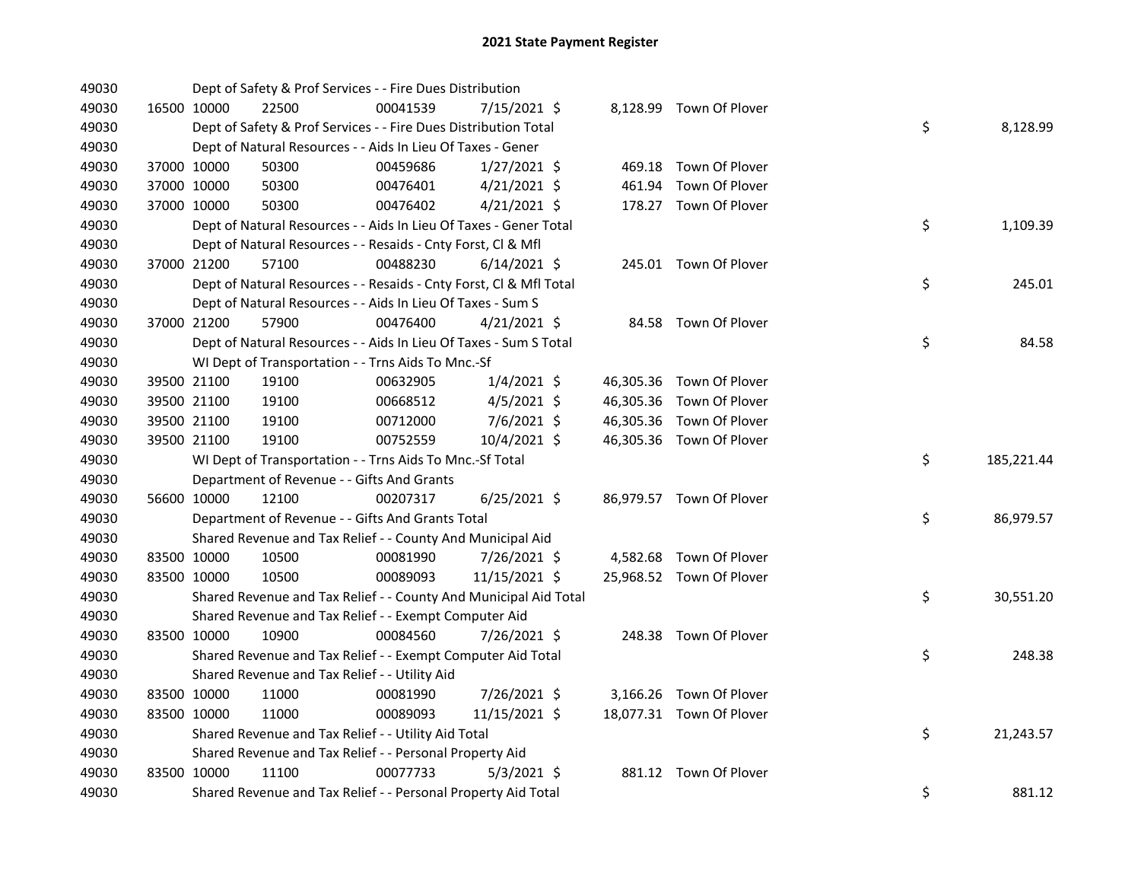| 49030 |             |             | Dept of Safety & Prof Services - - Fire Dues Distribution          |          |                |        |                          |    |            |
|-------|-------------|-------------|--------------------------------------------------------------------|----------|----------------|--------|--------------------------|----|------------|
| 49030 |             | 16500 10000 | 22500                                                              | 00041539 | 7/15/2021 \$   |        | 8,128.99 Town Of Plover  |    |            |
| 49030 |             |             | Dept of Safety & Prof Services - - Fire Dues Distribution Total    |          |                |        |                          | \$ | 8,128.99   |
| 49030 |             |             | Dept of Natural Resources - - Aids In Lieu Of Taxes - Gener        |          |                |        |                          |    |            |
| 49030 |             | 37000 10000 | 50300                                                              | 00459686 | $1/27/2021$ \$ |        | 469.18 Town Of Plover    |    |            |
| 49030 |             | 37000 10000 | 50300                                                              | 00476401 | $4/21/2021$ \$ | 461.94 | Town Of Plover           |    |            |
| 49030 |             | 37000 10000 | 50300                                                              | 00476402 | $4/21/2021$ \$ |        | 178.27 Town Of Plover    |    |            |
| 49030 |             |             | Dept of Natural Resources - - Aids In Lieu Of Taxes - Gener Total  |          |                |        |                          | \$ | 1,109.39   |
| 49030 |             |             | Dept of Natural Resources - - Resaids - Cnty Forst, Cl & Mfl       |          |                |        |                          |    |            |
| 49030 |             | 37000 21200 | 57100                                                              | 00488230 | $6/14/2021$ \$ |        | 245.01 Town Of Plover    |    |            |
| 49030 |             |             | Dept of Natural Resources - - Resaids - Cnty Forst, Cl & Mfl Total |          |                |        |                          | \$ | 245.01     |
| 49030 |             |             | Dept of Natural Resources - - Aids In Lieu Of Taxes - Sum S        |          |                |        |                          |    |            |
| 49030 |             | 37000 21200 | 57900                                                              | 00476400 | $4/21/2021$ \$ |        | 84.58 Town Of Plover     |    |            |
| 49030 |             |             | Dept of Natural Resources - - Aids In Lieu Of Taxes - Sum S Total  |          |                |        |                          | \$ | 84.58      |
| 49030 |             |             | WI Dept of Transportation - - Trns Aids To Mnc.-Sf                 |          |                |        |                          |    |            |
| 49030 |             | 39500 21100 | 19100                                                              | 00632905 | $1/4/2021$ \$  |        | 46,305.36 Town Of Plover |    |            |
| 49030 |             | 39500 21100 | 19100                                                              | 00668512 | $4/5/2021$ \$  |        | 46,305.36 Town Of Plover |    |            |
| 49030 |             | 39500 21100 | 19100                                                              | 00712000 | 7/6/2021 \$    |        | 46,305.36 Town Of Plover |    |            |
| 49030 |             | 39500 21100 | 19100                                                              | 00752559 | 10/4/2021 \$   |        | 46,305.36 Town Of Plover |    |            |
| 49030 |             |             | WI Dept of Transportation - - Trns Aids To Mnc.-Sf Total           |          |                |        |                          | \$ | 185,221.44 |
| 49030 |             |             | Department of Revenue - - Gifts And Grants                         |          |                |        |                          |    |            |
| 49030 |             | 56600 10000 | 12100                                                              | 00207317 | $6/25/2021$ \$ |        | 86,979.57 Town Of Plover |    |            |
| 49030 |             |             | Department of Revenue - - Gifts And Grants Total                   |          |                |        |                          | \$ | 86,979.57  |
| 49030 |             |             | Shared Revenue and Tax Relief - - County And Municipal Aid         |          |                |        |                          |    |            |
| 49030 |             | 83500 10000 | 10500                                                              | 00081990 | 7/26/2021 \$   |        | 4,582.68 Town Of Plover  |    |            |
| 49030 | 83500 10000 |             | 10500                                                              | 00089093 | 11/15/2021 \$  |        | 25,968.52 Town Of Plover |    |            |
| 49030 |             |             | Shared Revenue and Tax Relief - - County And Municipal Aid Total   |          |                |        |                          | \$ | 30,551.20  |
| 49030 |             |             | Shared Revenue and Tax Relief - - Exempt Computer Aid              |          |                |        |                          |    |            |
| 49030 |             | 83500 10000 | 10900                                                              | 00084560 | 7/26/2021 \$   |        | 248.38 Town Of Plover    |    |            |
| 49030 |             |             | Shared Revenue and Tax Relief - - Exempt Computer Aid Total        |          |                |        |                          | \$ | 248.38     |
| 49030 |             |             | Shared Revenue and Tax Relief - - Utility Aid                      |          |                |        |                          |    |            |
| 49030 |             | 83500 10000 | 11000                                                              | 00081990 | 7/26/2021 \$   |        | 3,166.26 Town Of Plover  |    |            |
| 49030 | 83500 10000 |             | 11000                                                              | 00089093 | 11/15/2021 \$  |        | 18,077.31 Town Of Plover |    |            |
| 49030 |             |             | Shared Revenue and Tax Relief - - Utility Aid Total                |          |                |        |                          | \$ | 21,243.57  |
| 49030 |             |             | Shared Revenue and Tax Relief - - Personal Property Aid            |          |                |        |                          |    |            |
| 49030 | 83500 10000 |             | 11100                                                              | 00077733 | $5/3/2021$ \$  |        | 881.12 Town Of Plover    |    |            |
| 49030 |             |             | Shared Revenue and Tax Relief - - Personal Property Aid Total      |          |                |        |                          | \$ | 881.12     |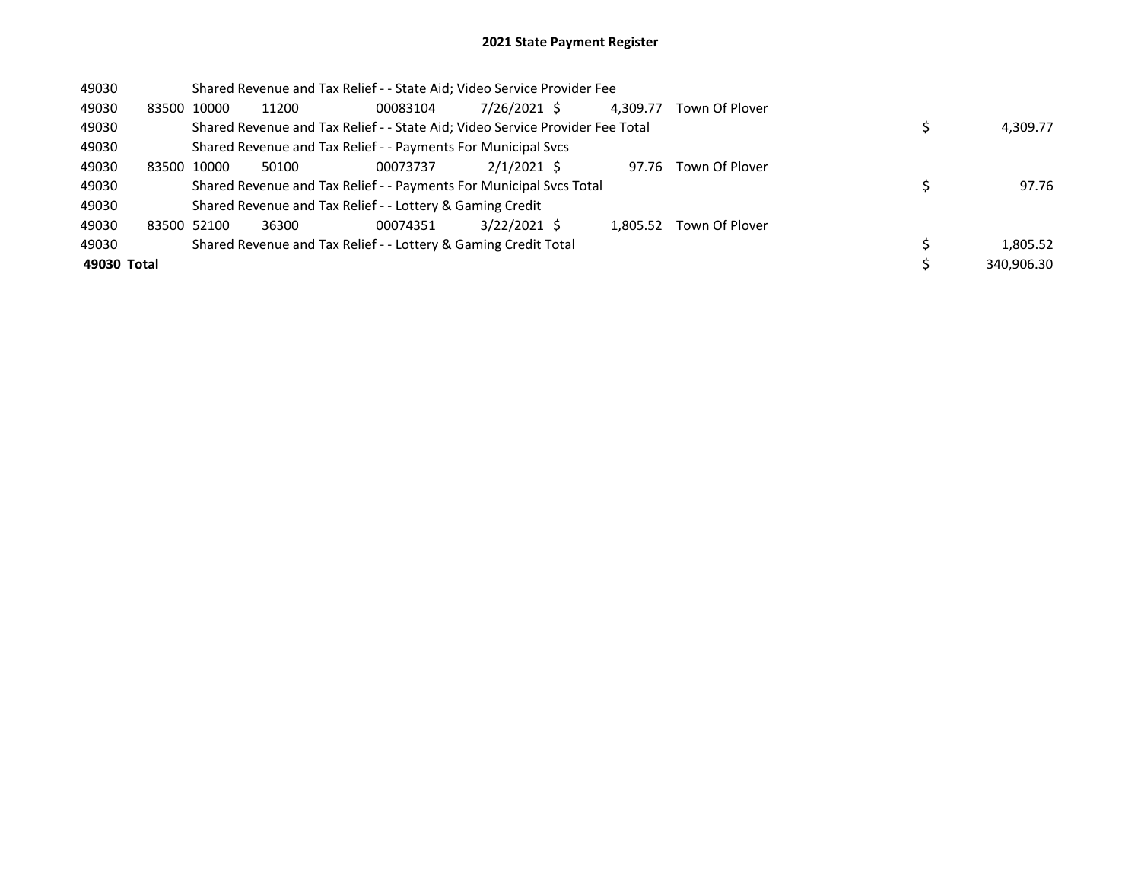| 49030       | Shared Revenue and Tax Relief - - State Aid; Video Service Provider Fee |             |                                                                               |          |               |  |          |                |  |            |
|-------------|-------------------------------------------------------------------------|-------------|-------------------------------------------------------------------------------|----------|---------------|--|----------|----------------|--|------------|
| 49030       | 83500 10000                                                             |             | 11200                                                                         | 00083104 | 7/26/2021 \$  |  | 4.309.77 | Town Of Plover |  |            |
| 49030       |                                                                         |             | Shared Revenue and Tax Relief - - State Aid; Video Service Provider Fee Total |          |               |  |          |                |  | 4,309.77   |
| 49030       |                                                                         |             | Shared Revenue and Tax Relief - - Payments For Municipal Svcs                 |          |               |  |          |                |  |            |
| 49030       | 83500 10000                                                             |             | 50100                                                                         | 00073737 | $2/1/2021$ \$ |  | 97.76    | Town Of Plover |  |            |
| 49030       |                                                                         |             | Shared Revenue and Tax Relief - - Payments For Municipal Svcs Total           |          |               |  |          |                |  | 97.76      |
| 49030       |                                                                         |             | Shared Revenue and Tax Relief - - Lottery & Gaming Credit                     |          |               |  |          |                |  |            |
| 49030       |                                                                         | 83500 52100 | 36300                                                                         | 00074351 | 3/22/2021 \$  |  | 1.805.52 | Town Of Plover |  |            |
| 49030       |                                                                         |             | Shared Revenue and Tax Relief - - Lottery & Gaming Credit Total               |          |               |  |          |                |  | 1.805.52   |
| 49030 Total |                                                                         |             |                                                                               |          |               |  |          |                |  | 340.906.30 |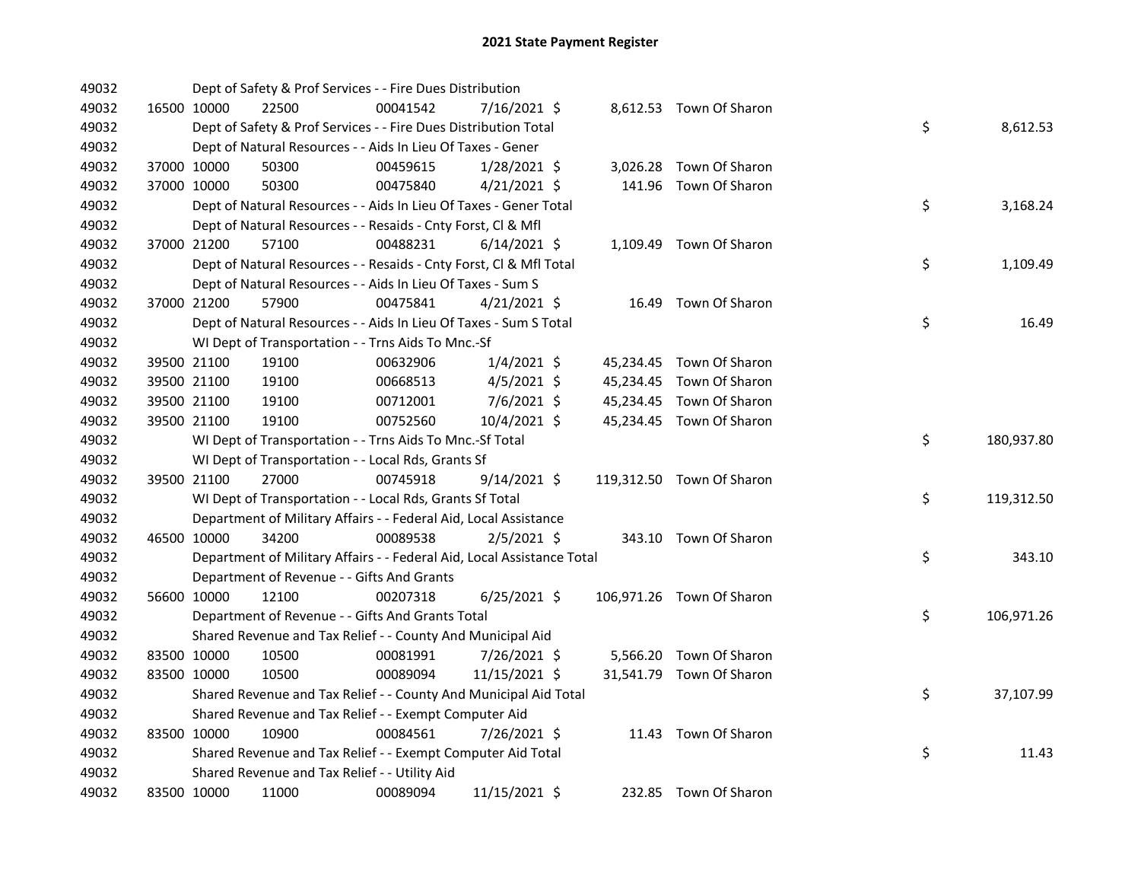| 49032 |             | Dept of Safety & Prof Services - - Fire Dues Distribution              |          |                |  |                           |    |            |
|-------|-------------|------------------------------------------------------------------------|----------|----------------|--|---------------------------|----|------------|
| 49032 | 16500 10000 | 22500                                                                  | 00041542 | 7/16/2021 \$   |  | 8,612.53 Town Of Sharon   |    |            |
| 49032 |             | Dept of Safety & Prof Services - - Fire Dues Distribution Total        |          |                |  |                           | \$ | 8,612.53   |
| 49032 |             | Dept of Natural Resources - - Aids In Lieu Of Taxes - Gener            |          |                |  |                           |    |            |
| 49032 | 37000 10000 | 50300                                                                  | 00459615 | 1/28/2021 \$   |  | 3,026.28 Town Of Sharon   |    |            |
| 49032 | 37000 10000 | 50300                                                                  | 00475840 | $4/21/2021$ \$ |  | 141.96 Town Of Sharon     |    |            |
| 49032 |             | Dept of Natural Resources - - Aids In Lieu Of Taxes - Gener Total      |          |                |  |                           | \$ | 3,168.24   |
| 49032 |             | Dept of Natural Resources - - Resaids - Cnty Forst, Cl & Mfl           |          |                |  |                           |    |            |
| 49032 | 37000 21200 | 57100                                                                  | 00488231 | $6/14/2021$ \$ |  | 1,109.49 Town Of Sharon   |    |            |
| 49032 |             | Dept of Natural Resources - - Resaids - Cnty Forst, Cl & Mfl Total     |          |                |  |                           | \$ | 1,109.49   |
| 49032 |             | Dept of Natural Resources - - Aids In Lieu Of Taxes - Sum S            |          |                |  |                           |    |            |
| 49032 | 37000 21200 | 57900                                                                  | 00475841 | $4/21/2021$ \$ |  | 16.49 Town Of Sharon      |    |            |
| 49032 |             | Dept of Natural Resources - - Aids In Lieu Of Taxes - Sum S Total      |          |                |  |                           | \$ | 16.49      |
| 49032 |             | WI Dept of Transportation - - Trns Aids To Mnc.-Sf                     |          |                |  |                           |    |            |
| 49032 | 39500 21100 | 19100                                                                  | 00632906 | $1/4/2021$ \$  |  | 45,234.45 Town Of Sharon  |    |            |
| 49032 | 39500 21100 | 19100                                                                  | 00668513 | 4/5/2021 \$    |  | 45,234.45 Town Of Sharon  |    |            |
| 49032 | 39500 21100 | 19100                                                                  | 00712001 | 7/6/2021 \$    |  | 45,234.45 Town Of Sharon  |    |            |
| 49032 | 39500 21100 | 19100                                                                  | 00752560 | 10/4/2021 \$   |  | 45,234.45 Town Of Sharon  |    |            |
| 49032 |             | WI Dept of Transportation - - Trns Aids To Mnc.-Sf Total               |          |                |  |                           | \$ | 180,937.80 |
| 49032 |             | WI Dept of Transportation - - Local Rds, Grants Sf                     |          |                |  |                           |    |            |
| 49032 | 39500 21100 | 27000                                                                  | 00745918 | 9/14/2021 \$   |  | 119,312.50 Town Of Sharon |    |            |
| 49032 |             | WI Dept of Transportation - - Local Rds, Grants Sf Total               |          |                |  |                           | \$ | 119,312.50 |
| 49032 |             | Department of Military Affairs - - Federal Aid, Local Assistance       |          |                |  |                           |    |            |
| 49032 | 46500 10000 | 34200                                                                  | 00089538 | $2/5/2021$ \$  |  | 343.10 Town Of Sharon     |    |            |
| 49032 |             | Department of Military Affairs - - Federal Aid, Local Assistance Total |          |                |  |                           | \$ | 343.10     |
| 49032 |             | Department of Revenue - - Gifts And Grants                             |          |                |  |                           |    |            |
| 49032 | 56600 10000 | 12100                                                                  | 00207318 | $6/25/2021$ \$ |  | 106,971.26 Town Of Sharon |    |            |
| 49032 |             | Department of Revenue - - Gifts And Grants Total                       |          |                |  |                           | \$ | 106,971.26 |
| 49032 |             | Shared Revenue and Tax Relief - - County And Municipal Aid             |          |                |  |                           |    |            |
| 49032 | 83500 10000 | 10500                                                                  | 00081991 | 7/26/2021 \$   |  | 5,566.20 Town Of Sharon   |    |            |
| 49032 | 83500 10000 | 10500                                                                  | 00089094 | 11/15/2021 \$  |  | 31,541.79 Town Of Sharon  |    |            |
| 49032 |             | Shared Revenue and Tax Relief - - County And Municipal Aid Total       |          |                |  |                           | \$ | 37,107.99  |
| 49032 |             | Shared Revenue and Tax Relief - - Exempt Computer Aid                  |          |                |  |                           |    |            |
| 49032 | 83500 10000 | 10900                                                                  | 00084561 | 7/26/2021 \$   |  | 11.43 Town Of Sharon      |    |            |
| 49032 |             | Shared Revenue and Tax Relief - - Exempt Computer Aid Total            |          |                |  |                           | \$ | 11.43      |
| 49032 |             | Shared Revenue and Tax Relief - - Utility Aid                          |          |                |  |                           |    |            |
| 49032 | 83500 10000 | 11000                                                                  | 00089094 | 11/15/2021 \$  |  | 232.85 Town Of Sharon     |    |            |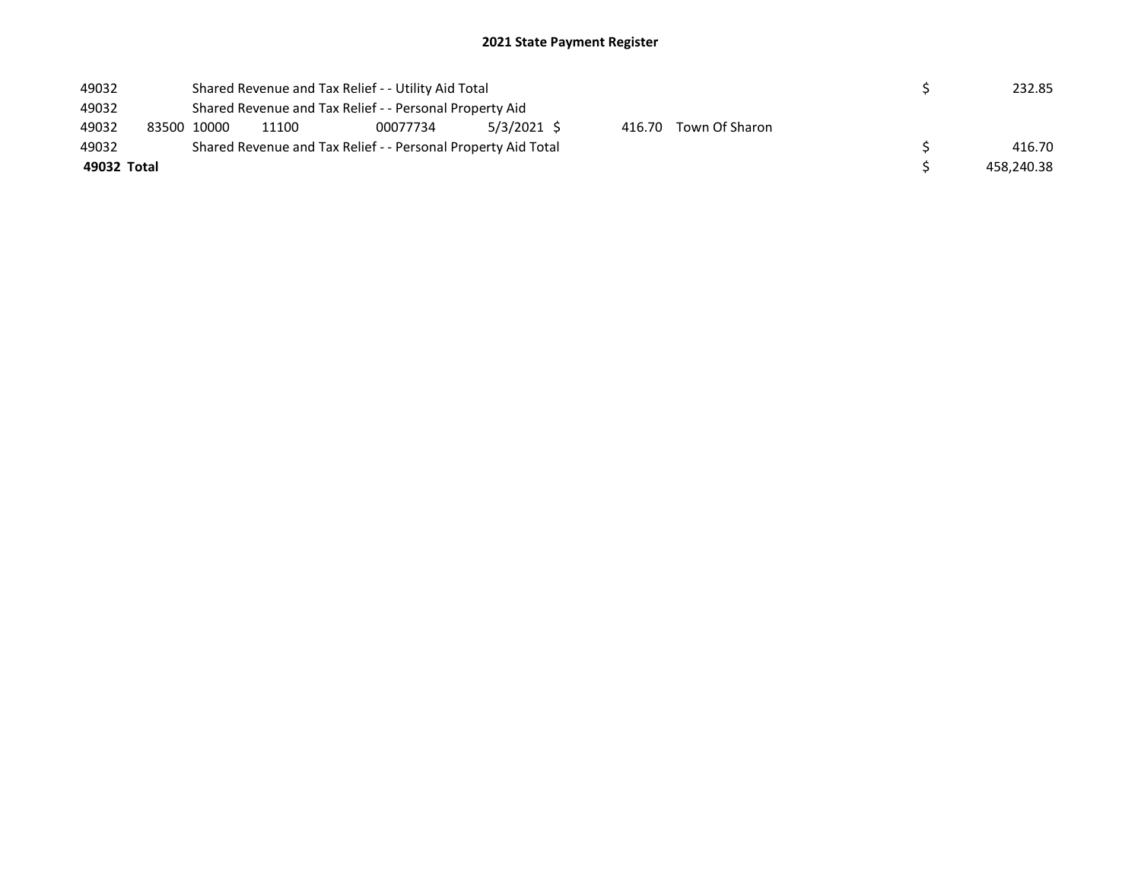| 49032       |             | Shared Revenue and Tax Relief - - Utility Aid Total | 232.85                                                        |             |                       |            |
|-------------|-------------|-----------------------------------------------------|---------------------------------------------------------------|-------------|-----------------------|------------|
| 49032       |             |                                                     | Shared Revenue and Tax Relief - - Personal Property Aid       |             |                       |            |
| 49032       | 83500 10000 | 11100                                               | 00077734                                                      | 5/3/2021 \$ | 416.70 Town Of Sharon |            |
| 49032       |             |                                                     | Shared Revenue and Tax Relief - - Personal Property Aid Total |             |                       | 416.70     |
| 49032 Total |             |                                                     |                                                               |             |                       | 458,240.38 |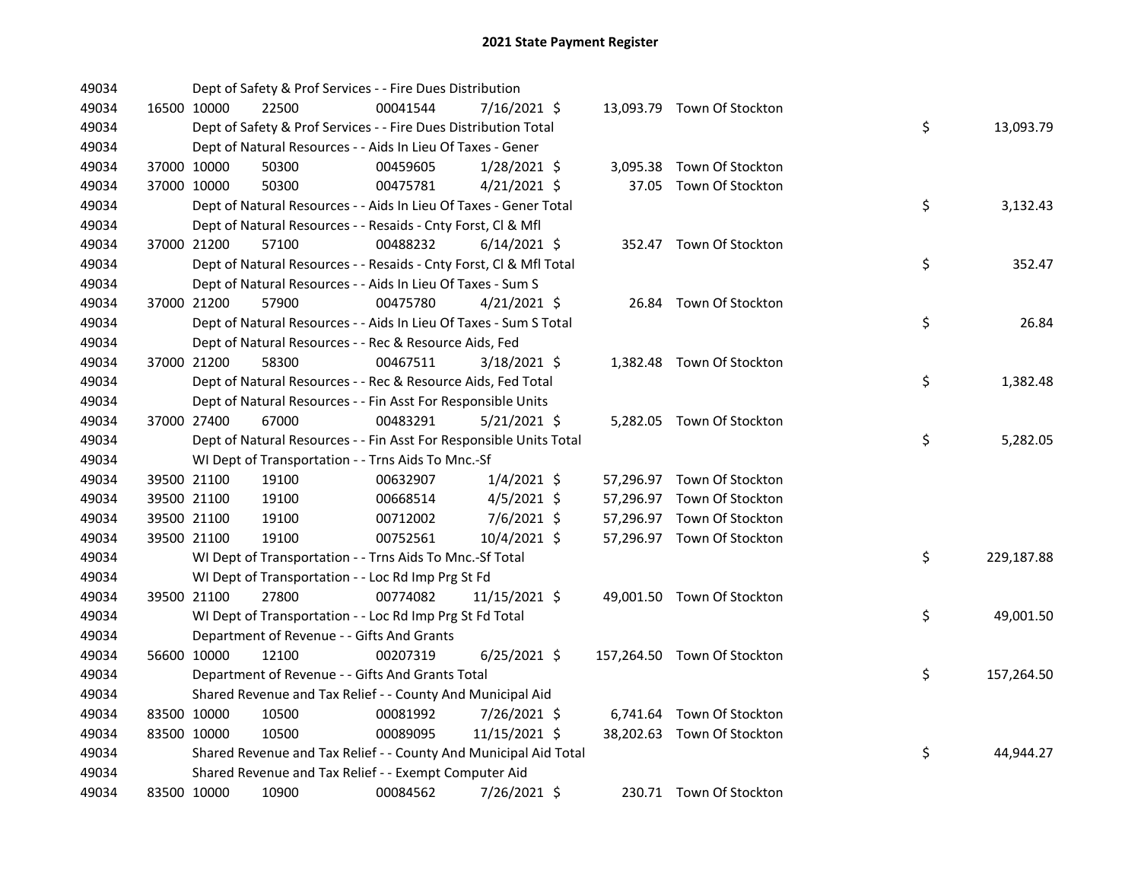| 49034 |             | Dept of Safety & Prof Services - - Fire Dues Distribution          |          |                |  |                             |    |            |
|-------|-------------|--------------------------------------------------------------------|----------|----------------|--|-----------------------------|----|------------|
| 49034 | 16500 10000 | 22500                                                              | 00041544 | 7/16/2021 \$   |  | 13,093.79 Town Of Stockton  |    |            |
| 49034 |             | Dept of Safety & Prof Services - - Fire Dues Distribution Total    |          |                |  |                             | \$ | 13,093.79  |
| 49034 |             | Dept of Natural Resources - - Aids In Lieu Of Taxes - Gener        |          |                |  |                             |    |            |
| 49034 | 37000 10000 | 50300                                                              | 00459605 | $1/28/2021$ \$ |  | 3,095.38 Town Of Stockton   |    |            |
| 49034 | 37000 10000 | 50300                                                              | 00475781 | $4/21/2021$ \$ |  | 37.05 Town Of Stockton      |    |            |
| 49034 |             | Dept of Natural Resources - - Aids In Lieu Of Taxes - Gener Total  |          |                |  |                             | \$ | 3,132.43   |
| 49034 |             | Dept of Natural Resources - - Resaids - Cnty Forst, Cl & Mfl       |          |                |  |                             |    |            |
| 49034 | 37000 21200 | 57100                                                              | 00488232 | $6/14/2021$ \$ |  | 352.47 Town Of Stockton     |    |            |
| 49034 |             | Dept of Natural Resources - - Resaids - Cnty Forst, Cl & Mfl Total |          |                |  |                             | \$ | 352.47     |
| 49034 |             | Dept of Natural Resources - - Aids In Lieu Of Taxes - Sum S        |          |                |  |                             |    |            |
| 49034 | 37000 21200 | 57900                                                              | 00475780 | $4/21/2021$ \$ |  | 26.84 Town Of Stockton      |    |            |
| 49034 |             | Dept of Natural Resources - - Aids In Lieu Of Taxes - Sum S Total  |          |                |  |                             | \$ | 26.84      |
| 49034 |             | Dept of Natural Resources - - Rec & Resource Aids, Fed             |          |                |  |                             |    |            |
| 49034 | 37000 21200 | 58300                                                              | 00467511 | $3/18/2021$ \$ |  | 1,382.48 Town Of Stockton   |    |            |
| 49034 |             | Dept of Natural Resources - - Rec & Resource Aids, Fed Total       |          |                |  |                             | \$ | 1,382.48   |
| 49034 |             | Dept of Natural Resources - - Fin Asst For Responsible Units       |          |                |  |                             |    |            |
| 49034 | 37000 27400 | 67000                                                              | 00483291 | $5/21/2021$ \$ |  | 5,282.05 Town Of Stockton   |    |            |
| 49034 |             | Dept of Natural Resources - - Fin Asst For Responsible Units Total |          |                |  |                             | \$ | 5,282.05   |
| 49034 |             | WI Dept of Transportation - - Trns Aids To Mnc.-Sf                 |          |                |  |                             |    |            |
| 49034 | 39500 21100 | 19100                                                              | 00632907 | $1/4/2021$ \$  |  | 57,296.97 Town Of Stockton  |    |            |
| 49034 | 39500 21100 | 19100                                                              | 00668514 | $4/5/2021$ \$  |  | 57,296.97 Town Of Stockton  |    |            |
| 49034 | 39500 21100 | 19100                                                              | 00712002 | $7/6/2021$ \$  |  | 57,296.97 Town Of Stockton  |    |            |
| 49034 | 39500 21100 | 19100                                                              | 00752561 | 10/4/2021 \$   |  | 57,296.97 Town Of Stockton  |    |            |
| 49034 |             | WI Dept of Transportation - - Trns Aids To Mnc.-Sf Total           |          |                |  |                             | \$ | 229,187.88 |
| 49034 |             | WI Dept of Transportation - - Loc Rd Imp Prg St Fd                 |          |                |  |                             |    |            |
| 49034 | 39500 21100 | 27800                                                              | 00774082 | 11/15/2021 \$  |  | 49,001.50 Town Of Stockton  |    |            |
| 49034 |             | WI Dept of Transportation - - Loc Rd Imp Prg St Fd Total           |          |                |  |                             | \$ | 49,001.50  |
| 49034 |             | Department of Revenue - - Gifts And Grants                         |          |                |  |                             |    |            |
| 49034 | 56600 10000 | 12100                                                              | 00207319 | $6/25/2021$ \$ |  | 157,264.50 Town Of Stockton |    |            |
| 49034 |             | Department of Revenue - - Gifts And Grants Total                   |          |                |  |                             | \$ | 157,264.50 |
| 49034 |             | Shared Revenue and Tax Relief - - County And Municipal Aid         |          |                |  |                             |    |            |
| 49034 | 83500 10000 | 10500                                                              | 00081992 | $7/26/2021$ \$ |  | 6,741.64 Town Of Stockton   |    |            |
| 49034 | 83500 10000 | 10500                                                              | 00089095 | 11/15/2021 \$  |  | 38,202.63 Town Of Stockton  |    |            |
| 49034 |             | Shared Revenue and Tax Relief - - County And Municipal Aid Total   |          |                |  |                             | \$ | 44,944.27  |
| 49034 |             | Shared Revenue and Tax Relief - - Exempt Computer Aid              |          |                |  |                             |    |            |
| 49034 | 83500 10000 | 10900                                                              | 00084562 | 7/26/2021 \$   |  | 230.71 Town Of Stockton     |    |            |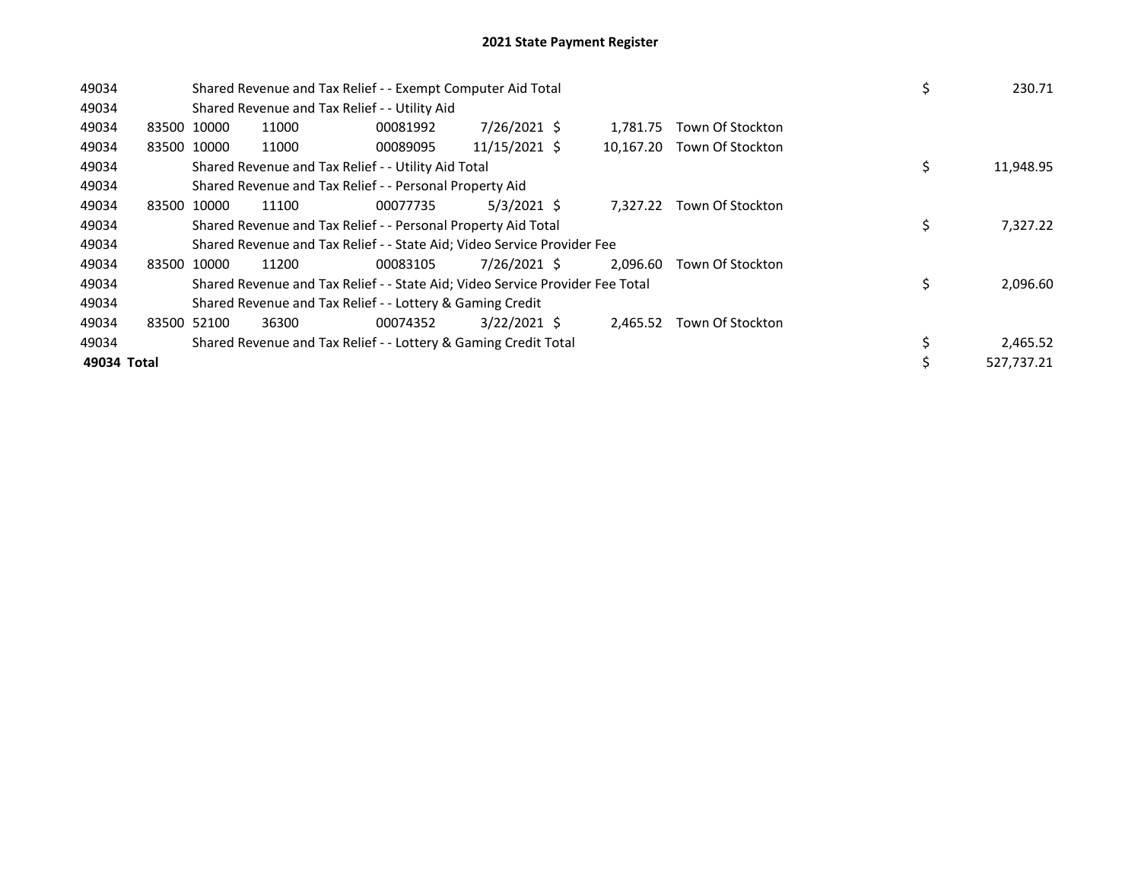| 49034       |             | Shared Revenue and Tax Relief - - Exempt Computer Aid Total                   |          |                | \$        | 230.71           |    |            |
|-------------|-------------|-------------------------------------------------------------------------------|----------|----------------|-----------|------------------|----|------------|
| 49034       |             | Shared Revenue and Tax Relief - - Utility Aid                                 |          |                |           |                  |    |            |
| 49034       | 83500 10000 | 11000                                                                         | 00081992 | 7/26/2021 \$   | 1,781.75  | Town Of Stockton |    |            |
| 49034       | 83500 10000 | 11000                                                                         | 00089095 | 11/15/2021 \$  | 10,167.20 | Town Of Stockton |    |            |
| 49034       |             | Shared Revenue and Tax Relief - - Utility Aid Total                           |          |                |           |                  | \$ | 11,948.95  |
| 49034       |             | Shared Revenue and Tax Relief - - Personal Property Aid                       |          |                |           |                  |    |            |
| 49034       | 83500 10000 | 11100                                                                         | 00077735 | $5/3/2021$ \$  | 7.327.22  | Town Of Stockton |    |            |
| 49034       |             | Shared Revenue and Tax Relief - - Personal Property Aid Total                 |          |                |           |                  | \$ | 7,327.22   |
| 49034       |             | Shared Revenue and Tax Relief - - State Aid; Video Service Provider Fee       |          |                |           |                  |    |            |
| 49034       | 83500 10000 | 11200                                                                         | 00083105 | 7/26/2021 \$   | 2.096.60  | Town Of Stockton |    |            |
| 49034       |             | Shared Revenue and Tax Relief - - State Aid; Video Service Provider Fee Total |          |                |           |                  | Ś  | 2,096.60   |
| 49034       |             | Shared Revenue and Tax Relief - - Lottery & Gaming Credit                     |          |                |           |                  |    |            |
| 49034       | 83500 52100 | 36300                                                                         | 00074352 | $3/22/2021$ \$ | 2,465.52  | Town Of Stockton |    |            |
| 49034       |             | Shared Revenue and Tax Relief - - Lottery & Gaming Credit Total               |          |                |           |                  |    | 2,465.52   |
| 49034 Total |             |                                                                               |          |                |           |                  |    | 527,737.21 |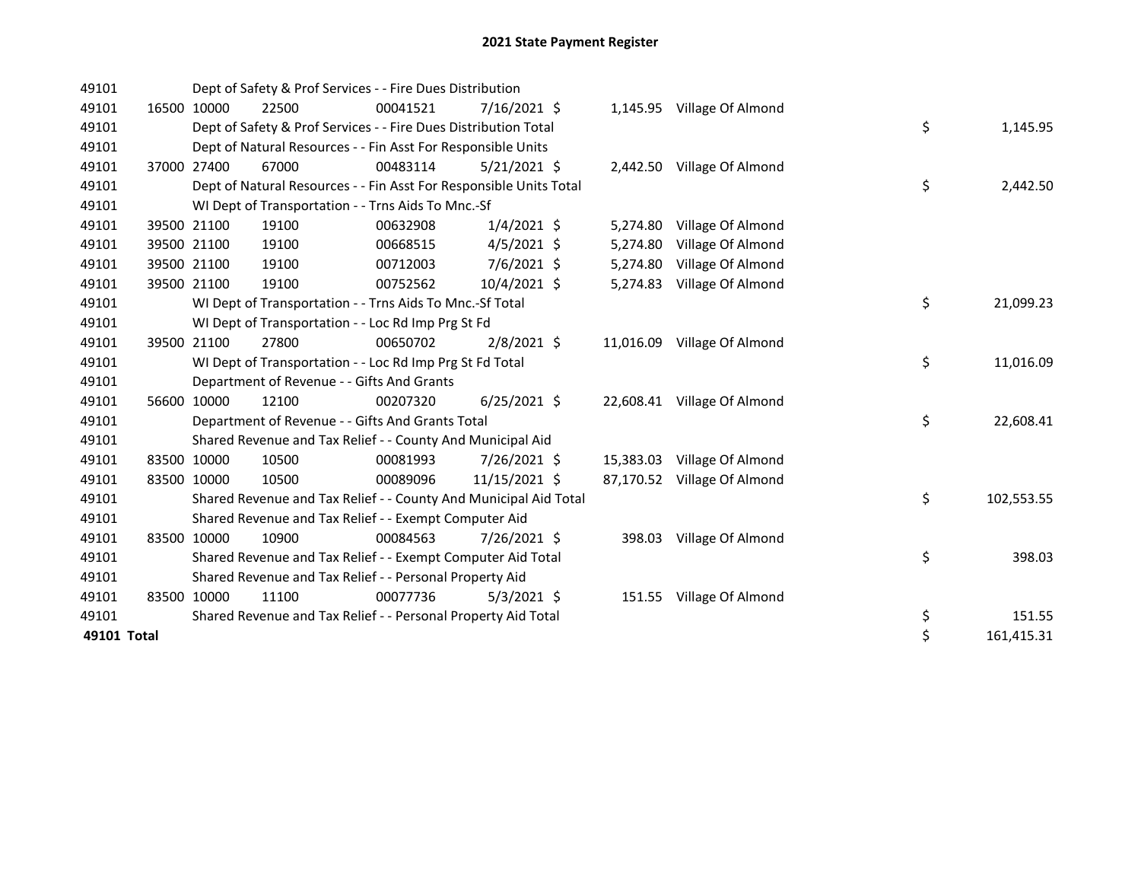| 49101       |             |             | Dept of Safety & Prof Services - - Fire Dues Distribution          |          |                |           |                             |    |            |
|-------------|-------------|-------------|--------------------------------------------------------------------|----------|----------------|-----------|-----------------------------|----|------------|
| 49101       |             | 16500 10000 | 22500                                                              | 00041521 | 7/16/2021 \$   |           | 1,145.95 Village Of Almond  |    |            |
| 49101       |             |             | Dept of Safety & Prof Services - - Fire Dues Distribution Total    |          |                |           |                             | \$ | 1,145.95   |
| 49101       |             |             | Dept of Natural Resources - - Fin Asst For Responsible Units       |          |                |           |                             |    |            |
| 49101       | 37000       | 27400       | 67000                                                              | 00483114 | $5/21/2021$ \$ |           | 2,442.50 Village Of Almond  |    |            |
| 49101       |             |             | Dept of Natural Resources - - Fin Asst For Responsible Units Total |          |                |           |                             | \$ | 2,442.50   |
| 49101       |             |             | WI Dept of Transportation - - Trns Aids To Mnc.-Sf                 |          |                |           |                             |    |            |
| 49101       |             | 39500 21100 | 19100                                                              | 00632908 | $1/4/2021$ \$  | 5,274.80  | Village Of Almond           |    |            |
| 49101       |             | 39500 21100 | 19100                                                              | 00668515 | $4/5/2021$ \$  | 5,274.80  | Village Of Almond           |    |            |
| 49101       |             | 39500 21100 | 19100                                                              | 00712003 | 7/6/2021 \$    | 5,274.80  | Village Of Almond           |    |            |
| 49101       |             | 39500 21100 | 19100                                                              | 00752562 | 10/4/2021 \$   | 5,274.83  | Village Of Almond           |    |            |
| 49101       |             |             | WI Dept of Transportation - - Trns Aids To Mnc.-Sf Total           |          |                |           |                             | \$ | 21,099.23  |
| 49101       |             |             | WI Dept of Transportation - - Loc Rd Imp Prg St Fd                 |          |                |           |                             |    |            |
| 49101       |             | 39500 21100 | 27800                                                              | 00650702 | $2/8/2021$ \$  |           | 11,016.09 Village Of Almond |    |            |
| 49101       |             |             | WI Dept of Transportation - - Loc Rd Imp Prg St Fd Total           |          |                |           |                             | \$ | 11,016.09  |
| 49101       |             |             | Department of Revenue - - Gifts And Grants                         |          |                |           |                             |    |            |
| 49101       |             | 56600 10000 | 12100                                                              | 00207320 | $6/25/2021$ \$ | 22,608.41 | Village Of Almond           |    |            |
| 49101       |             |             | Department of Revenue - - Gifts And Grants Total                   |          |                |           |                             | \$ | 22,608.41  |
| 49101       |             |             | Shared Revenue and Tax Relief - - County And Municipal Aid         |          |                |           |                             |    |            |
| 49101       |             | 83500 10000 | 10500                                                              | 00081993 | 7/26/2021 \$   | 15,383.03 | Village Of Almond           |    |            |
| 49101       | 83500 10000 |             | 10500                                                              | 00089096 | 11/15/2021 \$  |           | 87,170.52 Village Of Almond |    |            |
| 49101       |             |             | Shared Revenue and Tax Relief - - County And Municipal Aid Total   |          |                |           |                             | \$ | 102,553.55 |
| 49101       |             |             | Shared Revenue and Tax Relief - - Exempt Computer Aid              |          |                |           |                             |    |            |
| 49101       |             | 83500 10000 | 10900                                                              | 00084563 | 7/26/2021 \$   | 398.03    | Village Of Almond           |    |            |
| 49101       |             |             | Shared Revenue and Tax Relief - - Exempt Computer Aid Total        |          |                |           |                             | \$ | 398.03     |
| 49101       |             |             | Shared Revenue and Tax Relief - - Personal Property Aid            |          |                |           |                             |    |            |
| 49101       |             | 83500 10000 | 11100                                                              | 00077736 | $5/3/2021$ \$  |           | 151.55 Village Of Almond    |    |            |
| 49101       |             |             | Shared Revenue and Tax Relief - - Personal Property Aid Total      |          |                |           |                             | \$ | 151.55     |
| 49101 Total |             |             |                                                                    |          |                |           |                             | \$ | 161,415.31 |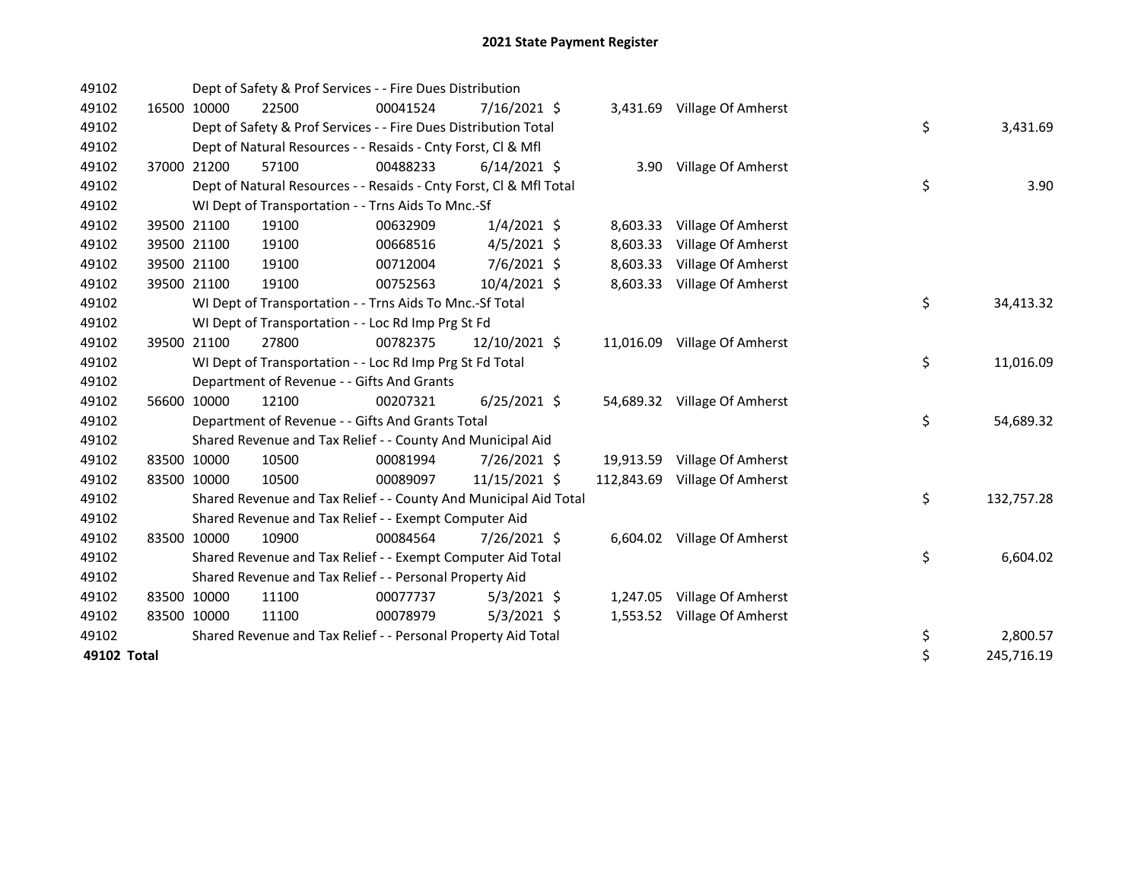| 49102       |             | Dept of Safety & Prof Services - - Fire Dues Distribution          |          |                |            |                              |    |            |
|-------------|-------------|--------------------------------------------------------------------|----------|----------------|------------|------------------------------|----|------------|
| 49102       | 16500 10000 | 22500                                                              | 00041524 | $7/16/2021$ \$ |            | 3,431.69 Village Of Amherst  |    |            |
| 49102       |             | Dept of Safety & Prof Services - - Fire Dues Distribution Total    |          |                |            |                              | \$ | 3,431.69   |
| 49102       |             | Dept of Natural Resources - - Resaids - Cnty Forst, Cl & Mfl       |          |                |            |                              |    |            |
| 49102       | 37000 21200 | 57100                                                              | 00488233 | $6/14/2021$ \$ |            | 3.90 Village Of Amherst      |    |            |
| 49102       |             | Dept of Natural Resources - - Resaids - Cnty Forst, Cl & Mfl Total |          |                |            |                              | \$ | 3.90       |
| 49102       |             | WI Dept of Transportation - - Trns Aids To Mnc.-Sf                 |          |                |            |                              |    |            |
| 49102       | 39500 21100 | 19100                                                              | 00632909 | $1/4/2021$ \$  |            | 8,603.33 Village Of Amherst  |    |            |
| 49102       | 39500 21100 | 19100                                                              | 00668516 | $4/5/2021$ \$  | 8,603.33   | Village Of Amherst           |    |            |
| 49102       | 39500 21100 | 19100                                                              | 00712004 | 7/6/2021 \$    | 8,603.33   | Village Of Amherst           |    |            |
| 49102       | 39500 21100 | 19100                                                              | 00752563 | 10/4/2021 \$   | 8,603.33   | Village Of Amherst           |    |            |
| 49102       |             | WI Dept of Transportation - - Trns Aids To Mnc.-Sf Total           |          |                |            |                              | \$ | 34,413.32  |
| 49102       |             | WI Dept of Transportation - - Loc Rd Imp Prg St Fd                 |          |                |            |                              |    |            |
| 49102       | 39500 21100 | 27800                                                              | 00782375 | 12/10/2021 \$  |            | 11,016.09 Village Of Amherst |    |            |
| 49102       |             | WI Dept of Transportation - - Loc Rd Imp Prg St Fd Total           |          |                |            |                              | \$ | 11,016.09  |
| 49102       |             | Department of Revenue - - Gifts And Grants                         |          |                |            |                              |    |            |
| 49102       | 56600 10000 | 12100                                                              | 00207321 | $6/25/2021$ \$ |            | 54,689.32 Village Of Amherst |    |            |
| 49102       |             | Department of Revenue - - Gifts And Grants Total                   |          |                |            |                              | \$ | 54,689.32  |
| 49102       |             | Shared Revenue and Tax Relief - - County And Municipal Aid         |          |                |            |                              |    |            |
| 49102       | 83500 10000 | 10500                                                              | 00081994 | 7/26/2021 \$   |            | 19,913.59 Village Of Amherst |    |            |
| 49102       | 83500 10000 | 10500                                                              | 00089097 | 11/15/2021 \$  | 112,843.69 | Village Of Amherst           |    |            |
| 49102       |             | Shared Revenue and Tax Relief - - County And Municipal Aid Total   |          |                |            |                              | \$ | 132,757.28 |
| 49102       |             | Shared Revenue and Tax Relief - - Exempt Computer Aid              |          |                |            |                              |    |            |
| 49102       | 83500 10000 | 10900                                                              | 00084564 | 7/26/2021 \$   |            | 6,604.02 Village Of Amherst  |    |            |
| 49102       |             | Shared Revenue and Tax Relief - - Exempt Computer Aid Total        |          |                |            |                              | \$ | 6,604.02   |
| 49102       |             | Shared Revenue and Tax Relief - - Personal Property Aid            |          |                |            |                              |    |            |
| 49102       | 83500 10000 | 11100                                                              | 00077737 | $5/3/2021$ \$  |            | 1,247.05 Village Of Amherst  |    |            |
| 49102       | 83500 10000 | 11100                                                              | 00078979 | $5/3/2021$ \$  |            | 1,553.52 Village Of Amherst  |    |            |
| 49102       |             | Shared Revenue and Tax Relief - - Personal Property Aid Total      |          |                |            |                              | \$ | 2,800.57   |
| 49102 Total |             |                                                                    |          |                |            |                              | \$ | 245,716.19 |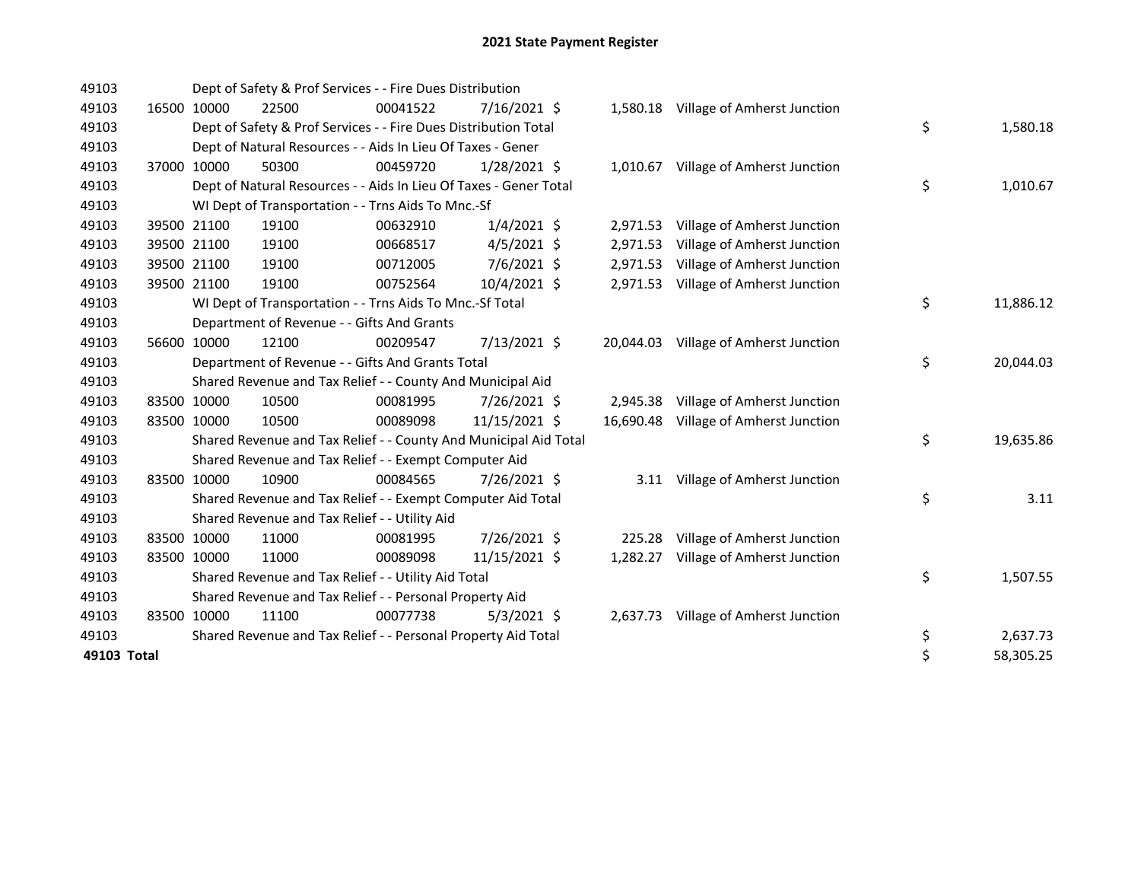| 49103       | Dept of Safety & Prof Services - - Fire Dues Distribution |                                                                   |          |                |  |           |                                      |    |           |  |
|-------------|-----------------------------------------------------------|-------------------------------------------------------------------|----------|----------------|--|-----------|--------------------------------------|----|-----------|--|
| 49103       | 16500 10000                                               | 22500                                                             | 00041522 | $7/16/2021$ \$ |  |           | 1,580.18 Village of Amherst Junction |    |           |  |
| 49103       |                                                           | Dept of Safety & Prof Services - - Fire Dues Distribution Total   |          |                |  |           |                                      | \$ | 1,580.18  |  |
| 49103       |                                                           | Dept of Natural Resources - - Aids In Lieu Of Taxes - Gener       |          |                |  |           |                                      |    |           |  |
| 49103       | 37000 10000                                               | 50300                                                             | 00459720 | $1/28/2021$ \$ |  |           | 1,010.67 Village of Amherst Junction |    |           |  |
| 49103       |                                                           | Dept of Natural Resources - - Aids In Lieu Of Taxes - Gener Total |          |                |  |           |                                      | \$ | 1,010.67  |  |
| 49103       |                                                           | WI Dept of Transportation - - Trns Aids To Mnc.-Sf                |          |                |  |           |                                      |    |           |  |
| 49103       | 39500 21100                                               | 19100                                                             | 00632910 | $1/4/2021$ \$  |  |           | 2,971.53 Village of Amherst Junction |    |           |  |
| 49103       | 39500 21100                                               | 19100                                                             | 00668517 | $4/5/2021$ \$  |  | 2,971.53  | Village of Amherst Junction          |    |           |  |
| 49103       | 39500 21100                                               | 19100                                                             | 00712005 | 7/6/2021 \$    |  | 2,971.53  | Village of Amherst Junction          |    |           |  |
| 49103       | 39500 21100                                               | 19100                                                             | 00752564 | 10/4/2021 \$   |  | 2,971.53  | Village of Amherst Junction          |    |           |  |
| 49103       |                                                           | WI Dept of Transportation - - Trns Aids To Mnc.-Sf Total          |          |                |  |           |                                      | \$ | 11,886.12 |  |
| 49103       |                                                           | Department of Revenue - - Gifts And Grants                        |          |                |  |           |                                      |    |           |  |
| 49103       | 56600 10000                                               | 12100                                                             | 00209547 | 7/13/2021 \$   |  | 20,044.03 | Village of Amherst Junction          |    |           |  |
| 49103       |                                                           | Department of Revenue - - Gifts And Grants Total                  |          |                |  |           |                                      | \$ | 20,044.03 |  |
| 49103       |                                                           | Shared Revenue and Tax Relief - - County And Municipal Aid        |          |                |  |           |                                      |    |           |  |
| 49103       | 83500 10000                                               | 10500                                                             | 00081995 | 7/26/2021 \$   |  | 2,945.38  | Village of Amherst Junction          |    |           |  |
| 49103       | 83500 10000                                               | 10500                                                             | 00089098 | 11/15/2021 \$  |  | 16,690.48 | Village of Amherst Junction          |    |           |  |
| 49103       |                                                           | Shared Revenue and Tax Relief - - County And Municipal Aid Total  |          |                |  |           |                                      | \$ | 19,635.86 |  |
| 49103       |                                                           | Shared Revenue and Tax Relief - - Exempt Computer Aid             |          |                |  |           |                                      |    |           |  |
| 49103       | 83500 10000                                               | 10900                                                             | 00084565 | 7/26/2021 \$   |  |           | 3.11 Village of Amherst Junction     |    |           |  |
| 49103       |                                                           | Shared Revenue and Tax Relief - - Exempt Computer Aid Total       |          |                |  |           |                                      | \$ | 3.11      |  |
| 49103       |                                                           | Shared Revenue and Tax Relief - - Utility Aid                     |          |                |  |           |                                      |    |           |  |
| 49103       | 83500 10000                                               | 11000                                                             | 00081995 | 7/26/2021 \$   |  | 225.28    | Village of Amherst Junction          |    |           |  |
| 49103       | 83500 10000                                               | 11000                                                             | 00089098 | 11/15/2021 \$  |  | 1,282.27  | Village of Amherst Junction          |    |           |  |
| 49103       |                                                           | Shared Revenue and Tax Relief - - Utility Aid Total               |          |                |  |           |                                      | \$ | 1,507.55  |  |
| 49103       |                                                           | Shared Revenue and Tax Relief - - Personal Property Aid           |          |                |  |           |                                      |    |           |  |
| 49103       | 83500 10000                                               | 11100                                                             | 00077738 | $5/3/2021$ \$  |  |           | 2,637.73 Village of Amherst Junction |    |           |  |
| 49103       |                                                           | Shared Revenue and Tax Relief - - Personal Property Aid Total     |          |                |  |           |                                      | \$ | 2,637.73  |  |
| 49103 Total |                                                           |                                                                   |          |                |  |           |                                      | \$ | 58,305.25 |  |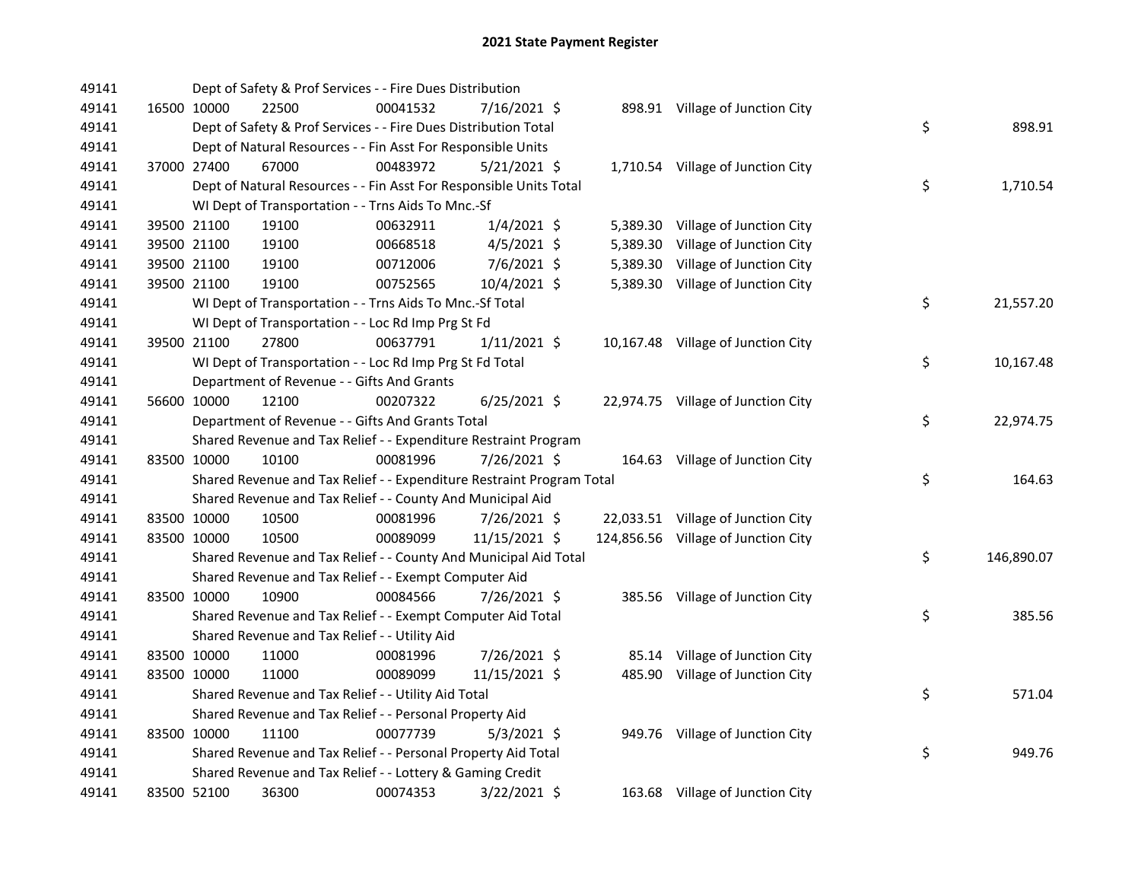| 49141 |             | Dept of Safety & Prof Services - - Fire Dues Distribution             |          |                |          |                                     |                  |
|-------|-------------|-----------------------------------------------------------------------|----------|----------------|----------|-------------------------------------|------------------|
| 49141 |             | 16500 10000<br>22500                                                  | 00041532 | 7/16/2021 \$   |          | 898.91 Village of Junction City     |                  |
| 49141 |             | Dept of Safety & Prof Services - - Fire Dues Distribution Total       |          |                |          |                                     | \$<br>898.91     |
| 49141 |             | Dept of Natural Resources - - Fin Asst For Responsible Units          |          |                |          |                                     |                  |
| 49141 |             | 37000 27400<br>67000                                                  | 00483972 | $5/21/2021$ \$ |          | 1,710.54 Village of Junction City   |                  |
| 49141 |             | Dept of Natural Resources - - Fin Asst For Responsible Units Total    |          |                |          |                                     | \$<br>1,710.54   |
| 49141 |             | WI Dept of Transportation - - Trns Aids To Mnc.-Sf                    |          |                |          |                                     |                  |
| 49141 |             | 39500 21100<br>19100                                                  | 00632911 | $1/4/2021$ \$  |          | 5,389.30 Village of Junction City   |                  |
| 49141 |             | 39500 21100<br>19100                                                  | 00668518 | $4/5/2021$ \$  | 5,389.30 | Village of Junction City            |                  |
| 49141 |             | 39500 21100<br>19100                                                  | 00712006 | $7/6/2021$ \$  | 5,389.30 | Village of Junction City            |                  |
| 49141 |             | 39500 21100<br>19100                                                  | 00752565 | 10/4/2021 \$   |          | 5,389.30 Village of Junction City   |                  |
| 49141 |             | WI Dept of Transportation - - Trns Aids To Mnc.-Sf Total              |          |                |          |                                     | \$<br>21,557.20  |
| 49141 |             | WI Dept of Transportation - - Loc Rd Imp Prg St Fd                    |          |                |          |                                     |                  |
| 49141 |             | 27800<br>39500 21100                                                  | 00637791 | $1/11/2021$ \$ |          | 10,167.48 Village of Junction City  |                  |
| 49141 |             | WI Dept of Transportation - - Loc Rd Imp Prg St Fd Total              |          |                |          |                                     | \$<br>10,167.48  |
| 49141 |             | Department of Revenue - - Gifts And Grants                            |          |                |          |                                     |                  |
| 49141 | 56600 10000 | 12100                                                                 | 00207322 | $6/25/2021$ \$ |          | 22,974.75 Village of Junction City  |                  |
| 49141 |             | Department of Revenue - - Gifts And Grants Total                      |          |                |          |                                     | \$<br>22,974.75  |
| 49141 |             | Shared Revenue and Tax Relief - - Expenditure Restraint Program       |          |                |          |                                     |                  |
| 49141 |             | 83500 10000<br>10100                                                  | 00081996 | 7/26/2021 \$   |          | 164.63 Village of Junction City     |                  |
| 49141 |             | Shared Revenue and Tax Relief - - Expenditure Restraint Program Total |          |                |          |                                     | \$<br>164.63     |
| 49141 |             | Shared Revenue and Tax Relief - - County And Municipal Aid            |          |                |          |                                     |                  |
| 49141 | 83500 10000 | 10500                                                                 | 00081996 | 7/26/2021 \$   |          | 22,033.51 Village of Junction City  |                  |
| 49141 | 83500 10000 | 10500                                                                 | 00089099 | 11/15/2021 \$  |          | 124,856.56 Village of Junction City |                  |
| 49141 |             | Shared Revenue and Tax Relief - - County And Municipal Aid Total      |          |                |          |                                     | \$<br>146,890.07 |
| 49141 |             | Shared Revenue and Tax Relief - - Exempt Computer Aid                 |          |                |          |                                     |                  |
| 49141 | 83500 10000 | 10900                                                                 | 00084566 | 7/26/2021 \$   |          | 385.56 Village of Junction City     |                  |
| 49141 |             | Shared Revenue and Tax Relief - - Exempt Computer Aid Total           |          |                |          |                                     | \$<br>385.56     |
| 49141 |             | Shared Revenue and Tax Relief - - Utility Aid                         |          |                |          |                                     |                  |
| 49141 |             | 83500 10000<br>11000                                                  | 00081996 | 7/26/2021 \$   |          | 85.14 Village of Junction City      |                  |
| 49141 | 83500 10000 | 11000                                                                 | 00089099 | 11/15/2021 \$  |          | 485.90 Village of Junction City     |                  |
| 49141 |             | Shared Revenue and Tax Relief - - Utility Aid Total                   |          |                |          |                                     | \$<br>571.04     |
| 49141 |             | Shared Revenue and Tax Relief - - Personal Property Aid               |          |                |          |                                     |                  |
| 49141 | 83500 10000 | 11100                                                                 | 00077739 | $5/3/2021$ \$  |          | 949.76 Village of Junction City     |                  |
| 49141 |             | Shared Revenue and Tax Relief - - Personal Property Aid Total         |          |                |          |                                     | \$<br>949.76     |
| 49141 |             | Shared Revenue and Tax Relief - - Lottery & Gaming Credit             |          |                |          |                                     |                  |
| 49141 | 83500 52100 | 36300                                                                 | 00074353 | 3/22/2021 \$   |          | 163.68 Village of Junction City     |                  |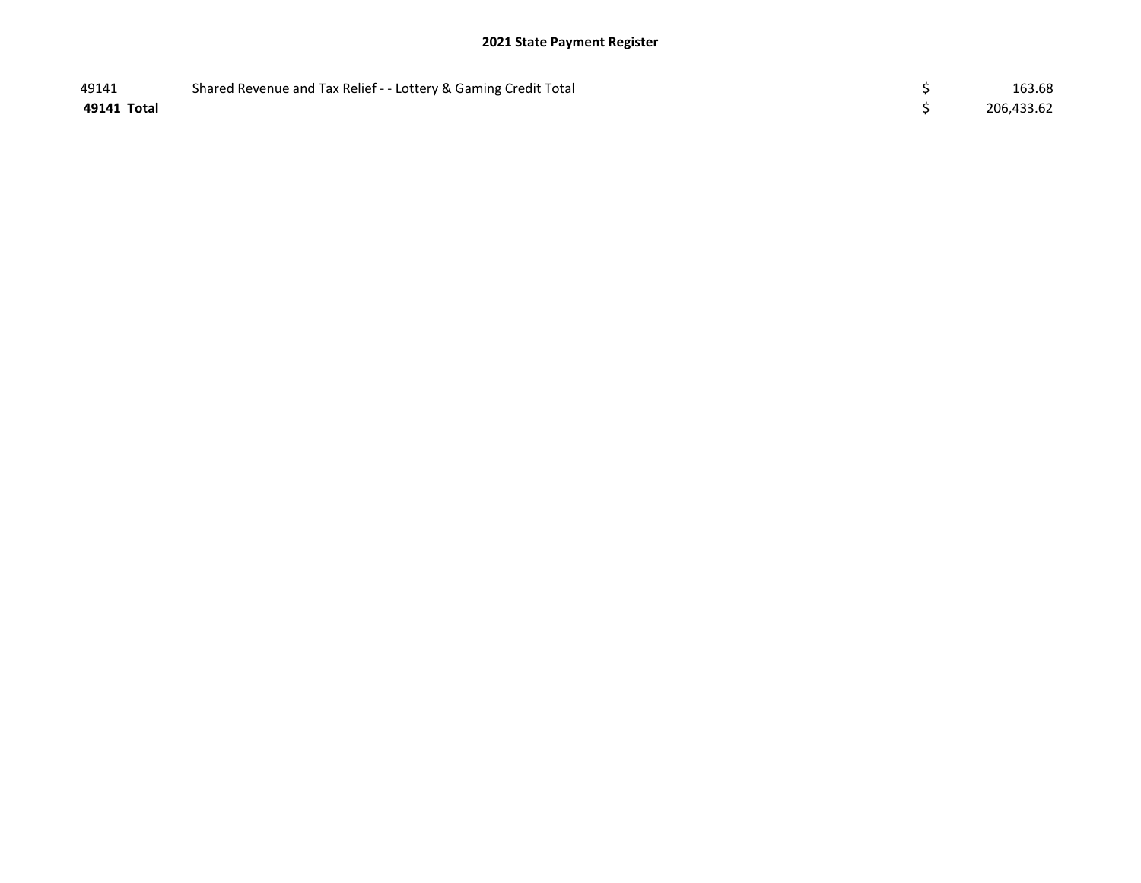| 49141       | Shared Revenue and Tax Relief - - Lottery & Gaming Credit Total | 163.68     |
|-------------|-----------------------------------------------------------------|------------|
| 49141 Total |                                                                 | 206,433.62 |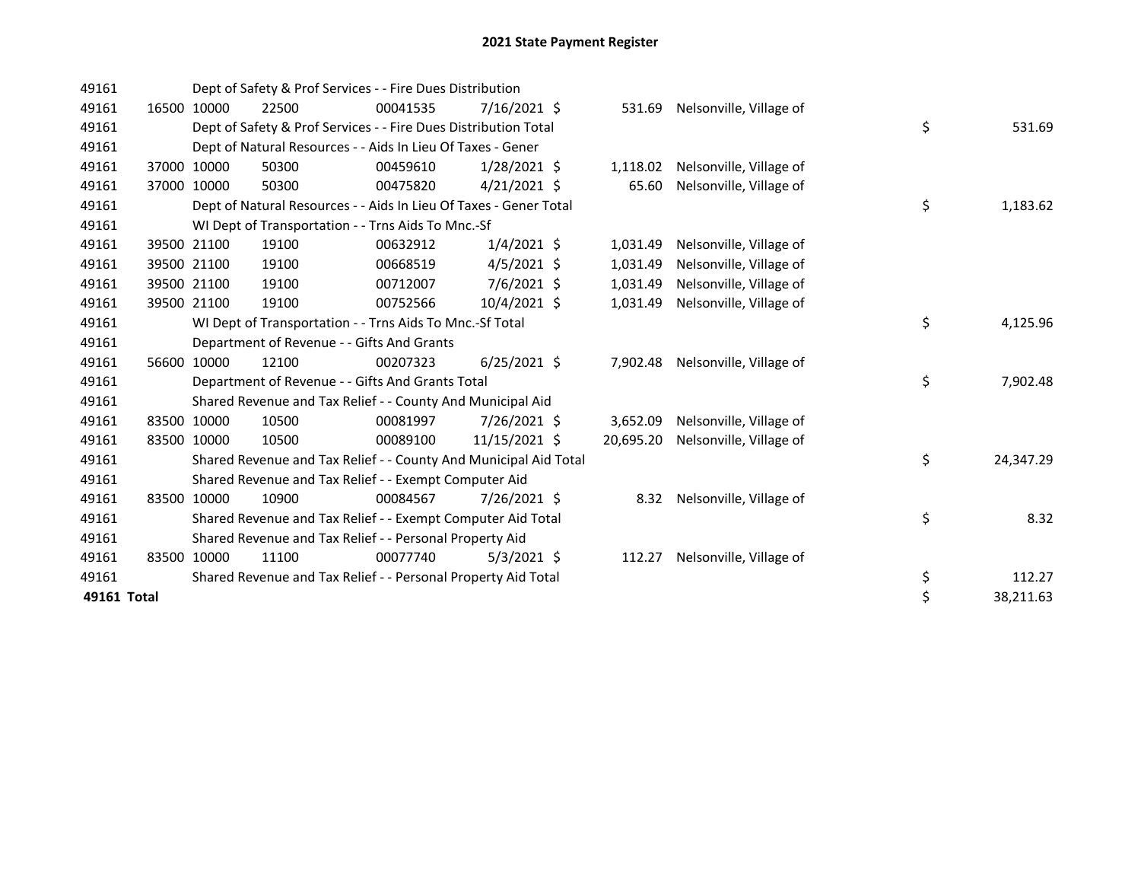| 49161       |       |             | Dept of Safety & Prof Services - - Fire Dues Distribution         |          |                |           |                              |    |           |
|-------------|-------|-------------|-------------------------------------------------------------------|----------|----------------|-----------|------------------------------|----|-----------|
| 49161       |       | 16500 10000 | 22500                                                             | 00041535 | $7/16/2021$ \$ | 531.69    | Nelsonville, Village of      |    |           |
| 49161       |       |             | Dept of Safety & Prof Services - - Fire Dues Distribution Total   |          |                |           |                              | \$ | 531.69    |
| 49161       |       |             | Dept of Natural Resources - - Aids In Lieu Of Taxes - Gener       |          |                |           |                              |    |           |
| 49161       |       | 37000 10000 | 50300                                                             | 00459610 | $1/28/2021$ \$ | 1,118.02  | Nelsonville, Village of      |    |           |
| 49161       |       | 37000 10000 | 50300                                                             | 00475820 | $4/21/2021$ \$ | 65.60     | Nelsonville, Village of      |    |           |
| 49161       |       |             | Dept of Natural Resources - - Aids In Lieu Of Taxes - Gener Total |          |                |           |                              | \$ | 1,183.62  |
| 49161       |       |             | WI Dept of Transportation - - Trns Aids To Mnc.-Sf                |          |                |           |                              |    |           |
| 49161       |       | 39500 21100 | 19100                                                             | 00632912 | $1/4/2021$ \$  | 1,031.49  | Nelsonville, Village of      |    |           |
| 49161       |       | 39500 21100 | 19100                                                             | 00668519 | $4/5/2021$ \$  | 1,031.49  | Nelsonville, Village of      |    |           |
| 49161       |       | 39500 21100 | 19100                                                             | 00712007 | 7/6/2021 \$    | 1,031.49  | Nelsonville, Village of      |    |           |
| 49161       |       | 39500 21100 | 19100                                                             | 00752566 | $10/4/2021$ \$ | 1,031.49  | Nelsonville, Village of      |    |           |
| 49161       |       |             | WI Dept of Transportation - - Trns Aids To Mnc.-Sf Total          |          |                |           |                              | \$ | 4,125.96  |
| 49161       |       |             | Department of Revenue - - Gifts And Grants                        |          |                |           |                              |    |           |
| 49161       |       | 56600 10000 | 12100                                                             | 00207323 | $6/25/2021$ \$ | 7,902.48  | Nelsonville, Village of      |    |           |
| 49161       |       |             | Department of Revenue - - Gifts And Grants Total                  |          |                |           |                              | \$ | 7,902.48  |
| 49161       |       |             | Shared Revenue and Tax Relief - - County And Municipal Aid        |          |                |           |                              |    |           |
| 49161       | 83500 | 10000       | 10500                                                             | 00081997 | 7/26/2021 \$   | 3,652.09  | Nelsonville, Village of      |    |           |
| 49161       |       | 83500 10000 | 10500                                                             | 00089100 | 11/15/2021 \$  | 20,695.20 | Nelsonville, Village of      |    |           |
| 49161       |       |             | Shared Revenue and Tax Relief - - County And Municipal Aid Total  |          |                |           |                              | \$ | 24,347.29 |
| 49161       |       |             | Shared Revenue and Tax Relief - - Exempt Computer Aid             |          |                |           |                              |    |           |
| 49161       |       | 83500 10000 | 10900                                                             | 00084567 | 7/26/2021 \$   |           | 8.32 Nelsonville, Village of |    |           |
| 49161       |       |             | Shared Revenue and Tax Relief - - Exempt Computer Aid Total       |          |                |           |                              | \$ | 8.32      |
| 49161       |       |             | Shared Revenue and Tax Relief - - Personal Property Aid           |          |                |           |                              |    |           |
| 49161       |       | 83500 10000 | 11100                                                             | 00077740 | $5/3/2021$ \$  | 112.27    | Nelsonville, Village of      |    |           |
| 49161       |       |             | Shared Revenue and Tax Relief - - Personal Property Aid Total     |          |                |           |                              | \$ | 112.27    |
| 49161 Total |       |             |                                                                   |          |                |           |                              | \$ | 38,211.63 |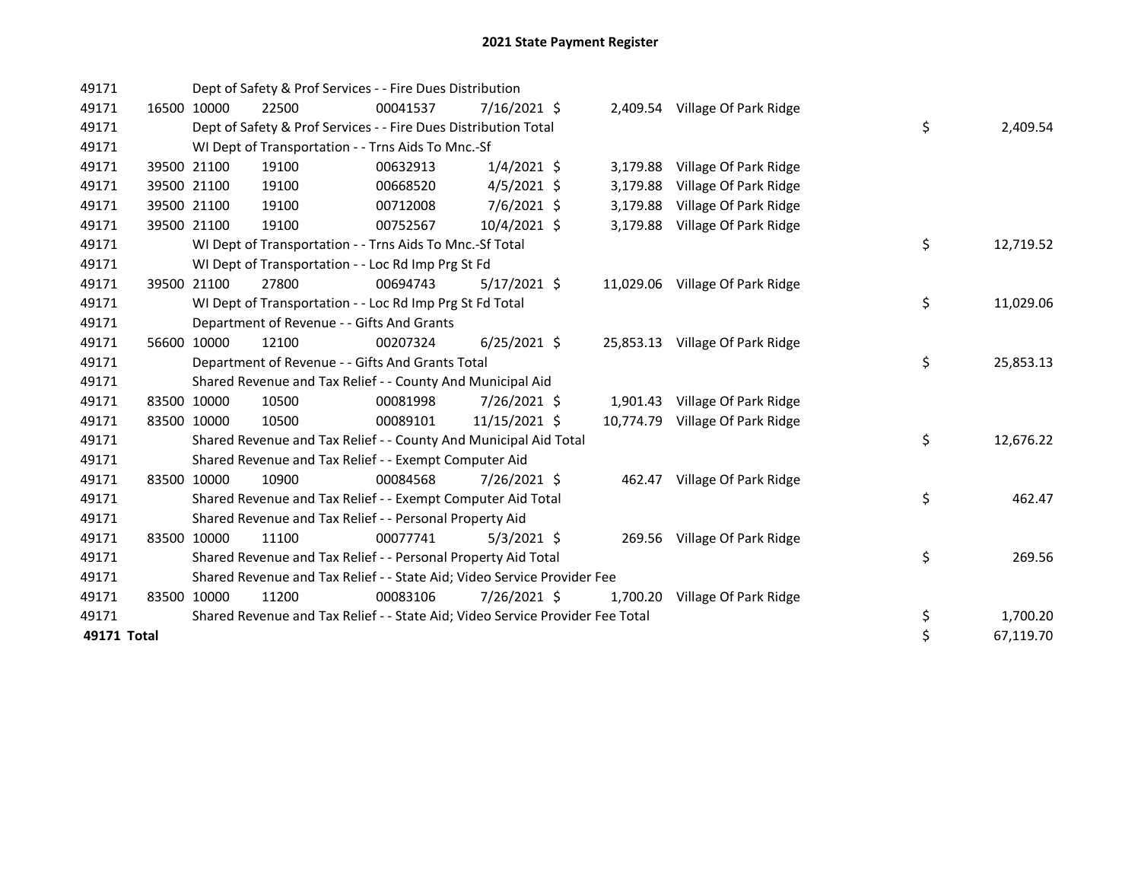| 49171       |             | Dept of Safety & Prof Services - - Fire Dues Distribution                     |          |                |          |                                 |    |           |
|-------------|-------------|-------------------------------------------------------------------------------|----------|----------------|----------|---------------------------------|----|-----------|
| 49171       | 16500 10000 | 22500                                                                         | 00041537 | 7/16/2021 \$   |          | 2,409.54 Village Of Park Ridge  |    |           |
| 49171       |             | Dept of Safety & Prof Services - - Fire Dues Distribution Total               |          |                |          |                                 | \$ | 2,409.54  |
| 49171       |             | WI Dept of Transportation - - Trns Aids To Mnc.-Sf                            |          |                |          |                                 |    |           |
| 49171       | 39500 21100 | 19100                                                                         | 00632913 | $1/4/2021$ \$  |          | 3,179.88 Village Of Park Ridge  |    |           |
| 49171       | 39500 21100 | 19100                                                                         | 00668520 | $4/5/2021$ \$  | 3,179.88 | Village Of Park Ridge           |    |           |
| 49171       | 39500 21100 | 19100                                                                         | 00712008 | 7/6/2021 \$    | 3,179.88 | Village Of Park Ridge           |    |           |
| 49171       | 39500 21100 | 19100                                                                         | 00752567 | 10/4/2021 \$   | 3,179.88 | Village Of Park Ridge           |    |           |
| 49171       |             | WI Dept of Transportation - - Trns Aids To Mnc.-Sf Total                      |          |                |          |                                 | \$ | 12,719.52 |
| 49171       |             | WI Dept of Transportation - - Loc Rd Imp Prg St Fd                            |          |                |          |                                 |    |           |
| 49171       | 39500 21100 | 27800                                                                         | 00694743 | $5/17/2021$ \$ |          | 11,029.06 Village Of Park Ridge |    |           |
| 49171       |             | WI Dept of Transportation - - Loc Rd Imp Prg St Fd Total                      |          |                |          |                                 | \$ | 11,029.06 |
| 49171       |             | Department of Revenue - - Gifts And Grants                                    |          |                |          |                                 |    |           |
| 49171       | 56600 10000 | 12100                                                                         | 00207324 | $6/25/2021$ \$ |          | 25,853.13 Village Of Park Ridge |    |           |
| 49171       |             | Department of Revenue - - Gifts And Grants Total                              |          |                |          |                                 | \$ | 25,853.13 |
| 49171       |             | Shared Revenue and Tax Relief - - County And Municipal Aid                    |          |                |          |                                 |    |           |
| 49171       | 83500 10000 | 10500                                                                         | 00081998 | 7/26/2021 \$   |          | 1,901.43 Village Of Park Ridge  |    |           |
| 49171       | 83500 10000 | 10500                                                                         | 00089101 | 11/15/2021 \$  |          | 10,774.79 Village Of Park Ridge |    |           |
| 49171       |             | Shared Revenue and Tax Relief - - County And Municipal Aid Total              |          |                |          |                                 | \$ | 12,676.22 |
| 49171       |             | Shared Revenue and Tax Relief - - Exempt Computer Aid                         |          |                |          |                                 |    |           |
| 49171       | 83500 10000 | 10900                                                                         | 00084568 | 7/26/2021 \$   |          | 462.47 Village Of Park Ridge    |    |           |
| 49171       |             | Shared Revenue and Tax Relief - - Exempt Computer Aid Total                   |          |                |          |                                 | \$ | 462.47    |
| 49171       |             | Shared Revenue and Tax Relief - - Personal Property Aid                       |          |                |          |                                 |    |           |
| 49171       | 83500 10000 | 11100                                                                         | 00077741 | $5/3/2021$ \$  |          | 269.56 Village Of Park Ridge    |    |           |
| 49171       |             | Shared Revenue and Tax Relief - - Personal Property Aid Total                 |          |                |          |                                 | \$ | 269.56    |
| 49171       |             | Shared Revenue and Tax Relief - - State Aid; Video Service Provider Fee       |          |                |          |                                 |    |           |
| 49171       | 83500 10000 | 11200                                                                         | 00083106 | 7/26/2021 \$   | 1,700.20 | Village Of Park Ridge           |    |           |
| 49171       |             | Shared Revenue and Tax Relief - - State Aid; Video Service Provider Fee Total |          |                |          |                                 | \$ | 1,700.20  |
| 49171 Total |             |                                                                               |          |                |          |                                 | \$ | 67,119.70 |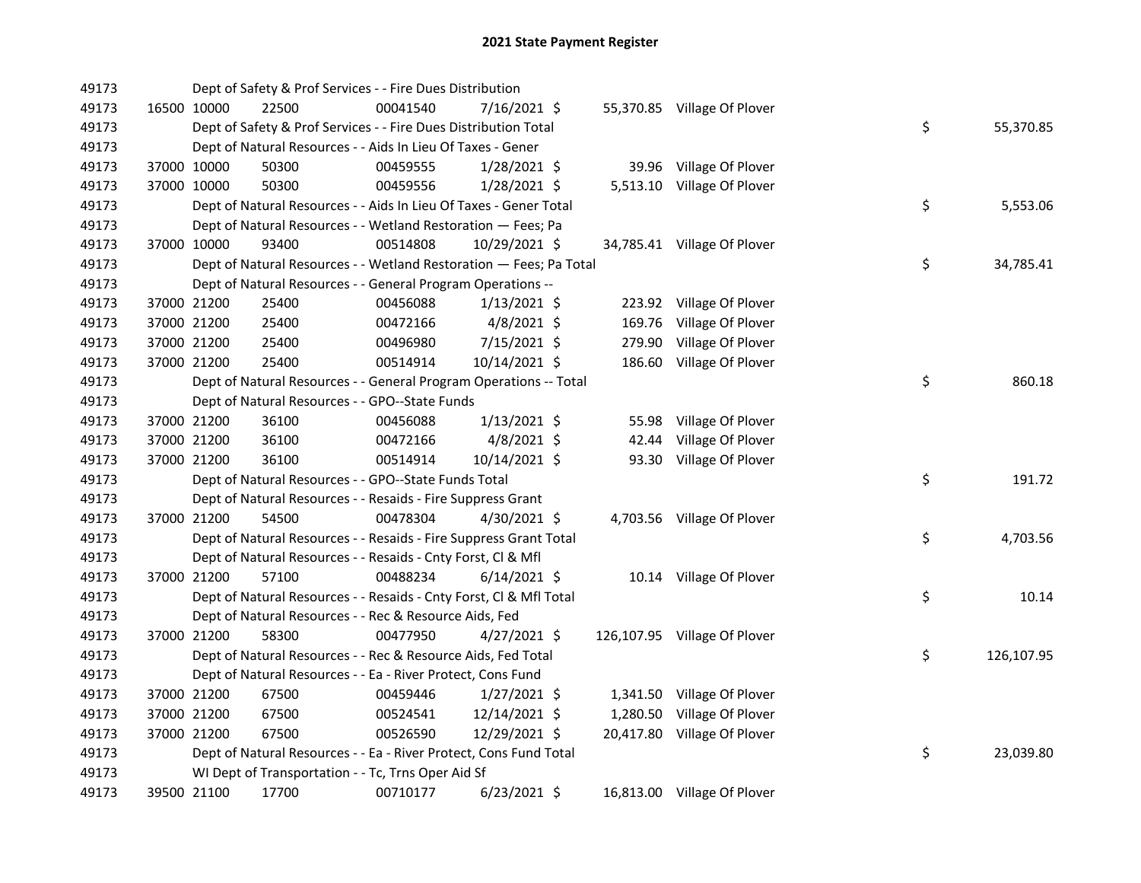| 49173 |             | Dept of Safety & Prof Services - - Fire Dues Distribution          |          |                |        |                              |    |            |
|-------|-------------|--------------------------------------------------------------------|----------|----------------|--------|------------------------------|----|------------|
| 49173 | 16500 10000 | 22500                                                              | 00041540 | 7/16/2021 \$   |        | 55,370.85 Village Of Plover  |    |            |
| 49173 |             | Dept of Safety & Prof Services - - Fire Dues Distribution Total    |          |                |        |                              | \$ | 55,370.85  |
| 49173 |             | Dept of Natural Resources - - Aids In Lieu Of Taxes - Gener        |          |                |        |                              |    |            |
| 49173 | 37000 10000 | 50300                                                              | 00459555 | 1/28/2021 \$   |        | 39.96 Village Of Plover      |    |            |
| 49173 | 37000 10000 | 50300                                                              | 00459556 | 1/28/2021 \$   |        | 5,513.10 Village Of Plover   |    |            |
| 49173 |             | Dept of Natural Resources - - Aids In Lieu Of Taxes - Gener Total  |          |                |        |                              | \$ | 5,553.06   |
| 49173 |             | Dept of Natural Resources - - Wetland Restoration - Fees; Pa       |          |                |        |                              |    |            |
| 49173 | 37000 10000 | 93400                                                              | 00514808 | 10/29/2021 \$  |        | 34,785.41 Village Of Plover  |    |            |
| 49173 |             | Dept of Natural Resources - - Wetland Restoration - Fees; Pa Total |          |                |        |                              | \$ | 34,785.41  |
| 49173 |             | Dept of Natural Resources - - General Program Operations --        |          |                |        |                              |    |            |
| 49173 | 37000 21200 | 25400                                                              | 00456088 | $1/13/2021$ \$ |        | 223.92 Village Of Plover     |    |            |
| 49173 | 37000 21200 | 25400                                                              | 00472166 | $4/8/2021$ \$  | 169.76 | Village Of Plover            |    |            |
| 49173 | 37000 21200 | 25400                                                              | 00496980 | 7/15/2021 \$   | 279.90 | Village Of Plover            |    |            |
| 49173 | 37000 21200 | 25400                                                              | 00514914 | 10/14/2021 \$  | 186.60 | Village Of Plover            |    |            |
| 49173 |             | Dept of Natural Resources - - General Program Operations -- Total  |          |                |        |                              | \$ | 860.18     |
| 49173 |             | Dept of Natural Resources - - GPO--State Funds                     |          |                |        |                              |    |            |
| 49173 | 37000 21200 | 36100                                                              | 00456088 | $1/13/2021$ \$ | 55.98  | Village Of Plover            |    |            |
| 49173 | 37000 21200 | 36100                                                              | 00472166 | 4/8/2021 \$    | 42.44  | Village Of Plover            |    |            |
| 49173 | 37000 21200 | 36100                                                              | 00514914 | 10/14/2021 \$  | 93.30  | Village Of Plover            |    |            |
| 49173 |             | Dept of Natural Resources - - GPO--State Funds Total               |          |                |        |                              | \$ | 191.72     |
| 49173 |             | Dept of Natural Resources - - Resaids - Fire Suppress Grant        |          |                |        |                              |    |            |
| 49173 | 37000 21200 | 54500                                                              | 00478304 | 4/30/2021 \$   |        | 4,703.56 Village Of Plover   |    |            |
| 49173 |             | Dept of Natural Resources - - Resaids - Fire Suppress Grant Total  |          |                |        |                              | \$ | 4,703.56   |
| 49173 |             | Dept of Natural Resources - - Resaids - Cnty Forst, Cl & Mfl       |          |                |        |                              |    |            |
| 49173 | 37000 21200 | 57100                                                              | 00488234 | $6/14/2021$ \$ |        | 10.14 Village Of Plover      |    |            |
| 49173 |             | Dept of Natural Resources - - Resaids - Cnty Forst, Cl & Mfl Total |          |                |        |                              | \$ | 10.14      |
| 49173 |             | Dept of Natural Resources - - Rec & Resource Aids, Fed             |          |                |        |                              |    |            |
| 49173 | 37000 21200 | 58300                                                              | 00477950 | $4/27/2021$ \$ |        | 126,107.95 Village Of Plover |    |            |
| 49173 |             | Dept of Natural Resources - - Rec & Resource Aids, Fed Total       |          |                |        |                              | \$ | 126,107.95 |
| 49173 |             | Dept of Natural Resources - - Ea - River Protect, Cons Fund        |          |                |        |                              |    |            |
| 49173 | 37000 21200 | 67500                                                              | 00459446 | $1/27/2021$ \$ |        | 1,341.50 Village Of Plover   |    |            |
| 49173 | 37000 21200 | 67500                                                              | 00524541 | 12/14/2021 \$  |        | 1,280.50 Village Of Plover   |    |            |
| 49173 | 37000 21200 | 67500                                                              | 00526590 | 12/29/2021 \$  |        | 20,417.80 Village Of Plover  |    |            |
| 49173 |             | Dept of Natural Resources - - Ea - River Protect, Cons Fund Total  |          |                |        |                              | \$ | 23,039.80  |
| 49173 |             | WI Dept of Transportation - - Tc, Trns Oper Aid Sf                 |          |                |        |                              |    |            |
| 49173 | 39500 21100 | 17700                                                              | 00710177 | $6/23/2021$ \$ |        | 16,813.00 Village Of Plover  |    |            |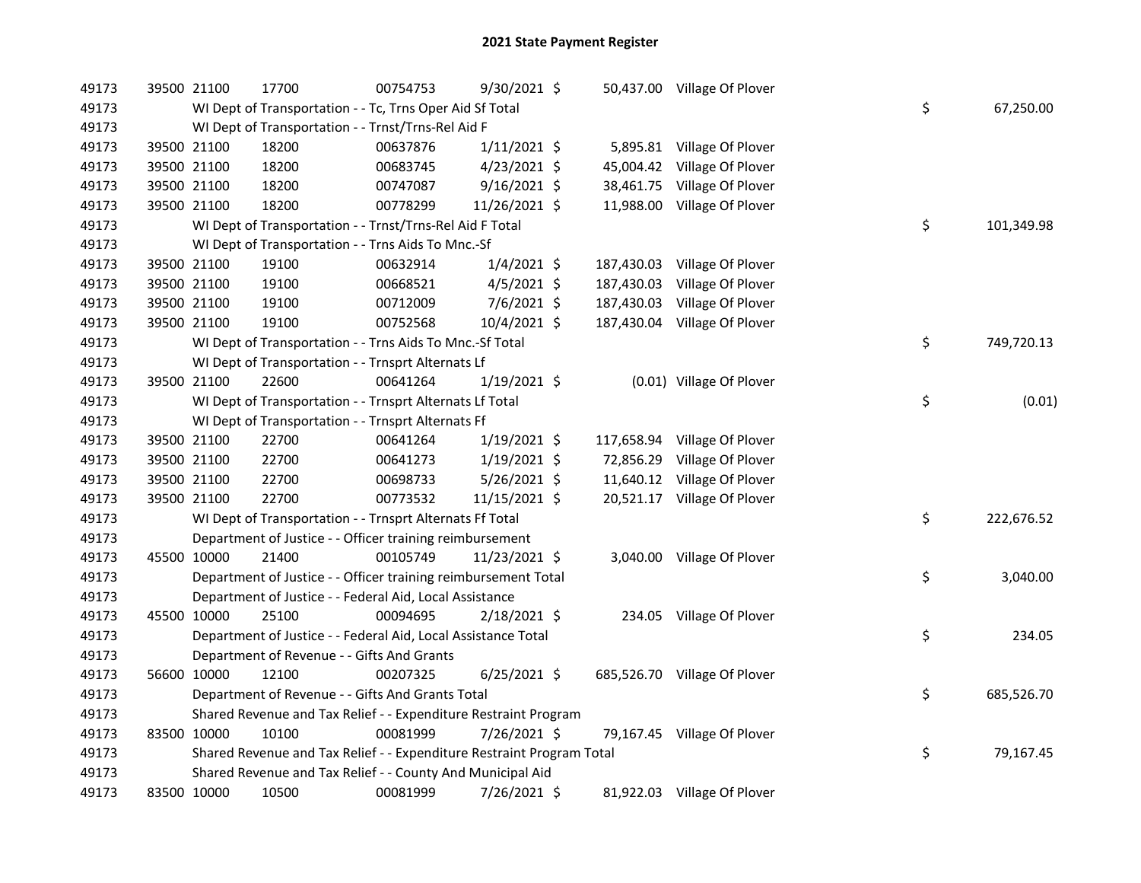| 49173 | 39500 21100 | 17700                                                                 | 00754753 | 9/30/2021 \$   |            | 50,437.00 Village Of Plover  |    |            |
|-------|-------------|-----------------------------------------------------------------------|----------|----------------|------------|------------------------------|----|------------|
| 49173 |             | WI Dept of Transportation - - Tc, Trns Oper Aid Sf Total              |          |                |            |                              | \$ | 67,250.00  |
| 49173 |             | WI Dept of Transportation - - Trnst/Trns-Rel Aid F                    |          |                |            |                              |    |            |
| 49173 | 39500 21100 | 18200                                                                 | 00637876 | $1/11/2021$ \$ |            | 5,895.81 Village Of Plover   |    |            |
| 49173 | 39500 21100 | 18200                                                                 | 00683745 | $4/23/2021$ \$ |            | 45,004.42 Village Of Plover  |    |            |
| 49173 | 39500 21100 | 18200                                                                 | 00747087 | $9/16/2021$ \$ |            | 38,461.75 Village Of Plover  |    |            |
| 49173 | 39500 21100 | 18200                                                                 | 00778299 | 11/26/2021 \$  |            | 11,988.00 Village Of Plover  |    |            |
| 49173 |             | WI Dept of Transportation - - Trnst/Trns-Rel Aid F Total              |          |                |            |                              | \$ | 101,349.98 |
| 49173 |             | WI Dept of Transportation - - Trns Aids To Mnc.-Sf                    |          |                |            |                              |    |            |
| 49173 | 39500 21100 | 19100                                                                 | 00632914 | $1/4/2021$ \$  |            | 187,430.03 Village Of Plover |    |            |
| 49173 | 39500 21100 | 19100                                                                 | 00668521 | 4/5/2021 \$    |            | 187,430.03 Village Of Plover |    |            |
| 49173 | 39500 21100 | 19100                                                                 | 00712009 | 7/6/2021 \$    | 187,430.03 | Village Of Plover            |    |            |
| 49173 | 39500 21100 | 19100                                                                 | 00752568 | 10/4/2021 \$   |            | 187,430.04 Village Of Plover |    |            |
| 49173 |             | WI Dept of Transportation - - Trns Aids To Mnc.-Sf Total              |          |                |            |                              | \$ | 749,720.13 |
| 49173 |             | WI Dept of Transportation - - Trnsprt Alternats Lf                    |          |                |            |                              |    |            |
| 49173 | 39500 21100 | 22600                                                                 | 00641264 | $1/19/2021$ \$ |            | (0.01) Village Of Plover     |    |            |
| 49173 |             | WI Dept of Transportation - - Trnsprt Alternats Lf Total              |          |                |            |                              | \$ | (0.01)     |
| 49173 |             | WI Dept of Transportation - - Trnsprt Alternats Ff                    |          |                |            |                              |    |            |
| 49173 | 39500 21100 | 22700                                                                 | 00641264 | 1/19/2021 \$   |            | 117,658.94 Village Of Plover |    |            |
| 49173 | 39500 21100 | 22700                                                                 | 00641273 | 1/19/2021 \$   |            | 72,856.29 Village Of Plover  |    |            |
| 49173 | 39500 21100 | 22700                                                                 | 00698733 | $5/26/2021$ \$ |            | 11,640.12 Village Of Plover  |    |            |
| 49173 | 39500 21100 | 22700                                                                 | 00773532 | 11/15/2021 \$  |            | 20,521.17 Village Of Plover  |    |            |
| 49173 |             | WI Dept of Transportation - - Trnsprt Alternats Ff Total              |          |                |            |                              | \$ | 222,676.52 |
| 49173 |             | Department of Justice - - Officer training reimbursement              |          |                |            |                              |    |            |
| 49173 | 45500 10000 | 21400                                                                 | 00105749 | 11/23/2021 \$  |            | 3,040.00 Village Of Plover   |    |            |
| 49173 |             | Department of Justice - - Officer training reimbursement Total        |          |                |            |                              | \$ | 3,040.00   |
| 49173 |             | Department of Justice - - Federal Aid, Local Assistance               |          |                |            |                              |    |            |
| 49173 | 45500 10000 | 25100                                                                 | 00094695 | 2/18/2021 \$   |            | 234.05 Village Of Plover     |    |            |
| 49173 |             | Department of Justice - - Federal Aid, Local Assistance Total         |          |                |            |                              | \$ | 234.05     |
| 49173 |             | Department of Revenue - - Gifts And Grants                            |          |                |            |                              |    |            |
| 49173 | 56600 10000 | 12100                                                                 | 00207325 | $6/25/2021$ \$ |            | 685,526.70 Village Of Plover |    |            |
| 49173 |             | Department of Revenue - - Gifts And Grants Total                      |          |                |            |                              | \$ | 685,526.70 |
| 49173 |             | Shared Revenue and Tax Relief - - Expenditure Restraint Program       |          |                |            |                              |    |            |
| 49173 | 83500 10000 | 10100                                                                 | 00081999 | 7/26/2021 \$   |            | 79,167.45 Village Of Plover  |    |            |
| 49173 |             | Shared Revenue and Tax Relief - - Expenditure Restraint Program Total |          |                |            |                              | \$ | 79,167.45  |
| 49173 |             | Shared Revenue and Tax Relief - - County And Municipal Aid            |          |                |            |                              |    |            |
| 49173 | 83500 10000 | 10500                                                                 | 00081999 | 7/26/2021 \$   |            | 81,922.03 Village Of Plover  |    |            |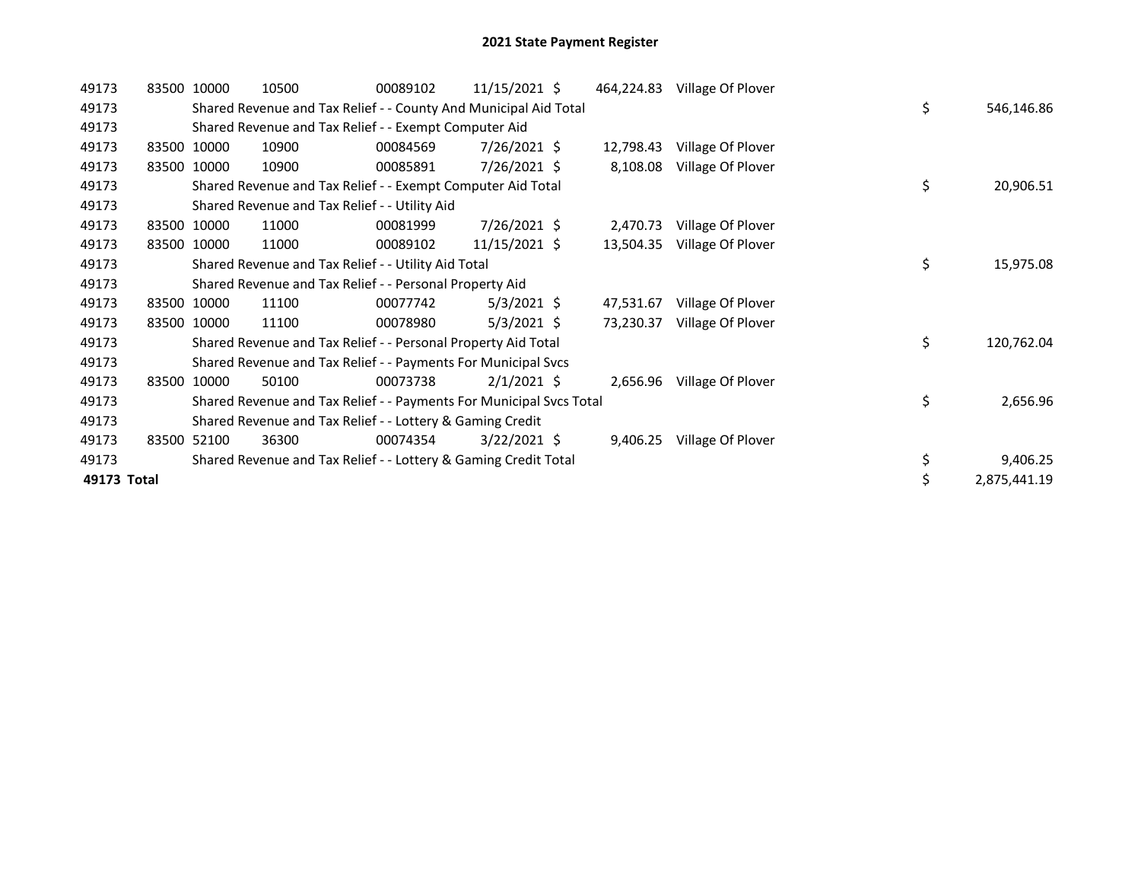| 49173       |       | 83500 10000 | 10500                                                               | 00089102 | 11/15/2021 \$  | 464,224.83 | Village Of Plover |    |              |
|-------------|-------|-------------|---------------------------------------------------------------------|----------|----------------|------------|-------------------|----|--------------|
| 49173       |       |             | Shared Revenue and Tax Relief - - County And Municipal Aid Total    |          |                |            |                   | \$ | 546,146.86   |
| 49173       |       |             | Shared Revenue and Tax Relief - - Exempt Computer Aid               |          |                |            |                   |    |              |
| 49173       | 83500 | 10000       | 10900                                                               | 00084569 | 7/26/2021 \$   | 12,798.43  | Village Of Plover |    |              |
| 49173       | 83500 | 10000       | 10900                                                               | 00085891 | 7/26/2021 \$   | 8,108.08   | Village Of Plover |    |              |
| 49173       |       |             | Shared Revenue and Tax Relief - - Exempt Computer Aid Total         |          |                |            |                   | \$ | 20,906.51    |
| 49173       |       |             | Shared Revenue and Tax Relief - - Utility Aid                       |          |                |            |                   |    |              |
| 49173       | 83500 | 10000       | 11000                                                               | 00081999 | 7/26/2021 \$   | 2,470.73   | Village Of Plover |    |              |
| 49173       |       | 83500 10000 | 11000                                                               | 00089102 | 11/15/2021 \$  | 13,504.35  | Village Of Plover |    |              |
| 49173       |       |             | Shared Revenue and Tax Relief - - Utility Aid Total                 |          |                |            |                   | \$ | 15,975.08    |
| 49173       |       |             | Shared Revenue and Tax Relief - - Personal Property Aid             |          |                |            |                   |    |              |
| 49173       | 83500 | 10000       | 11100                                                               | 00077742 | $5/3/2021$ \$  | 47,531.67  | Village Of Plover |    |              |
| 49173       | 83500 | 10000       | 11100                                                               | 00078980 | $5/3/2021$ \$  | 73,230.37  | Village Of Plover |    |              |
| 49173       |       |             | Shared Revenue and Tax Relief - - Personal Property Aid Total       |          |                |            |                   | \$ | 120,762.04   |
| 49173       |       |             | Shared Revenue and Tax Relief - - Payments For Municipal Svcs       |          |                |            |                   |    |              |
| 49173       | 83500 | 10000       | 50100                                                               | 00073738 | $2/1/2021$ \$  | 2,656.96   | Village Of Plover |    |              |
| 49173       |       |             | Shared Revenue and Tax Relief - - Payments For Municipal Svcs Total |          |                |            |                   | \$ | 2,656.96     |
| 49173       |       |             | Shared Revenue and Tax Relief - - Lottery & Gaming Credit           |          |                |            |                   |    |              |
| 49173       | 83500 | 52100       | 36300                                                               | 00074354 | $3/22/2021$ \$ | 9,406.25   | Village Of Plover |    |              |
| 49173       |       |             | Shared Revenue and Tax Relief - - Lottery & Gaming Credit Total     |          |                |            |                   | \$ | 9,406.25     |
| 49173 Total |       |             |                                                                     |          |                |            |                   | \$ | 2,875,441.19 |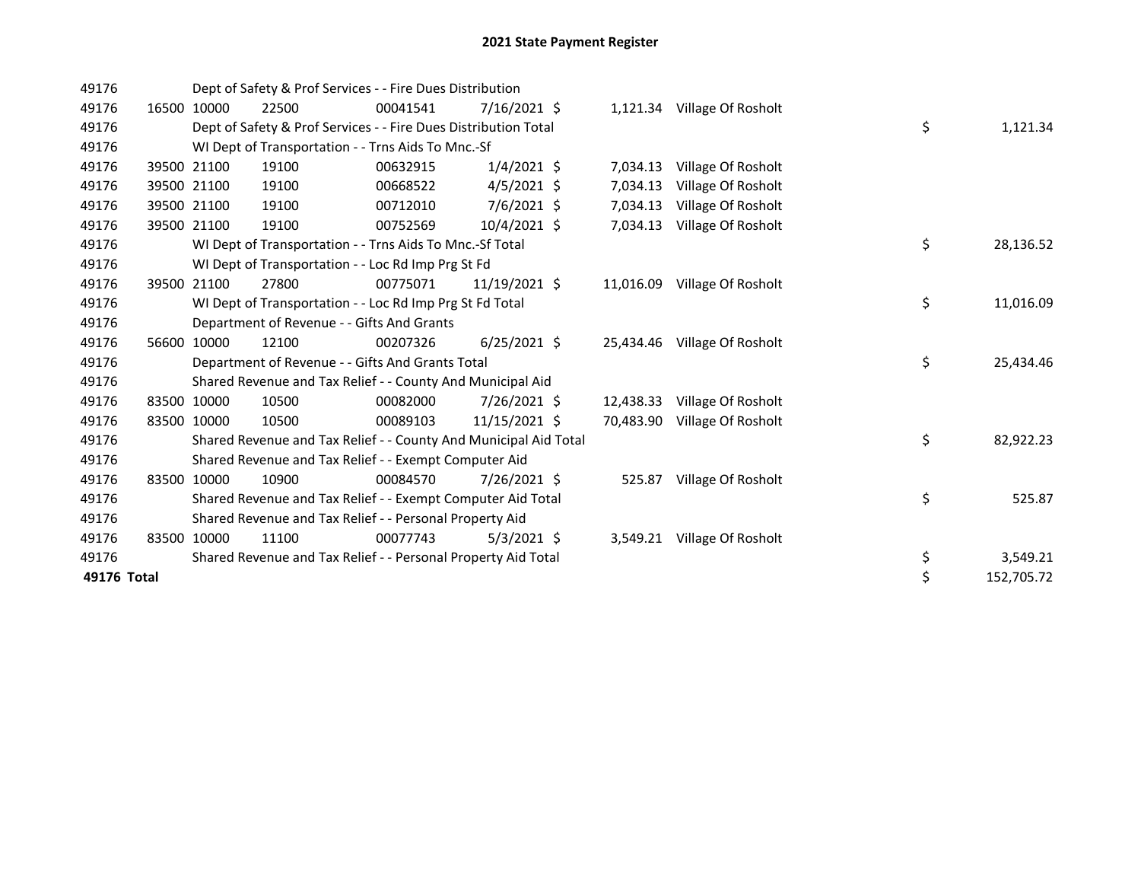| 49176       |       |             | Dept of Safety & Prof Services - - Fire Dues Distribution        |          |                |           |                             |    |            |
|-------------|-------|-------------|------------------------------------------------------------------|----------|----------------|-----------|-----------------------------|----|------------|
| 49176       |       | 16500 10000 | 22500                                                            | 00041541 | $7/16/2021$ \$ |           | 1,121.34 Village Of Rosholt |    |            |
| 49176       |       |             | Dept of Safety & Prof Services - - Fire Dues Distribution Total  |          |                |           |                             | \$ | 1,121.34   |
| 49176       |       |             | WI Dept of Transportation - - Trns Aids To Mnc.-Sf               |          |                |           |                             |    |            |
| 49176       |       | 39500 21100 | 19100                                                            | 00632915 | $1/4/2021$ \$  | 7,034.13  | Village Of Rosholt          |    |            |
| 49176       |       | 39500 21100 | 19100                                                            | 00668522 | $4/5/2021$ \$  | 7,034.13  | Village Of Rosholt          |    |            |
| 49176       | 39500 | 21100       | 19100                                                            | 00712010 | 7/6/2021 \$    | 7,034.13  | Village Of Rosholt          |    |            |
| 49176       |       | 39500 21100 | 19100                                                            | 00752569 | 10/4/2021 \$   | 7,034.13  | Village Of Rosholt          |    |            |
| 49176       |       |             | WI Dept of Transportation - - Trns Aids To Mnc.-Sf Total         |          |                |           |                             | \$ | 28,136.52  |
| 49176       |       |             | WI Dept of Transportation - - Loc Rd Imp Prg St Fd               |          |                |           |                             |    |            |
| 49176       |       | 39500 21100 | 27800                                                            | 00775071 | 11/19/2021 \$  | 11,016.09 | Village Of Rosholt          |    |            |
| 49176       |       |             | WI Dept of Transportation - - Loc Rd Imp Prg St Fd Total         |          |                |           |                             | \$ | 11,016.09  |
| 49176       |       |             | Department of Revenue - - Gifts And Grants                       |          |                |           |                             |    |            |
| 49176       |       | 56600 10000 | 12100                                                            | 00207326 | $6/25/2021$ \$ | 25.434.46 | Village Of Rosholt          |    |            |
| 49176       |       |             | Department of Revenue - - Gifts And Grants Total                 |          |                |           |                             | \$ | 25,434.46  |
| 49176       |       |             | Shared Revenue and Tax Relief - - County And Municipal Aid       |          |                |           |                             |    |            |
| 49176       |       | 83500 10000 | 10500                                                            | 00082000 | 7/26/2021 \$   | 12,438.33 | Village Of Rosholt          |    |            |
| 49176       |       | 83500 10000 | 10500                                                            | 00089103 | 11/15/2021 \$  | 70,483.90 | Village Of Rosholt          |    |            |
| 49176       |       |             | Shared Revenue and Tax Relief - - County And Municipal Aid Total |          |                |           |                             | \$ | 82,922.23  |
| 49176       |       |             | Shared Revenue and Tax Relief - - Exempt Computer Aid            |          |                |           |                             |    |            |
| 49176       |       | 83500 10000 | 10900                                                            | 00084570 | 7/26/2021 \$   | 525.87    | Village Of Rosholt          |    |            |
| 49176       |       |             | Shared Revenue and Tax Relief - - Exempt Computer Aid Total      |          |                |           |                             | \$ | 525.87     |
| 49176       |       |             | Shared Revenue and Tax Relief - - Personal Property Aid          |          |                |           |                             |    |            |
| 49176       |       | 83500 10000 | 11100                                                            | 00077743 | $5/3/2021$ \$  | 3,549.21  | Village Of Rosholt          |    |            |
| 49176       |       |             | Shared Revenue and Tax Relief - - Personal Property Aid Total    |          |                |           |                             | \$ | 3,549.21   |
| 49176 Total |       |             |                                                                  |          |                |           |                             | \$ | 152,705.72 |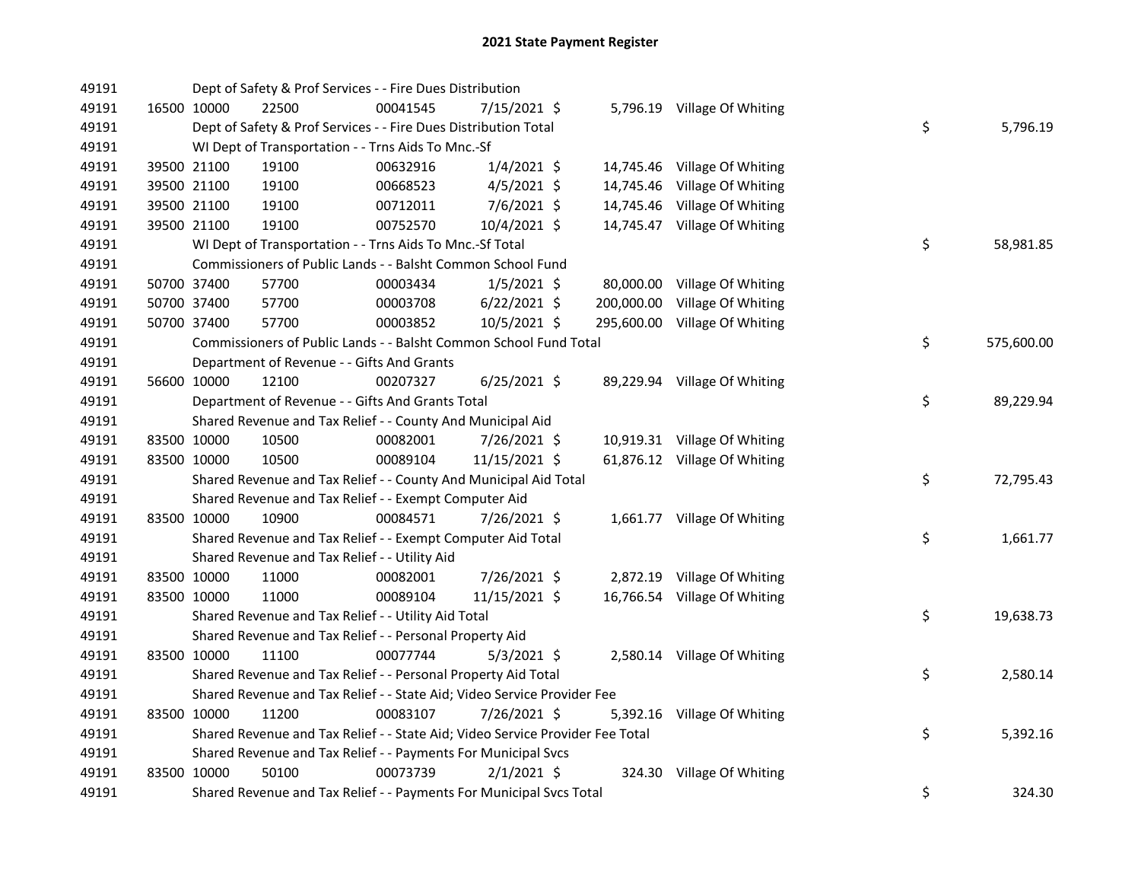| 49191 |             | Dept of Safety & Prof Services - - Fire Dues Distribution                     |          |                |            |                               |    |            |
|-------|-------------|-------------------------------------------------------------------------------|----------|----------------|------------|-------------------------------|----|------------|
| 49191 | 16500 10000 | 22500                                                                         | 00041545 | 7/15/2021 \$   |            | 5,796.19 Village Of Whiting   |    |            |
| 49191 |             | Dept of Safety & Prof Services - - Fire Dues Distribution Total               |          |                |            |                               | \$ | 5,796.19   |
| 49191 |             | WI Dept of Transportation - - Trns Aids To Mnc.-Sf                            |          |                |            |                               |    |            |
| 49191 | 39500 21100 | 19100                                                                         | 00632916 | $1/4/2021$ \$  |            | 14,745.46 Village Of Whiting  |    |            |
| 49191 | 39500 21100 | 19100                                                                         | 00668523 | $4/5/2021$ \$  |            | 14,745.46 Village Of Whiting  |    |            |
| 49191 | 39500 21100 | 19100                                                                         | 00712011 | 7/6/2021 \$    |            | 14,745.46 Village Of Whiting  |    |            |
| 49191 | 39500 21100 | 19100                                                                         | 00752570 | 10/4/2021 \$   |            | 14,745.47 Village Of Whiting  |    |            |
| 49191 |             | WI Dept of Transportation - - Trns Aids To Mnc.-Sf Total                      |          |                |            |                               | \$ | 58,981.85  |
| 49191 |             | Commissioners of Public Lands - - Balsht Common School Fund                   |          |                |            |                               |    |            |
| 49191 | 50700 37400 | 57700                                                                         | 00003434 | $1/5/2021$ \$  |            | 80,000.00 Village Of Whiting  |    |            |
| 49191 | 50700 37400 | 57700                                                                         | 00003708 | $6/22/2021$ \$ | 200,000.00 | Village Of Whiting            |    |            |
| 49191 | 50700 37400 | 57700                                                                         | 00003852 | 10/5/2021 \$   |            | 295,600.00 Village Of Whiting |    |            |
| 49191 |             | Commissioners of Public Lands - - Balsht Common School Fund Total             |          |                |            |                               | \$ | 575,600.00 |
| 49191 |             | Department of Revenue - - Gifts And Grants                                    |          |                |            |                               |    |            |
| 49191 | 56600 10000 | 12100                                                                         | 00207327 | $6/25/2021$ \$ |            | 89,229.94 Village Of Whiting  |    |            |
| 49191 |             | Department of Revenue - - Gifts And Grants Total                              |          |                |            |                               | \$ | 89,229.94  |
| 49191 |             | Shared Revenue and Tax Relief - - County And Municipal Aid                    |          |                |            |                               |    |            |
| 49191 | 83500 10000 | 10500                                                                         | 00082001 | 7/26/2021 \$   |            | 10,919.31 Village Of Whiting  |    |            |
| 49191 | 83500 10000 | 10500                                                                         | 00089104 | 11/15/2021 \$  |            | 61,876.12 Village Of Whiting  |    |            |
| 49191 |             | Shared Revenue and Tax Relief - - County And Municipal Aid Total              |          |                |            |                               | \$ | 72,795.43  |
| 49191 |             | Shared Revenue and Tax Relief - - Exempt Computer Aid                         |          |                |            |                               |    |            |
| 49191 | 83500 10000 | 10900                                                                         | 00084571 | 7/26/2021 \$   |            | 1,661.77 Village Of Whiting   |    |            |
| 49191 |             | Shared Revenue and Tax Relief - - Exempt Computer Aid Total                   |          |                |            |                               | \$ | 1,661.77   |
| 49191 |             | Shared Revenue and Tax Relief - - Utility Aid                                 |          |                |            |                               |    |            |
| 49191 | 83500 10000 | 11000                                                                         | 00082001 | 7/26/2021 \$   |            | 2,872.19 Village Of Whiting   |    |            |
| 49191 | 83500 10000 | 11000                                                                         | 00089104 | 11/15/2021 \$  |            | 16,766.54 Village Of Whiting  |    |            |
| 49191 |             | Shared Revenue and Tax Relief - - Utility Aid Total                           |          |                |            |                               | \$ | 19,638.73  |
| 49191 |             | Shared Revenue and Tax Relief - - Personal Property Aid                       |          |                |            |                               |    |            |
| 49191 | 83500 10000 | 11100                                                                         | 00077744 | $5/3/2021$ \$  |            | 2,580.14 Village Of Whiting   |    |            |
| 49191 |             | Shared Revenue and Tax Relief - - Personal Property Aid Total                 |          |                |            |                               | \$ | 2,580.14   |
| 49191 |             | Shared Revenue and Tax Relief - - State Aid; Video Service Provider Fee       |          |                |            |                               |    |            |
| 49191 | 83500 10000 | 11200                                                                         | 00083107 | 7/26/2021 \$   |            | 5,392.16 Village Of Whiting   |    |            |
| 49191 |             | Shared Revenue and Tax Relief - - State Aid; Video Service Provider Fee Total |          |                |            |                               | \$ | 5,392.16   |
| 49191 |             | Shared Revenue and Tax Relief - - Payments For Municipal Svcs                 |          |                |            |                               |    |            |
| 49191 | 83500 10000 | 50100                                                                         | 00073739 | $2/1/2021$ \$  |            | 324.30 Village Of Whiting     |    |            |
| 49191 |             | Shared Revenue and Tax Relief - - Payments For Municipal Svcs Total           |          |                |            |                               | \$ | 324.30     |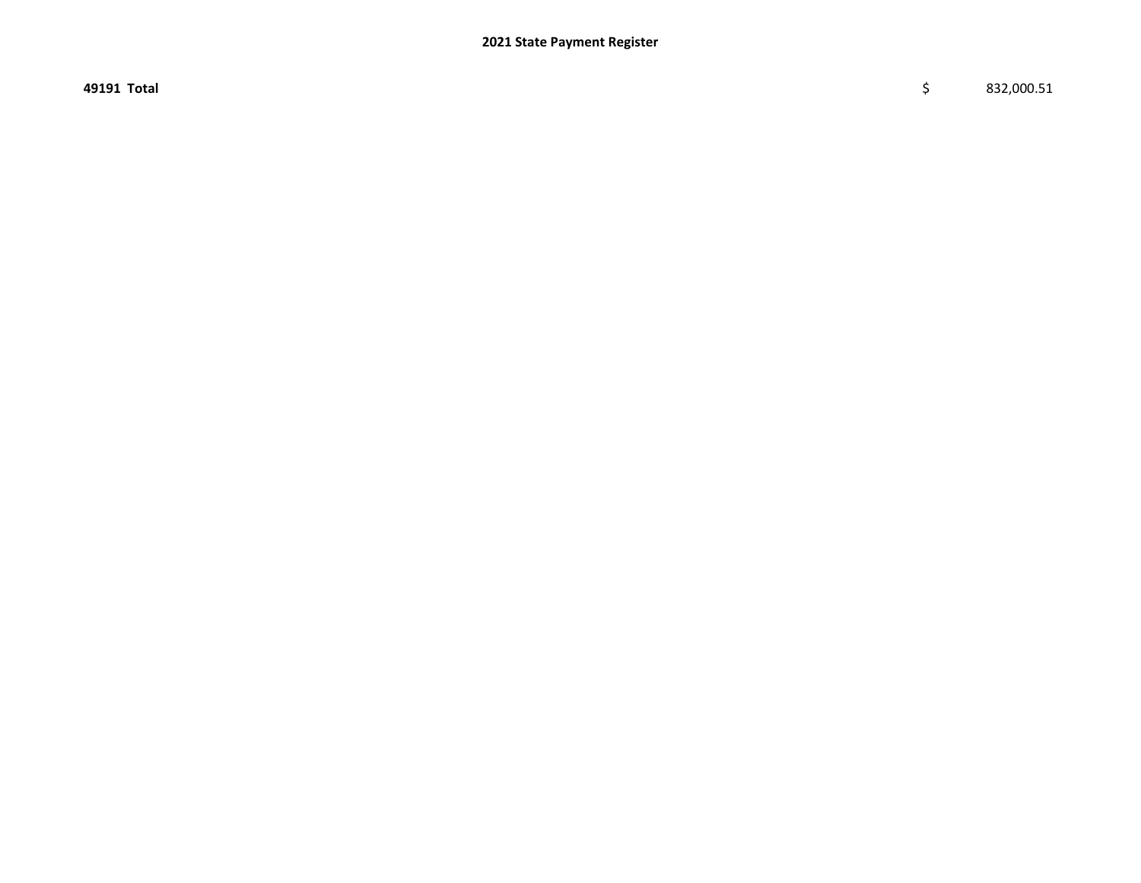49191 Total \$ 832,000.51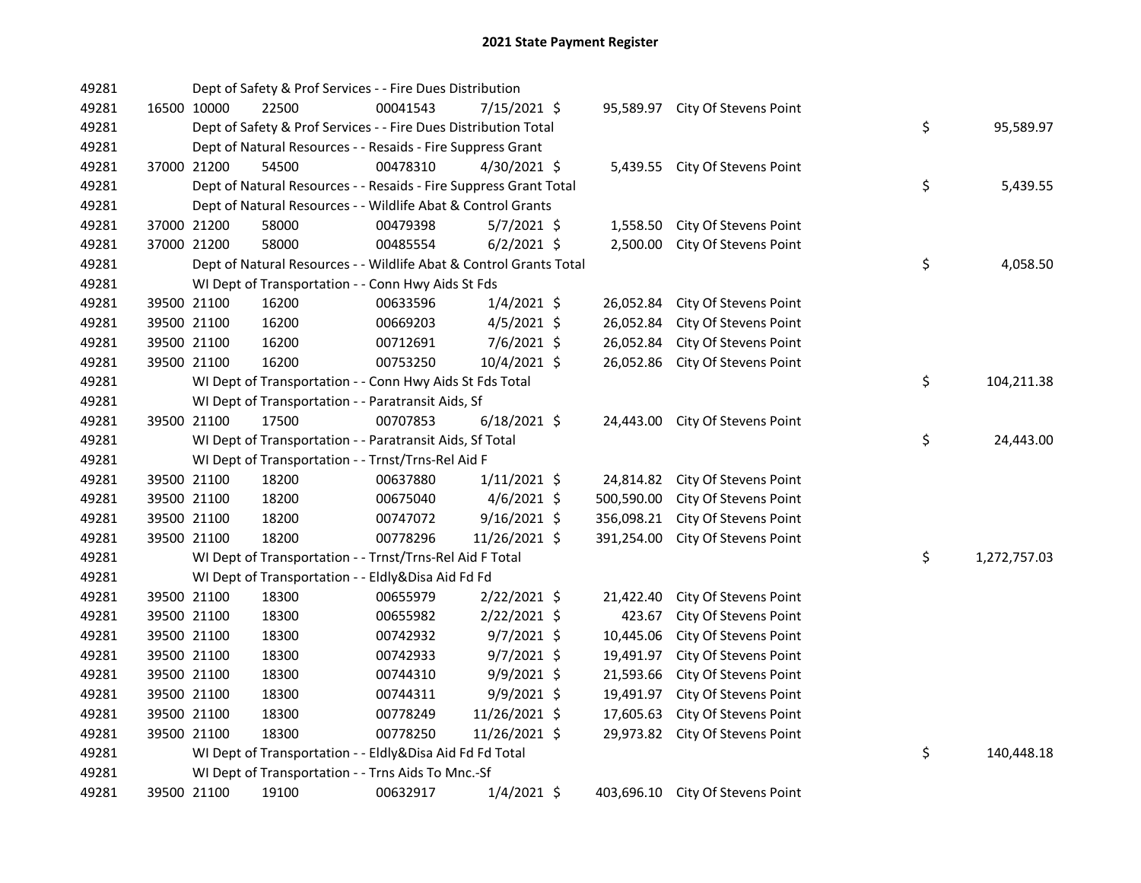| 49281 |             | Dept of Safety & Prof Services - - Fire Dues Distribution          |          |                |            |                                  |                    |  |
|-------|-------------|--------------------------------------------------------------------|----------|----------------|------------|----------------------------------|--------------------|--|
| 49281 | 16500 10000 | 22500                                                              | 00041543 | 7/15/2021 \$   |            | 95,589.97 City Of Stevens Point  |                    |  |
| 49281 |             | Dept of Safety & Prof Services - - Fire Dues Distribution Total    |          |                |            |                                  | \$<br>95,589.97    |  |
| 49281 |             | Dept of Natural Resources - - Resaids - Fire Suppress Grant        |          |                |            |                                  |                    |  |
| 49281 | 37000 21200 | 54500                                                              | 00478310 | 4/30/2021 \$   |            | 5,439.55 City Of Stevens Point   |                    |  |
| 49281 |             | Dept of Natural Resources - - Resaids - Fire Suppress Grant Total  |          |                |            |                                  | \$<br>5,439.55     |  |
| 49281 |             | Dept of Natural Resources - - Wildlife Abat & Control Grants       |          |                |            |                                  |                    |  |
| 49281 | 37000 21200 | 58000                                                              | 00479398 | $5/7/2021$ \$  | 1,558.50   | City Of Stevens Point            |                    |  |
| 49281 | 37000 21200 | 58000                                                              | 00485554 | $6/2/2021$ \$  | 2,500.00   | City Of Stevens Point            |                    |  |
| 49281 |             | Dept of Natural Resources - - Wildlife Abat & Control Grants Total |          |                |            |                                  | \$<br>4,058.50     |  |
| 49281 |             | WI Dept of Transportation - - Conn Hwy Aids St Fds                 |          |                |            |                                  |                    |  |
| 49281 | 39500 21100 | 16200                                                              | 00633596 | $1/4/2021$ \$  | 26,052.84  | City Of Stevens Point            |                    |  |
| 49281 | 39500 21100 | 16200                                                              | 00669203 | $4/5/2021$ \$  | 26,052.84  | City Of Stevens Point            |                    |  |
| 49281 | 39500 21100 | 16200                                                              | 00712691 | 7/6/2021 \$    | 26,052.84  | City Of Stevens Point            |                    |  |
| 49281 | 39500 21100 | 16200                                                              | 00753250 | 10/4/2021 \$   | 26,052.86  | City Of Stevens Point            |                    |  |
| 49281 |             | WI Dept of Transportation - - Conn Hwy Aids St Fds Total           |          |                |            |                                  | \$<br>104,211.38   |  |
| 49281 |             | WI Dept of Transportation - - Paratransit Aids, Sf                 |          |                |            |                                  |                    |  |
| 49281 | 39500 21100 | 17500                                                              | 00707853 | $6/18/2021$ \$ | 24,443.00  | City Of Stevens Point            |                    |  |
| 49281 |             | WI Dept of Transportation - - Paratransit Aids, Sf Total           |          |                |            |                                  | \$<br>24,443.00    |  |
| 49281 |             | WI Dept of Transportation - - Trnst/Trns-Rel Aid F                 |          |                |            |                                  |                    |  |
| 49281 | 39500 21100 | 18200                                                              | 00637880 | $1/11/2021$ \$ | 24,814.82  | City Of Stevens Point            |                    |  |
| 49281 | 39500 21100 | 18200                                                              | 00675040 | $4/6/2021$ \$  | 500,590.00 | City Of Stevens Point            |                    |  |
| 49281 | 39500 21100 | 18200                                                              | 00747072 | 9/16/2021 \$   | 356,098.21 | City Of Stevens Point            |                    |  |
| 49281 | 39500 21100 | 18200                                                              | 00778296 | 11/26/2021 \$  | 391,254.00 | City Of Stevens Point            |                    |  |
| 49281 |             | WI Dept of Transportation - - Trnst/Trns-Rel Aid F Total           |          |                |            |                                  | \$<br>1,272,757.03 |  |
| 49281 |             | WI Dept of Transportation - - Eldly&Disa Aid Fd Fd                 |          |                |            |                                  |                    |  |
| 49281 | 39500 21100 | 18300                                                              | 00655979 | 2/22/2021 \$   | 21,422.40  | City Of Stevens Point            |                    |  |
| 49281 | 39500 21100 | 18300                                                              | 00655982 | $2/22/2021$ \$ | 423.67     | City Of Stevens Point            |                    |  |
| 49281 | 39500 21100 | 18300                                                              | 00742932 | $9/7/2021$ \$  | 10,445.06  | City Of Stevens Point            |                    |  |
| 49281 | 39500 21100 | 18300                                                              | 00742933 | $9/7/2021$ \$  | 19,491.97  | City Of Stevens Point            |                    |  |
| 49281 | 39500 21100 | 18300                                                              | 00744310 | 9/9/2021 \$    | 21,593.66  | City Of Stevens Point            |                    |  |
| 49281 | 39500 21100 | 18300                                                              | 00744311 | 9/9/2021 \$    | 19,491.97  | City Of Stevens Point            |                    |  |
| 49281 | 39500 21100 | 18300                                                              | 00778249 | 11/26/2021 \$  | 17,605.63  | City Of Stevens Point            |                    |  |
| 49281 | 39500 21100 | 18300                                                              | 00778250 | 11/26/2021 \$  | 29,973.82  | City Of Stevens Point            |                    |  |
| 49281 |             | WI Dept of Transportation - - Eldly&Disa Aid Fd Fd Total           |          |                |            |                                  | \$<br>140,448.18   |  |
| 49281 |             | WI Dept of Transportation - - Trns Aids To Mnc.-Sf                 |          |                |            |                                  |                    |  |
| 49281 | 39500 21100 | 19100                                                              | 00632917 | $1/4/2021$ \$  |            | 403,696.10 City Of Stevens Point |                    |  |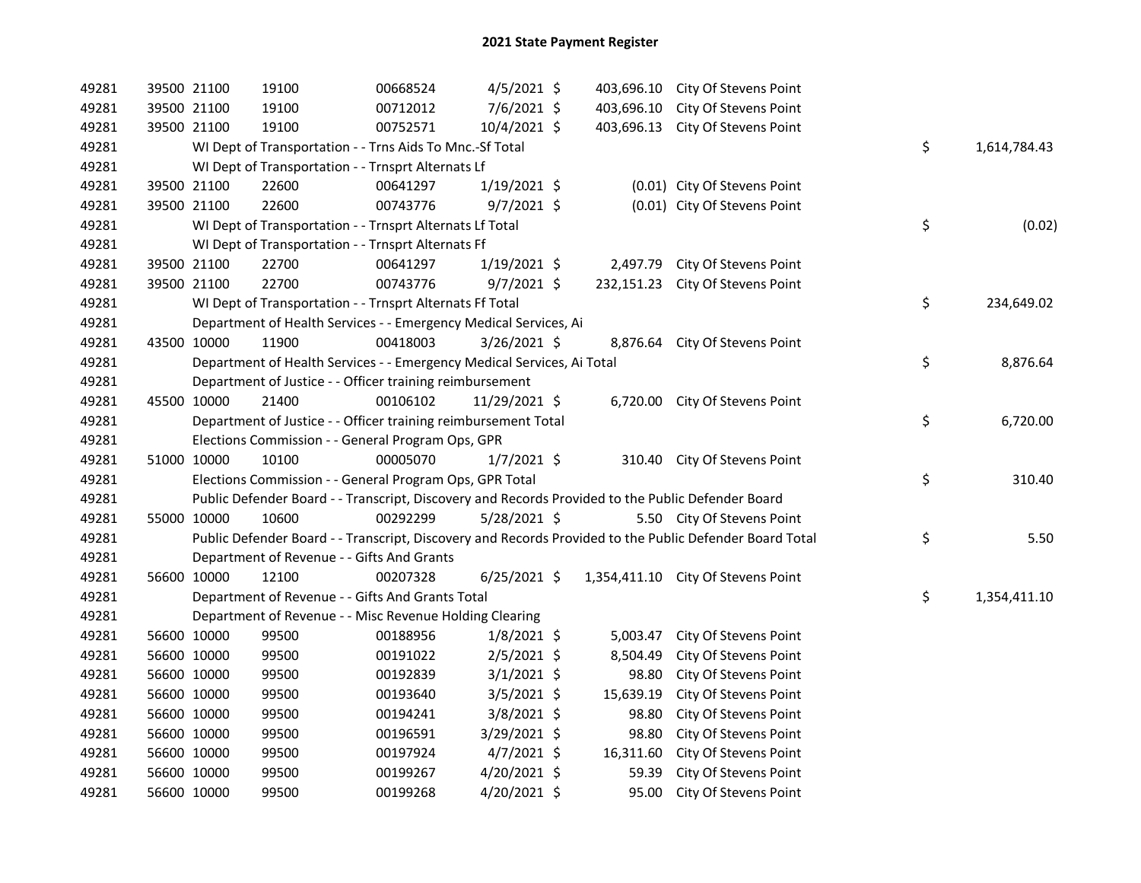| 49281 | 39500 21100 | 19100                                                                  | 00668524 | $4/5/2021$ \$  |           | 403,696.10 City Of Stevens Point                                                                        |                    |
|-------|-------------|------------------------------------------------------------------------|----------|----------------|-----------|---------------------------------------------------------------------------------------------------------|--------------------|
| 49281 | 39500 21100 | 19100                                                                  | 00712012 | 7/6/2021 \$    |           | 403,696.10 City Of Stevens Point                                                                        |                    |
| 49281 | 39500 21100 | 19100                                                                  | 00752571 | 10/4/2021 \$   |           | 403,696.13 City Of Stevens Point                                                                        |                    |
| 49281 |             | WI Dept of Transportation - - Trns Aids To Mnc.-Sf Total               |          |                |           |                                                                                                         | \$<br>1,614,784.43 |
| 49281 |             | WI Dept of Transportation - - Trnsprt Alternats Lf                     |          |                |           |                                                                                                         |                    |
| 49281 | 39500 21100 | 22600                                                                  | 00641297 | $1/19/2021$ \$ |           | (0.01) City Of Stevens Point                                                                            |                    |
| 49281 | 39500 21100 | 22600                                                                  | 00743776 | $9/7/2021$ \$  |           | (0.01) City Of Stevens Point                                                                            |                    |
| 49281 |             | WI Dept of Transportation - - Trnsprt Alternats Lf Total               |          |                |           |                                                                                                         | \$<br>(0.02)       |
| 49281 |             | WI Dept of Transportation - - Trnsprt Alternats Ff                     |          |                |           |                                                                                                         |                    |
| 49281 | 39500 21100 | 22700                                                                  | 00641297 | $1/19/2021$ \$ |           | 2,497.79 City Of Stevens Point                                                                          |                    |
| 49281 | 39500 21100 | 22700                                                                  | 00743776 | $9/7/2021$ \$  |           | 232,151.23 City Of Stevens Point                                                                        |                    |
| 49281 |             | WI Dept of Transportation - - Trnsprt Alternats Ff Total               |          |                |           |                                                                                                         | \$<br>234,649.02   |
| 49281 |             | Department of Health Services - - Emergency Medical Services, Ai       |          |                |           |                                                                                                         |                    |
| 49281 | 43500 10000 | 11900                                                                  | 00418003 | 3/26/2021 \$   |           | 8,876.64 City Of Stevens Point                                                                          |                    |
| 49281 |             | Department of Health Services - - Emergency Medical Services, Ai Total |          |                |           |                                                                                                         | \$<br>8,876.64     |
| 49281 |             | Department of Justice - - Officer training reimbursement               |          |                |           |                                                                                                         |                    |
| 49281 | 45500 10000 | 21400                                                                  | 00106102 | 11/29/2021 \$  |           | 6,720.00 City Of Stevens Point                                                                          |                    |
| 49281 |             | Department of Justice - - Officer training reimbursement Total         |          |                |           |                                                                                                         | \$<br>6,720.00     |
| 49281 |             | Elections Commission - - General Program Ops, GPR                      |          |                |           |                                                                                                         |                    |
| 49281 | 51000 10000 | 10100                                                                  | 00005070 | $1/7/2021$ \$  |           | 310.40 City Of Stevens Point                                                                            |                    |
| 49281 |             | Elections Commission - - General Program Ops, GPR Total                |          |                |           |                                                                                                         | \$<br>310.40       |
| 49281 |             |                                                                        |          |                |           | Public Defender Board - - Transcript, Discovery and Records Provided to the Public Defender Board       |                    |
| 49281 | 55000 10000 | 10600                                                                  | 00292299 | 5/28/2021 \$   |           | 5.50 City Of Stevens Point                                                                              |                    |
| 49281 |             |                                                                        |          |                |           | Public Defender Board - - Transcript, Discovery and Records Provided to the Public Defender Board Total | \$<br>5.50         |
| 49281 |             | Department of Revenue - - Gifts And Grants                             |          |                |           |                                                                                                         |                    |
| 49281 | 56600 10000 | 12100                                                                  | 00207328 | $6/25/2021$ \$ |           | 1,354,411.10 City Of Stevens Point                                                                      |                    |
| 49281 |             | Department of Revenue - - Gifts And Grants Total                       |          |                |           |                                                                                                         | \$<br>1,354,411.10 |
| 49281 |             | Department of Revenue - - Misc Revenue Holding Clearing                |          |                |           |                                                                                                         |                    |
| 49281 | 56600 10000 | 99500                                                                  | 00188956 | $1/8/2021$ \$  |           | 5,003.47 City Of Stevens Point                                                                          |                    |
| 49281 | 56600 10000 | 99500                                                                  | 00191022 | $2/5/2021$ \$  | 8,504.49  | City Of Stevens Point                                                                                   |                    |
| 49281 | 56600 10000 | 99500                                                                  | 00192839 | $3/1/2021$ \$  | 98.80     | City Of Stevens Point                                                                                   |                    |
| 49281 | 56600 10000 | 99500                                                                  | 00193640 | $3/5/2021$ \$  | 15,639.19 | City Of Stevens Point                                                                                   |                    |
| 49281 | 56600 10000 | 99500                                                                  | 00194241 | $3/8/2021$ \$  | 98.80     | City Of Stevens Point                                                                                   |                    |
| 49281 | 56600 10000 | 99500                                                                  | 00196591 | 3/29/2021 \$   | 98.80     | City Of Stevens Point                                                                                   |                    |
| 49281 | 56600 10000 | 99500                                                                  | 00197924 | $4/7/2021$ \$  | 16,311.60 | City Of Stevens Point                                                                                   |                    |
| 49281 | 56600 10000 | 99500                                                                  | 00199267 | $4/20/2021$ \$ | 59.39     | City Of Stevens Point                                                                                   |                    |
| 49281 | 56600 10000 | 99500                                                                  | 00199268 | 4/20/2021 \$   | 95.00     | City Of Stevens Point                                                                                   |                    |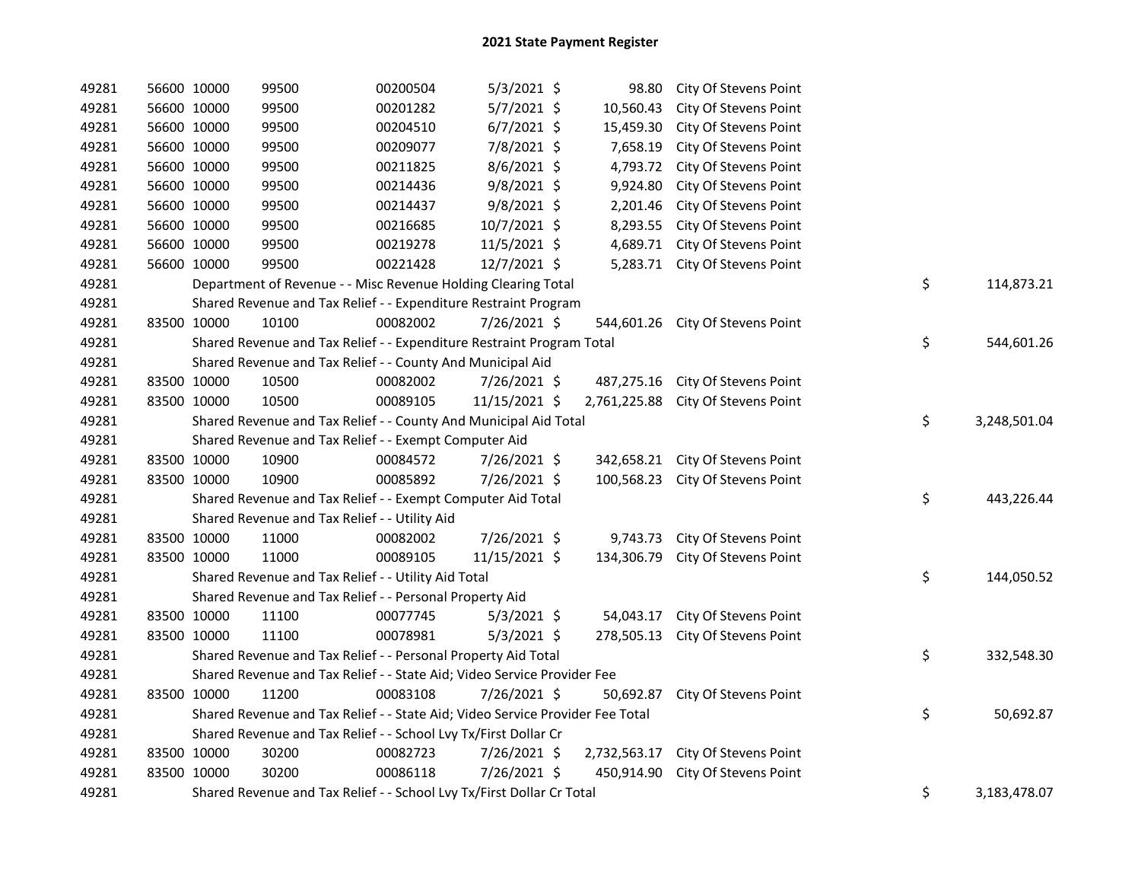| 49281 | 56600 10000 | 99500                                                                         | 00200504 | 5/3/2021 \$   | 98.80        | City Of Stevens Point |    |              |
|-------|-------------|-------------------------------------------------------------------------------|----------|---------------|--------------|-----------------------|----|--------------|
| 49281 | 56600 10000 | 99500                                                                         | 00201282 | 5/7/2021 \$   | 10,560.43    | City Of Stevens Point |    |              |
| 49281 | 56600 10000 | 99500                                                                         | 00204510 | $6/7/2021$ \$ | 15,459.30    | City Of Stevens Point |    |              |
| 49281 | 56600 10000 | 99500                                                                         | 00209077 | 7/8/2021 \$   | 7,658.19     | City Of Stevens Point |    |              |
| 49281 | 56600 10000 | 99500                                                                         | 00211825 | 8/6/2021 \$   | 4,793.72     | City Of Stevens Point |    |              |
| 49281 | 56600 10000 | 99500                                                                         | 00214436 | $9/8/2021$ \$ | 9,924.80     | City Of Stevens Point |    |              |
| 49281 | 56600 10000 | 99500                                                                         | 00214437 | 9/8/2021 \$   | 2,201.46     | City Of Stevens Point |    |              |
| 49281 | 56600 10000 | 99500                                                                         | 00216685 | 10/7/2021 \$  | 8,293.55     | City Of Stevens Point |    |              |
| 49281 | 56600 10000 | 99500                                                                         | 00219278 | 11/5/2021 \$  | 4,689.71     | City Of Stevens Point |    |              |
| 49281 | 56600 10000 | 99500                                                                         | 00221428 | 12/7/2021 \$  | 5,283.71     | City Of Stevens Point |    |              |
| 49281 |             | Department of Revenue - - Misc Revenue Holding Clearing Total                 |          |               |              |                       | \$ | 114,873.21   |
| 49281 |             | Shared Revenue and Tax Relief - - Expenditure Restraint Program               |          |               |              |                       |    |              |
| 49281 | 83500 10000 | 10100                                                                         | 00082002 | 7/26/2021 \$  | 544,601.26   | City Of Stevens Point |    |              |
| 49281 |             | Shared Revenue and Tax Relief - - Expenditure Restraint Program Total         |          |               |              |                       | \$ | 544,601.26   |
| 49281 |             | Shared Revenue and Tax Relief - - County And Municipal Aid                    |          |               |              |                       |    |              |
| 49281 | 83500 10000 | 10500                                                                         | 00082002 | 7/26/2021 \$  | 487,275.16   | City Of Stevens Point |    |              |
| 49281 | 83500 10000 | 10500                                                                         | 00089105 | 11/15/2021 \$ | 2,761,225.88 | City Of Stevens Point |    |              |
| 49281 |             | Shared Revenue and Tax Relief - - County And Municipal Aid Total              |          |               |              |                       | \$ | 3,248,501.04 |
| 49281 |             | Shared Revenue and Tax Relief - - Exempt Computer Aid                         |          |               |              |                       |    |              |
| 49281 | 83500 10000 | 10900                                                                         | 00084572 | 7/26/2021 \$  | 342,658.21   | City Of Stevens Point |    |              |
| 49281 | 83500 10000 | 10900                                                                         | 00085892 | 7/26/2021 \$  | 100,568.23   | City Of Stevens Point |    |              |
| 49281 |             | Shared Revenue and Tax Relief - - Exempt Computer Aid Total                   |          |               |              |                       | \$ | 443,226.44   |
| 49281 |             | Shared Revenue and Tax Relief - - Utility Aid                                 |          |               |              |                       |    |              |
| 49281 | 83500 10000 | 11000                                                                         | 00082002 | 7/26/2021 \$  | 9,743.73     | City Of Stevens Point |    |              |
| 49281 | 83500 10000 | 11000                                                                         | 00089105 | 11/15/2021 \$ | 134,306.79   | City Of Stevens Point |    |              |
| 49281 |             | Shared Revenue and Tax Relief - - Utility Aid Total                           |          |               |              |                       | \$ | 144,050.52   |
| 49281 |             | Shared Revenue and Tax Relief - - Personal Property Aid                       |          |               |              |                       |    |              |
| 49281 | 83500 10000 | 11100                                                                         | 00077745 | $5/3/2021$ \$ | 54,043.17    | City Of Stevens Point |    |              |
| 49281 | 83500 10000 | 11100                                                                         | 00078981 | $5/3/2021$ \$ | 278,505.13   | City Of Stevens Point |    |              |
| 49281 |             | Shared Revenue and Tax Relief - - Personal Property Aid Total                 |          |               |              |                       | \$ | 332,548.30   |
| 49281 |             | Shared Revenue and Tax Relief - - State Aid; Video Service Provider Fee       |          |               |              |                       |    |              |
| 49281 | 83500 10000 | 11200                                                                         | 00083108 | 7/26/2021 \$  | 50,692.87    | City Of Stevens Point |    |              |
| 49281 |             | Shared Revenue and Tax Relief - - State Aid; Video Service Provider Fee Total |          |               |              |                       | \$ | 50,692.87    |
| 49281 |             | Shared Revenue and Tax Relief - - School Lvy Tx/First Dollar Cr               |          |               |              |                       |    |              |
| 49281 | 83500 10000 | 30200                                                                         | 00082723 | 7/26/2021 \$  | 2,732,563.17 | City Of Stevens Point |    |              |
| 49281 | 83500 10000 | 30200                                                                         | 00086118 | 7/26/2021 \$  | 450,914.90   | City Of Stevens Point |    |              |
| 49281 |             | Shared Revenue and Tax Relief - - School Lvy Tx/First Dollar Cr Total         |          |               |              |                       | \$ | 3,183,478.07 |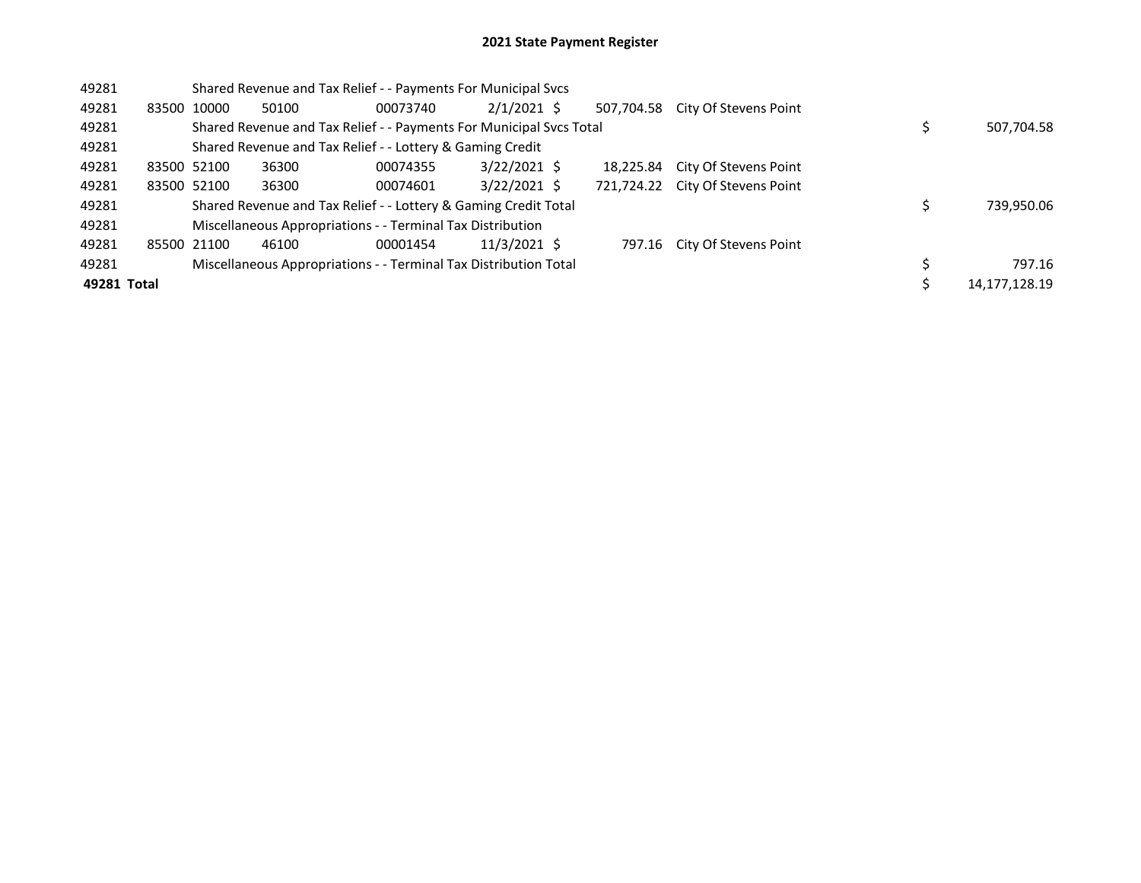| 49281       |             |             | Shared Revenue and Tax Relief - - Payments For Municipal Svcs       |          |                |            |                              |               |
|-------------|-------------|-------------|---------------------------------------------------------------------|----------|----------------|------------|------------------------------|---------------|
| 49281       |             | 83500 10000 | 50100                                                               | 00073740 | $2/1/2021$ \$  | 507,704.58 | City Of Stevens Point        |               |
| 49281       |             |             | Shared Revenue and Tax Relief - - Payments For Municipal Svcs Total |          |                |            |                              | 507,704.58    |
| 49281       |             |             | Shared Revenue and Tax Relief - - Lottery & Gaming Credit           |          |                |            |                              |               |
| 49281       | 83500 52100 |             | 36300                                                               | 00074355 | $3/22/2021$ \$ | 18.225.84  | City Of Stevens Point        |               |
| 49281       |             | 83500 52100 | 36300                                                               | 00074601 | $3/22/2021$ \$ | 721.724.22 | City Of Stevens Point        |               |
| 49281       |             |             | Shared Revenue and Tax Relief - - Lottery & Gaming Credit Total     |          |                |            |                              | 739,950.06    |
| 49281       |             |             | Miscellaneous Appropriations - - Terminal Tax Distribution          |          |                |            |                              |               |
| 49281       | 85500 21100 |             | 46100                                                               | 00001454 | 11/3/2021 \$   |            | 797.16 City Of Stevens Point |               |
| 49281       |             |             | Miscellaneous Appropriations - - Terminal Tax Distribution Total    |          |                |            |                              | 797.16        |
| 49281 Total |             |             |                                                                     |          |                |            |                              | 14,177,128.19 |